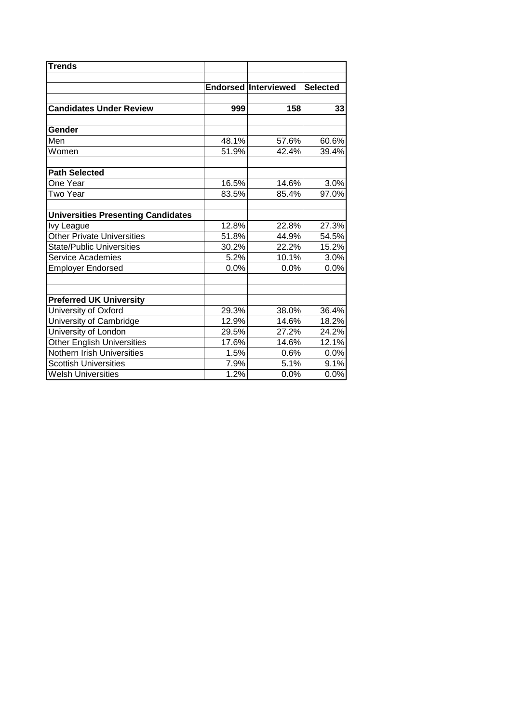| <b>Trends</b>                             |       |                             |                 |
|-------------------------------------------|-------|-----------------------------|-----------------|
|                                           |       | <b>Endorsed Interviewed</b> | <b>Selected</b> |
| <b>Candidates Under Review</b>            | 999   | 158                         | 33              |
| Gender                                    |       |                             |                 |
| Men                                       | 48.1% | 57.6%                       | 60.6%           |
| Women                                     | 51.9% | 42.4%                       | 39.4%           |
| <b>Path Selected</b>                      |       |                             |                 |
| One Year                                  | 16.5% | 14.6%                       | 3.0%            |
| Two Year                                  | 83.5% | 85.4%                       | 97.0%           |
| <b>Universities Presenting Candidates</b> |       |                             |                 |
| Ivy League                                | 12.8% | 22.8%                       | 27.3%           |
| <b>Other Private Universities</b>         | 51.8% | 44.9%                       | 54.5%           |
| <b>State/Public Universities</b>          | 30.2% | 22.2%                       | 15.2%           |
| Service Academies                         | 5.2%  | 10.1%                       | 3.0%            |
| <b>Employer Endorsed</b>                  | 0.0%  | 0.0%                        | 0.0%            |
| <b>Preferred UK University</b>            |       |                             |                 |
| University of Oxford                      | 29.3% | 38.0%                       | 36.4%           |
| University of Cambridge                   | 12.9% | 14.6%                       | 18.2%           |
| University of London                      | 29.5% | 27.2%                       | 24.2%           |
| <b>Other English Universities</b>         | 17.6% | 14.6%                       | 12.1%           |
| <b>Nothern Irish Universities</b>         | 1.5%  | 0.6%                        | 0.0%            |
| <b>Scottish Universities</b>              | 7.9%  | 5.1%                        | 9.1%            |
| <b>Welsh Universities</b>                 | 1.2%  | 0.0%                        | 0.0%            |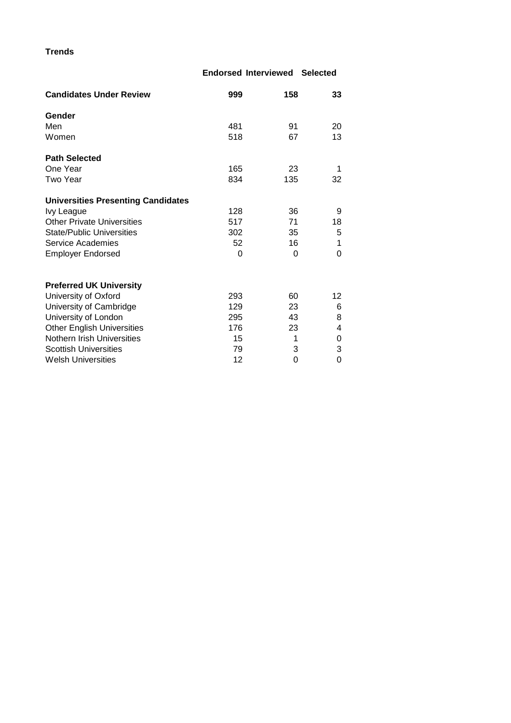**Trends**

|                                           |          | <b>Endorsed Interviewed</b> | <b>Selected</b> |
|-------------------------------------------|----------|-----------------------------|-----------------|
| <b>Candidates Under Review</b>            | 999      | 158                         | 33              |
| Gender                                    |          |                             |                 |
| Men                                       | 481      | 91                          | 20              |
| Women                                     | 518      | 67                          | 13              |
| <b>Path Selected</b>                      |          |                             |                 |
| One Year                                  | 165      | 23                          | 1               |
| Two Year                                  | 834      | 135                         | 32              |
| <b>Universities Presenting Candidates</b> |          |                             |                 |
| Ivy League                                | 128      | 36                          | 9               |
| <b>Other Private Universities</b>         | 517      | 71                          | 18              |
| <b>State/Public Universities</b>          | 302      | 35                          | 5               |
| Service Academies                         | 52       | 16                          | 1               |
| <b>Employer Endorsed</b>                  | $\Omega$ | 0                           | $\Omega$        |
| <b>Preferred UK University</b>            |          |                             |                 |
| University of Oxford                      | 293      | 60                          | 12              |
| University of Cambridge                   | 129      | 23                          | 6               |
| University of London                      | 295      | 43                          | 8               |
| <b>Other English Universities</b>         | 176      | 23                          | 4               |
| <b>Nothern Irish Universities</b>         | 15       | 1                           | 0               |
| <b>Scottish Universities</b>              | 79       | 3                           | 3               |
| <b>Welsh Universities</b>                 | 12       | 0                           | 0               |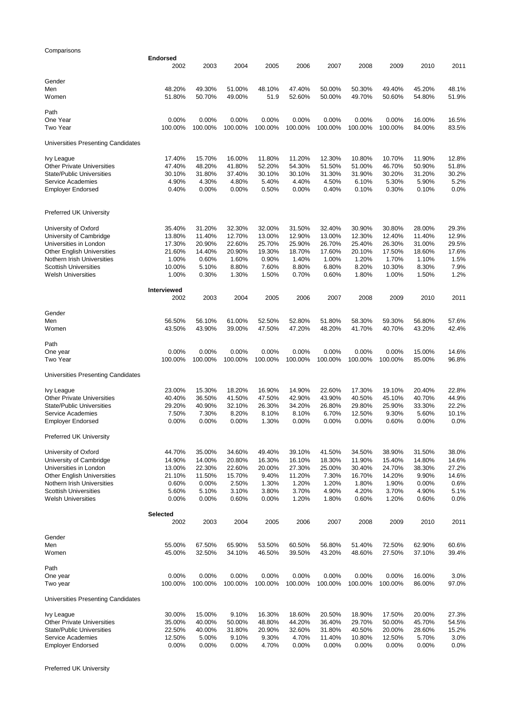| Comparisons                                            |                  |                  |                  |                  |                  |                  |                  |                  |                  |                |
|--------------------------------------------------------|------------------|------------------|------------------|------------------|------------------|------------------|------------------|------------------|------------------|----------------|
|                                                        | <b>Endorsed</b>  |                  |                  |                  |                  |                  |                  |                  |                  |                |
|                                                        | 2002             | 2003             | 2004             | 2005             | 2006             | 2007             | 2008             | 2009             | 2010             | 2011           |
| Gender                                                 |                  |                  |                  |                  |                  |                  |                  |                  |                  |                |
| Men                                                    | 48.20%           | 49.30%           | 51.00%           | 48.10%           | 47.40%           | 50.00%           | 50.30%           | 49.40%           | 45.20%           | 48.1%          |
| Women                                                  | 51.80%           | 50.70%           | 49.00%           | 51.9             | 52.60%           | 50.00%           | 49.70%           | 50.60%           | 54.80%           | 51.9%          |
|                                                        |                  |                  |                  |                  |                  |                  |                  |                  |                  |                |
| Path                                                   |                  |                  |                  |                  |                  |                  |                  |                  |                  |                |
| One Year                                               | 0.00%            | 0.00%            | 0.00%            | 0.00%            | 0.00%            | 0.00%            | 0.00%            | 0.00%            | 16.00%           | 16.5%          |
| Two Year                                               | 100.00%          | 100.00%          | 100.00%          | 100.00%          | 100.00%          | 100.00%          | 100.00%          | 100.00%          | 84.00%           | 83.5%          |
|                                                        |                  |                  |                  |                  |                  |                  |                  |                  |                  |                |
| Universities Presenting Candidates                     |                  |                  |                  |                  |                  |                  |                  |                  |                  |                |
| Ivy League                                             | 17.40%           | 15.70%           | 16.00%           | 11.80%           | 11.20%           | 12.30%           | 10.80%           | 10.70%           | 11.90%           | 12.8%          |
| <b>Other Private Universities</b>                      | 47.40%           | 48.20%           | 41.80%           | 52.20%           | 54.30%           | 51.50%           | 51.00%           | 46.70%           | 50.90%           | 51.8%          |
| <b>State/Public Universities</b>                       | 30.10%           | 31.80%           | 37.40%           | 30.10%           | 30.10%           | 31.30%           | 31.90%           | 30.20%           | 31.20%           | 30.2%          |
| Service Academies                                      | 4.90%            | 4.30%            | 4.80%            | 5.40%            | 4.40%            | 4.50%            | 6.10%            | 5.30%            | 5.90%            | 5.2%           |
| <b>Employer Endorsed</b>                               | 0.40%            | 0.00%            | 0.00%            | 0.50%            | 0.00%            | 0.40%            | 0.10%            | 0.30%            | 0.10%            | 0.0%           |
|                                                        |                  |                  |                  |                  |                  |                  |                  |                  |                  |                |
|                                                        |                  |                  |                  |                  |                  |                  |                  |                  |                  |                |
| Preferred UK University                                |                  |                  |                  |                  |                  |                  |                  |                  |                  |                |
| University of Oxford                                   | 35.40%           | 31.20%           | 32.30%           | 32.00%           | 31.50%           | 32.40%           | 30.90%           | 30.80%           | 28.00%           | 29.3%          |
| University of Cambridge                                | 13.80%           | 11.40%           | 12.70%           | 13.00%           | 12.90%           | 13.00%           | 12.30%           | 12.40%           | 11.40%           | 12.9%          |
| Universities in London                                 | 17.30%           | 20.90%           | 22.60%           | 25.70%           | 25.90%           | 26.70%           | 25.40%           | 26.30%           | 31.00%           | 29.5%          |
| <b>Other English Universities</b>                      | 21.60%           | 14.40%           | 20.90%           | 19.30%           | 18.70%           | 17.60%           | 20.10%           | 17.50%           | 18.60%           | 17.6%          |
| Nothern Irish Universities                             | 1.00%            | 0.60%            | 1.60%            | 0.90%            | 1.40%            | 1.00%            | 1.20%            | 1.70%            | 1.10%            | 1.5%           |
| <b>Scottish Universities</b>                           | 10.00%           | 5.10%            | 8.80%            | 7.60%            | 8.80%            | 6.80%            | 8.20%            | 10.30%           | 8.30%            | 7.9%           |
| <b>Welsh Universities</b>                              | 1.00%            | 0.30%            | 1.30%            | 1.50%            | 0.70%            | 0.60%            | 1.80%            | 1.00%            | 1.50%            | 1.2%           |
|                                                        |                  |                  |                  |                  |                  |                  |                  |                  |                  |                |
|                                                        | Interviewed      |                  |                  |                  |                  |                  |                  |                  |                  |                |
|                                                        | 2002             | 2003             | 2004             | 2005             | 2006             | 2007             | 2008             | 2009             | 2010             | 2011           |
| Gender                                                 |                  |                  |                  |                  |                  |                  |                  |                  |                  |                |
| Men                                                    | 56.50%           | 56.10%           | 61.00%           | 52.50%           | 52.80%           | 51.80%           | 58.30%           | 59.30%           | 56.80%           | 57.6%          |
| Women                                                  | 43.50%           | 43.90%           | 39.00%           | 47.50%           | 47.20%           | 48.20%           | 41.70%           | 40.70%           | 43.20%           | 42.4%          |
|                                                        |                  |                  |                  |                  |                  |                  |                  |                  |                  |                |
| Path                                                   |                  |                  |                  |                  |                  |                  |                  |                  |                  |                |
| One year                                               | 0.00%            | 0.00%            | 0.00%            | 0.00%            | 0.00%            | 0.00%            | 0.00%            | 0.00%            | 15.00%           | 14.6%          |
| Two Year                                               | 100.00%          | 100.00%          | 100.00%          | 100.00%          | 100.00%          | 100.00%          | 100.00%          | 100.00%          | 85.00%           | 96.8%          |
|                                                        |                  |                  |                  |                  |                  |                  |                  |                  |                  |                |
| Universities Presenting Candidates                     |                  |                  |                  |                  |                  |                  |                  |                  |                  |                |
| Ivy League                                             | 23.00%           | 15.30%           | 18.20%           | 16.90%           | 14.90%           | 22.60%           | 17.30%           | 19.10%           | 20.40%           | 22.8%          |
| <b>Other Private Universities</b>                      | 40.40%           | 36.50%           | 41.50%           | 47.50%           | 42.90%           | 43.90%           | 40.50%           | 45.10%           | 40.70%           | 44.9%          |
| <b>State/Public Universities</b>                       | 29.20%           | 40.90%           | 32.10%           | 26.30%           | 34.20%           | 26.80%           | 29.80%           | 25.90%           | 33.30%           | 22.2%          |
| Service Academies                                      | 7.50%            | 7.30%            | 8.20%            | 8.10%            | 8.10%            | 6.70%            | 12.50%           | 9.30%            | 5.60%            | 10.1%          |
| <b>Employer Endorsed</b>                               | 0.00%            | 0.00%            | 0.00%            | 1.30%            | 0.00%            | 0.00%            | 0.00%            | 0.60%            | $0.00\%$         | 0.0%           |
|                                                        |                  |                  |                  |                  |                  |                  |                  |                  |                  |                |
| Preferred UK University                                |                  |                  |                  |                  |                  |                  |                  |                  |                  |                |
|                                                        |                  |                  |                  |                  |                  |                  |                  |                  |                  |                |
| University of Oxford<br>University of Cambridge        | 44.70%<br>14.90% | 35.00%<br>14.00% | 34.60%           | 49.40%<br>16.30% | 39.10%<br>16.10% | 41.50%           | 34.50%           | 38.90%           | 31.50%           | 38.0%<br>14.6% |
| Universities in London                                 | 13.00%           | 22.30%           | 20.80%<br>22.60% | 20.00%           | 27.30%           | 18.30%<br>25.00% | 11.90%<br>30.40% | 15.40%<br>24.70% | 14.80%<br>38.30% | 27.2%          |
| <b>Other English Universities</b>                      | 21.10%           | 11.50%           | 15.70%           | 9.40%            | 11.20%           | 7.30%            | 16.70%           | 14.20%           | 9.90%            | 14.6%          |
| Nothern Irish Universities                             | 0.60%            | 0.00%            | 2.50%            | 1.30%            | 1.20%            | 1.20%            | 1.80%            | 1.90%            | 0.00%            | 0.6%           |
| <b>Scottish Universities</b>                           | 5.60%            | 5.10%            | 3.10%            | 3.80%            | 3.70%            | 4.90%            | 4.20%            | 3.70%            | 4.90%            | 5.1%           |
| <b>Welsh Universities</b>                              | 0.00%            | 0.00%            | 0.60%            | 0.00%            | 1.20%            | 1.80%            | 0.60%            | 1.20%            | 0.60%            | 0.0%           |
|                                                        |                  |                  |                  |                  |                  |                  |                  |                  |                  |                |
|                                                        | <b>Selected</b>  |                  |                  |                  |                  |                  |                  |                  |                  |                |
|                                                        | 2002             | 2003             | 2004             | 2005             | 2006             | 2007             | 2008             | 2009             | 2010             | 2011           |
| Gender                                                 |                  |                  |                  |                  |                  |                  |                  |                  |                  |                |
| Men                                                    | 55.00%           | 67.50%           | 65.90%           | 53.50%           | 60.50%           | 56.80%           | 51.40%           | 72.50%           | 62.90%           | 60.6%          |
| Women                                                  | 45.00%           | 32.50%           | 34.10%           | 46.50%           | 39.50%           | 43.20%           | 48.60%           | 27.50%           | 37.10%           | 39.4%          |
|                                                        |                  |                  |                  |                  |                  |                  |                  |                  |                  |                |
| Path                                                   |                  |                  |                  |                  |                  |                  |                  |                  |                  |                |
| One year                                               | 0.00%            | 0.00%            | 0.00%            | 0.00%            | 0.00%            | 0.00%            | 0.00%            | 0.00%            | 16.00%           | 3.0%           |
| Two year                                               | 100.00%          | 100.00%          | 100.00%          | 100.00%          | 100.00%          | 100.00%          | 100.00%          | 100.00%          | 86.00%           | 97.0%          |
|                                                        |                  |                  |                  |                  |                  |                  |                  |                  |                  |                |
| Universities Presenting Candidates                     |                  |                  |                  |                  |                  |                  |                  |                  |                  |                |
|                                                        |                  |                  |                  |                  |                  |                  |                  |                  |                  |                |
| <b>Ivy League</b><br><b>Other Private Universities</b> | 30.00%<br>35.00% | 15.00%<br>40.00% | 9.10%<br>50.00%  | 16.30%<br>48.80% | 18.60%<br>44.20% | 20.50%<br>36.40% | 18.90%<br>29.70% | 17.50%<br>50.00% | 20.00%<br>45.70% | 27.3%<br>54.5% |
| <b>State/Public Universities</b>                       | 22.50%           | 40.00%           | 31.80%           | 20.90%           | 32.60%           | 31.80%           | 40.50%           | 20.00%           | 28.60%           | 15.2%          |
| Service Academies                                      | 12.50%           | 5.00%            | 9.10%            | 9.30%            | 4.70%            | 11.40%           | 10.80%           | 12.50%           | 5.70%            | 3.0%           |
| <b>Employer Endorsed</b>                               | 0.00%            | 0.00%            | 0.00%            | 4.70%            | 0.00%            | 0.00%            | 0.00%            | 0.00%            | 0.00%            | 0.0%           |
|                                                        |                  |                  |                  |                  |                  |                  |                  |                  |                  |                |

Preferred UK University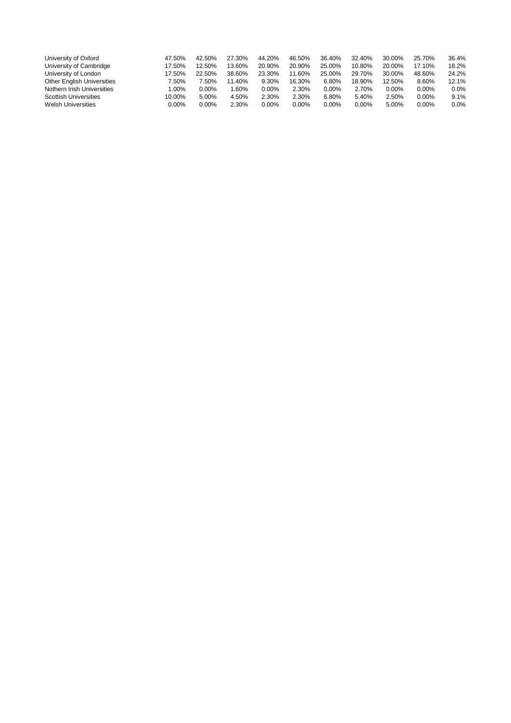| University of Oxford<br>University of Cambridge    | 47.50%<br>17.50% | 42.50%<br>12.50% | 27.30%<br>13.60% | 44.20%<br>20.90% | 46.50%<br>20.90% | 36.40%<br>25.00% | 32.40%<br>10.80% | 30.00%<br>20.00% | 25.70%<br>17.10% | 36.4%<br>18.2% |
|----------------------------------------------------|------------------|------------------|------------------|------------------|------------------|------------------|------------------|------------------|------------------|----------------|
| University of London<br>Other English Universities | 17.50%<br>7.50%  | 22.50%<br>7.50%  | 38.60%<br>11.40% | 23.30%<br>9.30%  | 11.60%<br>16.30% | 25.00%<br>6.80%  | 29.70%<br>18.90% | 30.00%<br>12.50% | 48.60%<br>8.60%  | 24.2%<br>12.1% |
| Nothern Irish Universities                         | 1.00%            | $0.00\%$         | .60%             | $0.00\%$         | 2.30%            | $0.00\%$         | 2.70%            | $0.00\%$         | $0.00\%$         | 0.0%           |
| <b>Scottish Universities</b>                       | 10.00%           | 5.00%            | 4.50%            | 2.30%            | 2.30%            | 6.80%            | 5.40%            | 2.50%            | $0.00\%$         | 9.1%           |
| <b>Welsh Universities</b>                          | $0.00\%$         | $0.00\%$         | 2.30%            | $0.00\%$         | $0.00\%$         | $0.00\%$         | $0.00\%$         | 5.00%            | $0.00\%$         | 0.0%           |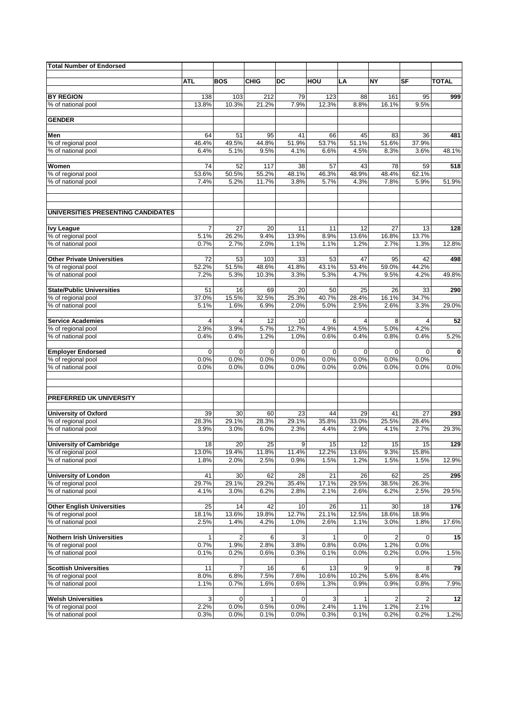| <b>Total Number of Endorsed</b>                         |                |               |               |               |               |               |               |                |              |
|---------------------------------------------------------|----------------|---------------|---------------|---------------|---------------|---------------|---------------|----------------|--------------|
|                                                         |                |               |               |               |               |               | <b>NY</b>     |                |              |
|                                                         | <b>ATL</b>     | <b>BOS</b>    | <b>CHIG</b>   | DC            | HOU           | LA            |               | SF             | <b>TOTAL</b> |
| <b>BY REGION</b>                                        | 138            | 103           | 212           | 79            | 123           | 88            | 161           | 95             | 999          |
| % of national pool                                      | 13.8%          | 10.3%         | 21.2%         | 7.9%          | 12.3%         | 8.8%          | 16.1%         | 9.5%           |              |
| <b>GENDER</b>                                           |                |               |               |               |               |               |               |                |              |
|                                                         |                |               |               |               |               |               |               |                |              |
| Men                                                     | 64             | 51            | 95            | 41            | 66            | 45            | 83            | 36             | 481          |
| % of regional pool                                      | 46.4%          | 49.5%         | 44.8%         | 51.9%         | 53.7%         | 51.1%         | 51.6%         | 37.9%          |              |
| % of national pool                                      | 6.4%           | 5.1%          | 9.5%          | 4.1%          | 6.6%          | 4.5%          | 8.3%          | 3.6%           | 48.1%        |
| Women                                                   | 74             | 52            | 117           | 38            | 57            | 43            | 78            | 59             | 518          |
| % of regional pool                                      | 53.6%          | 50.5%         | 55.2%         | 48.1%         | 46.3%         | 48.9%         | 48.4%         | 62.1%          |              |
| % of national pool                                      | 7.4%           | 5.2%          | 11.7%         | 3.8%          | 5.7%          | 4.3%          | 7.8%          | 5.9%           | 51.9%        |
| UNIVERSITIES PRESENTING CANDIDATES                      |                |               |               |               |               |               |               |                |              |
|                                                         | $\overline{7}$ | 27            | 20            | 11            | 11            | 12            | 27            | 13             | 128          |
| <b>Ivy League</b><br>% of regional pool                 | 5.1%           | 26.2%         | 9.4%          | 13.9%         | 8.9%          | 13.6%         | 16.8%         | 13.7%          |              |
| % of national pool                                      | 0.7%           | 2.7%          | 2.0%          | 1.1%          | 1.1%          | 1.2%          | 2.7%          | 1.3%           | 12.8%        |
|                                                         |                |               |               |               |               |               |               |                |              |
| <b>Other Private Universities</b><br>% of regional pool | 72<br>52.2%    | 53<br>51.5%   | 103<br>48.6%  | 33<br>41.8%   | 53<br>43.1%   | 47<br>53.4%   | 95<br>59.0%   | 42<br>44.2%    | 498          |
| % of national pool                                      | 7.2%           | 5.3%          | 10.3%         | 3.3%          | 5.3%          | 4.7%          | 9.5%          | 4.2%           | 49.8%        |
|                                                         |                |               |               |               |               |               |               |                |              |
| <b>State/Public Universities</b>                        | 51             | 16            | 69            | 20            | 50            | 25            | 26            | 33             | 290          |
| % of regional pool                                      | 37.0%          | 15.5%         | 32.5%         | 25.3%         | 40.7%         | 28.4%         | 16.1%         | 34.7%          |              |
| % of national pool                                      | 5.1%           | 1.6%          | 6.9%          | 2.0%          | 5.0%          | 2.5%          | 2.6%          | 3.3%           | 29.0%        |
| <b>Service Academies</b>                                | 4              | 4             | 12            | 10            | 6             | 4             | 8             | $\overline{4}$ | 52           |
| % of regional pool                                      | 2.9%           | 3.9%          | 5.7%          | 12.7%         | 4.9%          | 4.5%          | 5.0%          | 4.2%           |              |
| % of national pool                                      | 0.4%           | 0.4%          | 1.2%          | 1.0%          | 0.6%          | 0.4%          | 0.8%          | 0.4%           | 5.2%         |
| <b>Employer Endorsed</b>                                | 0              | 0             | $\mathbf 0$   | 0             | $\Omega$      | $\mathbf 0$   | 0             | $\mathbf 0$    | 0            |
| % of regional pool                                      | 0.0%           | 0.0%          | 0.0%          | 0.0%          | 0.0%          | 0.0%          | 0.0%          | 0.0%           |              |
| % of national pool                                      | 0.0%           | 0.0%          | 0.0%          | 0.0%          | 0.0%          | 0.0%          | 0.0%          | 0.0%           | 0.0%         |
|                                                         |                |               |               |               |               |               |               |                |              |
| PREFERRED UK UNIVERSITY                                 |                |               |               |               |               |               |               |                |              |
| <b>University of Oxford</b>                             | 39             | 30            | 60            | 23            | 44            | 29            | 41            | 27             | 293          |
| % of regional pool                                      | 28.3%          | 29.1%         | 28.3%         | 29.1%         | 35.8%         | 33.0%         | 25.5%         | 28.4%          |              |
| % of national pool                                      | 3.9%           | 3.0%          | 6.0%          | 2.3%          | 4.4%          | 2.9%          | 4.1%          | 2.7%           | 29.3%        |
| <b>University of Cambridge</b>                          | 18             | 20            | 25            | 9             | 15            | 12            | 15            | 15             | 129          |
| % of regional pool                                      | 13.0%          | 19.4%         | 11.8%         | 11.4%         | 12.2%         | 13.6%         | 9.3%          | 15.8%          |              |
| % of national pool                                      | 1.8%           | 2.0%          | 2.5%          | 0.9%          | 1.5%          | 1.2%          | 1.5%          | 1.5%           | 12.9%        |
| <b>University of London</b>                             | 41             | 30            | 62            | 28            | 21            | 26            | 62            | 25             | 295          |
| % of regional pool                                      | 29.7%          | 29.1%         | 29.2%         | 35.4%         | 17.1%         | 29.5%         | 38.5%         | 26.3%          |              |
| % of national pool                                      | 4.1%           | 3.0%          | 6.2%          | 2.8%          | 2.1%          | 2.6%          | 6.2%          | 2.5%           | 29.5%        |
|                                                         |                |               |               |               |               |               |               |                |              |
| <b>Other English Universities</b>                       | 25             | 14            | 42            | 10            | 26            | 11            | 30            | 18             | 176          |
| % of regional pool<br>% of national pool                | 18.1%<br>2.5%  | 13.6%<br>1.4% | 19.8%<br>4.2% | 12.7%<br>1.0% | 21.1%<br>2.6% | 12.5%<br>1.1% | 18.6%<br>3.0% | 18.9%<br>1.8%  | 17.6%        |
|                                                         |                |               |               |               |               |               |               |                |              |
| <b>Nothern Irish Universities</b>                       | 1              | 2             | 6             | 3             | 1             | 0             | 2             | 0              | 15           |
| % of regional pool                                      | 0.7%           | 1.9%          | 2.8%          | 3.8%          | 0.8%          | 0.0%          | 1.2%          | 0.0%           |              |
| % of national pool                                      | 0.1%           | 0.2%          | 0.6%          | 0.3%          | 0.1%          | 0.0%          | 0.2%          | $0.0\%$        | 1.5%         |
| <b>Scottish Universities</b>                            | 11             | 7             | 16            | 6             | 13            | 9             | 9             | 8              | 79           |
| % of regional pool                                      | 8.0%           | 6.8%          | 7.5%          | 7.6%          | 10.6%         | 10.2%         | 5.6%          | 8.4%           |              |
| % of national pool                                      | 1.1%           | 0.7%          | 1.6%          | 0.6%          | 1.3%          | 0.9%          | 0.9%          | 0.8%           | 7.9%         |
| <b>Welsh Universities</b>                               |                | 0             | 1             | 0             |               |               |               |                |              |
| % of regional pool                                      | 3<br>2.2%      | 0.0%          | 0.5%          | 0.0%          | 3<br>2.4%     | 1<br>1.1%     | 2<br>1.2%     | 2<br>2.1%      | 12           |
| % of national pool                                      | 0.3%           | 0.0%          | 0.1%          | 0.0%          | 0.3%          | 0.1%          | 0.2%          | 0.2%           | 1.2%         |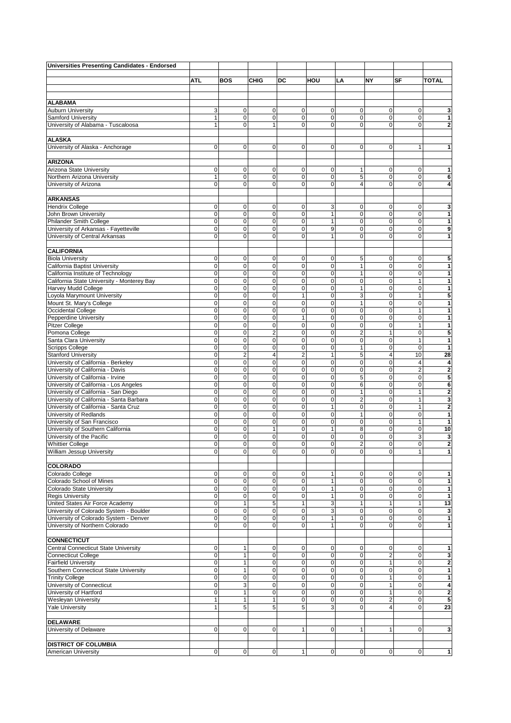| Universities Presenting Candidates - Endorsed                                     |                            |                            |                            |                         |                            |                                |                     |                              |                              |
|-----------------------------------------------------------------------------------|----------------------------|----------------------------|----------------------------|-------------------------|----------------------------|--------------------------------|---------------------|------------------------------|------------------------------|
|                                                                                   |                            |                            |                            |                         |                            |                                |                     |                              |                              |
|                                                                                   | ATL                        | <b>BOS</b>                 | <b>CHIG</b>                | DC                      | HOU                        | LA                             | <b>NY</b>           | SF                           | <b>TOTAL</b>                 |
|                                                                                   |                            |                            |                            |                         |                            |                                |                     |                              |                              |
| <b>ALABAMA</b>                                                                    |                            |                            |                            |                         |                            |                                |                     |                              |                              |
| <b>Auburn University</b>                                                          | 3                          | 0                          | 0                          | 0                       | 0                          | 0                              | 0                   | 0                            | 3                            |
| Samford University                                                                | $\mathbf{1}$               | $\mathbf 0$                | $\mathbf 0$                | 0                       | $\mathsf 0$                | $\pmb{0}$                      | 0                   | $\mathbf 0$                  | $\mathbf{1}$                 |
| University of Alabama - Tuscaloosa                                                | $\mathbf{1}$               | 0                          | $\mathbf{1}$               | $\Omega$                | $\Omega$                   | $\mathbf 0$                    | $\Omega$            | $\mathbf 0$                  | 2                            |
|                                                                                   |                            |                            |                            |                         |                            |                                |                     |                              |                              |
| <b>ALASKA</b><br>University of Alaska - Anchorage                                 | $\mathbf 0$                | 0                          | 0                          | 0                       | $\mathbf 0$                | $\mathbf 0$                    | $\mathbf 0$         | $\mathbf{1}$                 | 1                            |
|                                                                                   |                            |                            |                            |                         |                            |                                |                     |                              |                              |
| <b>ARIZONA</b>                                                                    |                            |                            |                            |                         |                            |                                |                     |                              |                              |
| Arizona State University                                                          | 0                          | 0                          | 0                          | 0                       | 0                          | 1                              | $\mathbf 0$         | 0                            | 1                            |
| Northern Arizona University                                                       | $\mathbf{1}$               | $\mathbf 0$                | $\mathbf 0$                | 0                       | $\mathbf 0$                | 5                              | $\mathbf 0$         | $\mathbf 0$                  | 6                            |
| University of Arizona                                                             | $\Omega$                   | 0                          | $\mathbf 0$                | $\Omega$                | $\mathbf 0$                | $\overline{4}$                 | 0                   | $\mathbf 0$                  | 4                            |
|                                                                                   |                            |                            |                            |                         |                            |                                |                     |                              |                              |
| <b>ARKANSAS</b><br><b>Hendrix College</b>                                         | $\mathbf 0$                | 0                          | $\mathbf 0$                | 0                       | 3                          | 0                              | 0                   | 0                            | 3                            |
| John Brown University                                                             | $\mathbf 0$                | $\mathbf 0$                | $\mathbf 0$                | 0                       | $\mathbf{1}$               | $\mathbf 0$                    | $\mathbf 0$         | $\pmb{0}$                    | 1                            |
| <b>Philander Smith College</b>                                                    | $\mathbf 0$                | $\mathbf 0$                | 0                          | 0                       | $\mathbf{1}$               | $\pmb{0}$                      | $\mathbf 0$         | $\pmb{0}$                    | 1                            |
| University of Arkansas - Fayetteville                                             | $\mathbf 0$                | $\mathbf 0$                | $\mathbf 0$                | 0                       | 9                          | $\mathbf 0$                    | $\mathbf 0$         | $\mathbf{O}$                 | 9                            |
| University of Central Arkansas                                                    | $\mathbf 0$                | $\mathbf 0$                | $\mathbf 0$                | 0                       | $\mathbf{1}$               | $\mathbf 0$                    | $\mathbf 0$         | $\mathbf{O}$                 | 1                            |
|                                                                                   |                            |                            |                            |                         |                            |                                |                     |                              |                              |
| <b>CALIFORNIA</b>                                                                 |                            |                            |                            |                         |                            |                                |                     |                              |                              |
| <b>Biola University</b>                                                           | $\mathbf 0$<br>$\mathbf 0$ | 0                          | 0                          | 0<br>$\mathbf 0$        | $\mathbf 0$<br>$\mathbf 0$ | 5                              | $\mathbf 0$         | $\mathbf 0$                  | 5                            |
| California Baptist University<br>California Institute of Technology               | $\mathbf 0$                | $\mathbf 0$<br>$\mathbf 0$ | $\mathbf 0$<br>0           | 0                       | $\mathbf 0$                | $\mathbf{1}$<br>$\mathbf{1}$   | 0<br>$\mathbf 0$    | $\pmb{0}$<br>$\pmb{0}$       | 1<br>1                       |
| California State University - Monterey Bay                                        | $\mathbf 0$                | $\mathbf 0$                | $\mathbf 0$                | 0                       | $\mathbf 0$                | $\pmb{0}$                      | $\mathbf 0$         | $\mathbf{1}$                 | 1                            |
| Harvey Mudd College                                                               | $\mathbf 0$                | $\pmb{0}$                  | $\mathbf 0$                | 0                       | $\mathbf 0$                | $\mathbf{1}$                   | $\mathbf 0$         | $\pmb{0}$                    | 1                            |
| Loyola Marymount University                                                       | $\mathbf 0$                | $\mathbf 0$                | $\mathbf 0$                | $\mathbf{1}$            | $\mathsf 0$                | 3                              | 0                   | $\mathbf{1}$                 | 5                            |
| Mount St. Mary's College                                                          | $\pmb{0}$                  | $\mathbf 0$                | $\mathbf 0$                | 0                       | $\mathbf 0$                | $\mathbf{1}$                   | 0                   | $\pmb{0}$                    | $\mathbf{1}$                 |
| Occidental College                                                                | $\Omega$                   | $\mathbf 0$                | $\mathbf 0$                | $\mathbf 0$             | $\mathbf 0$                | $\mathbf 0$                    | $\overline{0}$      | $\mathbf{1}$                 | 1                            |
| Pepperdine University                                                             | $\mathbf 0$                | 0                          | $\mathbf 0$                | $\mathbf{1}$            | $\mathbf 0$                | $\mathbf 0$                    | 0                   | $\mathbf 0$                  | 1                            |
| <b>Pitzer College</b>                                                             | $\mathbf 0$<br>$\mathbf 0$ | $\mathbf 0$<br>$\mathbf 0$ | 0<br>$\overline{c}$        | 0<br>0                  | $\mathbf 0$<br>$\mathbf 0$ | $\mathbf 0$<br>$\overline{2}$  | $\mathbf 0$<br>1    | $\mathbf{1}$<br>$\pmb{0}$    | 1<br>5                       |
| Pomona College<br>Santa Clara University                                          | $\mathbf 0$                | $\mathbf 0$                | $\mathbf 0$                | 0                       | $\mathsf 0$                | $\pmb{0}$                      | $\mathbf 0$         | $\mathbf{1}$                 | 1                            |
| <b>Scripps College</b>                                                            | $\mathbf 0$                | $\mathbf 0$                | 0                          | 0                       | $\mathbf 0$                | $\mathbf{1}$                   | $\mathbf 0$         | $\mathbf 0$                  | $\mathbf{1}$                 |
| <b>Stanford University</b>                                                        | $\pmb{0}$                  | $\overline{c}$             | 4                          | $\overline{\mathbf{c}}$ | 1                          | 5                              | 4                   | 10                           | 28                           |
| University of California - Berkeley                                               | $\mathbf 0$                | $\mathbf 0$                | $\mathbf 0$                | 0                       | $\mathsf 0$                | $\pmb{0}$                      | 0                   | $\overline{\mathbf{4}}$      | 4                            |
| University of California - Davis                                                  | $\mathbf 0$                | $\mathbf 0$                | $\mathbf 0$                | 0                       | $\mathsf 0$                | $\pmb{0}$                      | $\mathbf 0$         | $\overline{2}$               | $\overline{2}$               |
| University of California - Irvine                                                 | $\mathbf 0$                | $\mathbf 0$                | $\mathbf 0$                | 0                       | $\mathbf 0$                | 5                              | 0                   | 0                            | 5                            |
| University of California - Los Angeles                                            | $\mathbf 0$                | $\mathbf 0$                | $\mathbf 0$                | 0                       | $\mathbf 0$                | 6                              | $\mathbf 0$         | $\mathbf 0$                  | 6                            |
| University of California - San Diego<br>University of California - Santa Barbara  | $\mathbf 0$<br>$\mathbf 0$ | $\mathbf 0$<br>$\mathbf 0$ | $\mathbf 0$<br>$\mathbf 0$ | 0<br>0                  | $\mathbf 0$<br>$\mathbf 0$ | $\mathbf{1}$<br>$\overline{2}$ | 0<br>$\mathbf 0$    | $\mathbf{1}$<br>$\mathbf{1}$ | $\overline{\mathbf{c}}$<br>3 |
| University of California - Santa Cruz                                             | $\pmb{0}$                  | $\mathbf 0$                | $\pmb{0}$                  | 0                       | $\mathbf{1}$               | $\pmb{0}$                      | $\pmb{0}$           | $\mathbf{1}$                 | $\overline{\mathbf{c}}$      |
| University of Redlands                                                            | $\mathbf 0$                | $\mathbf 0$                | $\mathbf 0$                | 0                       | $\mathbf 0$                | $\mathbf{1}$                   | $\mathbf 0$         | $\pmb{0}$                    | 1                            |
| University of San Francisco                                                       | $\mathbf 0$                | $\pmb{0}$                  | $\mathbf 0$                | 0                       | $\mathsf 0$                | $\pmb{0}$                      | $\pmb{0}$           | $\mathbf{1}$                 | 1                            |
| University of Southern California                                                 | $\mathbf 0$                | 0                          | $\mathbf{1}$               | 0                       | $\mathbf{1}$               | 8                              | 0                   | $\pmb{0}$                    | 10                           |
| University of the Pacific                                                         | $\Omega$                   | 0                          | $\mathbf 0$                | 0                       | $\mathbf 0$                | $\mathbf 0$                    | 0                   | 3                            | 3                            |
| <b>Whittier College</b>                                                           | $\Omega$                   | 0                          | 0                          | $\Omega$                | $\overline{0}$             | $\overline{2}$                 | 0                   | 0                            | $\overline{2}$               |
| William Jessup University                                                         | $\overline{0}$             | 0                          | $\mathbf 0$                | 0                       | $\overline{0}$             | $\mathbf 0$                    | 0                   | 1                            | 1                            |
| <b>COLORADO</b>                                                                   |                            |                            |                            |                         |                            |                                |                     |                              |                              |
| Colorado College                                                                  | $\mathbf 0$                | 0                          | 0                          | $\mathbf 0$             | 1                          | $\mathbf 0$                    | $\overline{0}$      | $\overline{0}$               | 1                            |
| Colorado School of Mines                                                          | $\pmb{0}$                  | $\pmb{0}$                  | 0                          | 0                       | $\mathbf{1}$               | $\pmb{0}$                      | 0                   | $\mathbf 0$                  | 1                            |
| Colorado State University                                                         | $\mathbf 0$                | 0                          | $\pmb{0}$                  | 0                       | $\mathbf{1}$               | $\pmb{0}$                      | $\overline{0}$      | $\mathbf 0$                  | 1                            |
| <b>Regis University</b>                                                           | $\mathbf 0$                | 0                          | $\mathbf 0$                | 0                       | $\mathbf{1}$               | $\pmb{0}$                      | $\mathbf 0$         | $\overline{0}$               | 1                            |
| United States Air Force Academy                                                   | $\mathbf 0$                | $\mathbf{1}$               | 5                          | $\mathbf{1}$            | 3                          | $\mathbf{1}$                   | $\mathbf{1}$        | $\mathbf{1}$                 | 13                           |
| University of Colorado System - Boulder<br>University of Colorado System - Denver | $\mathbf 0$<br>$\pmb{0}$   | 0<br>$\mathbf 0$           | 0<br>0                     | 0<br>0                  | 3<br>$\mathbf{1}$          | $\pmb{0}$<br>$\pmb{0}$         | 0<br>$\overline{0}$ | $\mathbf 0$<br>$\mathbf 0$   | 3<br>1                       |
| University of Northern Colorado                                                   | $\mathbf 0$                | 0                          | $\mathbf 0$                | 0                       | $\mathbf{1}$               | $\mathbf 0$                    | $\mathbf 0$         | $\overline{0}$               | 1                            |
|                                                                                   |                            |                            |                            |                         |                            |                                |                     |                              |                              |
| <b>CONNECTICUT</b>                                                                |                            |                            |                            |                         |                            |                                |                     |                              |                              |
| <b>Central Connecticut State University</b>                                       | $\mathbf 0$                | 1                          | 0                          | 0                       | $\overline{0}$             | 0                              | 0                   | $\mathbf 0$                  | 1                            |
| <b>Connecticut College</b>                                                        | $\pmb{0}$                  | 1                          | $\mathbf 0$                | 0                       | $\mathbf 0$                | $\pmb{0}$                      | $\overline{2}$      | $\mathbf 0$                  | 3                            |
| <b>Fairfield University</b>                                                       | $\mathbf 0$                | $\mathbf{1}$               | $\mathbf 0$                | 0                       | $\mathbf 0$                | $\pmb{0}$                      | 1                   | $\overline{0}$               | $\overline{2}$               |
| Southern Connecticut State University                                             | $\mathbf 0$                | $\mathbf{1}$               | 0                          | 0                       | $\mathsf 0$                | $\pmb{0}$                      | $\mathbf 0$         | $\mathbf 0$                  | 1                            |
| <b>Trinity College</b><br>University of Connecticut                               | $\pmb{0}$<br>$\pmb{0}$     | $\pmb{0}$<br>3             | 0<br>$\pmb{0}$             | 0<br>0                  | $\mathbf 0$<br>$\mathbf 0$ | $\pmb{0}$<br>$\pmb{0}$         | 1<br>$\mathbf{1}$   | $\mathbf 0$<br>$\mathbf 0$   | 1<br>4                       |
| University of Hartford                                                            | $\mathbf 0$                | $\mathbf{1}$               | 0                          | 0                       | $\mathbf 0$                | $\pmb{0}$                      | 1                   | $\mathbf 0$                  | $\overline{2}$               |
| <b>Wesleyan University</b>                                                        | 1                          | 1                          | $\mathbf{1}$               | 0                       | $\overline{0}$             | $\pmb{0}$                      | $\overline{c}$      | $\mathbf{O}$                 | 5                            |
| <b>Yale University</b>                                                            | $\mathbf{1}$               | 5                          | 5                          | 5                       | 3                          | $\mathbf 0$                    | 4                   | $\mathbf{O}$                 | 23                           |
|                                                                                   |                            |                            |                            |                         |                            |                                |                     |                              |                              |
| <b>DELAWARE</b>                                                                   |                            |                            |                            |                         |                            |                                |                     |                              |                              |
| University of Delaware                                                            | $\mathbf 0$                | $\mathbf 0$                | 0                          | $\mathbf{1}$            | $\mathbf 0$                | $\mathbf{1}$                   | 1                   | $\overline{0}$               | 3                            |
| <b>DISTRICT OF COLUMBIA</b>                                                       |                            |                            |                            |                         |                            |                                |                     |                              |                              |
| <b>American University</b>                                                        | $\overline{0}$             | $\pmb{0}$                  | $\mathbf 0$                | 1                       | $\overline{0}$             | $\overline{0}$                 | $\overline{0}$      | 0                            | $\mathbf{1}$                 |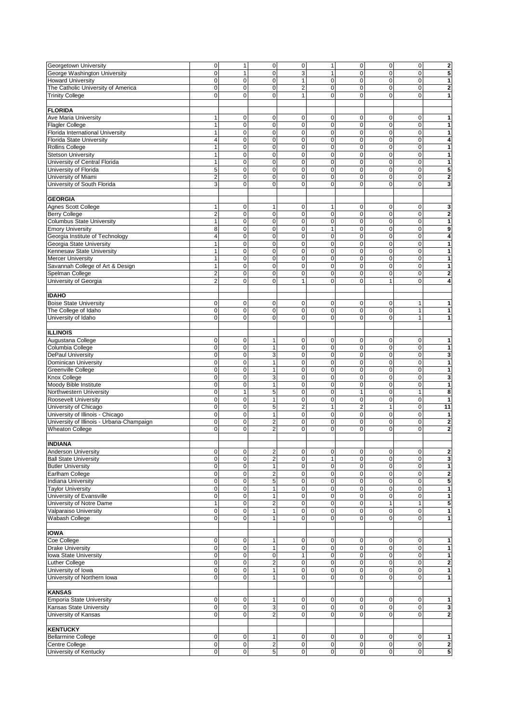| Georgetown University                     | $\pmb{0}$      | 1            | $\pmb{0}$               | $\pmb{0}$      | $\mathbf{1}$   | $\mathbf 0$    | $\pmb{0}$           | $\pmb{0}$    | $\overline{2}$          |
|-------------------------------------------|----------------|--------------|-------------------------|----------------|----------------|----------------|---------------------|--------------|-------------------------|
| George Washington University              | $\mathbf 0$    | $\mathbf{1}$ | $\mathbf 0$             | 3              | $\mathbf{1}$   | $\mathbf 0$    | $\mathbf 0$         | $\pmb{0}$    | 5                       |
| <b>Howard University</b>                  | $\mathbf 0$    | $\mathbf 0$  | $\mathbf 0$             | 1              | $\mathsf 0$    | 0              | $\pmb{0}$           | $\pmb{0}$    | 1                       |
|                                           |                |              |                         |                |                |                |                     |              |                         |
| The Catholic University of America        | $\mathbf 0$    | $\mathbf 0$  | $\mathbf 0$             | $\overline{c}$ | $\mathbf 0$    | 0              | 0                   | $\pmb{0}$    | 2                       |
| <b>Trinity College</b>                    | $\mathbf 0$    | $\mathbf 0$  | 0                       | 1              | $\mathbf 0$    | $\mathbf 0$    | 0                   | $\mathbf 0$  | 1                       |
|                                           |                |              |                         |                |                |                |                     |              |                         |
|                                           |                |              |                         |                |                |                |                     |              |                         |
| <b>FLORIDA</b>                            |                |              |                         |                |                |                |                     |              |                         |
| <b>Ave Maria University</b>               | 1              | 0            | 0                       | 0              | $\mathsf 0$    | 0              | $\mathbf 0$         | $\pmb{0}$    | 1                       |
|                                           |                |              |                         |                |                |                |                     |              |                         |
| <b>Flagler College</b>                    | $\mathbf{1}$   | $\mathbf 0$  | $\mathbf 0$             | $\mathbf 0$    | $\overline{0}$ | 0              | $\mathbf 0$         | $\pmb{0}$    | 1                       |
| Florida International University          | 1              | $\pmb{0}$    | $\mathbf 0$             | $\pmb{0}$      | $\mathbf 0$    | $\mathbf 0$    | $\pmb{0}$           | $\pmb{0}$    | 1                       |
|                                           |                |              |                         |                |                |                |                     |              |                         |
| Florida State University                  | $\overline{4}$ | $\mathbf 0$  | $\mathbf 0$             | $\pmb{0}$      | $\mathbf 0$    | 0              | $\pmb{0}$           | $\pmb{0}$    | 4                       |
| Rollins College                           | 1              | $\mathbf 0$  | $\mathbf 0$             | 0              | $\pmb{0}$      | 0              | $\mathbf 0$         | $\pmb{0}$    | 1                       |
| <b>Stetson University</b>                 | $\mathbf{1}$   | $\mathbf 0$  | 0                       | 0              | $\mathbf 0$    | $\mathbf 0$    | $\mathbf 0$         | $\mathbf 0$  | 1                       |
|                                           |                |              |                         |                |                |                |                     |              |                         |
| University of Central Florida             | $\mathbf{1}$   | $\mathbf 0$  | $\mathbf 0$             | $\mathbf 0$    | $\mathbf 0$    | $\mathbf 0$    | $\mathbf 0$         | $\pmb{0}$    | 1                       |
| University of Florida                     | 5              | $\mathbf 0$  | $\mathbf 0$             | 0              | $\mathsf 0$    | 0              | $\mathbf 0$         | $\pmb{0}$    | 5                       |
|                                           |                |              |                         |                |                |                |                     |              |                         |
| University of Miami                       | $\overline{2}$ | $\mathbf 0$  | $\mathbf 0$             | $\mathbf 0$    | $\mathbf 0$    | 0              | $\mathbf 0$         | $\pmb{0}$    | $\overline{2}$          |
| University of South Florida               | 3              | $\mathbf 0$  | $\mathbf 0$             | 0              | $\mathbf 0$    | 0              | 0                   | $\mathbf 0$  | 3                       |
|                                           |                |              |                         |                |                |                |                     |              |                         |
|                                           |                |              |                         |                |                |                |                     |              |                         |
| <b>GEORGIA</b>                            |                |              |                         |                |                |                |                     |              |                         |
| Agnes Scott College                       | $\mathbf{1}$   | 0            | 1                       | 0              | 1              | 0              | 0                   | 0            | 3                       |
|                                           |                |              |                         |                |                |                |                     |              |                         |
| <b>Berry College</b>                      | $\overline{c}$ | $\mathbf 0$  | $\mathbf 0$             | 0              | $\mathsf 0$    | 0              | $\mathbf 0$         | $\pmb{0}$    | 2                       |
| <b>Columbus State University</b>          | $\mathbf{1}$   | $\mathbf 0$  | $\mathbf 0$             | $\mathbf 0$    | $\mathbf 0$    | 0              | $\mathbf 0$         | $\pmb{0}$    | 1                       |
|                                           |                |              |                         |                |                |                |                     |              |                         |
| <b>Emory University</b>                   | 8              | 0            | $\mathbf 0$             | 0              | $\mathbf{1}$   | $\mathbf 0$    | $\pmb{0}$           | $\pmb{0}$    | 9                       |
| Georgia Institute of Technology           | $\overline{4}$ | $\mathbf 0$  | $\mathbf 0$             | 0              | $\mathsf 0$    | 0              | $\mathbf 0$         | $\pmb{0}$    | 4                       |
| Georgia State University                  | $\mathbf{1}$   | $\mathbf 0$  | $\mathbf 0$             | 0              | $\mathbf 0$    | 0              | $\pmb{0}$           | $\pmb{0}$    | 1                       |
|                                           |                |              |                         |                |                |                |                     |              |                         |
| Kennesaw State University                 | $\mathbf{1}$   | $\pmb{0}$    | $\mathbf 0$             | 0              | $\overline{0}$ | 0              | $\mathbf 0$         | $\pmb{0}$    | 1                       |
| <b>Mercer University</b>                  | 1              | $\mathbf 0$  | $\mathbf 0$             | 0              | $\mathbf 0$    | 0              | $\pmb{0}$           | $\pmb{0}$    | 1                       |
|                                           |                |              |                         |                |                |                |                     |              |                         |
| Savannah College of Art & Design          | $\mathbf{1}$   | $\mathbf 0$  | $\pmb{0}$               | $\pmb{0}$      | $\mathbf 0$    | $\mathbf 0$    | $\mathbf 0$         | $\pmb{0}$    | $\mathbf{1}$            |
| Spelman College                           | $\overline{c}$ | $\mathbf 0$  | $\mathbf 0$             | 0              | $\mathbf 0$    | $\mathbf 0$    | $\mathbf 0$         | $\pmb{0}$    | 2                       |
|                                           |                |              |                         |                |                |                |                     |              |                         |
| University of Georgia                     | $\overline{2}$ | $\mathbf 0$  | 0                       | 1              | $\Omega$       | $\mathbf 0$    | $\mathbf{1}$        | $\mathbf 0$  | 4                       |
|                                           |                |              |                         |                |                |                |                     |              |                         |
| <b>IDAHO</b>                              |                |              |                         |                |                |                |                     |              |                         |
|                                           |                |              |                         |                |                |                |                     |              |                         |
| <b>Boise State University</b>             | 0              | 0            | 0                       | 0              | 0              | 0              | 0                   | 1            | 1                       |
| The College of Idaho                      | $\mathbf 0$    | $\mathbf 0$  | $\mathbf 0$             | 0              | $\overline{0}$ | 0              | $\mathbf 0$         | $\mathbf{1}$ | 1                       |
|                                           |                |              |                         |                |                |                |                     |              |                         |
| University of Idaho                       | $\mathbf 0$    | $\mathbf 0$  | $\mathbf 0$             | 0              | $\mathbf 0$    | 0              | $\mathbf 0$         | 1            | 1                       |
|                                           |                |              |                         |                |                |                |                     |              |                         |
| <b>ILLINOIS</b>                           |                |              |                         |                |                |                |                     |              |                         |
|                                           |                |              |                         |                |                |                |                     |              |                         |
| Augustana College                         | $\mathbf 0$    | 0            | 1                       | 0              | $\mathbf 0$    | 0              | $\mathbf 0$         | 0            | 1                       |
|                                           | $\mathbf 0$    | $\mathbf 0$  | 1                       | $\mathbf 0$    | $\mathbf 0$    | $\mathbf 0$    | $\mathbf 0$         | $\pmb{0}$    | 1                       |
| Columbia College                          |                |              |                         |                |                |                |                     |              |                         |
| DePaul University                         | $\mathbf 0$    | $\mathbf 0$  | 3                       | 0              | $\mathsf 0$    | 0              | $\pmb{0}$           | $\pmb{0}$    | 3                       |
| Dominican University                      | $\mathbf 0$    | $\mathbf 0$  | 1                       | $\mathbf 0$    | $\mathbf 0$    | $\mathbf 0$    | $\mathbf 0$         | $\pmb{0}$    | 1                       |
|                                           |                |              |                         |                |                |                |                     |              |                         |
| Greenville College                        | $\mathbf 0$    | $\mathbf 0$  | 1                       | 0              | $\mathsf 0$    | 0              | $\pmb{0}$           | $\pmb{0}$    | 1                       |
|                                           | $\mathbf 0$    | $\mathbf 0$  | 3                       | $\mathbf 0$    | $\overline{0}$ | $\mathbf 0$    | $\mathbf 0$         | $\pmb{0}$    | 3                       |
| Knox College                              |                |              |                         |                |                |                |                     |              |                         |
| Moody Bible Institute                     | $\mathbf 0$    | $\mathbf 0$  | $\mathbf{1}$            | $\pmb{0}$      | $\mathbf 0$    | $\mathbf 0$    | $\mathbf 0$         | $\pmb{0}$    | 1                       |
| Northwestern University                   | $\mathbf 0$    | $\mathbf{1}$ | 5                       | 0              | $\overline{0}$ | $\mathbf{1}$   | 0                   | $\mathbf{1}$ | 8                       |
|                                           |                |              |                         |                |                |                |                     |              |                         |
| Roosevelt University                      | $\mathbf 0$    | $\mathbf 0$  | 1                       | 0              | $\mathbf 0$    | 0              | $\mathbf 0$         | $\pmb{0}$    | $\mathbf{1}$            |
| University of Chicago                     | $\mathbf 0$    | $\mathbf 0$  | 5                       | $\overline{c}$ | $\mathbf{1}$   | $\overline{c}$ | $\mathbf{1}$        | $\mathbf 0$  | 11                      |
|                                           | $\mathbf 0$    |              |                         | $\mathbf 0$    | $\mathbf 0$    |                |                     |              |                         |
| University of Illinois - Chicago          |                | $\mathbf 0$  | 1                       |                |                | $\mathbf 0$    | $\mathbf 0$         | $\pmb{0}$    | 1                       |
| University of Illinois - Urbana-Champaign | $\mathbf 0$    | $\mathbf 0$  | $\overline{\mathbf{c}}$ | 0              | $\mathsf 0$    | 0              | 0                   | $\pmb{0}$    | $\overline{\mathbf{2}}$ |
| <b>Wheaton College</b>                    | $\mathbf 0$    | $\mathbf 0$  | $\overline{2}$          | $\mathbf 0$    | $\mathbf 0$    | 0              | $\mathbf 0$         | $\mathbf 0$  | $\overline{2}$          |
|                                           |                |              |                         |                |                |                |                     |              |                         |
|                                           |                |              |                         |                |                |                |                     |              |                         |
| <b>INDIANA</b>                            |                |              |                         |                |                |                |                     |              |                         |
| <b>Anderson University</b>                | $\pmb{0}$      | $\mathbf 0$  | $\overline{\mathbf{c}}$ | $\pmb{0}$      | $\overline{0}$ | $\mathbf 0$    | $\pmb{0}$           | $\mathbf 0$  | $\overline{2}$          |
|                                           |                |              |                         |                |                |                |                     |              |                         |
| <b>Ball State University</b>              | $\mathbf 0$    | $\mathbf 0$  | $\overline{2}$          | 0              | $\mathbf{1}$   | $\overline{0}$ | $\mathbf 0$         | $\mathbf 0$  | 3                       |
| <b>Butler University</b>                  | $\mathbf 0$    | $\pmb{0}$    | 1                       | 0              | $\mathbf 0$    | 0              | $\pmb{0}$           | $\pmb{0}$    | 1                       |
|                                           |                |              |                         |                |                |                |                     |              |                         |
| Earlham College                           | $\mathbf 0$    | $\mathbf 0$  | $\overline{\mathbf{c}}$ | $\pmb{0}$      | $\mathbf 0$    | 0              | 0                   | $\pmb{0}$    | $\overline{2}$          |
| <b>Indiana University</b>                 | $\mathbf 0$    | $\pmb{0}$    | 5                       | 0              | $\mathbf 0$    | $\mathbf 0$    | 0                   | $\pmb{0}$    | 5                       |
| <b>Taylor University</b>                  | $\mathbf 0$    | $\pmb{0}$    | 1                       | 0              | $\mathbf 0$    | 0              | $\mathbf 0$         | $\pmb{0}$    | 1                       |
|                                           |                |              |                         |                |                |                |                     |              |                         |
| University of Evansville                  | $\mathbf 0$    | $\pmb{0}$    | 1                       | 0              | $\mathbf 0$    | 0              | $\mathbf 0$         | $\pmb{0}$    | 1                       |
| University of Notre Dame                  | $\mathbf{1}$   | $\pmb{0}$    | $\overline{c}$          | 0              | $\mathbf 0$    | $\pmb{0}$      | 1                   | 1            | 5                       |
|                                           |                |              |                         |                |                |                |                     |              |                         |
| Valparaiso University                     | $\pmb{0}$      | $\pmb{0}$    | $\mathbf{1}$            | 0              | $\mathbf 0$    | 0              | 0                   | $\mathbf 0$  | 1                       |
| Wabash College                            | $\mathbf 0$    | $\pmb{0}$    | 1                       | 0              | $\overline{0}$ | 0              | $\mathbf 0$         | $\mathbf 0$  | 1                       |
|                                           |                |              |                         |                |                |                |                     |              |                         |
|                                           |                |              |                         |                |                |                |                     |              |                         |
| <b>IOWA</b>                               |                |              |                         |                |                |                |                     |              |                         |
|                                           | 0              | 0            | 1                       | 0              | 0              | 0              | 0                   | 0            | 1                       |
| Coe College                               |                |              |                         |                |                |                |                     |              |                         |
| <b>Drake University</b>                   | $\mathbf 0$    | $\pmb{0}$    | 1                       | $\pmb{0}$      | $\overline{0}$ | $\mathbf 0$    | $\mathbf 0$         | $\pmb{0}$    | 1                       |
| Iowa State University                     | $\mathbf 0$    | $\pmb{0}$    | $\pmb{0}$               | 1              | $\mathbf 0$    | 0              | 0                   | $\pmb{0}$    | 1                       |
|                                           |                |              |                         |                |                |                |                     |              |                         |
| Luther College                            | $\mathbf 0$    | $\mathbf 0$  | $\overline{c}$          | $\mathbf 0$    | $\mathbf 0$    | $\mathbf 0$    | $\mathbf 0$         | $\mathbf 0$  | $\overline{2}$          |
| University of Iowa                        | $\mathbf 0$    | $\mathbf 0$  | 1                       | 0              | $\mathbf 0$    | $\pmb{0}$      | 0                   | $\mathbf 0$  | 1                       |
|                                           |                |              |                         |                |                |                |                     |              |                         |
| University of Northern Iowa               | $\mathbf 0$    | $\mathbf 0$  | $\mathbf{1}$            | 0              | $\overline{0}$ | 0              | $\mathbf 0$         | $\mathbf 0$  | 1                       |
|                                           |                |              |                         |                |                |                |                     |              |                         |
| <b>KANSAS</b>                             |                |              |                         |                |                |                |                     |              |                         |
|                                           |                |              |                         |                |                |                |                     |              |                         |
| <b>Emporia State University</b>           | 0              | 0            | 1                       | 0              | $\mathsf 0$    | 0              | 0                   | $\pmb{0}$    | 1                       |
| <b>Kansas State University</b>            | $\pmb{0}$      | $\pmb{0}$    | 3                       | $\pmb{0}$      | $\mathbf 0$    | 0              | 0                   | $\mathbf 0$  | 3                       |
|                                           |                |              |                         |                |                |                |                     |              |                         |
| University of Kansas                      | $\Omega$       | $\mathbf 0$  | $\overline{c}$          | $\Omega$       | $\overline{0}$ | 0              | $\Omega$            | $\mathbf 0$  | $\overline{2}$          |
|                                           |                |              |                         |                |                |                |                     |              |                         |
|                                           |                |              |                         |                |                |                |                     |              |                         |
| <b>KENTUCKY</b>                           |                |              |                         |                |                |                |                     |              |                         |
| <b>Bellarmine College</b>                 | $\pmb{0}$      | 0            | 1                       | 0              | $\mathbf 0$    | 0              | $\overline{0}$      | $\mathbf 0$  | 1                       |
| Centre College                            | $\mathbf 0$    | $\mathbf 0$  | $\overline{\mathbf{c}}$ | 0              | $\overline{0}$ | 0              | $\pmb{0}$           | $\mathbf 0$  | $\overline{\mathbf{2}}$ |
|                                           |                |              |                         |                |                |                |                     |              |                         |
| University of Kentucky                    | $\pmb{0}$      | $\pmb{0}$    | 5                       | $\pmb{0}$      | $\overline{0}$ | $\mathbf 0$    | $\mathsf{O}\xspace$ | $\mathbf 0$  | 5                       |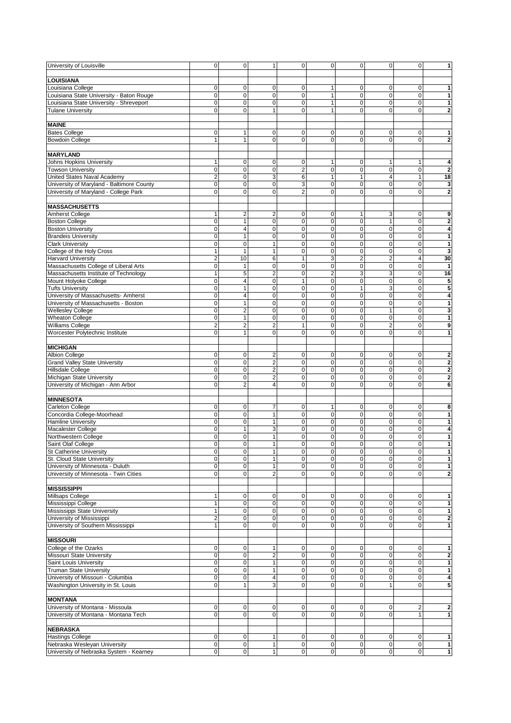| University of Louisville                  | $\mathbf 0$    | 0                       | $\mathbf{1}$            | $\mathbf 0$    | $\mathbf 0$    | $\mathbf 0$    | $\mathbf 0$    | $\mathbf 0$    | 1                       |
|-------------------------------------------|----------------|-------------------------|-------------------------|----------------|----------------|----------------|----------------|----------------|-------------------------|
|                                           |                |                         |                         |                |                |                |                |                |                         |
|                                           |                |                         |                         |                |                |                |                |                |                         |
| <b>LOUISIANA</b>                          |                |                         |                         |                |                |                |                |                |                         |
| Louisiana College                         | 0              | $\mathbf 0$             | 0                       | $\mathbf 0$    | $\mathbf{1}$   | $\mathbf 0$    | $\mathbf 0$    | 0              | 1                       |
|                                           | $\pmb{0}$      |                         | $\pmb{0}$               | $\mathbf 0$    |                |                | $\mathbf 0$    |                |                         |
| Louisiana State University - Baton Rouge  |                | $\mathbf 0$             |                         |                | $\mathbf{1}$   | $\mathbf 0$    |                | $\pmb{0}$      | 1                       |
| Louisiana State University - Shreveport   | $\pmb{0}$      | $\mathbf 0$             | $\pmb{0}$               | $\mathbf 0$    | $\mathbf{1}$   | $\mathbf 0$    | $\mathbf 0$    | $\pmb{0}$      | 1                       |
| <b>Tulane University</b>                  | $\mathbf{O}$   | 0                       | $\mathbf{1}$            | $\mathbf 0$    | $\mathbf{1}$   | $\mathbf 0$    | $\mathbf 0$    | 0              | 2                       |
|                                           |                |                         |                         |                |                |                |                |                |                         |
| <b>MAINE</b>                              |                |                         |                         |                |                |                |                |                |                         |
| <b>Bates College</b>                      | $\mathbf 0$    |                         | 0                       | 0              | 0              | 0              | $\mathbf 0$    | 0              | 1                       |
|                                           |                | 1                       |                         |                |                |                |                |                |                         |
| <b>Bowdoin College</b>                    | $\mathbf{1}$   | 1                       | 0                       | $\mathbf 0$    | $\mathbf 0$    | 0              | $\mathbf 0$    | 0              | 2                       |
|                                           |                |                         |                         |                |                |                |                |                |                         |
| <b>MARYLAND</b>                           |                |                         |                         |                |                |                |                |                |                         |
| Johns Hopkins University                  | 1              | 0                       | 0                       | 0              | $\mathbf{1}$   | 0              | 1              | 1              | 4                       |
| <b>Towson University</b>                  | $\mathbf 0$    | $\pmb{0}$               | $\pmb{0}$               | $\overline{2}$ | $\mathbf 0$    | $\pmb{0}$      | $\mathbf 0$    | 0              | $\overline{\mathbf{2}}$ |
|                                           |                |                         |                         |                |                |                |                |                |                         |
| United States Naval Academy               | $\overline{2}$ | 0                       | 3                       | 6              | $\mathbf{1}$   | $\mathbf{1}$   | $\overline{4}$ | $\mathbf{1}$   | 18                      |
| University of Maryland - Baltimore County | $\mathbf 0$    | $\mathbf 0$             | $\pmb{0}$               | 3              | $\mathbf 0$    | $\pmb{0}$      | $\mathbf 0$    | $\pmb{0}$      | 3                       |
| University of Maryland - College Park     | $\mathbf 0$    | 0                       | $\mathbf 0$             | $\overline{2}$ | $\Omega$       | $\mathbf 0$    | $\overline{0}$ | 0              | 2                       |
|                                           |                |                         |                         |                |                |                |                |                |                         |
| <b>MASSACHUSETTS</b>                      |                |                         |                         |                |                |                |                |                |                         |
|                                           |                |                         |                         |                |                |                |                |                |                         |
| <b>Amherst College</b>                    | 1              | $\overline{c}$          | $\overline{\mathbf{c}}$ | $\mathbf 0$    | 0              | 1              | 3              | 0              | 9                       |
| <b>Boston College</b>                     | $\pmb{0}$      | 1                       | $\pmb{0}$               | $\mathbf 0$    | $\mathbf 0$    | $\mathbf 0$    | 1              | 0              | $\overline{\mathbf{2}}$ |
| <b>Boston University</b>                  | $\mathbf 0$    | 4                       | $\pmb{0}$               | $\mathbf 0$    | $\mathbf 0$    | $\pmb{0}$      | $\mathbf 0$    | 0              | 4                       |
| <b>Brandeis University</b>                | $\mathbf 0$    | 1                       | $\pmb{0}$               | $\mathbf 0$    | $\mathbf 0$    | $\pmb{0}$      | $\mathbf 0$    | $\pmb{0}$      | 1                       |
| <b>Clark University</b>                   | $\pmb{0}$      | $\pmb{0}$               | $\mathbf{1}$            | $\pmb{0}$      | $\mathbf 0$    | $\mathbf 0$    | $\mathbf 0$    | $\pmb{0}$      | $\mathbf{1}$            |
|                                           |                |                         |                         |                |                |                |                |                |                         |
| College of the Holy Cross                 | $\mathbf{1}$   | 1                       | $\mathbf{1}$            | $\pmb{0}$      | $\mathbf 0$    | $\pmb{0}$      | $\mathbf 0$    | $\pmb{0}$      | $\overline{\mathbf{3}}$ |
| <b>Harvard University</b>                 | $\overline{2}$ | 10                      | 6                       | 1              | 3              | $\overline{2}$ | $\overline{2}$ | $\overline{4}$ | 30                      |
| Massachusetts College of Liberal Arts     | $\mathbf 0$    | 1                       | $\pmb{0}$               | $\mathbf 0$    | $\mathbf 0$    | $\mathbf 0$    | $\mathbf 0$    | $\mathbf 0$    | $\mathbf{1}$            |
| Massachusetts Institute of Technology     | $\mathbf{1}$   | 5                       | $\overline{c}$          | $\mathbf 0$    | $\overline{2}$ | 3              | 3              | 0              | 16                      |
| Mount Holyoke College                     | $\pmb{0}$      | 4                       | $\pmb{0}$               | $\mathbf{1}$   | $\mathbf 0$    | $\mathbf 0$    | $\mathbf 0$    | 0              | 5                       |
|                                           |                |                         |                         |                |                |                |                |                |                         |
| <b>Tufts University</b>                   | $\mathbf 0$    | 1                       | $\pmb{0}$               | $\pmb{0}$      | $\mathbf 0$    | $\mathbf{1}$   | 3              | 0              | 5                       |
| University of Massachusetts- Amherst      | $\pmb{0}$      | 4                       | $\pmb{0}$               | $\mathbf 0$    | $\mathbf 0$    | $\pmb{0}$      | $\mathbf 0$    | $\pmb{0}$      | 4                       |
| University of Massachusetts - Boston      | $\mathbf 0$    | 1                       | $\pmb{0}$               | $\pmb{0}$      | $\mathbf 0$    | $\pmb{0}$      | $\mathbf 0$    | $\pmb{0}$      | 1                       |
| <b>Wellesley College</b>                  | $\pmb{0}$      | $\overline{\mathbf{c}}$ | $\pmb{0}$               | $\mathbf 0$    | $\mathbf 0$    | $\mathbf 0$    | $\mathbf{1}$   | $\pmb{0}$      | 3                       |
| <b>Wheaton College</b>                    | $\mathbf 0$    | 1                       | 0                       | $\mathbf 0$    | $\mathbf 0$    | $\mathbf 0$    | $\mathbf 0$    | 0              | 1                       |
|                                           |                |                         |                         |                |                |                |                |                |                         |
| <b>Williams College</b>                   | $\overline{2}$ | 2                       | $\overline{\mathbf{c}}$ | 1              | $\mathbf 0$    | 0              | $\overline{2}$ | $\mathbf 0$    | 9                       |
| Worcester Polytechnic Institute           | $\mathbf 0$    | 1                       | $\mathbf 0$             | $\mathbf 0$    | $\mathbf 0$    | $\mathbf 0$    | $\mathbf 0$    | 0              | 1                       |
|                                           |                |                         |                         |                |                |                |                |                |                         |
| <b>MICHIGAN</b>                           |                |                         |                         |                |                |                |                |                |                         |
| <b>Albion College</b>                     | $\mathbf 0$    | $\mathbf 0$             | $\overline{\mathbf{c}}$ | $\mathbf 0$    | $\mathbf 0$    | $\pmb{0}$      | $\mathbf 0$    | 0              | 2                       |
|                                           | $\mathbf 0$    |                         | $\overline{2}$          |                | $\mathbf 0$    |                | $\mathbf 0$    |                |                         |
| <b>Grand Valley State University</b>      |                | $\pmb{0}$               |                         | $\pmb{0}$      |                | $\pmb{0}$      |                | $\pmb{0}$      | $\mathbf 2$             |
| <b>Hillsdale College</b>                  | $\mathbf 0$    | $\pmb{0}$               | $\overline{\mathbf{c}}$ | $\pmb{0}$      | $\mathbf 0$    | $\pmb{0}$      | $\mathbf 0$    | $\pmb{0}$      | $\overline{\mathbf{2}}$ |
| Michigan State University                 | $\mathbf 0$    | 0                       | $\overline{c}$          | $\mathbf 0$    | $\mathbf 0$    | $\mathbf 0$    | $\mathbf 0$    | 0              | $\overline{\mathbf{2}}$ |
| University of Michigan - Ann Arbor        | $\mathbf 0$    | $\overline{2}$          | 4                       | 0              | $\mathbf 0$    | $\mathbf 0$    | $\mathbf 0$    | $\mathbf 0$    | 6                       |
|                                           |                |                         |                         |                |                |                |                |                |                         |
| <b>MINNESOTA</b>                          |                |                         |                         |                |                |                |                |                |                         |
|                                           |                |                         |                         |                |                |                |                |                |                         |
| Carleton College                          | $\mathbf 0$    | $\mathbf 0$             | 7                       | 0              | $\mathbf{1}$   | 0              | $\mathbf 0$    | 0              | 8                       |
| Concordia College-Moorhead                | $\mathbf 0$    | $\mathbf 0$             | $\mathbf{1}$            | $\pmb{0}$      | $\mathbf 0$    | $\pmb{0}$      | $\mathbf 0$    | $\pmb{0}$      | 1                       |
| <b>Hamline University</b>                 | $\pmb{0}$      | $\mathbf 0$             | $\mathbf{1}$            | $\mathbf 0$    | $\mathbf 0$    | $\pmb{0}$      | $\mathbf 0$    | $\pmb{0}$      | 1                       |
| Macalester College                        | $\pmb{0}$      | 1                       | 3                       | $\mathbf 0$    | $\mathbf 0$    | $\mathbf 0$    | $\mathbf 0$    | 0              | 4                       |
| Northwestern College                      | $\pmb{0}$      | 0                       | 1                       | 0              | $\mathbf 0$    | 0              | $\mathbf 0$    | 0              | $\mathbf{1}$            |
|                                           | $\Omega$       | $\Omega$                |                         |                | $\Omega$       | $\Omega$       | $\Omega$       |                |                         |
| Saint Olaf College                        |                |                         | $\mathbf{1}$            | $\Omega$       |                |                |                | $\Omega$       | 1                       |
| St Catherine University                   | $\mathbf 0$    | 0                       | $\mathbf{1}$            | $\mathbf 0$    | $\mathbf 0$    | $\mathbf 0$    | $\mathbf 0$    | 0              | $\mathbf{1}$            |
| St. Cloud State University                | $\mathbf 0$    | $\pmb{0}$               | $\mathbf{1}$            | 0              | $\mathbf 0$    | $\pmb{0}$      | $\mathbf 0$    | 0              | 1                       |
| University of Minnesota - Duluth          | $\mathbf 0$    | $\pmb{0}$               | $\mathbf{1}$            | $\pmb{0}$      | $\mathbf 0$    | $\pmb{0}$      | $\mathbf 0$    | $\pmb{0}$      | 1                       |
| University of Minnesota - Twin Cities     | $\mathbf{O}$   | 0                       | $\overline{\mathbf{c}}$ | $\mathbf 0$    | $\mathbf 0$    | $\mathbf 0$    | $\mathbf 0$    | $\mathbf{O}$   | $\overline{\mathbf{2}}$ |
|                                           |                |                         |                         |                |                |                |                |                |                         |
|                                           |                |                         |                         |                |                |                |                |                |                         |
| <b>MISSISSIPPI</b>                        |                |                         |                         |                |                |                |                |                |                         |
| Millsaps College                          | $\mathbf{1}$   | $\mathbf 0$             | 0                       | 0              | 0              | 0              | 0              | $\mathbf 0$    | 1                       |
| Mississippi College                       | $\mathbf{1}$   | $\mathbf 0$             | $\pmb{0}$               | $\mathbf 0$    | $\mathbf 0$    | $\pmb{0}$      | $\mathbf 0$    | 0              | 1                       |
| Mississippi State University              | $\mathbf{1}$   | $\mathbf 0$             | 0                       | $\mathbf 0$    | $\mathbf 0$    | 0              | $\mathbf 0$    | 0              | 1                       |
| University of Mississippi                 | $\overline{2}$ | $\mathbf 0$             | $\pmb{0}$               | $\mathbf 0$    | $\mathbf 0$    | $\pmb{0}$      | $\mathbf 0$    | 0              | $\mathbf 2$             |
|                                           |                |                         |                         |                |                |                |                |                |                         |
| University of Southern Mississippi        | $\mathbf{1}$   | 0                       | $\pmb{0}$               | $\mathbf 0$    | $\mathbf 0$    | $\mathbf 0$    | $\mathbf 0$    | $\mathbf 0$    | 1                       |
|                                           |                |                         |                         |                |                |                |                |                |                         |
| <b>MISSOURI</b>                           |                |                         |                         |                |                |                |                |                |                         |
| College of the Ozarks                     | $\mathbf 0$    | $\mathbf 0$             | 1                       | 0              | $\mathbf 0$    | 0              | $\mathbf 0$    | 0              | 1                       |
| Missouri State University                 | $\mathbf 0$    | $\pmb{0}$               | $\mathbf 2$             | 0              | $\mathbf 0$    | $\pmb{0}$      | $\mathbf 0$    | $\mathbf 0$    | $\overline{\mathbf{2}}$ |
|                                           | $\pmb{0}$      | $\mathbf 0$             | $\mathbf{1}$            | $\mathbf 0$    | $\mathbf 0$    | $\mathbf 0$    | $\mathbf 0$    | 0              | 1                       |
| Saint Louis University                    |                |                         |                         |                |                |                |                |                |                         |
| <b>Truman State University</b>            | $\mathbf 0$    | $\mathbf 0$             | $\mathbf{1}$            | $\pmb{0}$      | $\mathbf 0$    | $\pmb{0}$      | $\mathbf 0$    | 0              | 1                       |
| University of Missouri - Columbia         | $\mathbf{O}$   | 0                       | 4                       | $\pmb{0}$      | $\mathbf 0$    | $\mathbf 0$    | $\mathbf 0$    | 0              | 4                       |
| Washington University in St. Louis        | $\mathbf{O}$   | $\mathbf{1}$            | $\overline{3}$          | $\mathbf 0$    | $\mathbf 0$    | $\mathbf 0$    | $\mathbf{1}$   | 0              | 5                       |
|                                           |                |                         |                         |                |                |                |                |                |                         |
| <b>MONTANA</b>                            |                |                         |                         |                |                |                |                |                |                         |
|                                           |                |                         |                         |                |                |                |                |                |                         |
| University of Montana - Missoula          | $\overline{0}$ | 0                       | $\mathbf 0$             | 0              | $\mathbf 0$    | 0              | $\mathbf 0$    | 2              | $\mathbf 2$             |
| University of Montana - Montana Tech      | $\mathbf 0$    | 0                       | $\mathbf 0$             | $\pmb{0}$      | $\mathbf 0$    | $\pmb{0}$      | $\mathbf 0$    | $\mathbf{1}$   | 1                       |
|                                           |                |                         |                         |                |                |                |                |                |                         |
| <b>NEBRASKA</b>                           |                |                         |                         |                |                |                |                |                |                         |
| <b>Hastings College</b>                   | $\overline{0}$ | 0                       | 1                       | 0              | 0              | $\pmb{0}$      | $\mathbf 0$    | $\mathbf 0$    | 1                       |
|                                           |                |                         |                         |                |                |                |                |                |                         |
| Nebraska Wesleyan University              | $\mathbf 0$    | 0                       | $\mathbf{1}$            | $\pmb{0}$      | $\mathbf 0$    | $\pmb{0}$      | $\mathbf 0$    | 0              | 1                       |
| University of Nebraska System - Kearney   | $\mathbf 0$    | 0                       | $\mathbf{1}$            | $\pmb{0}$      | $\mathbf 0$    | $\pmb{0}$      | $\mathbf 0$    | $\mathbf 0$    | 1                       |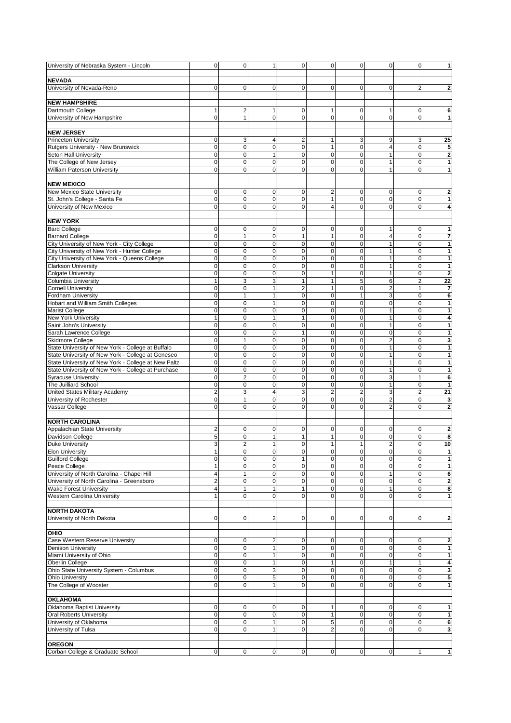| University of Nebraska System - Lincoln             | $\mathbf{0}$   | $\mathbf 0$    | $\mathbf{1}$   | $\mathbf 0$    | $\overline{0}$ | $\mathbf 0$              | $\mathbf 0$      | $\overline{0}$    | 1                       |
|-----------------------------------------------------|----------------|----------------|----------------|----------------|----------------|--------------------------|------------------|-------------------|-------------------------|
|                                                     |                |                |                |                |                |                          |                  |                   |                         |
| <b>NEVADA</b>                                       |                |                |                |                |                |                          |                  |                   |                         |
| University of Nevada-Reno                           | $\Omega$       | $\mathbf 0$    | $\mathbf 0$    | $\mathbf 0$    | $\Omega$       | $\mathbf 0$              | $\mathbf 0$      | $\overline{2}$    | $\overline{\mathbf{2}}$ |
|                                                     |                |                |                |                |                |                          |                  |                   |                         |
| <b>NEW HAMPSHIRE</b>                                |                |                |                |                |                |                          |                  |                   |                         |
| Dartmouth College                                   | 1              | $\overline{2}$ | 1              | 0              | 1              | 0                        | 1                | 0                 | 6                       |
| University of New Hampshire                         | $\mathbf 0$    | 1              | $\mathbf 0$    | $\mathbf 0$    | $\mathbf 0$    | 0                        | $\mathbf 0$      | 0                 | 1                       |
|                                                     |                |                |                |                |                |                          |                  |                   |                         |
| <b>NEW JERSEY</b>                                   |                |                |                |                |                |                          |                  |                   |                         |
| <b>Princeton University</b>                         | 0              | 3              | 4              | 2              | $\mathbf{1}$   | 3                        | 9                | 3                 | 25                      |
| Rutgers University - New Brunswick                  | $\mathbf 0$    | $\mathbf 0$    | $\mathbf 0$    | $\mathbf 0$    | $\mathbf{1}$   | 0                        | $\overline{4}$   | $\mathbf 0$       | 5                       |
| Seton Hall University                               | $\mathbf 0$    | $\mathbf 0$    | 1              | $\mathbf 0$    | $\mathbf 0$    | $\mathbf 0$              | 1                | 0                 | 2                       |
| The College of New Jersey                           | $\mathbf 0$    | $\mathbf 0$    | $\mathbf 0$    | $\mathbf 0$    | $\mathbf 0$    | $\pmb{0}$                | 1                | 0                 | 1                       |
| <b>William Paterson University</b>                  | $\mathbf 0$    | $\mathbf 0$    | 0              | $\Omega$       | $\Omega$       | $\mathbf 0$              | 1                | 0                 | 1                       |
|                                                     |                |                |                |                |                |                          |                  |                   |                         |
| <b>NEW MEXICO</b>                                   |                |                |                |                |                |                          |                  |                   |                         |
| New Mexico State University                         | $\mathbf 0$    | 0              | 0              | 0              | $\overline{2}$ | $\mathbf 0$              | $\mathbf 0$      | $\mathbf 0$       | 2                       |
| St. John's College - Santa Fe                       | $\mathbf 0$    | $\mathbf 0$    | $\mathbf 0$    | 0              | $\mathbf{1}$   | 0                        | $\mathbf 0$      | 0                 | 1                       |
| University of New Mexico                            | $\mathbf 0$    | $\mathbf 0$    | $\mathbf 0$    | 0              | $\overline{4}$ | $\overline{0}$           | $\overline{0}$   | 0                 | 4                       |
|                                                     |                |                |                |                |                |                          |                  |                   |                         |
| <b>NEW YORK</b>                                     |                |                |                |                |                |                          |                  |                   |                         |
| <b>Bard College</b>                                 | $\mathbf 0$    | 0              | 0              | 0              | 0              | $\mathbf 0$              | 1                | 0                 | 1                       |
| <b>Barnard College</b>                              | $\mathbf 0$    | $\mathbf{1}$   | 0              | $\mathbf{1}$   | $\mathbf{1}$   | $\pmb{0}$                | $\overline{4}$   | 0                 | $\overline{7}$          |
| City University of New York - City College          | $\mathbf 0$    | $\mathbf 0$    | $\mathbf 0$    | $\mathbf 0$    | $\mathbf 0$    | $\mathbf 0$              | $\mathbf{1}$     | $\mathbf 0$       | 1                       |
| City University of New York - Hunter College        | $\mathbf 0$    | $\mathbf 0$    | 0              | $\mathbf 0$    | 0              | $\mathbf 0$              | 1                | 0                 | 1                       |
| City University of New York - Queens College        | $\mathbf 0$    | $\mathbf 0$    | $\mathbf 0$    | $\mathbf 0$    | $\mathbf 0$    | $\mathbf 0$              | $\mathbf{1}$     | $\mathbf 0$       | $\mathbf{1}$            |
| <b>Clarkson University</b>                          | $\mathbf 0$    | $\mathbf 0$    | 0              | $\overline{0}$ | $\mathbf 0$    | $\mathbf 0$              | 1                | 0                 | $\mathbf{1}$            |
| <b>Colgate University</b>                           | $\mathbf 0$    | $\mathbf 0$    | $\mathbf 0$    | 0              | $\mathbf{1}$   | 0                        | 1                | 0                 | 2                       |
| Columbia University                                 | $\mathbf{1}$   | 3              | 3              | $\mathbf{1}$   | $\mathbf{1}$   | 5                        | 6                | $\overline{2}$    | 22                      |
| <b>Cornell University</b>                           | $\mathbf 0$    | $\mathbf 0$    | $\mathbf{1}$   | $\overline{2}$ | $\mathbf{1}$   | $\mathbf 0$              | $\overline{2}$   | $\mathbf{1}$      | 7                       |
| <b>Fordham University</b>                           | $\mathbf 0$    | $\mathbf{1}$   | $\mathbf{1}$   | $\mathbf 0$    | $\mathbf 0$    | $\mathbf{1}$             | 3                | $\mathbf 0$       | 6                       |
| <b>Hobart and William Smith Colleges</b>            | $\mathbf 0$    | $\pmb{0}$      | 1              | $\mathbf 0$    | $\mathbf 0$    | $\pmb{0}$                | $\mathbf 0$      | 0                 | 1                       |
| <b>Marist College</b>                               | $\mathbf 0$    | $\mathbf 0$    | $\mathbf 0$    | $\mathbf 0$    | $\mathbf 0$    | $\mathbf 0$              | 1                | 0                 | 1                       |
| <b>New York University</b>                          | $\mathbf{1}$   | $\pmb{0}$      | $\mathbf{1}$   | $\mathbf{1}$   | $\mathbf 0$    | $\pmb{0}$                | $\mathbf{1}$     | $\pmb{0}$         | 4                       |
| Saint John's University                             | $\mathbf 0$    | $\mathbf 0$    | $\mathbf 0$    | 0              | $\mathbf 0$    | $\overline{0}$           | 1                | 0                 | 1                       |
| Sarah Lawrence College                              | $\mathbf 0$    | $\mathbf 0$    | $\mathbf 0$    | $\mathbf{1}$   | $\mathbf 0$    | 0                        | $\mathbf 0$      | $\mathbf 0$       | 1                       |
| <b>Skidmore College</b>                             | $\mathbf 0$    | $\mathbf{1}$   | $\mathbf 0$    | $\mathbf 0$    | $\mathbf 0$    | $\mathbf 0$              | $\overline{2}$   | 0                 | 3                       |
| State University of New York - College at Buffalo   | $\mathbf 0$    | $\mathbf 0$    | $\mathbf 0$    | $\mathbf 0$    | $\mathbf 0$    | $\mathbf 0$              | $\mathbf{1}$     | 0                 | 1                       |
| State University of New York - College at Geneseo   | $\mathbf 0$    | $\mathbf 0$    | 0              | $\pmb{0}$      | $\mathbf 0$    | $\pmb{0}$                | 1                | 0                 | 1                       |
| State University of New York - College at New Paltz | $\mathbf 0$    | $\mathbf 0$    | 0              | $\mathbf 0$    | $\mathbf 0$    | $\mathbf 0$              | 1                | 0                 | 1                       |
| State University of New York - College at Purchase  | $\mathbf 0$    | $\mathbf 0$    | $\mathbf 0$    | $\mathbf 0$    | $\mathbf 0$    | $\pmb{0}$                | $\mathbf{1}$     | $\pmb{0}$         | $\mathbf{1}$            |
| <b>Syracuse University</b>                          | $\mathbf 0$    | $\overline{c}$ | $\mathbf 0$    | $\mathbf 0$    | $\mathbf 0$    | $\mathbf 0$              | 3                | $\mathbf{1}$      | 6                       |
| The Juilliard School                                | $\mathbf 0$    | $\mathbf 0$    | $\mathbf 0$    | 0              | $\mathbf 0$    | $\mathbf 0$              | $\mathbf{1}$     | 0                 | $\mathbf{1}$            |
| United States Military Academy                      | $\overline{2}$ | 3              | $\overline{4}$ | 3              | $\overline{2}$ | $\overline{c}$           | 3                | $\overline{c}$    | 21                      |
| University of Rochester                             | $\mathbf 0$    | $\mathbf{1}$   | $\mathbf 0$    | $\mathbf 0$    | $\mathbf 0$    | $\mathbf 0$              | $\overline{2}$   | 0                 | 3                       |
| Vassar College                                      | $\mathbf 0$    | $\mathbf 0$    | $\mathbf 0$    | 0              | $\mathbf 0$    | 0                        | $\overline{2}$   | $\mathbf 0$       | 2                       |
|                                                     |                |                |                |                |                |                          |                  |                   |                         |
| <b>NORTH CAROLINA</b>                               |                |                |                |                |                |                          |                  |                   |                         |
| Appalachian State University                        | $\overline{2}$ | 0              | $\mathbf 0$    | 0              | 0              | 0                        | 0                | 0                 | 2                       |
| Davidson College                                    | 5              | $\mathbf 0$    | 1              | 1              | 1              | $\mathbf 0$              | $\mathbf 0$      | 0                 | 8                       |
| <b>Duke University</b>                              | 3              | $\overline{2}$ | $\mathbf{1}$   | 0              | $\mathbf{1}$   | $\mathbf{1}$             | $\overline{2}$   | $\mathbf 0$       | 10                      |
| <b>Elon University</b>                              | 1              | $\mathbf 0$    | $\mathbf 0$    | $\pmb{0}$      | $\mathbf 0$    | $\pmb{0}$                | $\mathbf 0$      | 0                 | $\mathbf{1}$            |
| Guilford College                                    | $\mathbf 0$    | 0              | $\mathbf 0$    | $\mathbf{1}$   | $\mathbf 0$    | 0                        | $\mathbf 0$      | 0                 | 1                       |
| Peace College                                       | $\mathbf{1}$   | $\mathbf 0$    | 0              | $\mathbf 0$    | $\mathbf 0$    | $\mathbf 0$              | $\mathbf 0$      | 0                 | 1                       |
| University of North Carolina - Chapel Hill          | 4              | 1              | 0              | $\pmb{0}$      | $\mathbf 0$    | $\pmb{0}$                | 1                | $\pmb{0}$         | 6                       |
| University of North Carolina - Greensboro           | $\overline{2}$ | $\pmb{0}$      | $\mathbf 0$    | $\pmb{0}$      | $\Omega$       | $\mathbf 0$              | $\mathbf 0$      | 0                 | $\mathbf 2$             |
| <b>Wake Forest University</b>                       | 4              | 1              | 1              | 1              | $\mathbf 0$    | $\pmb{0}$                | 1                | 0                 | 8                       |
| <b>Western Carolina University</b>                  | $\mathbf{1}$   | $\mathbf 0$    | $\mathbf 0$    | $\mathbf 0$    | $\mathbf 0$    | $\mathbf 0$              | $\mathbf 0$      | 0                 | 1                       |
|                                                     |                |                |                |                |                |                          |                  |                   |                         |
| <b>NORTH DAKOTA</b>                                 |                |                |                |                |                |                          |                  |                   |                         |
| University of North Dakota                          | $\mathbf 0$    | $\mathbf 0$    | 2              | $\mathbf 0$    | $\mathbf 0$    | 0                        | 0                | 0                 | $\mathbf 2$             |
|                                                     |                |                |                |                |                |                          |                  |                   |                         |
| OHIO                                                |                |                |                |                |                |                          |                  |                   |                         |
| Case Western Reserve University                     | $\mathbf 0$    | 0              | 2              | 0              | 0              | 0                        | 0                | 0                 | $\overline{2}$          |
| <b>Denison University</b>                           | $\mathbf 0$    | $\pmb{0}$      | $\mathbf{1}$   | $\pmb{0}$      | $\mathbf 0$    | $\pmb{0}$                | $\mathbf 0$      | $\mathbf 0$       | 1                       |
| Miami University of Ohio                            | $\mathbf 0$    | $\pmb{0}$      | 1              | $\pmb{0}$      | $\mathbf 0$    | $\pmb{0}$                | $\mathbf 0$      | $\pmb{0}$         | 1                       |
| Oberlin College                                     | $\mathbf 0$    | $\mathbf 0$    | $\mathbf{1}$   | $\pmb{0}$      | $\mathbf{1}$   | $\pmb{0}$                | 1                | $\mathbf{1}$      | 4                       |
| Ohio State University System - Columbus             | $\mathbf 0$    | $\pmb{0}$      | 3              | $\pmb{0}$      | 0              | $\pmb{0}$                | $\mathbf 0$      | $\pmb{0}$         | 3                       |
| <b>Ohio University</b>                              | $\mathbf 0$    | 0              | 5              | 0              | $\Omega$       | 0                        | $\Omega$         | 0                 | 5                       |
|                                                     | $\mathbf 0$    | $\mathbf 0$    | 1              |                |                |                          | $\overline{0}$   |                   |                         |
| The College of Wooster                              |                |                |                | 0              | 0              | 0                        |                  | 0                 | 1                       |
| <b>OKLAHOMA</b>                                     |                |                |                |                |                |                          |                  |                   |                         |
|                                                     |                |                |                |                |                |                          |                  |                   | 1                       |
| Oklahoma Baptist University                         | $\mathbf 0$    | 0              | 0              | 0              | 1              | $\pmb{0}$<br>$\mathbf 0$ | 0<br>$\mathbf 0$ | 0<br>$\mathbf{O}$ |                         |
| <b>Oral Roberts University</b>                      | $\mathbf 0$    | $\pmb{0}$      | $\mathbf 0$    | $\pmb{0}$      | $\mathbf{1}$   |                          |                  |                   | 1                       |
| University of Oklahoma                              | $\mathbf 0$    | $\pmb{0}$      | 1              | $\pmb{0}$      | 5              | $\pmb{0}$                | $\mathbf 0$      | $\pmb{0}$         | 6                       |
| University of Tulsa                                 | 0              | $\mathbf 0$    | $\mathbf{1}$   | $\mathbf 0$    | $\overline{2}$ | $\mathbf{O}$             | $\mathbf 0$      | $\mathbf 0$       | 3                       |
|                                                     |                |                |                |                |                |                          |                  |                   |                         |
| <b>OREGON</b>                                       |                |                |                |                |                |                          |                  |                   |                         |
| Corban College & Graduate School                    | $\mathbf 0$    | $\pmb{0}$      | $\pmb{0}$      | $\pmb{0}$      | $\mathbf 0$    | $\mathbf 0$              | $\pmb{0}$        | $\mathbf{1}$      | $\overline{1}$          |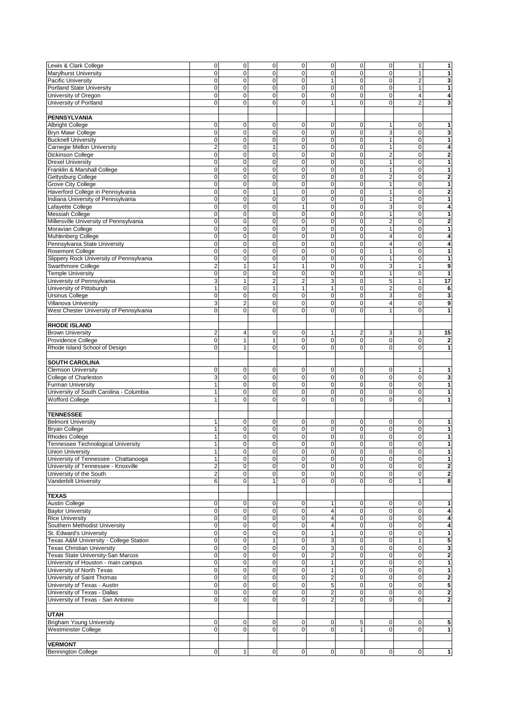| Lewis & Clark College                                      | $\pmb{0}$               | 0              | $\pmb{0}$      | $\pmb{0}$      | $\mathbf 0$    | $\mathbf 0$             | $\mathsf 0$         | $\mathbf{1}$   | 1                                 |
|------------------------------------------------------------|-------------------------|----------------|----------------|----------------|----------------|-------------------------|---------------------|----------------|-----------------------------------|
| <b>Marylhurst University</b>                               | $\mathbf 0$             | $\mathbf 0$    | $\mathbf 0$    | $\mathbf 0$    | $\overline{0}$ | 0                       | $\mathbf 0$         | $\mathbf{1}$   | 1                                 |
| <b>Pacific University</b>                                  | $\mathbf 0$             | 0              | $\mathbf 0$    | $\pmb{0}$      | $\mathbf{1}$   | $\mathbf 0$             | $\mathbf 0$         | $\overline{c}$ | 3                                 |
| Portland State University                                  | $\mathbf 0$             | $\mathbf 0$    | $\mathbf 0$    | 0              | $\mathbf 0$    | $\mathbf 0$             | $\mathbf 0$         | 1              | 1                                 |
| University of Oregon                                       | $\mathbf 0$             | $\mathbf 0$    | $\mathbf 0$    | 0              | $\mathsf 0$    | $\mathbf 0$             | $\mathbf 0$         | 4              | 4                                 |
| University of Portland                                     | $\Omega$                | $\mathbf 0$    | $\mathbf 0$    | 0              | $\mathbf{1}$   | $\mathbf 0$             | 0                   | $\overline{2}$ | 3                                 |
|                                                            |                         |                |                |                |                |                         |                     |                |                                   |
| <b>PENNSYLVANIA</b>                                        |                         |                |                |                |                |                         |                     |                |                                   |
|                                                            |                         |                |                |                |                |                         |                     |                |                                   |
| <b>Albright College</b>                                    | 0                       | $\mathbf 0$    | $\mathbf 0$    | 0              | $\mathbf 0$    | 0                       | 1                   | $\pmb{0}$      | 1                                 |
| Bryn Mawr College                                          | $\mathbf 0$             | $\mathbf 0$    | $\mathbf 0$    | $\mathbf 0$    | $\overline{0}$ | $\mathbf 0$             | 3                   | $\pmb{0}$      | 3                                 |
| <b>Bucknell University</b>                                 | $\mathbf 0$             | $\mathbf 0$    | $\mathbf 0$    | $\pmb{0}$      | $\mathbf 0$    | 0                       | 1                   | $\pmb{0}$      | 1                                 |
| Carnegie Mellon University                                 | $\overline{c}$          | $\mathbf 0$    | $\mathbf{1}$   | $\pmb{0}$      | $\mathbf 0$    | $\mathbf 0$             | 1                   | $\pmb{0}$      | 4                                 |
| <b>Dickinson College</b>                                   | $\mathbf 0$             | $\mathbf 0$    | $\mathbf 0$    | 0              | $\mathbf 0$    | $\mathbf 0$             | $\overline{2}$      | $\mathbf 0$    | $\overline{\mathbf{2}}$           |
| <b>Drexel University</b>                                   | $\mathbf 0$             | $\mathbf 0$    | $\mathbf 0$    | 0              | $\mathbf 0$    | $\mathbf 0$             | $\mathbf{1}$        | $\mathbf 0$    | 1                                 |
| Franklin & Marshall College                                | $\mathbf 0$             | 0              | $\mathbf 0$    | $\mathbf 0$    | $\mathbf 0$    | 0                       | 1                   | $\mathbf 0$    | 1                                 |
| Gettysburg College                                         | $\mathbf 0$             | $\mathbf 0$    | $\mathbf 0$    | 0              | $\mathbf 0$    | 0                       | $\overline{2}$      | $\mathbf 0$    | $\overline{2}$                    |
| <b>Grove City College</b>                                  | $\mathbf 0$             | $\mathbf 0$    | $\pmb{0}$      | $\pmb{0}$      | $\mathsf 0$    | $\mathbf 0$             | 1                   | $\pmb{0}$      | 1                                 |
| Haverford College in Pennsylvania                          | $\mathbf 0$             | $\mathbf 0$    | 1              | 0              | $\overline{0}$ | 0                       | 1                   | $\mathbf 0$    | $\overline{2}$                    |
| Indiana University of Pennsylvania                         | $\mathbf 0$             | $\pmb{0}$      | $\mathbf 0$    | $\pmb{0}$      | $\mathbf 0$    | $\mathbf 0$             | 1                   | $\pmb{0}$      | 1                                 |
|                                                            |                         |                |                |                |                |                         |                     |                |                                   |
| Lafayette College                                          | $\mathbf 0$             | $\mathbf 0$    | $\mathbf 0$    | $\mathbf{1}$   | $\overline{0}$ | $\mathbf 0$             | 3                   | $\pmb{0}$      | 4                                 |
| <b>Messiah College</b>                                     | $\mathbf 0$             | $\mathbf 0$    | $\mathbf 0$    | 0              | $\pmb{0}$      | 0                       | 1                   | $\pmb{0}$      | 1                                 |
| Millersville University of Pennsylvania                    | $\Omega$                | $\overline{0}$ | $\mathbf 0$    | 0              | $\mathbf 0$    | 0                       | $\overline{2}$      | $\mathbf 0$    | 2                                 |
| Moravian College                                           | $\mathbf 0$             | $\mathbf 0$    | $\mathbf 0$    | $\mathbf 0$    | $\mathbf 0$    | $\mathbf 0$             | $\mathbf{1}$        | $\mathbf 0$    | 1                                 |
| <b>Muhlenberg College</b>                                  | $\mathbf 0$             | $\mathbf 0$    | $\mathbf 0$    | $\mathbf 0$    | $\mathbf 0$    | 0                       | 4                   | $\mathbf 0$    | 4                                 |
| Pennsylvania State University                              | $\mathbf 0$             | $\mathbf 0$    | $\mathbf 0$    | 0              | $\mathbf 0$    | 0                       | $\overline{4}$      | $\pmb{0}$      | 4                                 |
| <b>Rosemont College</b>                                    | $\mathbf 0$             | $\mathbf 0$    | $\pmb{0}$      | 0              | $\mathsf 0$    | $\mathbf 0$             | 1                   | $\pmb{0}$      | 1                                 |
| Slippery Rock University of Pennsylvania                   | $\mathbf 0$             | $\mathbf 0$    | $\mathbf 0$    | 0              | $\overline{0}$ | 0                       | $\mathbf{1}$        | $\pmb{0}$      | 1                                 |
| <b>Swarthmore College</b>                                  | $\overline{2}$          | $\mathbf{1}$   | 1              | 1              | $\mathbf 0$    | $\mathbf 0$             | 3                   | $\mathbf{1}$   | 9                                 |
| <b>Temple University</b>                                   | $\mathbf 0$             | $\mathbf 0$    | $\mathbf 0$    | $\pmb{0}$      | $\mathbf 0$    | 0                       | 1                   | $\pmb{0}$      | 1                                 |
|                                                            | 3                       | 1              | $\overline{2}$ | $\overline{c}$ | 3              | 0                       | 5                   | $\mathbf{1}$   | $\overline{17}$                   |
| University of Pennsylvania                                 |                         |                |                |                |                |                         |                     |                |                                   |
| University of Pittsburgh                                   | 1                       | $\mathbf 0$    | 1              | $\mathbf{1}$   | $\mathbf{1}$   | $\mathbf 0$             | $\overline{2}$      | $\mathbf 0$    | 6                                 |
| <b>Ursinus College</b>                                     | $\mathbf 0$             | $\mathbf 0$    | $\mathbf 0$    | $\mathbf 0$    | $\mathbf 0$    | $\mathbf 0$             | 3                   | $\mathbf 0$    | 3                                 |
| Villanova University                                       | 3                       | $\overline{2}$ | $\mathbf 0$    | $\mathbf 0$    | $\mathsf 0$    | 0                       | 4                   | $\pmb{0}$      | 9                                 |
| West Chester University of Pennsylvania                    | $\mathbf 0$             | $\mathbf 0$    | $\mathbf 0$    | $\Omega$       | $\Omega$       | 0                       | 1                   | $\mathbf 0$    | 1                                 |
|                                                            |                         |                |                |                |                |                         |                     |                |                                   |
| <b>RHODE ISLAND</b>                                        |                         |                |                |                |                |                         |                     |                |                                   |
| <b>Brown University</b>                                    | $\sqrt{2}$              | 4              | $\pmb{0}$      | 0              | $\mathbf{1}$   | $\overline{\mathbf{c}}$ | 3                   | 3              | 15                                |
| Providence College                                         | $\mathbf 0$             | $\mathbf{1}$   | 1              | 0              | $\mathbf 0$    | 0                       | 0                   | $\mathbf 0$    | 2                                 |
| Rhode Island School of Design                              | $\mathbf 0$             | 1              | $\mathbf 0$    | 0              | $\mathbf 0$    | 0                       | $\mathbf 0$         | $\mathbf 0$    | 1                                 |
|                                                            |                         |                |                |                |                |                         |                     |                |                                   |
| <b>SOUTH CAROLINA</b>                                      |                         |                |                |                |                |                         |                     |                |                                   |
|                                                            |                         |                |                |                |                |                         |                     |                |                                   |
|                                                            |                         |                |                |                |                |                         |                     |                |                                   |
| <b>Clemson University</b>                                  | 0                       | 0              | 0              | 0              | $\mathsf 0$    | 0                       | $\mathbf 0$         | 1              | 1                                 |
| College of Charleston                                      | 3                       | $\mathbf 0$    | $\mathbf 0$    | 0              | $\overline{0}$ | $\mathbf 0$             | $\mathbf 0$         | $\pmb{0}$      | 3                                 |
| <b>Furman University</b>                                   | $\mathbf{1}$            | $\mathbf 0$    | $\mathbf 0$    | $\mathbf 0$    | $\mathbf 0$    | 0                       | $\pmb{0}$           | $\pmb{0}$      |                                   |
| University of South Carolina - Columbia                    | $\mathbf{1}$            | $\mathbf 0$    | $\mathbf 0$    | $\pmb{0}$      | $\overline{0}$ | $\mathbf 0$             | $\pmb{0}$           | $\pmb{0}$      | 1<br>1                            |
| <b>Wofford College</b>                                     | $\overline{1}$          | $\mathbf 0$    | $\mathbf 0$    | 0              | $\overline{0}$ | 0                       | $\mathbf 0$         | $\mathbf 0$    | $\mathbf{1}$                      |
|                                                            |                         |                |                |                |                |                         |                     |                |                                   |
| <b>TENNESSEE</b>                                           |                         |                |                |                |                |                         |                     |                |                                   |
| <b>Belmont University</b>                                  | 1                       | 0              | $\mathbf 0$    | 0              | $\mathbf 0$    | 0                       | $\mathbf 0$         | 0              | 1                                 |
|                                                            | $\mathbf{1}$            | $\mathbf 0$    | $\mathbf 0$    | $\mathbf 0$    | $\mathbf 0$    | 0                       | $\mathbf 0$         | $\pmb{0}$      | 1                                 |
| <b>Bryan College</b>                                       | $\mathbf{1}$            | $\mathbf 0$    | $\mathbf 0$    | $\pmb{0}$      | $\mathbf 0$    | 0                       | $\pmb{0}$           | $\pmb{0}$      | 1                                 |
| <b>Rhodes College</b>                                      | 1                       | $\Omega$       | 0              | $\Omega$       | $\Omega$       | $\Omega$                |                     | $\Omega$       | 1                                 |
| Tennessee Technological University                         |                         |                |                |                |                |                         | 0                   |                |                                   |
| <b>Union University</b>                                    | 1                       | 0              | $\pmb{0}$      | $\pmb{0}$      | $\mathbf 0$    | $\pmb{0}$               | $\mathbf 0$         | $\overline{0}$ | 1                                 |
| University of Tennessee - Chattanooga                      | $\mathbf{1}$            | $\mathbf 0$    | $\mathbf 0$    | $\pmb{0}$      | $\overline{0}$ | 0                       | $\mathbf 0$         | $\mathbf 0$    | 1                                 |
| University of Tennessee - Knoxville                        | $\overline{2}$          | $\pmb{0}$      | $\mathbf 0$    | 0              | $\mathbf 0$    | 0                       | 0                   | $\pmb{0}$      | $\overline{a}$                    |
|                                                            | $\overline{\mathbf{c}}$ | $\mathbf 0$    | $\mathbf 0$    | 0              | $\overline{0}$ | 0                       | $\mathbf 0$         | $\mathbf 0$    | $\overline{\mathbf{2}}$           |
| University of the South<br>Vanderbilt University           | 6                       | 0              | 1              | $\mathbf 0$    | $\mathbf 0$    | $\mathbf 0$             | $\mathbf 0$         | $\mathbf{1}$   | 8                                 |
|                                                            |                         |                |                |                |                |                         |                     |                |                                   |
| <b>TEXAS</b>                                               |                         |                |                |                |                |                         |                     |                |                                   |
| <b>Austin College</b>                                      | 0                       | 0              | 0              | 0              | 1              | 0                       | 0                   | 0              | 1                                 |
| <b>Baylor University</b>                                   | $\mathbf 0$             | $\mathbf 0$    | $\overline{0}$ | 0              | $\overline{4}$ | 0                       | 0                   | $\mathbf 0$    | 4                                 |
| <b>Rice University</b>                                     | $\pmb{0}$               | $\pmb{0}$      | $\mathbf 0$    | $\pmb{0}$      | $\overline{4}$ | $\pmb{0}$               | $\mathsf 0$         | $\mathbf 0$    | 4                                 |
| Southern Methodist University                              | $\mathbf 0$             | $\mathbf 0$    | $\pmb{0}$      | 0              | $\overline{4}$ | 0                       | $\mathbf 0$         | $\pmb{0}$      | 4                                 |
| St. Edward's University                                    | $\mathbf 0$             | $\mathbf 0$    | $\mathbf 0$    | 0              | $\mathbf{1}$   | 0                       | $\mathsf 0$         | $\pmb{0}$      | 1                                 |
|                                                            | $\mathbf 0$             | $\mathbf 0$    | 1              | 0              |                | 0                       | $\mathbf 0$         | $\mathbf{1}$   |                                   |
| Texas A&M University - College Station                     |                         |                |                |                | 3              |                         |                     |                | 5                                 |
| <b>Texas Christian University</b>                          | $\mathbf 0$             | 0              | $\mathbf 0$    | $\mathbf 0$    | 3              | 0                       | $\mathbf 0$         | $\pmb{0}$      | 3                                 |
| Texas State University-San Marcos                          | $\mathbf 0$             | $\mathbf 0$    | $\mathbf 0$    | 0              | $\overline{2}$ | 0                       | $\mathbf 0$         | $\pmb{0}$      |                                   |
| University of Houston - main campus                        | $\mathbf 0$             | 0              | $\pmb{0}$      | 0              | $\mathbf{1}$   | 0                       | $\mathbf 0$         | $\mathbf 0$    | $\overline{2}$<br>1               |
| University of North Texas                                  | $\mathbf 0$             | 0              | $\pmb{0}$      | 0              | $\mathbf{1}$   | 0                       | 0                   | $\pmb{0}$      | $\mathbf{1}$                      |
|                                                            | 0                       | $\mathbf 0$    | $\pmb{0}$      | 0              | $\overline{c}$ | 0                       | $\mathbf 0$         | $\pmb{0}$      | 2                                 |
| University of Saint Thomas<br>University of Texas - Austin | $\pmb{0}$               | $\mathbf 0$    | $\mathbf 0$    | $\pmb{0}$      | $\sqrt{5}$     | $\pmb{0}$               | $\mathsf 0$         | $\mathbf 0$    |                                   |
| University of Texas - Dallas                               | $\mathbf 0$             | $\mathbf 0$    | $\pmb{0}$      | 0              | $\overline{a}$ | 0                       | $\mathbf 0$         | $\mathbf 0$    |                                   |
| University of Texas - San Antonio                          | $\mathbf 0$             | 0              | $\mathbf 0$    | 0              | $\overline{c}$ | 0                       | $\mathbf 0$         | $\mathbf 0$    |                                   |
|                                                            |                         |                |                |                |                |                         |                     |                | 5<br>2<br>$\overline{\mathbf{2}}$ |
| <b>UTAH</b>                                                |                         |                |                |                |                |                         |                     |                |                                   |
| <b>Brigham Young University</b>                            | 0                       | 0              | 0              | 0              | 0              | 5                       | 0                   | $\mathbf 0$    |                                   |
| <b>Westminster College</b>                                 | $\mathbf 0$             | $\mathbf 0$    | $\mathbf 0$    | 0              | $\overline{0}$ | $\mathbf{1}$            | $\mathbf 0$         | $\mathbf 0$    |                                   |
|                                                            |                         |                |                |                |                |                         |                     |                |                                   |
|                                                            |                         |                |                |                |                |                         |                     |                | 5<br>1                            |
| <b>VERMONT</b><br><b>Bennington College</b>                | $\overline{0}$          | $\mathbf{1}$   | $\mathbf 0$    | $\mathbf 0$    | $\overline{0}$ | 0                       | $\mathsf{O}\xspace$ | $\mathbf 0$    | $\mathbf{1}$                      |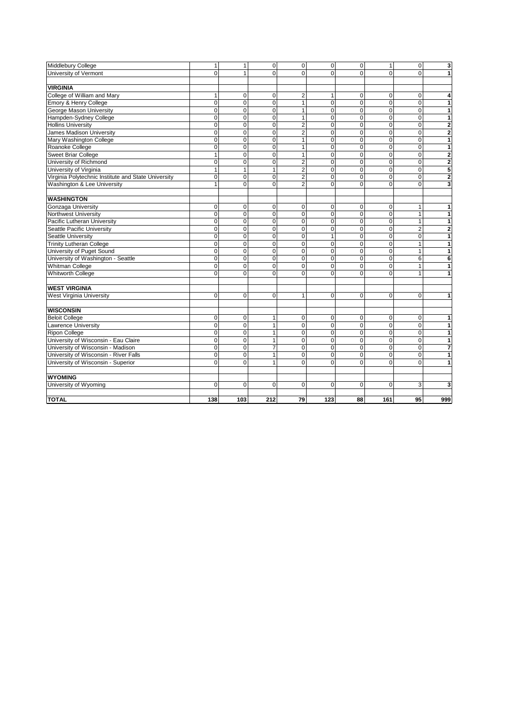| Middlebury College                                  | $\mathbf{1}$   | $\mathbf{1}$   | $\mathbf 0$    | $\mathbf{0}$   | $\mathbf 0$ | $\mathbf 0$    | 1           | $\overline{0}$ | 3                       |
|-----------------------------------------------------|----------------|----------------|----------------|----------------|-------------|----------------|-------------|----------------|-------------------------|
| University of Vermont                               | $\Omega$       | 1              | $\Omega$       | $\Omega$       | $\Omega$    | $\Omega$       | $\Omega$    | $\Omega$       | 1                       |
|                                                     |                |                |                |                |             |                |             |                |                         |
| <b>VIRGINIA</b>                                     |                |                |                |                |             |                |             |                |                         |
| College of William and Mary                         | $\mathbf{1}$   | $\mathbf 0$    | $\Omega$       | $\overline{2}$ | 1           | $\mathbf 0$    | 0           | $\Omega$       | 4                       |
| <b>Emory &amp; Henry College</b>                    | $\overline{0}$ | $\mathbf 0$    | $\Omega$       | $\mathbf{1}$   | $\mathbf 0$ | 0              | $\mathbf 0$ | $\Omega$       | 1                       |
| George Mason University                             | $\overline{0}$ | $\Omega$       | $\Omega$       | $\mathbf{1}$   | $\mathbf 0$ | $\mathbf 0$    | $\mathbf 0$ | $\Omega$       | 1                       |
| Hampden-Sydney College                              | $\mathbf 0$    | $\overline{0}$ | $\Omega$       | $\mathbf{1}$   | $\mathbf 0$ | $\overline{0}$ | $\mathbf 0$ | $\mathbf 0$    | 1                       |
| <b>Hollins University</b>                           | 0              | $\mathbf 0$    | $\mathbf 0$    | $\overline{2}$ | 0           | $\mathbf 0$    | 0           | $\mathbf 0$    | $\overline{2}$          |
| James Madison University                            | $\mathbf 0$    | $\mathbf 0$    | 0              | $\overline{2}$ | $\mathbf 0$ | $\mathbf 0$    | $\mathbf 0$ | $\mathbf 0$    | $\overline{\mathbf{c}}$ |
| Mary Washington College                             | $\mathbf 0$    | $\mathbf 0$    | $\Omega$       | $\mathbf{1}$   | $\mathbf 0$ | $\mathbf 0$    | $\mathbf 0$ | $\mathbf 0$    | $\overline{1}$          |
| Roanoke College                                     | $\mathbf 0$    | $\mathbf 0$    | 0              | $\mathbf{1}$   | $\mathbf 0$ | $\mathbf 0$    | $\mathbf 0$ | $\mathbf 0$    | 1                       |
| <b>Sweet Briar College</b>                          | 1              | $\mathbf 0$    | $\Omega$       | $\mathbf{1}$   | $\mathbf 0$ | $\mathbf 0$    | $\mathbf 0$ | $\Omega$       | $\mathbf{2}$            |
| University of Richmond                              | $\mathbf 0$    | $\mathbf 0$    | 0              | $\overline{2}$ | $\mathbf 0$ | $\mathbf 0$    | $\mathbf 0$ | $\Omega$       | $\mathbf{2}$            |
| University of Virginia                              | $\mathbf{1}$   | 1              | 1              | $\overline{2}$ | $\mathbf 0$ | $\mathbf 0$    | $\mathbf 0$ | $\mathbf 0$    | $\overline{\mathbf{5}}$ |
| Virginia Polytechnic Institute and State University | 0              | 0              | 0              | $\overline{2}$ | $\mathbf 0$ | $\mathbf 0$    | $\mathbf 0$ | $\mathbf 0$    | 2                       |
| Washington & Lee University                         | $\mathbf{1}$   | $\Omega$       | $\Omega$       | $\overline{2}$ | $\Omega$    | $\Omega$       | $\Omega$    | $\Omega$       | 3                       |
|                                                     |                |                |                |                |             |                |             |                |                         |
| <b>WASHINGTON</b>                                   |                |                |                |                |             |                |             |                |                         |
| Gonzaga University                                  | 0              | $\mathbf 0$    | 0              | $\mathbf 0$    | $\mathbf 0$ | $\mathbf{O}$   | 0           | $\mathbf{1}$   | 1                       |
| Northwest University                                | $\mathbf 0$    | $\Omega$       | $\Omega$       | $\Omega$       | $\Omega$    | $\Omega$       | $\Omega$    | $\mathbf{1}$   | 1                       |
| Pacific Lutheran University                         | $\mathbf 0$    | $\mathbf 0$    | 0              | $\mathbf 0$    | $\mathbf 0$ | $\mathbf 0$    | $\mathbf 0$ | $\mathbf{1}$   | 1                       |
| Seattle Pacific University                          | $\mathbf 0$    | $\overline{0}$ | $\Omega$       | $\mathbf 0$    | $\mathbf 0$ | $\mathbf 0$    | $\mathbf 0$ | $\overline{2}$ | $\mathbf{2}$            |
| <b>Seattle University</b>                           | $\mathbf 0$    | 0              | $\Omega$       | $\mathbf 0$    | 1           | $\mathbf{O}$   | $\mathbf 0$ | $\mathbf 0$    | 1                       |
| <b>Trinity Lutheran College</b>                     | $\mathbf 0$    | $\mathbf 0$    | $\Omega$       | $\mathbf 0$    | $\mathbf 0$ | $\mathbf 0$    | $\mathbf 0$ | $\mathbf{1}$   | 1                       |
| University of Puget Sound                           | $\mathbf 0$    | $\overline{0}$ | $\Omega$       | $\Omega$       | $\mathbf 0$ | $\Omega$       | $\mathbf 0$ | $\mathbf{1}$   | 1                       |
| University of Washington - Seattle                  | $\mathbf 0$    | $\overline{0}$ | $\Omega$       | $\mathbf 0$    | $\Omega$    | $\mathbf 0$    | $\mathbf 0$ | 6              | $\overline{\mathbf{6}}$ |
| <b>Whitman College</b>                              | $\mathbf 0$    | $\overline{0}$ | 0              | $\mathbf 0$    | $\mathbf 0$ | $\mathbf 0$    | $\mathbf 0$ | $\mathbf{1}$   | $\mathbf{1}$            |
| <b>Whitworth College</b>                            | $\Omega$       | $\overline{0}$ | $\Omega$       | $\Omega$       | $\mathbf 0$ | $\Omega$       | $\Omega$    | $\mathbf{1}$   | 1                       |
|                                                     |                |                |                |                |             |                |             |                |                         |
| <b>WEST VIRGINIA</b>                                |                |                |                |                |             |                |             |                |                         |
| <b>West Virginia University</b>                     | 0              | $\mathbf 0$    | $\Omega$       | $\mathbf{1}$   | $\Omega$    | $\mathbf{O}$   | $\Omega$    | $\Omega$       | 1                       |
|                                                     |                |                |                |                |             |                |             |                |                         |
| <b>WISCONSIN</b>                                    |                |                |                |                |             |                |             |                |                         |
| <b>Beloit College</b>                               | 0              | $\mathbf 0$    | $\mathbf{1}$   | $\mathsf 0$    | 0           | $\mathbf 0$    | 0           | $\mathbf{O}$   | 1                       |
| Lawrence University                                 | $\mathbf 0$    | $\overline{0}$ | $\mathbf{1}$   | $\mathbf 0$    | $\mathbf 0$ | $\overline{0}$ | $\mathbf 0$ | $\Omega$       | $\mathbf{1}$            |
| <b>Ripon College</b>                                | $\mathbf 0$    | $\mathbf 0$    | 1              | $\mathbf 0$    | $\mathbf 0$ | 0              | $\mathbf 0$ | $\mathbf 0$    | 1                       |
| University of Wisconsin - Eau Claire                | $\mathbf 0$    | $\overline{0}$ | 1              | $\mathbf 0$    | $\mathbf 0$ | $\mathbf 0$    | $\Omega$    | $\mathbf 0$    | $\overline{1}$          |
| University of Wisconsin - Madison                   | $\overline{0}$ | $\overline{0}$ | $\overline{7}$ | $\Omega$       | $\mathbf 0$ | $\mathbf 0$    | $\mathbf 0$ | $\Omega$       | $\overline{\mathbf{r}}$ |
| University of Wisconsin - River Falls               | $\Omega$       | $\overline{0}$ | 1              | $\Omega$       | $\Omega$    | 0              | $\mathbf 0$ | $\Omega$       | 1                       |
| University of Wisconsin - Superior                  | $\mathbf 0$    | $\overline{0}$ | $\mathbf{1}$   | $\Omega$       | $\mathbf 0$ | $\mathbf 0$    | $\Omega$    | $\Omega$       | 1                       |
| <b>WYOMING</b>                                      |                |                |                |                |             |                |             |                |                         |
| University of Wyoming                               | $\mathbf 0$    | 0              | $\Omega$       | $\Omega$       | $\mathbf 0$ | $\mathbf 0$    | 0           | 3              | $\mathbf{3}$            |
|                                                     |                |                |                |                |             |                |             |                |                         |
| <b>TOTAL</b>                                        | 138            | 103            | 212            | 79             | 123         | 88             | 161         | 95             | 999                     |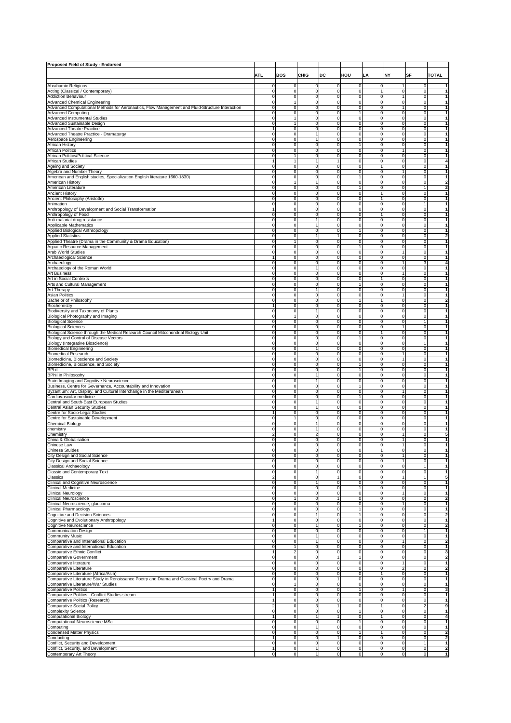| Proposed Field of Study - Endorsed                                                                               |                                            |                                  |                                  |                            |                                |                                  |                               |                                  |                |
|------------------------------------------------------------------------------------------------------------------|--------------------------------------------|----------------------------------|----------------------------------|----------------------------|--------------------------------|----------------------------------|-------------------------------|----------------------------------|----------------|
|                                                                                                                  |                                            |                                  |                                  |                            |                                |                                  |                               |                                  |                |
|                                                                                                                  | ATL                                        | <b>BOS</b>                       | CHIG                             | DC                         | HOU                            | LA                               | <b>NY</b>                     | <b>SF</b>                        | <b>TOTAL</b>   |
| Abrahamic Religions                                                                                              | 0                                          | 0                                | $\mathbf 0$                      | 0                          | 0                              | 0                                |                               | 0                                |                |
| Acting (Classical / Contemporary)                                                                                | 0                                          | $\mathbf 0$                      | $\mathbf 0$                      | 0                          | $\mathbf 0$                    |                                  | $\mathbf 0$                   | $\mathbf 0$                      |                |
| <b>Addiction Behaviour</b>                                                                                       | $\mathbf 0$                                | $\mathbf 0$                      | $\mathbf 0$                      | $\mathbf 0$                | $\mathbf 0$                    | $\overline{0}$                   |                               | $\mathbf 0$                      |                |
| <b>Advanced Chemical Engineering</b>                                                                             | $\mathsf{O}\xspace$                        | 1                                | ō                                | $\mathbf 0$                | $\overline{0}$                 | $\mathbf{0}$                     | $\mathbf 0$                   | ō                                |                |
| Advanced Computational Methods for Aeronautics, Flow Management and Fluid-Structure Interaction                  | 0                                          | $\overline{0}$                   | $\mathbf 0$                      | $\mathbf 0$                | $\overline{0}$                 | $\overline{0}$                   | 1                             | $\overline{0}$                   |                |
| <b>Advanced Computing</b><br>Advanced Instrumental Studies                                                       | 0<br>$\mathsf{O}\xspace$                   | $\overline{0}$<br>1              | $\overline{0}$<br>$\circ$        | 0<br>$\mathbf 0$           | 1<br>$\circ$                   | $\overline{0}$<br>$\mathbf{0}$   | 0<br>$\mathbf 0$              | $\overline{0}$<br>$\circ$        |                |
| Advanced Sustainable Design                                                                                      | $\mathbf 0$                                | 1                                | $\circ$                          | $\mathbf 0$                | $\circ$                        | $\overline{0}$                   | $\mathbf 0$                   | $\mathbf{0}$                     |                |
| <b>Advanced Theatre Practice</b>                                                                                 | $\mathbf{1}$                               | $\overline{0}$                   | ō                                | o                          | $\overline{0}$                 | $\mathbf{0}$                     | $\mathbf 0$                   | $\overline{0}$                   |                |
| Advanced Theatre Practice - Dramaturgy                                                                           | o                                          | $\overline{0}$                   | $\overline{1}$                   | o                          | $\overline{0}$                 | $\overline{0}$                   | o                             | o                                |                |
| Aerospace Engineering                                                                                            | $\mathsf{O}\xspace$                        | $\circ$                          | $\overline{\phantom{a}}$         | $\mathbf 0$                | $\circ$                        | $\circ$                          | $\mathbf 0$                   | $\mathbf 0$                      |                |
| African History                                                                                                  | $\mathbf 0$                                | $\overline{0}$                   | $\circ$                          | $\mathbf 0$                | 1                              | $\circ$                          | 0                             | $\overline{0}$                   |                |
| African Politics<br>African Politics/Political Science                                                           | $\mathsf{O}\xspace$<br>$\mathsf{O}\xspace$ | 0                                | $\mathbf 0$<br>$\mathbf 0$       | $\mathbf 0$<br>$\mathbf 0$ | $\circ$<br>$\mathbf 0$         | $\mathbf 0$<br>$\mathbf 0$       | 1<br>0                        | $\circ$<br>$\mathbf 0$           |                |
| African Studies                                                                                                  | 1                                          |                                  | 1                                | 1                          | $\mathbf 0$                    | $\mathbf{0}$                     | $\mathbf 0$                   | $\mathbf 0$                      |                |
| Ageing and Society                                                                                               | $\mathbf 0$                                | $\mathbf 0$                      | ō                                | o                          | $\mathbf 0$                    | 1                                | $\mathbf 0$                   | ō                                |                |
| Algebra and Number Theory                                                                                        | $\mathbf 0$                                | $\overline{0}$                   | $\mathbf 0$                      | $\mathbf 0$                | $\overline{0}$                 | $\mathbf{0}$                     | $\mathbf{1}$                  | $\circ$                          |                |
| American and English studies, Specialization English literature 1660-1830)                                       | $\mathbf 0$                                | $\overline{0}$                   | $\overline{0}$                   | 0                          | 1                              | $\overline{0}$                   | 0                             | $\overline{0}$                   |                |
| American History<br>American Literature                                                                          | $\mathbf 0$<br>$\mathbf 0$                 | 1<br>$\overline{0}$              | $\mathbf{1}$<br>$\overline{0}$   | $\mathbf 0$<br>$\mathbf 0$ | $\overline{0}$<br>1            | $\mathbf{0}$<br>$\mathbf{0}$     | $\mathbf 0$<br>$\mathbf 0$    | $\circ$<br>1                     |                |
| <b>Ancient History</b>                                                                                           | $\mathsf{O}\xspace$                        | $\overline{0}$                   | ō                                | o                          | $\overline{0}$                 | 1                                | $\mathbf 0$                   | $\overline{0}$                   |                |
| Ancient Philosophy (Aristotle)                                                                                   | $\mathsf{O}\xspace$                        | $\circ$                          | $\mathbf 0$                      | $\mathbf 0$                | $\circ$                        | $\mathbf{1}$                     | 0                             | $\circ$                          |                |
| Animation                                                                                                        | $\mathbf 0$                                | $\overline{0}$                   | $\mathbf 0$                      | $\mathbf 0$                | $\overline{0}$                 | $\mathbf{0}$                     | $\mathbf 0$                   | $\overline{1}$                   |                |
| Anthropology of Development and Social Transformation                                                            | 1                                          | $\overline{0}$                   | $\mathbf 0$                      | $\mathbf 0$                | $\circ$                        | $\overline{0}$                   | 0                             | 0                                |                |
| Anthropology of Food                                                                                             | $\mathsf{O}\xspace$                        | $\mathbf 0$                      | $\mathbf 0$                      | $\mathbf 0$                | $\circ$                        | $\mathbf{1}$                     | 0                             | $\mathbf 0$                      |                |
| Anti-malarial drug resistance<br><b>Applicable Mathematics</b>                                                   | 0<br>0                                     | $\Omega$<br>$\mathbf 0$          | $\mathbf{1}$<br>1                | $\mathsf 0$<br>0           | $\Omega$<br>$\mathbf 0$        | 0<br>$\mathbf 0$                 | 0<br>$\mathbf 0$              | $\Omega$<br>$\mathbf 0$          |                |
| Applied Biological Anthropology                                                                                  | $\mathbf 0$                                | $\mathbf 0$                      | $\mathbf 0$                      | $\mathbf 0$                |                                | $\overline{0}$                   | $\mathbf 0$                   | $\mathbf 0$                      |                |
| <b>Applied Statistics</b>                                                                                        | $\mathsf{O}\xspace$                        | $\mathbf{0}$                     | $\mathbf{1}$                     | $\mathbf{1}$               | $\circ$                        | $\mathbf{0}$                     | $\mathbf 0$                   | $\circ$                          |                |
| Applied Theatre (Drama in the Community & Drama Education)                                                       | 0                                          | 1                                | $\overline{0}$                   | 0                          | $\overline{0}$                 | $\overline{0}$                   | 0                             | $\overline{0}$                   |                |
| Aquatic Resource Management                                                                                      | 0                                          | $\overline{0}$                   | $\mathbf 0$                      | 0                          | $\mathbf{1}$                   | $\overline{0}$                   | 0                             | $\overline{0}$                   |                |
| Arab World Studies                                                                                               | $\mathsf{O}\xspace$<br>$\mathbf{1}$        | $\mathbf{0}$<br>$\overline{0}$   | $\overline{0}$<br>$\overline{0}$ | $\mathbf 0$<br>o           | $\mathbf{0}$<br>$\overline{0}$ | $\mathbf{0}$<br>$\mathbf{0}$     | $\mathbf{1}$<br>$\mathbf 0$   | $\mathbf{0}$<br>$\overline{0}$   |                |
| Archaeological Science<br>Archaeology                                                                            | $\mathbf 0$                                | $\overline{0}$                   | ō                                | o                          | $\circ$                        | $\mathbf{0}$                     | 1                             | 3                                |                |
| Archaeology of the Roman World                                                                                   | o                                          | $\overline{0}$                   | $\overline{\phantom{a}}$         | O                          | $\overline{0}$                 | $\overline{0}$                   | $\mathbf 0$                   | $\overline{0}$                   |                |
| Art Business                                                                                                     | $\pmb{0}$                                  | $\mathbf{0}$                     | $\circ$                          | $\mathbf 0$                | $\circ$                        | $\mathbf{0}$                     | 1                             | $\circ$                          |                |
| Art in Social Contexts                                                                                           | $\mathbf 0$                                | $\mathbf{0}$                     | $\mathbf 0$                      | $\mathbf 0$                | $\circ$                        | 1                                | 0                             | $\circ$                          |                |
| Arts and Cultural Management                                                                                     | $\mathsf{O}\xspace$                        | $\mathbf 0$                      | $\mathbf 0$                      | $\mathbf 0$                | 1                              | $\mathbf 0$                      | $\mathbf 0$                   | $\circ$                          |                |
| Art Therapy<br>Asian Politics                                                                                    | $\mathsf{O}\xspace$<br>$\mathbf 0$         | $\mathbf 0$<br>$\mathbf 0$       | 1<br>$\mathbf 0$                 | 0<br>$\mathbf 0$           | $\mathbf 0$<br>$\mathbf 0$     | $\mathbf 0$<br>$\mathbf{0}$      | $\mathbf 0$                   | $\mathbf 0$<br>$\mathbf{0}$      |                |
| Bachelor of Philosophy                                                                                           | $\mathbf 0$                                | $\mathbf 0$                      | ō                                | $\mathbf 0$                | $\mathbf{1}$                   | $\mathbf{1}$                     | $\mathbf{0}$                  | $\overline{0}$                   |                |
| Biochemistry                                                                                                     | $\mathbf{1}$                               | $\mathbf{0}$                     | $\mathbf 0$                      | $\mathbf 0$                | $\circ$                        | $\mathbf{0}$                     | 0                             | $\circ$                          |                |
| Biodiversity and Taxonomy of Plants                                                                              | $\mathbf 0$                                | $\overline{0}$                   | $\mathbf{1}$                     | 0                          | $\overline{0}$                 | $\overline{0}$                   | 0                             | $\overline{0}$                   |                |
| Biological Photography and Imaging                                                                               | $\mathbf 0$                                | $\mathbf{1}$                     | $\overline{0}$                   | $\mathbf 0$                | $\overline{0}$                 | $\mathbf{0}$                     | $\mathbf 0$                   | $\overline{0}$                   |                |
| <b>Biological Science</b>                                                                                        | $\mathbf 0$<br>$\mathsf{O}\xspace$         | $\overline{0}$<br>$\overline{0}$ | $\overline{0}$<br>$\mathbf 0$    | $\mathbf 0$<br>$\mathbf 0$ | $\overline{0}$<br>$\mathbf{0}$ | $\mathbf{0}$<br>$\mathbf{0}$     | $\mathbf 0$<br>1              | 1<br>$\mathbf{0}$                |                |
| <b>Biological Sciences</b><br>Biological Science through the Medical Research Council Mitochondrial Biology Unit | o                                          | $\mathbf{0}$                     | ō                                | o                          | $\circ$                        | $\overline{1}$                   | $\mathbf 0$                   | $\mathbf{0}$                     |                |
| Biology and Control of Disease Vectors                                                                           | $\mathbf 0$                                | $\overline{0}$                   | $\circ$                          | $\mathbf 0$                | $\overline{1}$                 | $\mathbf{0}$                     | $\mathbf 0$                   | $\circ$                          |                |
| Biology (Integrative Bioscience)                                                                                 | $\mathsf{O}\xspace$                        | $\overline{0}$                   | $\mathbf 0$                      | $\mathbf 0$                | $\circ$                        | $\mathbf{0}$                     | 0                             | 1                                |                |
| <b>Biomedical Engineering</b>                                                                                    | $\mathsf{O}\xspace$                        | $\Omega$                         | 1                                | $\mathbf 0$                | $\mathbf 0$                    | $\mathbf 0$                      | 0                             | $\mathbf 0$                      |                |
| <b>Biomedical Research</b>                                                                                       | 0                                          | $\Omega$                         | $\mathbf 0$                      | $\mathsf 0$                | 0                              | 0                                |                               | $\Omega$                         |                |
| Biomedicine, Bioscience and Society                                                                              | $\mathsf{O}\xspace$<br>$\mathsf{O}\xspace$ | $\mathbf 0$<br>$\mathbf 0$       | $\mathbf 0$<br>$\mathbf 0$       | $\mathsf 0$<br>$\mathbf 0$ | $\mathbf 0$<br>$\overline{1}$  | $\mathbf 0$<br>$\overline{0}$    | $\mathbf 0$                   | $\mathbf 0$<br>$\mathbf{0}$      |                |
| Biomedicine, Bioscience, and Society<br><b>BPhil</b>                                                             | $\mathsf{O}\xspace$                        | $\mathbf{0}$                     | $\mathbf 0$                      | $\mathbf 0$                | $\mathbf{1}$                   | $\mathbf{0}$                     | $\mathbf 0$                   | $\circ$                          |                |
| <b>BPhil in Philosophy</b>                                                                                       | 0                                          | $\overline{0}$                   | $\mathbf{1}$                     | $\mathbf 0$                | $\circ$                        | $\mathbf 0$                      | 0                             | $\overline{0}$                   |                |
| Brain Imaging and Cognitive Neuroscience                                                                         | $\mathsf{O}\xspace$                        | $\mathbf{0}$                     | $\mathbf{1}$                     | $\mathbf 0$                | $\mathbf{0}$                   | $\mathbf{0}$                     | $\mathbf 0$                   | $\mathbf{0}$                     |                |
| Business, Centre for Governance, Accountability and Innovation                                                   | $\mathsf{O}\xspace$                        | $\mathbf{0}$                     | $\overline{0}$                   | $\mathbf 0$                | 1                              | $\mathbf{0}$                     | $\mathbf 0$<br>$\overline{1}$ | $\mathbf{0}$                     |                |
| Byzantium: Art, Display, and Cultural Interchange in the Mediterranean<br>Cardiovascular medicine                | $\mathsf{O}\xspace$<br>$\mathsf{O}\xspace$ | $\overline{0}$<br>$\overline{0}$ | ō<br>$\mathbf 0$                 | o<br>$\mathbf 0$           | $\mathbf{0}$<br>1              | $\mathbf{0}$<br>$\mathbf{0}$     | $\mathbf 0$                   | $\overline{0}$<br>$\overline{0}$ |                |
| Central and South-East European Studies                                                                          | o                                          | $\overline{0}$                   | $\overline{1}$                   | O                          | $\overline{0}$                 | $\overline{0}$                   | o                             | $\overline{0}$                   |                |
| <b>Central Asian Security Studies</b>                                                                            | $\mathsf{O}\xspace$                        | $\mathbf{0}$                     | $\overline{1}$                   | O                          | $\overline{0}$                 | $\mathbf 0$                      | 0                             | $\circ$                          |                |
| Centre for Socio-Legal Studies                                                                                   | 1                                          | $\mathbf 0$                      | ō                                | $\mathbf 0$                | $\circ$                        | $\mathbf 0$                      | 0                             | $\circ$                          |                |
| Centre for Sustainable Development                                                                               | 0                                          |                                  | $\mathbf 0$                      | $\mathsf 0$                | $\mathsf{O}\xspace$            | $\mathbf 0$                      | 0                             | $\mathbf 0$                      |                |
| <b>Chemical Biology</b><br>chemistry                                                                             | $\mathsf{O}\xspace$<br>$\mathsf{O}\xspace$ | $\mathbf 0$<br>$\mathbf 0$       | 1<br>1                           | $\mathbf 0$<br>$\mathbf 0$ | $\mathbf{0}$<br>$\mathbf{0}$   | $\mathbf 0$<br>$\mathbf 0$       | $\mathbf 0$<br>$\mathbf 0$    | $\overline{0}$<br>$\overline{0}$ |                |
| Chemistry                                                                                                        | $\overline{\mathbf{c}}$                    | $\mathbf{0}$                     | $\overline{a}$                   | $\mathbf 0$                | $\overline{0}$                 | $\mathbf{0}$                     | $\mathbf{1}$                  | $\overline{0}$                   | 5              |
| China & Globalisation                                                                                            | 0                                          | $\overline{0}$                   | $\mathbf 0$                      | $\mathbf 0$                | $\circ$                        | $\mathbf{0}$                     | $\mathbf{1}$                  | $\overline{0}$                   |                |
| Chinese Law                                                                                                      | 0                                          | $\mathbf 0$                      | $\overline{0}$                   | $\mathbf 0$                | $\circ$                        | $\overline{0}$                   | 1                             | $\circ$                          |                |
| <b>Chinese Stuides</b>                                                                                           | $\mathsf{O}\xspace$                        | $\mathbf 0$                      | $\circ$                          | $\mathbf 0$                | $\mathbf{0}$                   | 1                                | $\mathbf 0$                   | $\mathbf 0$                      |                |
| City Design and Social Science<br>City Design and Social Science                                                 | $\mathsf{O}\xspace$<br>$\mathbf 0$         | $\mathbf{0}$<br>$\overline{0}$   | $\mathbf 0$<br>$\mathbf 0$       | $\mathbf 0$<br>o           | $\circ$<br>$\circ$             | $\mathbf{0}$<br>$\mathbf{0}$     | 1<br>$\mathbf{1}$             | $\mathbf{0}$<br>$\circ$          |                |
| <b>Classical Archaeology</b>                                                                                     | O                                          | $\overline{0}$                   | $\overline{0}$                   | o                          | $\overline{0}$                 | $\overline{0}$                   | $\overline{0}$                | $\overline{1}$                   |                |
| Classic and Contemporary Text                                                                                    | $\mathbf 0$                                | $\circ$                          | $\overline{1}$                   | $\mathbf 0$                | $\circ$                        | $\circ$                          | $\mathbf 0$                   | $\circ$                          |                |
| Classics                                                                                                         | $\overline{\mathbf{c}}$                    | $\overline{0}$                   | $\overline{0}$                   | 1                          | $\circ$                        | $\overline{0}$                   | 1                             | $\mathbf{1}$                     | 5              |
| Clinical and Cognitive Neuroscience                                                                              | $\mathsf{O}\xspace$                        | $\mathbf 0$                      | 1                                | $\mathbf 0$                | $\mathbf{0}$                   | $\mathbf 0$                      | $\mathbf 0$                   | $\mathbf{0}$                     |                |
| <b>Clinical Medicine</b><br>Clinical Neurology                                                                   | $\mathsf{O}\xspace$<br>$\mathsf{O}\xspace$ | $\mathbf 0$<br>$\mathbf 0$       | $\mathbf 0$<br>$\mathbf 0$       | $\mathbf 0$<br>$\mathbf 0$ | $\mathbf{1}$<br>$\mathbf{0}$   | $\mathbf{0}$<br>$\mathbf 0$      | $\mathbf 0$<br>1              | $\circ$<br>$\mathbf{0}$          |                |
| <b>Clinical Neuroscience</b>                                                                                     | o                                          | $\overline{1}$                   | ō                                | 1                          | $\overline{0}$                 | $\overline{0}$                   | $\overline{0}$                | $\overline{0}$                   | 2              |
| Clinical Neuroscience, glaucoma                                                                                  | $\mathbf 0$                                | ō                                | $\mathbf 0$                      | o                          | $\mathbf{0}$                   | $\mathbf{0}$                     | $\mathbf{1}$                  | $\overline{0}$                   |                |
| Clinical Pharmacology                                                                                            | $\mathbf 0$                                | $\mathbf{0}$                     | $\overline{0}$                   | $\mathbf 0$                | $\mathbf{1}$                   | $\overline{0}$                   | $\mathbf 0$                   | $\circ$                          |                |
| Cognitive and Decision Sciences                                                                                  | $\mathsf{O}\xspace$                        | $\mathbf{0}$                     | 1                                | $\mathbf 0$                | 1                              | $\mathbf{0}$                     | $\mathbf 0$                   | $\mathbf{0}$                     | $\overline{2}$ |
| Cognitive and Evolutionary Anthropology<br>Cognitive Neuroscience                                                | $\mathbf{1}$<br>o                          | $\mathbf{0}$<br>$\overline{0}$   | $\overline{0}$<br>$\overline{1}$ | $\mathbf 0$<br>o           | $\overline{0}$<br>1            | $\mathbf{0}$<br>$\mathbf{0}$     | $\mathbf 0$<br>$\mathbf 0$    | $\circ$<br>$\overline{0}$        |                |
| Communication Design                                                                                             | $\mathbf 0$                                | $\circ$                          | $\circ$                          | $\mathbf 0$                | $\circ$                        | $\circ$                          | $\mathbf 0$                   | 1                                |                |
| Community Music                                                                                                  | o                                          | $\overline{0}$                   | $\overline{1}$                   | O                          | $\overline{0}$                 | $\overline{0}$                   | $\mathbf 0$                   | $\overline{0}$                   |                |
| Comparative and International Education                                                                          | $\mathsf{O}\xspace$                        | $\mathbf{0}$                     | $\overline{1}$                   | o                          | $\overline{0}$                 | $\mathbf{0}$                     | 1                             | $\circ$                          |                |
| Comparative and International Education                                                                          | $\mathbf 0$                                | 1                                | $\mathsf{o}$                     | $\mathbf 0$                | $\circ$                        | $\mathbf{0}$                     | $\mathbf 0$                   | $\circ$                          |                |
| Comparative Ethnic Conflict                                                                                      | $\mathbf{1}$                               | $\overline{2}$<br>$\mathbf 0$    | $\mathbf 0$                      | $\mathbf 0$<br>1           | $\circ$<br>1                   | $\mathbf{0}$                     | $\mathbf 0$<br>$\mathbf 0$    | $\circ$<br>$\overline{0}$        | 3              |
| Comparative Government<br>Comparative literature                                                                 | $\mathsf{O}\xspace$<br>$\mathsf{O}\xspace$ | $\mathbf 0$                      | $\mathbf 0$<br>$\mathbf 0$       | o                          | $\overline{0}$                 | $\mathbf 0$<br>$\mathbf 0$       | 1                             | $\overline{0}$                   |                |
| Comparative Literature                                                                                           | o                                          | $\overline{0}$                   | ō                                | o                          | $\overline{0}$                 | $\overline{0}$                   | $\overline{2}$                | $\overline{0}$                   | 2              |
| Comparative Literature (Africa/Asia)                                                                             | $\mathsf{O}\xspace$                        | $\mathbf{0}$                     | $\overline{0}$                   | $\mathbf 0$                | $\circ$                        | 1                                | 0                             | $\circ$                          |                |
| Comparative Literature Study in Renaissance Poetry and Drama and Classical Poetry and Drama                      | $\mathbf 0$                                | $\overline{0}$                   | $\overline{0}$                   | 1                          | $\circ$                        | $\overline{0}$                   | 0                             | $\circ$                          |                |
| Comparative Literature/War Studies                                                                               | $\mathbf 0$                                | $\mathbf{1}$                     | $\overline{0}$                   | $\mathbf 0$                | $\overline{0}$                 | $\mathbf{0}$                     | $\overline{0}$                | $\circ$                          |                |
| Comparative Politics<br>Comparative Politics - Conflict Studies stream                                           | 1<br>1                                     | $\overline{0}$<br>$\overline{0}$ | $\overline{0}$<br>$\overline{0}$ | $\mathbf 0$<br>$\mathbf 0$ | 1<br>$\overline{0}$            | $\mathbf{0}$<br>$\mathbf{0}$     | $\mathbf{1}$<br>$\mathbf 0$   | $\mathbf{0}$<br>$\mathbf{0}$     |                |
| Comparative Politics (Research)                                                                                  | 1                                          | $\overline{0}$                   | $\overline{0}$                   | o                          | $\overline{0}$                 | $\overline{0}$                   | $\overline{0}$                | $\overline{0}$                   |                |
| Comparative Social Policy                                                                                        | $\overline{\mathbf{c}}$                    | $\circ$                          | 3                                | $\overline{1}$             | $\circ$                        | $\mathbf{1}$                     | 0                             | $\overline{a}$                   |                |
| Complexity Science                                                                                               | $\mathsf{O}\xspace$                        | $\overline{0}$                   | $\mathbf 0$                      | $\mathbf 0$                | $\mathbf{1}$                   | $\overline{0}$                   | 0                             | $\circ$                          |                |
| <b>Computational Biology</b>                                                                                     | 1                                          | 0                                | $\mathbf{1}$                     | 1                          | $\circ$                        | 1                                | $\mathbf 0$                   | $\circ$                          |                |
| Computational Neuroscience MSc                                                                                   | $\mathsf{O}\xspace$                        | $\mathbf 0$                      | $\mathsf{o}$                     | $\mathbf 0$                | 1                              | $\mathbf 0$                      | $\mathbf 0$                   | $\mathbf{0}$                     |                |
| Computing<br><b>Condensed Matter Physics</b>                                                                     | $\mathbf 0$<br>ō                           | $\mathbf 0$<br>ō                 | 1<br>ō                           | $\mathbf 0$<br>o           | $\mathbf 0$<br>$\overline{1}$  | $\overline{0}$<br>$\overline{1}$ | $\mathbf 0$<br>$\overline{0}$ | $\mathbf{0}$<br>$\overline{0}$   | $\mathbf{2}$   |
| Conducting                                                                                                       | $\mathbf{1}$                               | $\mathbf{0}$                     | $\mathbf 0$                      | $\mathbf{1}$               | $\circ$                        | $\mathbf{0}$                     | $\mathbf 0$                   | $\circ$                          |                |
| Conflict, Security and Development                                                                               | $\mathbf 0$                                | $\overline{0}$                   | $\overline{0}$                   | $\mathbf 0$                | $\circ$                        | $\overline{0}$                   | $\mathbf 0$                   | $\mathbf{1}$                     |                |
| Conflict, Security, and Development                                                                              | $\mathbf{1}$                               | $\mathbf{0}$                     | 1                                | $\mathbf 0$                | $\circ$                        | $\mathbf{0}$                     | $\mathbf 0$                   | $\circ$                          | $\overline{2}$ |
| Contemporary Art Theory                                                                                          | $\circ$                                    | $\overline{0}$                   | 1                                | $\circ$                    | $\overline{0}$                 | $\overline{0}$                   | $\overline{0}$                | $\circ$                          | $\mathbf{1}$   |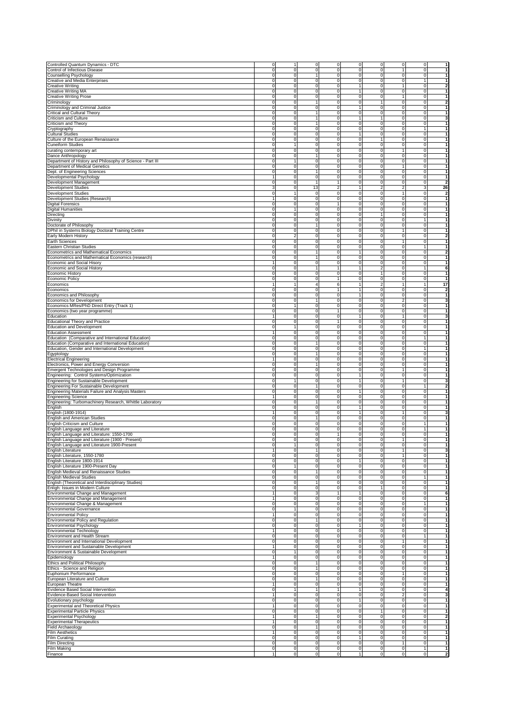| Controlled Quantum Dynamics - DTC                                                      | 0                             | $\mathbf{1}$                     | 0<br>0                                                        | 0                                | 0<br>$\mathbf 0$                                      | 0                                |                |
|----------------------------------------------------------------------------------------|-------------------------------|----------------------------------|---------------------------------------------------------------|----------------------------------|-------------------------------------------------------|----------------------------------|----------------|
| Control of Infectious Disease                                                          | 0                             | $\mathbf 0$                      | $\mathsf 0$<br>0                                              | 0                                | 0<br>$\mathbf{1}$                                     | $\pmb{0}$                        |                |
| <b>Counselling Psychology</b>                                                          | $\mathbf 0$                   | 0                                | 1<br>0                                                        | $\mathbf 0$                      | $\overline{0}$<br>0                                   | $\mathbf 0$                      |                |
| <b>Creative and Media Enterprises</b>                                                  | $\mathbf 0$                   | $\mathbf 0$                      | $\mathbf 0$<br>0                                              | $\mathbf 0$                      | 0<br>$\mathbf 0$                                      | $\overline{1}$                   |                |
| Creative Writing                                                                       | 0                             | $\mathbf 0$                      | $\overline{0}$<br>$\mathsf 0$                                 | $\mathbf{1}$                     | 0<br>$\mathbf{1}$                                     | $\mathbf 0$                      |                |
| Creative Writing MA                                                                    | 0                             | $\mathbf 0$                      | 0<br>0                                                        |                                  | 0<br>$\mathbf 0$                                      | 0                                |                |
| <b>Creative Writing Prose</b>                                                          | 0                             | 0                                | $\mathsf 0$<br>0                                              | 0                                | 0<br>1                                                | 0                                |                |
| Criminology                                                                            | $\mathbf 0$                   | $\mathbf 0$                      | $\mathbf{1}$<br>0                                             | 0                                | $\mathbf{1}$<br>$\mathbf 0$                           | $\mathsf 0$                      |                |
| Criminology and Criminal Justice                                                       | $\mathbf 0$                   | $\mathbf 0$                      | $\mathbf 0$<br>0                                              | 1                                | o<br>0                                                | $\mathbf 0$                      |                |
| Critical and Cultural Theory                                                           | $\mathbf 0$                   | $\mathbf 0$                      | 1<br>$\mathsf 0$                                              | $\mathbf 0$                      | $\overline{0}$<br>o                                   | $\mathbf 0$                      |                |
| Criticism and Culture                                                                  | o                             | o                                | $\overline{1}$<br>$\overline{0}$                              | 1                                | $\overline{1}$<br>o                                   | $\overline{0}$                   |                |
| Criticism and Theory                                                                   | $\mathbf 0$                   | $\mathbf 0$                      | $\mathbf{1}$<br>0                                             | $\mathbf 0$                      | $\mathbf 0$<br>$\pmb{0}$                              | $\pmb{0}$                        |                |
| Cryptography<br><b>Cultural Studies</b>                                                | 0<br>0                        | 0<br>0                           | O<br>0<br>0<br>0                                              | 0<br>1                           | $\pmb{0}$<br>$\circ$<br>0<br>$\mathbf 0$              | $\mathbf{1}$<br>$\mathsf 0$      |                |
| Culture of the European Renaissance                                                    | $\mathbf 0$                   | $\mathbf 0$                      | $\mathsf 0$<br>0                                              | 0                                | $\mathbf 0$<br>$\mathbf{1}$                           | $\mathsf 0$                      |                |
| <b>Cuneiform Studies</b>                                                               | $\mathbf 0$                   | 1                                | $\mathbf 0$<br>0                                              | $\mathbf 0$                      | o<br>o                                                | $\mathbf 0$                      |                |
| curating contemporary art                                                              | $\mathsf 0$                   | o                                | ō<br>$\overline{0}$                                           | $\overline{0}$                   | $\overline{0}$<br>1                                   | $\overline{0}$                   |                |
| Dance Anthropology                                                                     | $\mathbf 0$                   | $\mathbf 0$                      | $\mathbf{1}$<br>$\mathsf 0$                                   | 0                                | 0<br>$\mathbf 0$                                      | $\mathsf 0$                      |                |
| Department of History and Philosophy of Science - Part III                             | $\mathbf 0$                   | 1                                | $\mathbf 0$<br>$\mathsf 0$                                    | 0                                | $\mathbf{0}$<br>$\mathbf 0$                           | $\mathbf 0$                      |                |
| Department of Medical Genetics                                                         | 0                             | $\mathbf 0$                      | 0<br>0                                                        | 0                                | 0<br>$\mathbf{1}$                                     | $\mathbf 0$                      |                |
| Dept. of Engineering Sciences                                                          | $\Omega$                      | $\mathbf 0$                      | $\mathbf{1}$<br>0                                             | 0                                | 0<br>$\mathbf 0$                                      | $\mathsf 0$                      |                |
| Developmental Psychology                                                               | 1                             | $\mathbf 0$                      | $\mathsf 0$<br>0                                              | $\mathbf 0$                      | $\overline{0}$<br>o                                   | $\overline{0}$                   |                |
| Development Management                                                                 | $\mathsf 0$                   | o                                | $\overline{1}$<br>$\overline{1}$                              | $\overline{0}$                   | $\overline{0}$<br>o                                   | $\overline{0}$                   | $\overline{2}$ |
| <b>Development Studies</b>                                                             | $\overline{3}$                | $\mathbf 0$<br>13                | 2                                                             | 1                                | $\overline{\mathbf{2}}$<br>$\boldsymbol{2}$           | 3                                | 26             |
| <b>Development Studies</b>                                                             | 0                             | 1                                | $\mathsf 0$<br>0                                              | 0                                | 0<br>1                                                | $\mathsf 0$<br>$\mathbf 0$       |                |
| Development Studies (Research)<br><b>Digital Forensics</b>                             | $\Omega$                      | $\mathbf 0$<br>0                 | $\mathsf 0$<br>0<br>$\mathsf 0$<br>1                          | 0<br>0                           | 0<br>$\mathbf 0$<br>0<br>0                            | 0                                |                |
| Digital Humanities                                                                     | $\mathbf 0$                   | 1                                | $\mathsf 0$<br>0                                              | $\mathbf 0$                      | $\overline{0}$<br>0                                   | $\mathbf 0$                      |                |
| Directing                                                                              | $\mathbf 0$                   | $\mathbf 0$                      | $\mathbf 0$<br>$\mathbf 0$                                    | $\mathbf 0$                      | $\mathbf 0$<br>$\mathbf{1}$                           | $\mathbf 0$                      |                |
| Divinity                                                                               | 0                             | $\pmb{0}$                        | $\mathsf 0$<br>$\mathsf 0$                                    | 0                                | 0<br>$\pmb{0}$                                        | $\mathbf{1}$                     |                |
| Doctorate of Philosophy                                                                | 0                             | 0                                | 1<br>0                                                        | 0                                | 0<br>$\mathbf 0$                                      | 0                                |                |
| DPhil in Systems Biology Doctoral Training Centre                                      | 0                             | 0                                | $\mathsf 0$<br>0                                              | 0                                | 0<br>1                                                | 0                                |                |
| Early Modern History                                                                   | $\Omega$                      | $\overline{c}$                   | $\mathsf 0$<br>0                                              | 0                                | 0<br>$\mathbf 0$                                      | $\mathsf 0$                      |                |
| <b>Earth Sciences</b>                                                                  | $\mathbf 0$                   | $\mathbf 0$                      | $\mathbf 0$<br>0                                              | 0                                | 0<br>$\mathbf{1}$                                     | $\mathbf 0$                      |                |
| <b>Eastern Christian Studies</b>                                                       | $\mathbf 0$                   | $\mathbf 0$                      | $\mathsf 0$<br>$\mathsf 0$                                    | 0                                | o<br>0                                                | $\mathbf{1}$                     |                |
| Econometrics and Mathematical Economics                                                | $\mathbf 0$                   | o                                | $\overline{1}$<br>0                                           | 1                                | $\overline{0}$<br>$\overline{0}$                      | $\overline{0}$                   |                |
| Econometrics and Mathematical Economics (research)                                     | 0<br>1                        | $\pmb{0}$                        | $\mathbf{1}$<br>0<br>$\overline{0}$<br>0                      | 0<br>0                           | $\pmb{0}$<br>$\mathbf 0$                              | $\mathsf 0$<br>$\mathsf 0$       |                |
| Economic and Social Hisory<br>Economic and Social History                              | 0                             | 0<br>0                           | $\mathbf{1}$<br>$\mathbf{1}$                                  | 1                                | $\pmb{0}$<br>$\overline{0}$<br>2<br>$\pmb{0}$         | $\mathbf{1}$                     | 6              |
| Economic History                                                                       | $\mathbf 0$                   | 0                                | $\mathbf 0$<br>0                                              | 0                                | $\mathbf{1}$<br>0                                     | $\mathbf 0$                      |                |
| Economic Policy                                                                        | $\mathbf 0$                   | $\mathbf 0$                      | $\mathsf 0$<br>1                                              | $\mathbf 0$                      | o<br>o                                                | $\mathbf 0$                      |                |
| Economics                                                                              | 1                             | $\mathbf{1}$                     | $\overline{4}$<br>6                                           | 1                                | $\overline{\mathbf{2}}$<br>1                          | $\overline{1}$                   | 17             |
| Economics                                                                              | $\mathbf 0$                   | $\mathbf 0$                      | $\mathsf 0$<br>1                                              | 1                                | 0<br>$\mathbf 0$                                      | $\mathsf 0$                      |                |
| Economics and Philosophy                                                               | $\mathbf 0$                   | $\mathbf 0$                      | 0<br>0                                                        | 1                                | $\mathbf 0$<br>$\overline{0}$                         | 0                                |                |
| <b>Economics for Development</b>                                                       | $\Omega$                      | $\mathbf 0$                      | $\mathbf{1}$<br>0                                             | 0                                | 0<br>$\overline{c}$                                   | $\mathsf 0$                      |                |
| Economics MRes/PhD Direct Entry (Track 1)                                              | $\mathbf 0$                   | $\mathbf{1}$                     | $\mathsf 0$<br>0                                              | 0                                | 0<br>$\mathbf 0$                                      | $\mathbf 0$                      |                |
| Economics (two year programme)                                                         | $\mathbf 0$                   | $\mathbf 0$                      | $\mathsf 0$<br>$\mathbf{1}$                                   | $\mathbf 0$<br>1                 | o<br>$\mathbf 0$                                      | $\overline{0}$                   |                |
| Education                                                                              | $\overline{1}$<br>$\mathbf 0$ | o<br>$\mathbf 0$                 | $\overline{0}$<br>$\mathsf 0$<br>$\mathsf 0$<br>1             | 0                                | $\overline{0}$<br>1<br>0<br>$\mathbf 0$               | $\overline{0}$<br>$\mathsf 0$    |                |
| <b>Educational Theory and Practice</b><br><b>Education and Development</b>             | $\mathsf{O}\xspace$           | 1                                | $\overline{0}$<br>0                                           | 0                                | $\pmb{0}$<br>$\overline{0}$                           | $\mathsf 0$                      |                |
| <b>Education Assessment</b>                                                            |                               | $\mathbf 0$                      | 0<br>0                                                        | 0                                | 0<br>$\mathbf 0$                                      | $\mathsf 0$                      |                |
| Education (Comparative and International Education)                                    | 0                             | 0                                | $\mathsf 0$<br>0                                              | 0                                | 0<br>$\mathbf 0$                                      | $\mathbf{1}$                     |                |
| Education (Comparative and International Education)                                    | $\mathbf 0$                   | 0                                | 1<br>0                                                        | $\mathbf 0$                      | $\overline{0}$<br>0                                   | $\mathbf 0$                      |                |
| Education, Gender and International Development                                        | $\mathbf 0$                   | ō                                | $\overline{0}$<br>$\overline{0}$                              | $\overline{0}$                   | $\overline{0}$<br>ō                                   | $\overline{1}$                   |                |
| Egyptology                                                                             | 0                             | $\pmb{0}$                        | $\mathbf{1}$<br>$\mathsf 0$                                   | 0                                | 0<br>$\pmb{0}$                                        | $\mathsf 0$                      |                |
| <b>Electrical Engineering</b>                                                          | 1                             | $\mathbf{O}$                     | $\mathbf 0$<br>0                                              | 0                                | $\mathbf{O}$<br>0                                     | 0                                |                |
| Electronics, Power and Energy Conversion<br>Emergent Technologies and Design Programme | $\mathbf 0$<br>0              | $\mathbf 0$<br>$\mathbf 0$       | $\mathbf{1}$<br>0<br>$\mathsf 0$<br>0                         | 0<br>0                           | 0<br>$\mathbf 0$<br>0<br>$\mathbf{1}$                 | $\mathbf 0$<br>$\mathsf 0$       |                |
| Engineering: Control Systems/Optimization                                              | $\mathbf 0$                   | $\mathbf 0$                      | $\mathbf 0$<br>0                                              | 1                                | o<br>0                                                | $\mathbf 0$                      |                |
| Engineering for Sustainable Development                                                | $\mathsf{O}\xspace$           | $\mathbf{1}$                     | $\mathbf 0$<br>$\mathbf 0$                                    | 1                                | $\mathbf 0$<br>$\mathbf{1}$                           | $\mathbf 0$                      |                |
| Engineering For Sustainable Development                                                | $\mathbf 0$                   | $\overline{\mathbf{0}}$          | $\overline{1}$<br>0                                           | $\overline{0}$                   | $\overline{0}$<br>$\overline{0}$                      | $\overline{1}$                   |                |
| Engineering Materials Failure and Analysis Masters                                     | 0                             | $\pmb{0}$                        | O<br>0                                                        | 1                                | $\pmb{0}$<br>$\mathbf 0$                              | $\mathsf 0$                      |                |
| <b>Engineering Science</b>                                                             | 1                             | 0                                | $\overline{0}$<br>0                                           | 0                                | $\pmb{0}$<br>$\overline{0}$                           | $\mathsf 0$                      |                |
| Engineering: Turbomachinery Research, Whittle Laboratory                               | 0                             | 0                                | $\mathbf{1}$<br>0                                             | 0                                | 0<br>$\pmb{0}$                                        | $\pmb{0}$                        |                |
| English                                                                                | $\Omega$                      | $\mathbf 0$                      | $\mathbf 0$<br>0                                              |                                  | 0<br>$\mathbf 0$                                      | $\mathbf 0$                      |                |
| English (1800-1914)<br><b>English and American Studies</b>                             | 0                             | $\mathbf 0$<br>$\mathbf 0$       | $\mathbf 0$<br>0<br>1<br>$\overline{0}$                       | 0                                | o<br>$\mathbf{1}$<br>0<br>$\mathbf 0$                 | $\mathbf 0$<br>$\mathbf 0$       |                |
| English Criticism and Culture                                                          | 0                             | $\mathbf{O}$                     | 0<br>0                                                        | 0                                | $\mathbf{O}$<br>$\overline{0}$                        | 1                                |                |
| English Language and Literature                                                        | $\mathbf 0$                   | $\mathbf{0}$                     | $\mathbf 0$<br>0                                              | 0                                | $\mathbf{O}$<br>$\overline{0}$                        | 1                                |                |
| English Language and Literature: 1550-1700                                             | $\mathbf 0$                   | $\mathbf{0}$                     | $\mathbf 0$<br>1                                              | 0                                | $\mathbf 0$<br>$\mathbf 0$                            | $\mathbf 0$                      |                |
| English Language and Literature (1900 - Present)                                       | $\mathsf{O}\xspace$           | $\mathbf 0$                      | $\mathbf 0$<br>$\mathsf{O}\xspace$                            | 0                                | $\pmb{0}$<br>$\mathbf{1}$                             | $\mathbf 0$                      |                |
| English Language and Literature 1900-Present                                           | $\Omega$                      | $\mathbf{1}$                     | $\Omega$<br>$\Omega$                                          | $\Omega$                         | $\Omega$<br>$\Omega$                                  | $\overline{0}$                   |                |
| English Literature                                                                     | 1                             | $\mathbf 0$                      | $\overline{1}$<br>0                                           | 0                                | 0<br>$\mathbf{1}$                                     | $\pmb{0}$                        |                |
| English Literature, 1550-1780                                                          | $\mathsf 0$                   | $\mathbf 0$                      | $\mathbf 0$<br>0                                              | 0                                | $\mathbf{1}$<br>0                                     | $\pmb{0}$                        |                |
| English Literature 1800-1914                                                           | $\mathbf 0$                   | 0                                | 0<br>0                                                        | 1                                | $\pmb{0}$<br>$\overline{0}$                           | $\mathsf 0$                      |                |
| English Literature 1900-Present Day<br>English Medieval and Renaissance Studies        | 0<br>$\mathbf 0$              | 1<br>0                           | $\mathbf 0$<br>0<br>1<br>0                                    | 0<br>0                           | 0<br>$\mathbf 0$<br>$\pmb{0}$<br>0                    | $\mathsf 0$<br>$\mathsf 0$       |                |
| <b>English Medieval Studies</b>                                                        | $\mathbf 0$                   | $\mathbf 0$                      | $\mathbf 0$<br>0                                              | $\mathbf 0$                      | o<br>0                                                | $\overline{1}$                   |                |
| English (Theoretical and Interdisciplinary Studies)                                    | $\mathbf 0$                   | o                                | $\overline{1}$<br>$\overline{0}$                              | $\overline{0}$                   | $\overline{0}$<br>ō                                   | ō                                | 1              |
| Enligh: Issues in Modern Culture                                                       | $\mathbf 0$                   | $\mathbf 0$                      | $\mathbf 0$<br>$\mathsf 0$                                    | $\bf 0$                          | $\mathbf 0$<br>1                                      | $\mathsf 0$                      |                |
| Environmental Change and Management                                                    | 1                             | $\mathbf{0}$                     | $\mathbf{3}$<br>1                                             | 1                                | $\circ$<br>$\mathbf{O}$                               | $\mathbf 0$                      | 6              |
| Environmental Change and Management                                                    | 1                             | $\mathbf 0$                      | 0<br>0                                                        | 0                                | 0<br>$\mathbf 0$                                      | $\mathbf 0$                      |                |
| Environmental Change & Management                                                      | $\mathsf{O}\xspace$           | $\mathbf 0$                      | $\mathsf 0$<br>0                                              | 0                                | 0<br>$\mathbf 0$                                      | $\mathbf{1}$                     |                |
| <b>Environmental Governance</b>                                                        | $\mathbf 0$                   | $\mathbf{1}$                     | $\mathbf 0$<br>$\mathsf{O}\xspace$                            | 0                                | o<br>$\overline{\mathbf{0}}$                          | ō                                |                |
| <b>Environmental Policy</b><br>Environmental Policy and Regulation                     | $\overline{1}$<br>$\mathbf 0$ | o<br>$\overline{\mathbf{0}}$     | $\circ$<br>$\overline{0}$<br>$\overline{1}$<br>$\overline{0}$ | $\overline{0}$<br>$\overline{0}$ | o<br>o<br>o<br>$\mathbf 0$                            | ō<br>$\overline{0}$              |                |
| Environmental Psychology                                                               | $\mathbf 0$                   | $\mathbf 0$                      | $\circ$<br>0                                                  | 1                                | $\pmb{0}$<br>$\circ$                                  | $\mathbf 0$                      |                |
| <b>Environmental Technology</b>                                                        | 1                             | $\mathbf 0$                      | $\mathbf 0$<br>$\mathsf{O}\xspace$                            | 0                                | $\mathbf 0$<br>$\mathbf 0$                            | $\mathbf 0$                      |                |
| Environment and Health Stream                                                          | 0                             | $\mathbf 0$                      | 0<br>0                                                        | 0                                | 0<br>$\pmb{0}$                                        | $\mathbf{1}$                     |                |
| Environment and International Development                                              | $\mathbf 0$                   | $\pmb{0}$                        | $\mathbf 0$<br>0                                              | 0                                | 0<br>$\mathbf{1}$                                     | $\mathbf 0$                      |                |
| Environment and Sustainable Development                                                | 1                             | $\mathbf 0$                      | $\mathbf 0$<br>$\mathbf 0$                                    | $\mathbf 0$                      | $\mathbf 0$<br>$\circ$                                | $\mathbf 0$                      |                |
| Environment & Sustainable Development                                                  | $\mathbf 0$                   | $\mathbf{1}$                     | $\circ$<br>$\overline{0}$                                     | 0                                | $\pmb{0}$<br>$\mathbf 0$                              | ō                                |                |
| Epidemiology                                                                           | 1                             | $\mathbf{0}$                     | $\mathbf 0$<br>0<br>$\mathsf 0$                               | 0                                | $\mathbf{O}$<br>$\overline{0}$                        | $\mathbf 0$<br>$\mathbf 0$       |                |
| Ethics and Political Philosophy<br>Ethics - Science and Religion                       | $\mathbf 0$<br>$\mathbf 0$    | $\mathbf{0}$<br>$\mathbf{0}$     | 1<br>$\mathbf{1}$<br>0                                        | 0<br>0                           | $\circ$<br>$\mathbf{O}$<br>$\mathbf 0$<br>$\mathbf 0$ | $\mathbf 0$                      |                |
| Euphonium Performance                                                                  | $\mathbf 0$                   | $\mathbf 0$                      | $\mathsf 0$<br>0                                              | 0                                | $\pmb{0}$<br>$\mathbf{1}$                             | $\mathbf 0$                      |                |
| European Literature and Culture                                                        | $\mathbf 0$                   | $\mathbf{0}$                     | $\mathbf{1}$<br>$\mathsf 0$                                   | 0                                | o<br>o                                                | ō                                |                |
| European Theatre                                                                       | $\overline{1}$                | $\overline{\mathbf{0}}$          | $\overline{0}$<br>$\mathsf 0$                                 | $\overline{0}$                   | $\overline{0}$<br>o                                   | $\overline{0}$                   |                |
| Evidence Based Social Intervention                                                     | $\mathbf 0$                   | $\mathbf{1}$                     | $\mathbf{1}$<br>1                                             | 1                                | 0<br>$\mathbf 0$                                      | $\mathbf 0$                      |                |
| Evidence-Based Social Intervention                                                     | 1                             | $\mathbf 0$                      | $\mathbf 0$<br>0                                              | 0                                | $\overline{\mathbf{c}}$<br>0                          | $\mathsf 0$                      | 3              |
| Evolutionary psychology                                                                | $\Omega$                      | $\mathbf 0$                      | $\mathsf 0$<br>0                                              | 1                                | 0<br>$\mathbf 0$                                      | $\mathsf 0$                      |                |
| <b>Experimental and Theoretical Physics</b>                                            |                               | 0                                | $\mathsf 0$<br>0                                              | 0                                | $\pmb{0}$<br>0                                        | $\mathsf 0$                      |                |
| <b>Experimental Particle Physics</b><br><b>Experimental Psychology</b>                 | $\mathbf 0$<br>1              | $\mathbf 0$<br>o                 | $\mathbf 0$<br>0<br>$\overline{1}$<br>$\overline{0}$          | $\mathbf 0$<br>$\overline{0}$    | o<br>1<br>$\overline{0}$<br>o                         | $\mathbf 0$<br>$\overline{0}$    | $\overline{2}$ |
| <b>Experimental Therapeutics</b>                                                       | $\mathbf{1}$                  | $\mathbf 0$                      | $\mathbf 0$<br>$\mathsf 0$                                    | 0                                | 0<br>$\mathbf 0$                                      | $\mathsf 0$                      |                |
| Field Archaeology                                                                      | $\mathbf 0$                   | $\mathbf{0}$                     | $\mathbf{1}$<br>0                                             | 0                                | $\mathbf{O}$<br>$\mathbf{0}$                          | $\mathbf 0$                      |                |
| <b>Film Aesthetics</b>                                                                 | 1                             | $\mathbf 0$                      | $\mathsf 0$<br>0                                              | 0                                | 0<br>$\mathbf 0$                                      | $\mathsf 0$                      |                |
| Film Curating                                                                          | $\mathbf 0$                   | $\mathbf 0$                      | $\mathbf 0$<br>0                                              | $\mathbf{1}$                     | $\mathbf 0$<br>0                                      | $\mathbf 0$                      |                |
|                                                                                        |                               |                                  |                                                               |                                  |                                                       |                                  |                |
| Film Directing                                                                         | $\mathbf 0$                   | $\mathbf{0}$                     | ō<br>$\mathbf 0$                                              | 0                                | o<br>$\overline{1}$                                   | ō                                |                |
| <b>Film Making</b><br>Finance                                                          | O<br>$\overline{1}$           | $\overline{0}$<br>$\overline{0}$ | $\circ$<br>$\overline{0}$<br>$\circ$<br>O                     | 0<br>$\overline{1}$              | o<br>$\overline{0}$<br>o<br>$\overline{0}$            | $\overline{1}$<br>$\overline{0}$ | $\mathbf{2}$   |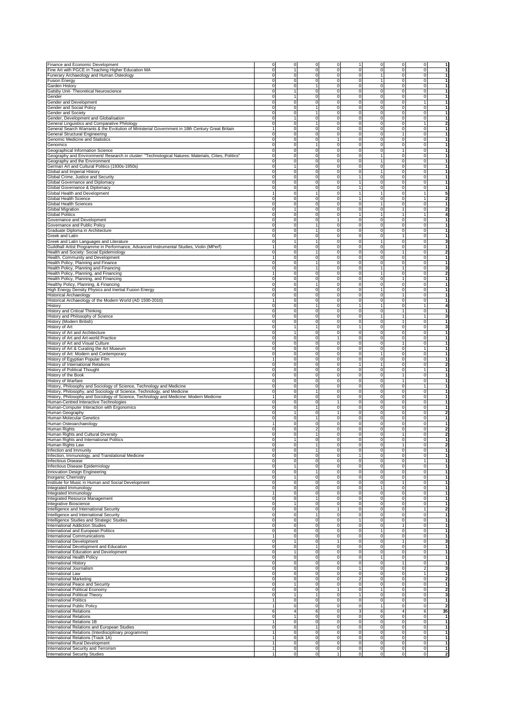| Finance and Economic Development                                                                                                                                  | 0                          | 0                       | $\circ$                        | 0                             | $\mathbf{1}$            | 0                           | $\mathbf 0$<br>$\mathbf 0$                                | $\mathbf{1}$                            |
|-------------------------------------------------------------------------------------------------------------------------------------------------------------------|----------------------------|-------------------------|--------------------------------|-------------------------------|-------------------------|-----------------------------|-----------------------------------------------------------|-----------------------------------------|
| Fine Art with PGCE in Teaching Higher Education MA                                                                                                                | 0                          | $\mathbf{1}$            | $\mathbf 0$                    | $\mathbf 0$                   | 0                       | $\mathbf 0$                 | $\mathbf 0$<br>$\mathbf 0$                                | $\mathbf{1}$                            |
| Funerary Archaeology and Human Osteology                                                                                                                          | $\mathbf 0$                | 0                       | $\mathbf 0$                    | $\mathbf 0$                   | 0                       | $\mathbf{1}$                | $\mathbf 0$<br>$\mathbf 0$                                | $\mathbf{1}$                            |
| <b>Fusion Energy</b>                                                                                                                                              | $\pmb{0}$                  | 0                       | $\mathsf 0$                    | $\mathsf 0$                   | 0                       | $\mathbf{1}$                | $\mathbf 0$<br>$\mathbf 0$                                | $\mathbf{1}$                            |
| Garden History<br>Gatsby Unit- Theoretical Neuroscience                                                                                                           | 0                          | 0<br>1                  | $\mathbf{1}$                   | $\mathsf 0$                   | $\pmb{0}$               | $\mathbf 0$<br>0            | $\mathbf 0$<br>$\mathbf 0$                                | $\mathbf{1}$<br>$\overline{1}$          |
| Gender                                                                                                                                                            | 0<br>0                     | 1                       | 0<br>0                         | 0<br>0                        | 0<br>0                  | 0                           | $\mathbf 0$<br>$\mathbf 0$<br>0<br>$\mathbf 0$            | 1                                       |
| Gender and Development                                                                                                                                            | 0                          | 0                       | $\mathsf 0$                    | 0                             | 0                       | 0                           | 0<br>$\mathbf{1}$                                         | 1                                       |
| Gender and Social Policy                                                                                                                                          | 0                          | 0                       | 1                              | $\mathsf 0$                   | 0                       | 0                           | $\mathbf 0$<br>$\mathbf 0$                                | 1                                       |
| Gender and Society                                                                                                                                                | 0                          | 0                       | 1                              | $\pmb{0}$                     | $\mathbf 0$             | $\mathbf 0$                 | $\mathbf 0$<br>$\mathbf 0$                                | $\mathbf{1}$                            |
| Gender, Development and Globalisation                                                                                                                             | 0                          | $\mathbf{1}$            | $\mathbf 0$                    | $\mathsf 0$                   | $\mathsf 0$             | $\mathbf 0$                 | $\mathbf 0$<br>$\mathbf 0$                                | 1                                       |
| General Linguistics and Comparative Philology                                                                                                                     | 0                          | 0                       | 1                              | 0                             | 0                       | 0                           | $\mathbf 0$<br>1                                          | $\overline{\mathbf{2}}$                 |
| General Search Warrants & the Evolution of Ministerial Government in 18th Century Great Britain                                                                   | 1                          | 0                       | $\overline{0}$                 | 0                             | 0                       | 0                           | $\mathbf 0$<br>$\mathbf 0$                                | $\mathbf{1}$                            |
| <b>General Structural Engineering</b>                                                                                                                             | $\Omega$                   | 0                       | $\mathbf 0$                    | $\mathbf 0$                   | 0                       | $\mathbf 0$                 | $\mathbf 0$<br>$\mathbf{1}$                               | $\mathbf{1}$                            |
| Genomic Medicine and Statistics                                                                                                                                   | 0                          | 0                       | $\mathbf 0$                    | 1                             | 0                       | $\mathbf 0$                 | $\mathbf 0$<br>$\mathbf 0$                                | $\mathbf{1}$                            |
| Genomics<br>Geographical Information Science                                                                                                                      | $\mathsf 0$<br>$\mathsf 0$ | 0<br>o                  | $\mathbf{1}$<br>o              | $\overline{0}$<br>O           | $\bf 0$                 | 0<br>$\mathbf 0$            | $\mathbf 0$<br>$\mathbf 0$<br>$\mathbf{1}$<br>$\mathbf 0$ | $\mathbf{1}$<br>$\mathbf{1}$            |
| Geography and Environment/ Research in cluster: "Technological Natures: Materials, Cities, Politics'                                                              | 0                          | $\pmb{0}$               | $\circ$                        | $\mathbf 0$                   | $\pmb{0}$<br>$\pmb{0}$  | $\mathbf{1}$                | $\mathbf 0$<br>$\mathbf 0$                                | $\mathbf{1}$                            |
| Geography and the Environment                                                                                                                                     | 0                          | 0                       | $\mathbf 0$                    | 0                             | 0                       | $\mathbf{1}$                | $\mathbf 0$<br>$\mathbf 0$                                | $\overline{1}$                          |
| German Art and Cultural Politics (1930s-1950s)                                                                                                                    | 0                          | $\mathbf{1}$            | $\mathsf 0$                    | $\mathbf 0$                   | 0                       | $\mathbf 0$                 | $\mathbf 0$<br>0                                          | $\mathbf{1}$                            |
| Global and Imperial History                                                                                                                                       | 0                          | 0                       | $\mathsf 0$                    | $\mathsf 0$                   | 0                       | $\mathbf{1}$                | 0<br>$\mathbf 0$                                          | 1                                       |
| Global Crime, Justice and Security                                                                                                                                | 0                          | 0                       | o                              | $\overline{0}$                | $\mathbf{1}$            | ō                           | $\mathbf 0$<br>$\mathbf 0$                                | 1                                       |
| Global Governance and Diplomacy                                                                                                                                   | 0                          | $\mathbf 0$             | $\mathbf 0$                    | $\mathbf 0$                   | 1                       | $\mathbf 0$                 | $\mathbf 0$<br>$\mathbf 0$                                | $\mathbf{1}$                            |
| Global Governance & Diplomacy                                                                                                                                     | 0                          | $\mathbf 0$             | $\circ$                        | $\mathbf 0$                   | 1                       | 0                           | $\mathbf 0$<br>$\mathbf 0$                                | $\mathbf{1}$                            |
| Global Health and Development                                                                                                                                     | 1                          | 0                       | $\mathbf{1}$                   | 0                             | -1                      | $\mathbf{1}$                | $\overline{0}$<br>$\mathbf{1}$                            | 5                                       |
| Global Health Science                                                                                                                                             | $\mathbf 0$                | 0                       | $\mathbf 0$                    | $\mathsf 0$                   | $\mathbf{1}$            | $\mathbf 0$                 | $\mathbf 0$<br>$\mathbf{1}$                               | $\overline{2}$                          |
| Global Health Sciences                                                                                                                                            | 0                          | 0                       | $\mathbf 0$                    | 0                             | 0                       | 1                           | $\mathbf 0$<br>$\overline{0}$                             | 1                                       |
| Global Migration                                                                                                                                                  | $\mathsf 0$                | $\mathbf{1}$            | o                              | $\mathsf 0$                   | 0                       | o                           | $\mathbf{1}$<br>$\mathbf 0$                               | $\overline{\mathbf{2}}$                 |
| <b>Global Politics</b>                                                                                                                                            | $\mathsf 0$                | 0<br>0                  | $\mathsf 0$<br>$\mathbf 0$     | $\mathbf 0$                   | $\mathbf{1}$            | $\mathbf{1}$<br>$\mathbf 0$ | $\mathbf{1}$<br>$\mathbf{1}$                              | 4<br>1                                  |
| Governance and Development<br>Governance and Public Policy                                                                                                        | 0<br>0                     | 0                       | 1                              | 1<br>0                        | $\pmb{0}$<br>0          | 0                           | $\mathbf 0$<br>$\mathbf 0$<br>$\mathbf 0$<br>$\mathbf 0$  | $\mathbf{1}$                            |
| Graduate Diploma in Architecture                                                                                                                                  | 0                          | 0                       | 1                              | 0                             | 0                       | 0                           | 0<br>$\mathbf 0$                                          | 1                                       |
| <b>Greek and Latin</b>                                                                                                                                            | 0                          | 0                       | $\mathsf 0$                    | 0                             | 0                       | 0                           | $\overline{1}$<br>$\mathbf 0$                             | 1                                       |
| Greek and Latin Languages and Literature                                                                                                                          | 0                          | 1                       | 1                              | $\pmb{0}$                     | 0                       | 1                           | $\mathbf 0$<br>$\mathbf 0$                                | 3                                       |
| Guildhall Artist Programme in Performance, Advanced Instrumental Studies, Violin (MPerf)                                                                          |                            | 0                       | $\mathbf 0$                    | $\pmb{0}$                     | $\mathbf 0$             | $\mathbf 0$                 | $\mathbf 0$<br>$\mathbf 0$                                | 1                                       |
| Health and Society: Social Epidemiology                                                                                                                           | 0                          | 0                       | 1                              | 0                             | 0                       | $\mathbf 0$                 | $\mathbf{1}$<br>$\mathbf 0$                               | $\overline{\mathbf{2}}$                 |
| Health, Community and Development                                                                                                                                 |                            | 0                       | $\overline{0}$                 | 0                             | 0                       | 0                           | $\mathbf 0$<br>$\mathbf 0$                                | 1                                       |
| Health Policy, Planning and Finance                                                                                                                               | 0                          | 0                       | 1                              | 0                             | 0                       | 0                           | $\mathbf 0$<br>$\mathbf 0$                                | $\mathbf{1}$                            |
| Health Policy, Planning and Financing                                                                                                                             | $\Omega$                   | 0                       | $\mathbf{1}$                   | $\mathsf 0$                   | 0                       | $\mathbf{1}$                | $\mathbf 0$<br>$\overline{1}$                             | 3                                       |
| Health Policy, Planning, and Financing                                                                                                                            | 1                          | 0                       | o                              | $\mathsf 0$                   | 0                       | 1                           | $\mathbf 0$<br>$\mathbf 0$                                | $\overline{\mathbf{2}}$                 |
| Health Policy, Planning, and Financing<br>Healthy Policy, Planning, & Financing                                                                                   | $\mathsf 0$<br>$\mathsf 0$ | $\mathbf 0$<br>o        | $\mathbf 0$<br>$\overline{1}$  | $\mathsf 0$<br>O              | $\bf 0$                 | $\mathbf 0$<br>o            | $\mathbf{1}$<br>$\mathbf 0$<br>$\mathbf 0$<br>$\mathbf 0$ | $\mathbf{1}$<br>$\mathbf{1}$            |
| High Energy Density Physics and Inertial Fusion Energy                                                                                                            | 0                          | 0                       | $\mathbf 0$                    | 0                             | $\pmb{0}$<br>$\pmb{0}$  | $\mathbf{1}$                | $\mathbf 0$<br>$\mathbf 0$                                | 1                                       |
| <b>Historical Archaeology</b>                                                                                                                                     | 0                          | 0                       | $\mathbf 0$                    | 0                             | 0                       | $\mathbf 0$                 | $\mathbf{1}$<br>$\mathbf 0$                               | $\overline{1}$                          |
| Historical Archaeology of the Modern World (AD 1500-2010)                                                                                                         | 1                          | 0                       | $\mathsf 0$                    | $\mathbf 0$                   | 0                       | $\mathbf 0$                 | $\mathbf 0$<br>0                                          | $\mathbf{1}$                            |
| History                                                                                                                                                           | 0                          | 0                       | 1                              | 0                             | 1                       | $\mathbf{1}$                | $\mathbf 0$<br>1                                          | 4                                       |
| <b>History and Critical Thinking</b>                                                                                                                              | $\mathsf 0$                | 0                       | o                              | $\mathsf 0$                   | $\overline{0}$          | $\mathbf 0$                 | $\mathbf 0$<br>$\mathbf{1}$                               | 1                                       |
| History and Philosophy of Science                                                                                                                                 | 0                          | $\mathbf 0$             | $\mathbf 0$                    | $\mathbf 0$                   | $\mathbf 0$             | $\mathbf{1}$                | $\mathbf{1}$<br>$\mathbf{1}$                              | 3                                       |
| History (Modern British)                                                                                                                                          | 0                          | $\pmb{0}$               | $\circ$                        | $\mathbf 0$                   | 0                       | $\mathbf 0$                 | $\mathbf{1}$<br>0                                         | 1                                       |
| History of Art                                                                                                                                                    | 0                          | 1                       | $\mathbf{1}$                   | 0                             | 1                       | $\mathbf 0$                 | $\mathbf 0$<br>$\mathbf 0$                                | 3                                       |
| History of Art and Architecture                                                                                                                                   | $\Omega$                   | 1                       | $\mathbf 0$                    | $\mathbf 0$                   | 0                       | 0                           | 0<br>$\mathbf 0$                                          | $\mathbf{1}$                            |
| History of Art and Art-world Practice                                                                                                                             | 0                          | 0                       | $\mathbf 0$                    | 1                             | 0                       | 0                           | $\mathbf 0$<br>$\mathbf 0$<br>$\mathbf{1}$                | $\mathbf{1}$                            |
| History of Art and Visual Culture<br>History of Art & Curating the Art Museum                                                                                     | $\mathsf 0$<br>$\mathsf 0$ | 0<br>$\pmb{0}$          | o<br>o                         | $\overline{0}$<br>$\mathbf 0$ | 0<br>$\mathsf 0$        | $\mathbf 0$<br>$\mathbf 0$  | $\mathbf 0$<br>$\mathbf 0$<br>$\mathbf{1}$                | $\mathbf{1}$<br>$\overline{1}$          |
| History of Art: Modern and Contemporary                                                                                                                           | 0                          | 0                       | $\mathbf 0$                    | $\mathsf 0$                   | 0                       | $\mathbf{1}$                | $\mathbf 0$<br>$\mathbf 0$                                | $\mathbf{1}$                            |
| History of Egyptian Popular Film                                                                                                                                  |                            | 0                       | $\mathbf 0$                    | 0                             | 0                       | 0                           | $\mathbf 0$<br>$\mathbf 0$                                | 1                                       |
| History of International Relations                                                                                                                                | $\mathbf 0$                | 0                       | $\mathsf 0$                    | $\mathsf 0$                   | 1                       | $\mathbf{1}$                | $\mathbf 0$<br>$\mathbf 0$                                | $\overline{\mathbf{2}}$                 |
| <b>History of Political Thought</b>                                                                                                                               | 0                          | 0                       | 0                              | 0                             | 0                       | 0                           | 0<br>1                                                    | $\mathbf{1}$                            |
| History of the Book                                                                                                                                               | 0                          | 0                       | $\mathsf 0$                    | $\mathsf 0$                   | 0                       | 0                           | $\mathsf 0$<br>$\overline{1}$                             | $\mathbf{1}$                            |
| History of Warfare                                                                                                                                                | $\Omega$                   | 0                       | $\mathsf 0$                    | $\mathbf 0$                   | $\mathbf 0$             | $\mathbf 0$                 | $\mathbf{1}$<br>$\mathbf 0$                               | $\mathbf{1}$                            |
| History, Philosophy and Sociology of Science, Technology and Medicine                                                                                             | 0                          | 0                       | $\mathbf 0$                    | 0                             | 0                       | 0                           | $\mathbf 0$<br>-1                                         | $\mathbf{1}$                            |
| History, Philosophy, and Sociology of Science, Technology, and Medicine<br>History, Philosophy and Sociology of Science, Technology and Medicine: Modern Medicine | 0<br>1                     | 0<br>0                  | 1<br>$\overline{0}$            | 0<br>0                        | 0<br>0                  | 0<br>0                      | $\mathbf 0$<br>$\mathbf 0$<br>$\mathbf 0$<br>$\mathbf 0$  | $\mathbf{1}$<br>$\mathbf{1}$            |
| Human-Centred Interactive Technologies                                                                                                                            | $\Omega$                   | 0                       | $\mathbf 0$                    | $\mathbf{1}$                  | 0                       | $\mathbf 0$                 | $\mathbf 0$<br>$\mathbf 0$                                | $\mathbf{1}$                            |
| Human-Computer Interaction with Ergonomics                                                                                                                        | $\mathsf 0$                | 0                       | $\mathbf{1}$                   | $\overline{0}$                | 0                       | $\mathbf 0$                 | $\mathbf 0$<br>$\mathbf 0$                                | $\mathbf{1}$                            |
| Human Geography                                                                                                                                                   | $\mathsf 0$                | 1                       | o                              | $\mathbf{1}$                  | $\bf 0$                 | 0                           | $\mathbf 0$<br>$\mathbf 0$                                | $\overline{\mathbf{2}}$                 |
| Human Molecular Genetics                                                                                                                                          | 0                          | 0                       | $\mathbf{1}$                   | $\mathsf 0$                   | $\pmb{0}$               | 0                           | $\mathbf 0$<br>$\mathbf 0$                                | $\overline{1}$                          |
| Human Osteoarchaeology                                                                                                                                            | 1                          | 0                       | $\mathbf 0$                    | 0                             | 0                       | $\pmb{0}$                   | $\mathbf 0$<br>$\mathbf 0$                                | 1                                       |
| Human Rights                                                                                                                                                      | 0                          | 0                       | $\overline{\mathbf{2}}$        | 0                             | 0                       | 0                           | 0<br>$\mathbf 0$                                          | $\overline{2}$                          |
| Human Rights and Cultural Diversity                                                                                                                               | 0                          | 0                       | 1                              | $\mathsf 0$                   | 0                       | 0                           | $\mathsf 0$<br>1                                          | 2                                       |
| Human Rights and International Politics<br>Human Rights Law                                                                                                       | 0<br>$\mathbf 0$           | 1<br>0                  | $\mathsf 0$                    | $\mathsf 0$<br>0              | 0<br>$\mathbf 0$        | 0<br>$\mathbf 0$            | $\mathbf 0$<br>$\mathsf 0$<br>$\Omega$                    | $\mathbf{1}$                            |
|                                                                                                                                                                   |                            |                         |                                |                               |                         |                             |                                                           |                                         |
| Infection and Immunity<br>Infection, Immunology, and Translational Medicine                                                                                       | $\mathbf 0$<br>0           | 0<br>0                  | 1<br>$\mathbf 0$               | $\mathbf 0$<br>0              | 0<br>1                  | 0<br>$\pmb{0}$              | $\mathbf 0$<br>$\mathbf 0$<br>$\mathbf 0$<br>$\mathbf 0$  | 1<br>$\mathbf{1}$                       |
| <b>Infectious Disease</b>                                                                                                                                         | 0                          | 0                       | $\overline{0}$                 | $\mathbf 0$                   | 0                       | $\mathbf 0$                 | $\overline{0}$<br>$\mathbf{1}$                            | $\mathbf{1}$                            |
| Infectious Disease Epidemiology                                                                                                                                   | 0                          | $\mathbf{1}$            | $\mathbf 0$                    | $\mathbf 0$                   | 0                       | $\mathbf 0$                 | $\pmb{0}$<br>$\overline{0}$                               | $\mathbf{1}$                            |
| Innovation Design Engineering                                                                                                                                     | 0                          | 0                       | $\mathbf{1}$                   | $\mathbf 0$                   | 0                       | $\pmb{0}$                   | $\mathbf 0$<br>$\mathbf 0$                                | $\mathbf{1}$                            |
| Inorganic Chemistry                                                                                                                                               | $\pmb{0}$                  | $\mathbf{1}$            | o                              | $\overline{0}$                | $\bf 0$                 | $\mathbf 0$                 | $\mathbf 0$<br>$\mathbf 0$                                | $\mathbf{1}$                            |
| Institute for Music in Human and Social Development                                                                                                               | $\pmb{0}$                  | o                       | O                              | O                             | $\pmb{0}$               | $\mathbf 0$                 | $\overline{1}$<br>$\mathbf 0$                             | $\overline{\phantom{a}}$                |
| Integrated Immunology                                                                                                                                             | 0                          | $\pmb{0}$               | $\mathbf 0$<br>$\mathbf 0$     | $\mathbf 0$                   | $\pmb{0}$               | $\mathbf{1}$<br>$\mathbf 0$ | $\mathbf 0$<br>$\mathbf 0$<br>$\mathbf 0$                 | 1<br>$\overline{1}$                     |
| Integrated Immunology<br><b>Integrated Resource Management</b>                                                                                                    | 1<br>0                     | 0<br>0                  | 1                              | 0<br>$\mathsf 0$              | 0<br>0                  | 0                           | $\mathbf 0$<br>$\mathbf 0$<br>$\mathbf 0$                 | $\mathbf{1}$                            |
| Integrative Bioscience                                                                                                                                            | 0                          | $\mathbf{1}$            | $\mathsf 0$                    | $\mathbf 0$                   | $\mathsf 0$             | $\mathbf 0$                 | $\mathbf 0$<br>0                                          | 1                                       |
| Intelligence and International Security                                                                                                                           | 0                          | 0                       | o                              | 1                             | 0                       | $\overline{0}$              | $\mathbf 0$<br>$\mathbf{1}$                               | 2                                       |
| Intelligence and International Security                                                                                                                           | $\mathsf 0$                | o                       | $\overline{1}$                 | $\overline{0}$                | $\overline{0}$          | ō                           | ō<br>$\mathbf 0$                                          | $\overline{1}$                          |
| Intelligence Studies and Strategic Studies                                                                                                                        | 0                          | $\pmb{0}$               | $\mathbf 0$                    | $\mathbf 0$                   | 1                       | $\mathbf 0$                 | $\mathbf 0$<br>$\mathbf 0$                                | $\mathbf{1}$                            |
| <b>International Addiction Studies</b>                                                                                                                            | 0                          | 0                       | $\circ$                        | 0                             | 0                       | $\mathbf 0$                 | $\mathbf{1}$<br>$\mathbf 0$                               | $\mathbf{1}$                            |
| International and European Politics                                                                                                                               | $\mathbf 0$                | 0                       | $\mathbf 0$                    | $\mathsf 0$                   | 0                       | $\mathbf{1}$                | $\mathbf 0$<br>$\mathbf 0$                                | $\mathbf{1}$                            |
| International Communications                                                                                                                                      | $\mathbf{1}$               | 0                       | $\mathbf 0$                    | $\mathbf 0$                   | 0                       | $\mathbf 0$                 | $\mathbf 0$<br>$\mathbf 0$                                | $\mathbf{1}$                            |
| International Development                                                                                                                                         | $\mathsf 0$                | $\mathbf{1}$            | $\overline{0}$<br>$\mathbf{1}$ | $\mathbf{1}$                  | $\bf 0$<br>$\mathbf 0$  | o<br>$\pmb{0}$              | $\mathbf{1}$<br>$\mathbf 0$<br>$\mathbf 0$<br>$\mathbf 0$ | 3                                       |
| International Development and Education<br>International Education and Development                                                                                | $\pmb{0}$<br>$\pmb{0}$     | $\mathbf 0$<br>1        | O                              | $\mathbf 0$<br>$\mathbf 0$    | $\pmb{0}$               | $\pmb{0}$                   | $\mathbf 0$<br>$\mathbf 0$                                | $\mathbf 1$<br>$\overline{\phantom{a}}$ |
| International Health Policy                                                                                                                                       | $\pmb{0}$                  | 0                       | $\circ$                        | 0                             | 0                       | $\mathbf{1}$                | $\mathbf 0$<br>$\mathbf 0$                                | $\overline{\mathbf{1}}$                 |
| <b>International History</b>                                                                                                                                      | $\mathsf 0$                | 0                       | $\mathbf 0$                    | 0                             | 0                       | 0                           | $\overline{1}$<br>$\mathbf 0$                             | $\overline{1}$                          |
| International Journalism                                                                                                                                          | $\mathsf 0$                | 0                       | $\mathsf 0$                    | $\mathsf 0$                   | 1                       | 0                           | $\mathbf 0$<br>$\overline{c}$                             | 3                                       |
| International Law                                                                                                                                                 | 0                          | 0                       | $\mathbf 0$                    | $\mathsf 0$                   | 0                       | $\mathbf 0$                 | $\mathbf 0$<br>$\mathbf{1}$                               | 1                                       |
| <b>International Marketing</b>                                                                                                                                    | $\mathsf 0$                | $\mathbf 0$             | $\mathbf 0$                    | $\mathsf 0$                   | $\overline{\mathbf{c}}$ | $\mathbf 0$                 | $\mathbf 0$<br>$\mathbf 0$                                | 2                                       |
| International Peace and Security                                                                                                                                  | $\mathsf 0$                | 1                       | $\circ$                        | $\overline{0}$                | $\pmb{0}$               | o                           | $\mathbf 0$<br>$\mathbf 0$                                | $\overline{\mathbf{1}}$                 |
| International Political Economy                                                                                                                                   | 0                          | 0                       | $\overline{0}$                 | 1                             | 0                       | $\mathbf{1}$                | $\overline{0}$<br>$\mathbf 0$                             | $\overline{\mathbf{c}}$                 |
| International Political Theory<br><b>International Politics</b>                                                                                                   | 0<br>1                     | 1<br>0                  | $\mathbf{1}$<br>$\mathbf 0$    | $\mathbf 0$<br>$\mathbf 0$    | 1<br>0                  | 0<br>0                      | $\mathbf 0$<br>$\mathbf 0$<br>$\mathbf 0$<br>$\mathbf 0$  | $\overline{\mathbf{3}}$<br>$\mathbf{1}$ |
| International Public Policy                                                                                                                                       | $\mathbf{1}$               | 0                       | $\mathbf 0$                    | $\mathbf 0$                   | 0                       | $\mathbf{1}$                | $\mathbf 0$<br>$\mathbf 0$                                | $\overline{\mathbf{2}}$                 |
| <b>International Relations</b>                                                                                                                                    | 6                          | $\overline{\mathbf{4}}$ | 6                              | $\overline{0}$                | 3                       | 6                           | $\overline{4}$<br>6                                       | 35                                      |
| <b>International Relations</b>                                                                                                                                    | $\mathsf 0$                | 1                       | O                              | O                             | $\pmb{0}$               | $\mathbf 0$                 | $\mathbf 0$<br>$\mathbf 0$                                | $\overline{1}$                          |
| International Relations 1B                                                                                                                                        | $\mathbf{1}$               | 0                       | $\mathbf 0$                    | $\mathsf 0$                   | $\pmb{0}$               | 0                           | $\mathbf 0$<br>$\mathbf 0$                                | $\mathbf{1}$                            |
| International Relations and European Studies                                                                                                                      | 0                          | 0                       | 1                              | 0                             | 0                       | 0                           | $\mathbf 0$<br>$\mathbf 0$                                | $\overline{1}$                          |
| International Relations (Interdisciplinary programme)                                                                                                             | 1                          | 0                       | $\mathsf 0$                    | $\mathsf 0$                   | 0                       | 0                           | $\mathbf 0$<br>$\mathbf 0$                                | $\mathbf{1}$                            |
| International Relations (Track 1A)<br>International Rural Development                                                                                             | 1<br>1                     | 0<br>0                  | 0<br>o                         | 0<br>$\overline{0}$           | $\pmb{0}$<br>$\bf 0$    | $\pmb{0}$<br>ō              | $\mathbf 0$<br>$\mathbf 0$<br>$\mathbf 0$<br>$\mathbf 0$  | 1<br>$\mathbf{1}$                       |
| International Security and Terrorism                                                                                                                              | 1                          | $\overline{\mathbf{0}}$ | ō                              | ō                             | $\overline{0}$          | o                           | ō<br>$\mathbf 0$                                          | $\overline{1}$                          |
|                                                                                                                                                                   |                            |                         | o<br>$\overline{0}$            | $\mathbf{1}$                  | $\mathsf{O}$            | $\overline{0}$              | $\circ$                                                   | $\circ$<br>$\overline{\mathbf{c}}$      |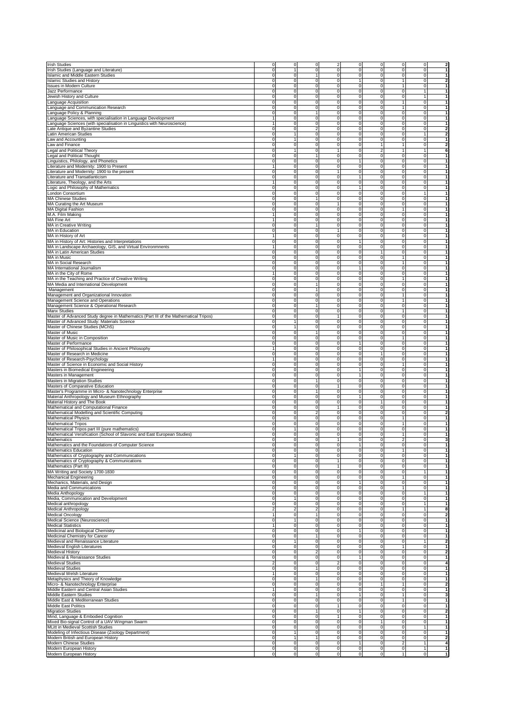| <b>Irish Studies</b><br>Irish Studies (Language and Literature)                                                                                                                                                                                                                                                                                                                                                                                                                                                                                                                                                                                                                                                                                                        |                         |                         |                                  |                         |                            |                             | $\mathbf 0$                    |                             |                         |
|------------------------------------------------------------------------------------------------------------------------------------------------------------------------------------------------------------------------------------------------------------------------------------------------------------------------------------------------------------------------------------------------------------------------------------------------------------------------------------------------------------------------------------------------------------------------------------------------------------------------------------------------------------------------------------------------------------------------------------------------------------------------|-------------------------|-------------------------|----------------------------------|-------------------------|----------------------------|-----------------------------|--------------------------------|-----------------------------|-------------------------|
|                                                                                                                                                                                                                                                                                                                                                                                                                                                                                                                                                                                                                                                                                                                                                                        | 0                       | 0                       | 0                                | 2                       | $\mathbf 0$<br>$\mathbf 0$ | 0                           |                                | 0                           | 1                       |
|                                                                                                                                                                                                                                                                                                                                                                                                                                                                                                                                                                                                                                                                                                                                                                        | 0                       | 1                       | 0                                | 0                       |                            | 0                           | $\mathbf 0$                    | 0                           |                         |
| Islamic and Middle Eastern Studies                                                                                                                                                                                                                                                                                                                                                                                                                                                                                                                                                                                                                                                                                                                                     | $\mathsf{O}\xspace$     | $\mathbf 0$             | 1                                | 0                       | $\mathbf 0$                | $\mathbf 0$                 | $\mathbf 0$                    | $\Omega$                    | 1                       |
| <b>Islamic Studies and History</b>                                                                                                                                                                                                                                                                                                                                                                                                                                                                                                                                                                                                                                                                                                                                     | 0                       | 0                       | 0                                | 0                       | $\overline{1}$             | 0                           | 1                              | $\Omega$                    | $\overline{\mathbf{2}}$ |
| Issues in Modern Culture                                                                                                                                                                                                                                                                                                                                                                                                                                                                                                                                                                                                                                                                                                                                               | 0                       | $\mathbf 0$             | 0                                | 0                       | $\mathbf 0$                | $\mathbf 0$                 | $\mathbf{1}$                   | $\mathbf 0$                 | $\mathbf{1}$            |
| Jazz Performance                                                                                                                                                                                                                                                                                                                                                                                                                                                                                                                                                                                                                                                                                                                                                       | $\mathbf 0$             | ō                       | $\overline{0}$                   | $\overline{0}$          | ō                          | $\overline{0}$              | ō                              | $\overline{1}$              | $\overline{1}$          |
| Jewish History and Culture                                                                                                                                                                                                                                                                                                                                                                                                                                                                                                                                                                                                                                                                                                                                             | 0                       | 0                       | $\mathsf 0$                      | 0                       | $\mathsf 0$                | $\mathbf 0$                 | $\mathbf 0$                    | $\mathbf{1}$                | $\mathbf{1}$            |
| Language Acquisition                                                                                                                                                                                                                                                                                                                                                                                                                                                                                                                                                                                                                                                                                                                                                   | 0                       | 0                       | 0                                | 0                       | $\mathbf 0$                | 0                           | $\mathbf{1}$                   | $\mathbf 0$                 | $\mathbf{1}$            |
| Language and Communication Research                                                                                                                                                                                                                                                                                                                                                                                                                                                                                                                                                                                                                                                                                                                                    | 0                       | $\mathbf 0$             | $\mathsf 0$                      | 0                       | $\mathbf 0$                | $\mathbf 0$                 | 1                              | $\mathbf 0$                 | $\mathbf{1}$            |
| Language Policy & Planning                                                                                                                                                                                                                                                                                                                                                                                                                                                                                                                                                                                                                                                                                                                                             | 0                       | $\mathbf 0$             | 1                                | 0                       | $\mathbf 0$                | 0                           | $\mathbf 0$                    | $\mathbf 0$                 | $\mathbf{1}$            |
| Language Sciences, with specialisation in Language Development                                                                                                                                                                                                                                                                                                                                                                                                                                                                                                                                                                                                                                                                                                         | 1                       | $\mathbf 0$             | $\overline{0}$                   | 0                       | $\mathbf 0$                | $\mathbf 0$                 | $\mathbf 0$                    | $\mathbf 0$                 | $\mathbf{1}$            |
| Language Sciences (with specialisation in Linguistics with Neuroscience)                                                                                                                                                                                                                                                                                                                                                                                                                                                                                                                                                                                                                                                                                               | $\mathbf{1}$            | $\mathbf 0$             | $\mathbf 0$                      | $\bf 0$                 | $\mathbf 0$                | $\mathbf 0$                 | $\mathbf 0$                    | $\mathbf 0$                 | $\mathbf{1}$            |
|                                                                                                                                                                                                                                                                                                                                                                                                                                                                                                                                                                                                                                                                                                                                                                        | 0                       | $\overline{0}$          |                                  |                         | $\overline{0}$             | $\mathbf 0$                 | $\pmb{0}$                      | $\mathbf 0$                 | $\overline{\mathbf{2}}$ |
| Late Antique and Byzantine Studies                                                                                                                                                                                                                                                                                                                                                                                                                                                                                                                                                                                                                                                                                                                                     |                         |                         | $\boldsymbol{2}$                 | 0                       |                            |                             |                                |                             |                         |
| Latin American Studies                                                                                                                                                                                                                                                                                                                                                                                                                                                                                                                                                                                                                                                                                                                                                 | 0                       | $\mathbf{1}$            | $\mathsf 0$                      | 0                       | $\mathbf 0$                | 0                           | $\mathbf 0$                    | $\mathbf{1}$                | $\overline{\mathbf{2}}$ |
| Law and Accounting                                                                                                                                                                                                                                                                                                                                                                                                                                                                                                                                                                                                                                                                                                                                                     | 0                       | 1                       | $\mathsf 0$                      | 0                       | $\mathsf 0$                | $\mathbf 0$                 | $\pmb{0}$                      | $\mathbf 0$                 | 1                       |
| Law and Finance                                                                                                                                                                                                                                                                                                                                                                                                                                                                                                                                                                                                                                                                                                                                                        | 0                       | 0                       | $\mathsf 0$                      | 0                       | $\mathsf 0$                | $\overline{1}$              | $\overline{1}$                 | 0                           | $\overline{\mathbf{2}}$ |
| Legal and Political Theory                                                                                                                                                                                                                                                                                                                                                                                                                                                                                                                                                                                                                                                                                                                                             | 0                       | 1                       | $\mathsf 0$                      | 1                       | $\mathsf 0$                | 2                           | 1                              | 1                           | 6                       |
| Legal and Political Thought                                                                                                                                                                                                                                                                                                                                                                                                                                                                                                                                                                                                                                                                                                                                            | 0                       | $\mathbf 0$             | 1                                | $\overline{0}$          | $\mathbf 0$                | $\overline{0}$              | $\mathbf 0$                    | $\mathbf 0$                 | 1                       |
| Linguistics, Philology, and Phonetics                                                                                                                                                                                                                                                                                                                                                                                                                                                                                                                                                                                                                                                                                                                                  | $\mathsf 0$             | $\pmb{0}$               | $\mathsf 0$                      | 0                       | $\mathbf{1}$               | $\mathbf 0$                 | $\pmb{0}$                      | $\mathbf 0$                 | $\mathbf{1}$            |
| Literature and Modernity: 1900 to Present                                                                                                                                                                                                                                                                                                                                                                                                                                                                                                                                                                                                                                                                                                                              | 1                       | 0                       | 0                                | $\mathsf 0$             | $\overline{0}$             | 0                           | $\mathbf 0$                    | $\circ$                     | $\mathbf{1}$            |
| Literature and Modernity: 1900 to the present                                                                                                                                                                                                                                                                                                                                                                                                                                                                                                                                                                                                                                                                                                                          | 0                       | 0                       | 0                                | 1                       | $\mathbf 0$                | 0                           | $\mathbf 0$                    | $\Omega$                    | $\mathbf{1}$            |
| Literature and Transatlanticism                                                                                                                                                                                                                                                                                                                                                                                                                                                                                                                                                                                                                                                                                                                                        |                         |                         |                                  |                         |                            | $\Omega$                    |                                | $\Omega$                    | $\mathbf{1}$            |
|                                                                                                                                                                                                                                                                                                                                                                                                                                                                                                                                                                                                                                                                                                                                                                        | 0                       | $\mathbf 0$             | $\mathsf 0$                      | $\mathsf 0$             | $\mathbf{1}$               |                             | $\pmb{0}$                      |                             |                         |
| Literature, Theology, and the Arts                                                                                                                                                                                                                                                                                                                                                                                                                                                                                                                                                                                                                                                                                                                                     | $\mathbf{1}$            | $\mathbf 0$             | $\mathsf 0$                      | $\overline{0}$          | ō                          | $\mathbf 0$                 | $\mathbf 0$                    | $\mathbf 0$                 | $\mathbf{1}$            |
| Logic and Philosophy of Mathematics                                                                                                                                                                                                                                                                                                                                                                                                                                                                                                                                                                                                                                                                                                                                    | 0                       | 0                       | $\mathsf 0$                      | 0                       | $\mathbf{1}$               | $\mathbf 0$                 | $\mathbf 0$                    | $\mathbf 0$                 | 1                       |
| London Consortium                                                                                                                                                                                                                                                                                                                                                                                                                                                                                                                                                                                                                                                                                                                                                      | 0                       | $\mathbf 0$             | $\mathbf 0$                      | $\mathsf 0$             | $\mathsf{O}$               | $\mathbf 0$                 | $\mathbf 0$                    | $\mathbf{1}$                | $\mathbf{1}$            |
| <b>MA Chinese Studies</b>                                                                                                                                                                                                                                                                                                                                                                                                                                                                                                                                                                                                                                                                                                                                              | 0                       | $\pmb{0}$               | 1                                | $\pmb{0}$               | $\mathbf 0$                | $\mathbf 0$                 | $\mathbf 0$                    | $\mathbf 0$                 | 1                       |
| MA Curating the Art Museum                                                                                                                                                                                                                                                                                                                                                                                                                                                                                                                                                                                                                                                                                                                                             | 0                       | $\pmb{0}$               | 0                                | 1                       | 0                          | 0                           | 0                              | 0                           | 1                       |
| MA Digital Fashion                                                                                                                                                                                                                                                                                                                                                                                                                                                                                                                                                                                                                                                                                                                                                     | 0                       | $\mathbf 0$             | $\mathsf 0$                      | $\mathsf 0$             | $\mathsf 0$                | 0                           | $\overline{1}$                 | $\Omega$                    | 1                       |
| M.A. Film Making                                                                                                                                                                                                                                                                                                                                                                                                                                                                                                                                                                                                                                                                                                                                                       | 1                       | 0                       | $\mathsf 0$                      | 0                       | $\mathbf 0$                | $\mathbf 0$                 | $\mathbf 0$                    | $\mathbf 0$                 |                         |
| MA Fine Art                                                                                                                                                                                                                                                                                                                                                                                                                                                                                                                                                                                                                                                                                                                                                            |                         | $\mathbf 0$             | $\mathsf 0$                      | 0                       | $\mathbf 0$                | $\mathbf 0$                 | $\mathbf 0$                    | $\mathbf 0$                 | 1                       |
|                                                                                                                                                                                                                                                                                                                                                                                                                                                                                                                                                                                                                                                                                                                                                                        |                         |                         | $\mathbf{1}$                     | $\overline{0}$          |                            |                             |                                | $\mathbf 0$                 | $\mathbf{1}$            |
| MA in Creative Writing                                                                                                                                                                                                                                                                                                                                                                                                                                                                                                                                                                                                                                                                                                                                                 | 0                       | $\mathbf 0$             |                                  |                         | $\mathsf{O}$               | $\mathbf 0$                 | $\mathbf 0$                    |                             |                         |
| MA in Education                                                                                                                                                                                                                                                                                                                                                                                                                                                                                                                                                                                                                                                                                                                                                        | 0                       | $\pmb{0}$               | 0                                | 1                       | $\mathbf 0$                | $\mathbf 0$                 | $\mathbf 0$                    | $\mathbf 0$                 | $\mathbf{1}$            |
| MA in History of Art                                                                                                                                                                                                                                                                                                                                                                                                                                                                                                                                                                                                                                                                                                                                                   | 1                       | 0                       | 0                                | $\mathsf 0$             | $\mathbf 0$                | 0                           | $\mathbf 0$                    | $\mathbf 0$                 | $\mathbf{1}$            |
| MA in History of Art: Histories and Interpretations                                                                                                                                                                                                                                                                                                                                                                                                                                                                                                                                                                                                                                                                                                                    | 0                       | $\mathbf 0$             | $\mathsf 0$                      | 0                       | $\mathbf{1}$               | 0                           | $\mathbf 0$                    | $\mathbf 0$                 | $\mathbf{1}$            |
| MA in Landscape Archaeology, GIS, and Virtual Environmnents                                                                                                                                                                                                                                                                                                                                                                                                                                                                                                                                                                                                                                                                                                            | 1                       | $\mathbf 0$             | $\mathsf 0$                      | 0                       | $\mathbf 0$                | $\mathbf 0$                 | $\mathbf 0$                    | $\mathbf 0$                 | 1                       |
| MA in Latin American Studies                                                                                                                                                                                                                                                                                                                                                                                                                                                                                                                                                                                                                                                                                                                                           | 0                       | $\mathbf 0$             | $\overline{0}$                   | 0                       | $\mathsf 0$                | $\overline{1}$              | $\mathbf 0$                    | $\mathbf 0$                 | $\mathbf{1}$            |
| MA in Music                                                                                                                                                                                                                                                                                                                                                                                                                                                                                                                                                                                                                                                                                                                                                            | 0                       | o                       | O                                | 0                       | o                          | $\mathbf 0$                 | $\overline{1}$                 | $\mathbf 0$                 | $\mathbf{1}$            |
| MA in Social Research                                                                                                                                                                                                                                                                                                                                                                                                                                                                                                                                                                                                                                                                                                                                                  | $\mathsf 0$             | o                       | 0                                | 0                       | $\mathsf 0$                | $\mathbf 0$                 | $\mathbf{1}$                   | $\mathbf 0$                 | $\mathbf{1}$            |
|                                                                                                                                                                                                                                                                                                                                                                                                                                                                                                                                                                                                                                                                                                                                                                        | 0                       | o                       |                                  |                         |                            |                             |                                |                             |                         |
| MA International Journalism                                                                                                                                                                                                                                                                                                                                                                                                                                                                                                                                                                                                                                                                                                                                            |                         |                         | 0                                | 0                       | 1                          | 0                           | $\mathbf 0$                    | 0                           | 1                       |
| MA in the City of Rome                                                                                                                                                                                                                                                                                                                                                                                                                                                                                                                                                                                                                                                                                                                                                 | 1                       | $\mathbf 0$             | $\mathsf 0$                      | 0                       | $\mathbf 0$                | 0                           | 0                              | $\Omega$                    | 1                       |
| MA in the Teaching and Practice of Creative Writing                                                                                                                                                                                                                                                                                                                                                                                                                                                                                                                                                                                                                                                                                                                    | 0                       | 0                       | 0                                | 0                       | $\bf 0$                    | 0                           | 1                              | 0                           | 1                       |
| MA Media and International Development                                                                                                                                                                                                                                                                                                                                                                                                                                                                                                                                                                                                                                                                                                                                 | 0                       | $\mathbf 0$             | $\mathbf{1}$                     | 0                       | $\mathbf 0$                | $\mathbf 0$                 | $\mathbf 0$                    | $\mathbf 0$                 | 1                       |
| Management                                                                                                                                                                                                                                                                                                                                                                                                                                                                                                                                                                                                                                                                                                                                                             | 0                       | $\mathbf 0$             | 1                                | 0                       | $\mathsf{O}\xspace$        | $\mathbf 0$                 | $\mathbf 0$                    | $\mathbf 0$                 | $\mathbf{1}$            |
| Management and Organizational Innovation                                                                                                                                                                                                                                                                                                                                                                                                                                                                                                                                                                                                                                                                                                                               | $\pmb{0}$               | $\pmb{0}$               | $\mathsf 0$                      | 0                       | $\mathbf 0$                | $\mathbf 0$                 | $\mathbf{1}$                   | $\mathbf 0$                 | $\mathbf{1}$            |
| Management Science and Operations                                                                                                                                                                                                                                                                                                                                                                                                                                                                                                                                                                                                                                                                                                                                      | 0                       | 0                       | 0                                | $\mathsf 0$             | $\mathbf 0$                | 0                           | $\mathbf{1}$                   | $\mathbf 0$                 | $\mathbf{1}$            |
| Management Science & Operational Research                                                                                                                                                                                                                                                                                                                                                                                                                                                                                                                                                                                                                                                                                                                              | $\mathsf 0$             | $\mathbf 0$             | 1                                | $\mathsf 0$             | $\mathbf 0$                | $\mathbf 0$                 | $\mathbf 0$                    | $\mathbf 0$                 | $\mathbf{1}$            |
| Manx Studies                                                                                                                                                                                                                                                                                                                                                                                                                                                                                                                                                                                                                                                                                                                                                           |                         |                         |                                  |                         |                            |                             |                                | $\Omega$                    | $\mathbf{1}$            |
|                                                                                                                                                                                                                                                                                                                                                                                                                                                                                                                                                                                                                                                                                                                                                                        | 0                       | $\mathbf 0$             | $\mathsf 0$                      | 0                       | $\mathbf 0$                | 0                           | 1                              |                             |                         |
| Master of Advanced Study degree in Mathematics (Part III of the Mathematical Tripos)                                                                                                                                                                                                                                                                                                                                                                                                                                                                                                                                                                                                                                                                                   | $\mathbf 0$             | $\mathbf 0$             | $\mathsf 0$                      | 1                       | $\mathbf 0$                | $\mathbf 0$                 | $\mathbf 0$                    | $\mathbf 0$                 | 1                       |
| Master of Advanced Study: Materials Science                                                                                                                                                                                                                                                                                                                                                                                                                                                                                                                                                                                                                                                                                                                            | $\mathsf 0$             | 1                       | $\mathsf 0$                      | 0                       | $\mathbf 0$                | $\mathbf 0$                 | $\mathbf 0$                    | $\mathbf 0$                 | $\mathbf{1}$            |
| Master of Chinese Studies (MChS)                                                                                                                                                                                                                                                                                                                                                                                                                                                                                                                                                                                                                                                                                                                                       | 0                       | $\mathbf{1}$            | $\mathsf 0$                      | 0                       | $\overline{0}$             | $\overline{0}$              | o                              | $\mathbf 0$                 | $\overline{1}$          |
| Master of Music                                                                                                                                                                                                                                                                                                                                                                                                                                                                                                                                                                                                                                                                                                                                                        | 0                       | $\mathbf 0$             | 1                                | 0                       | $\mathsf 0$                | 0                           | $\mathbf 0$                    | 0                           |                         |
| Master of Music in Composition                                                                                                                                                                                                                                                                                                                                                                                                                                                                                                                                                                                                                                                                                                                                         | 0                       | 0                       | $\mathsf 0$                      | 0                       | 0                          | 0                           | 1                              | $\Omega$                    | 1                       |
| Master of Performance                                                                                                                                                                                                                                                                                                                                                                                                                                                                                                                                                                                                                                                                                                                                                  | 0                       | 0                       | 0                                | 0                       | $\overline{1}$             | 0                           | 0                              | $\Omega$                    |                         |
| Master of Philosophical Studies in Ancient Philosophy                                                                                                                                                                                                                                                                                                                                                                                                                                                                                                                                                                                                                                                                                                                  |                         | $\mathbf 0$             | $\mathbf 0$                      | 0                       | $\mathbf 0$                | $\mathbf 0$                 | $\mathbf 0$                    | $\mathbf 0$                 |                         |
| Master of Research in Medicine                                                                                                                                                                                                                                                                                                                                                                                                                                                                                                                                                                                                                                                                                                                                         | $\mathbf 0$             | $\mathbf 0$             | $\mathbf 0$                      | 0                       | $\mathbf 0$                |                             | $\mathbf 0$                    | $\mathbf 0$                 | 1                       |
|                                                                                                                                                                                                                                                                                                                                                                                                                                                                                                                                                                                                                                                                                                                                                                        |                         |                         |                                  |                         |                            |                             |                                |                             |                         |
| Master of Research-Psychology                                                                                                                                                                                                                                                                                                                                                                                                                                                                                                                                                                                                                                                                                                                                          | 1                       | $\overline{0}$          | $\overline{0}$                   | $\overline{0}$          | $\overline{0}$             | $\mathbf 0$                 | o                              | ō                           | $\mathbf{1}$            |
| Master of Science in Economic and Social History                                                                                                                                                                                                                                                                                                                                                                                                                                                                                                                                                                                                                                                                                                                       | 0                       | 0                       | $\mathsf 0$                      | 0                       | $\mathsf 0$                | 0                           | 1                              | $\mathbf 0$                 | 1                       |
| Masters in Biomedical Engineering                                                                                                                                                                                                                                                                                                                                                                                                                                                                                                                                                                                                                                                                                                                                      | 0                       | 0                       | 0                                | 0                       | 1                          | 0                           | $\mathbf 0$                    | $\mathbf 0$                 | $\mathbf{1}$            |
| Masters in Management                                                                                                                                                                                                                                                                                                                                                                                                                                                                                                                                                                                                                                                                                                                                                  | 0                       | $\mathbf 0$             | $\mathsf{O}\xspace$              | 0                       | $\mathbf{1}$               | $\Omega$                    | $\mathbf 0$                    | $\mathbf 0$                 | $\mathbf{1}$            |
| <b>Masters in Migration Studies</b>                                                                                                                                                                                                                                                                                                                                                                                                                                                                                                                                                                                                                                                                                                                                    | 0                       | $\mathbf 0$             | 1                                | 0                       | $\mathbf 0$                | $\mathbf 0$                 | $\mathbf 0$                    | $\mathbf 0$                 | $\mathbf{1}$            |
| Masters of Comparative Education                                                                                                                                                                                                                                                                                                                                                                                                                                                                                                                                                                                                                                                                                                                                       | 0                       | $\mathbf 0$             | $\overline{0}$                   | 1                       | $\mathbf 0$                | $\mathbf 0$                 | $\mathbf 0$                    | $\mathbf 0$                 | 1                       |
| Master's Programme in Micro- & Nanotechnology Enterprise                                                                                                                                                                                                                                                                                                                                                                                                                                                                                                                                                                                                                                                                                                               | 0                       | o                       | $\overline{1}$                   | $\overline{0}$          | $\overline{0}$             | $\mathbf 0$                 |                                |                             |                         |
| Material Anthropology and Museum Ethnography                                                                                                                                                                                                                                                                                                                                                                                                                                                                                                                                                                                                                                                                                                                           | $\pmb{0}$               |                         |                                  |                         |                            |                             |                                |                             |                         |
|                                                                                                                                                                                                                                                                                                                                                                                                                                                                                                                                                                                                                                                                                                                                                                        |                         |                         |                                  |                         |                            |                             | $\overline{0}$                 | $\mathbf 0$                 | $\mathbf{1}$            |
| Material History and The Book                                                                                                                                                                                                                                                                                                                                                                                                                                                                                                                                                                                                                                                                                                                                          |                         | o                       | $\overline{0}$                   | 0                       | $\overline{1}$             | $\mathbf 0$                 | $\mathbf 0$                    | $\mathbf 0$                 | $\mathbf{1}$            |
|                                                                                                                                                                                                                                                                                                                                                                                                                                                                                                                                                                                                                                                                                                                                                                        | 0                       | o                       | $\mathsf 0$                      | $\pmb{0}$               | $\mathsf 0$                | $\overline{1}$              | $\mathbf 0$                    | 0                           | $\mathbf{1}$            |
| Mathematical and Computational Finance                                                                                                                                                                                                                                                                                                                                                                                                                                                                                                                                                                                                                                                                                                                                 | $\mathsf{O}\xspace$     | $\mathbf 0$             | $\mathbf 0$                      | 1                       | $\mathsf 0$                | 0                           | 0                              | $\Omega$                    | $\mathbf{1}$            |
| Mathematical Modelling and Scientific Computing                                                                                                                                                                                                                                                                                                                                                                                                                                                                                                                                                                                                                                                                                                                        | 0                       | $\mathbf 0$             | 2                                | 0                       | $\mathsf 0$                | 0                           | 0                              | 0                           | $\overline{\mathbf{2}}$ |
|                                                                                                                                                                                                                                                                                                                                                                                                                                                                                                                                                                                                                                                                                                                                                                        | 0                       | $\mathbf 0$             | $\overline{0}$                   | $\overline{0}$          | $\overline{0}$             | $\mathbf 0$                 | $\mathbf{1}$                   | $\mathbf 0$                 | 1                       |
|                                                                                                                                                                                                                                                                                                                                                                                                                                                                                                                                                                                                                                                                                                                                                                        |                         | $\mathbf 0$             | $\mathbf 0$                      |                         | $\mathsf{O}$               | $\mathbf 0$                 | $\mathbf{1}$                   | $\mathbf 0$                 | $\mathbf{1}$            |
| <b>Mathematical Physics</b><br><b>Mathematical Tripos</b>                                                                                                                                                                                                                                                                                                                                                                                                                                                                                                                                                                                                                                                                                                              | $\mathsf{O}\xspace$     |                         |                                  | 0                       |                            |                             |                                |                             | $\mathbf{1}$            |
| Mathematical Tripos part III (pure mathematics)                                                                                                                                                                                                                                                                                                                                                                                                                                                                                                                                                                                                                                                                                                                        | 0                       | $\mathbf{1}$            | 0                                | 0                       | $\mathbf 0$                | 0                           | $\mathbf 0$                    | $\mathbf 0$                 | $\mathbf{1}$            |
| Mathematical Versification (School of Slavonic and East European Studies)                                                                                                                                                                                                                                                                                                                                                                                                                                                                                                                                                                                                                                                                                              | $\mathsf 0$             | $\mathbf 0$             | $\mathsf 0$                      | $\mathsf 0$             | $\mathbf 0$                | 0                           | $\mathbf{1}$                   | $\mathbf 0$                 |                         |
| Mathematics                                                                                                                                                                                                                                                                                                                                                                                                                                                                                                                                                                                                                                                                                                                                                            | 0                       | $\mathbf 0$             | $\mathbf 0$                      | $\mathbf{1}$            | $\mathsf 0$                | 0                           | $\overline{2}$                 | $\Omega$                    | 3<br>1                  |
| Mathematics and the Foundations of Computer Science                                                                                                                                                                                                                                                                                                                                                                                                                                                                                                                                                                                                                                                                                                                    | $\Omega$                | $\overline{0}$          | $\mathbf{0}$                     | $\mathbf{0}$            | 1                          | $\mathbf 0$                 | $\Omega$                       | $\Omega$                    |                         |
| Mathematics Education                                                                                                                                                                                                                                                                                                                                                                                                                                                                                                                                                                                                                                                                                                                                                  | 0                       | 0                       | $\mathbf 0$                      | 0                       | $\mathsf 0$                | $\mathbf 0$                 | $\mathbf{1}$                   | $\mathbf 0$                 | 1                       |
| Mathematics of Cryptography and Communications                                                                                                                                                                                                                                                                                                                                                                                                                                                                                                                                                                                                                                                                                                                         | 0                       | $\mathbf{1}$            | $\mathbf 0$                      | 0                       | $\mathbf 0$                | $\mathbf 0$                 | $\mathbf 0$                    | $\mathbf 0$                 | $\mathbf{1}$            |
| Mathematics of Cryptography & Communications                                                                                                                                                                                                                                                                                                                                                                                                                                                                                                                                                                                                                                                                                                                           | $\mathsf 0$             | o                       | $\mathsf 0$                      | 1                       | o                          | $\overline{0}$              | o                              | $\mathbf 0$                 | $\mathbf{1}$            |
| Mathematics (Part III)                                                                                                                                                                                                                                                                                                                                                                                                                                                                                                                                                                                                                                                                                                                                                 | 0                       | $\pmb{0}$               | 0                                | 1                       | $\mathbf 0$                | 0                           | $\mathbf 0$                    | 0                           | $\mathbf{1}$            |
| MA Writing and Society 1700-1830                                                                                                                                                                                                                                                                                                                                                                                                                                                                                                                                                                                                                                                                                                                                       | $\mathsf{O}\xspace$     | $\mathbf 0$             | $\mathsf 0$                      | $\mathsf 0$             | $\mathbf 0$                | $\mathbf 0$                 | $\pmb{0}$                      | $\overline{1}$              | $\mathbf{1}$            |
|                                                                                                                                                                                                                                                                                                                                                                                                                                                                                                                                                                                                                                                                                                                                                                        | 0                       | $\mathbf 0$             | $\mathsf 0$                      | 0                       | $\mathsf 0$                | $\mathbf 0$                 | 1                              | $\mathbf 0$                 | 1                       |
|                                                                                                                                                                                                                                                                                                                                                                                                                                                                                                                                                                                                                                                                                                                                                                        | 0                       | $\mathbf 0$             | $\mathsf 0$                      |                         | $\mathbf{1}$               | $\mathbf 0$                 | $\mathbf 0$                    | $\mathbf 0$                 | $\mathbf{1}$            |
| Mechanical Engineering<br>Mechanics, Materials, and Design                                                                                                                                                                                                                                                                                                                                                                                                                                                                                                                                                                                                                                                                                                             |                         |                         |                                  | $\overline{0}$          | $\mathbf 0$                | $\mathbf 0$                 | 1                              | $\mathbf 0$                 | $\mathbf{1}$            |
|                                                                                                                                                                                                                                                                                                                                                                                                                                                                                                                                                                                                                                                                                                                                                                        | 0                       | $\mathbf 0$             | $\mathsf 0$                      | 0                       |                            |                             |                                |                             |                         |
|                                                                                                                                                                                                                                                                                                                                                                                                                                                                                                                                                                                                                                                                                                                                                                        | $\mathsf 0$             | $\overline{\mathbf{0}}$ | $\mathsf 0$                      | $\overline{0}$          | o                          | $\mathbf 0$                 | $\mathbf{0}$                   | $\overline{1}$              | $\overline{1}$          |
|                                                                                                                                                                                                                                                                                                                                                                                                                                                                                                                                                                                                                                                                                                                                                                        | 0                       | $\mathbf{1}$            | 0                                | $\mathsf 0$             | $\circ$                    | 0                           | $\overline{0}$                 | $\circ$                     | $\mathbf{1}$            |
| Media and Communications<br>Media Anthopology<br>Media, Communication and Development<br>Medical anthropology                                                                                                                                                                                                                                                                                                                                                                                                                                                                                                                                                                                                                                                          | 0                       | 0                       | 0                                | $\mathbf 0$             | $\mathbf 0$                | 0                           | $\overline{0}$                 | $\mathbf{1}$                | $\mathbf{1}$            |
|                                                                                                                                                                                                                                                                                                                                                                                                                                                                                                                                                                                                                                                                                                                                                                        | $\overline{\mathbf{c}}$ | $\overline{\mathbf{c}}$ | $\boldsymbol{2}$                 | 0                       | $\mathbf 0$                | $\pmb{0}$                   | $\mathbf{1}$                   | $\mathbf{1}$                | 8                       |
|                                                                                                                                                                                                                                                                                                                                                                                                                                                                                                                                                                                                                                                                                                                                                                        | 1                       | $\mathbf 0$             | 1                                | 0                       | o                          | $\mathbf 0$                 | $\mathbf 0$                    | $\mathbf 0$                 | $\overline{2}$          |
|                                                                                                                                                                                                                                                                                                                                                                                                                                                                                                                                                                                                                                                                                                                                                                        | $\mathsf 0$             | $\mathbf{1}$            | $\overline{0}$                   | $\overline{0}$          | o                          | $\mathbf 0$                 | $\mathbf 0$                    | $\mathbf 0$                 | $\mathbf{1}$            |
|                                                                                                                                                                                                                                                                                                                                                                                                                                                                                                                                                                                                                                                                                                                                                                        | 1                       | o                       | o                                | $\overline{0}$          | o                          | $\overline{0}$              | o                              | $\mathbf 0$                 | $\overline{1}$          |
|                                                                                                                                                                                                                                                                                                                                                                                                                                                                                                                                                                                                                                                                                                                                                                        | $\mathsf 0$             | $\mathbf 0$             | $\mathbf 0$                      |                         | $\mathbf{1}$               | $\mathbf 0$                 | $\mathbf 0$                    | $\mathbf 0$                 | $\mathbf{1}$            |
|                                                                                                                                                                                                                                                                                                                                                                                                                                                                                                                                                                                                                                                                                                                                                                        |                         |                         |                                  | $\mathbf 0$             |                            |                             |                                |                             |                         |
|                                                                                                                                                                                                                                                                                                                                                                                                                                                                                                                                                                                                                                                                                                                                                                        | $\mathsf{O}\xspace$     | $\pmb{0}$               | 1                                | $\mathbf 0$             | $\circ$                    | 0                           | $\mathbf 0$                    | 0                           | $\mathbf{1}$            |
|                                                                                                                                                                                                                                                                                                                                                                                                                                                                                                                                                                                                                                                                                                                                                                        | $\mathsf{O}\xspace$     | $\mathbf{1}$            | $\mathbf 0$                      | 0                       | $\mathbf 0$                | $\mathbf 0$                 | $\mathbf 0$                    | $\mathbf{1}$                | $\overline{\mathbf{2}}$ |
|                                                                                                                                                                                                                                                                                                                                                                                                                                                                                                                                                                                                                                                                                                                                                                        | $\mathbf 0$             | $\mathbf 0$             | $\mathbf 0$                      | $\mathbf 0$             | $\mathbf 0$                | $\mathbf 0$                 | $\mathbf{1}$                   | $\mathbf 0$                 | $\mathbf{1}$            |
|                                                                                                                                                                                                                                                                                                                                                                                                                                                                                                                                                                                                                                                                                                                                                                        | $\mathsf{O}\xspace$     | $\mathbf 0$             | 2                                | o                       | $\mathbf 0$                | $\mathbf 0$                 | $\mathbf 0$                    | $\mathbf 0$                 | $\overline{\mathbf{2}}$ |
|                                                                                                                                                                                                                                                                                                                                                                                                                                                                                                                                                                                                                                                                                                                                                                        | $\mathbf 0$             | o                       | o                                | o                       | $\overline{1}$             | $\overline{0}$              | o                              | ō                           | $\overline{1}$          |
|                                                                                                                                                                                                                                                                                                                                                                                                                                                                                                                                                                                                                                                                                                                                                                        | 2                       | $\mathbf 0$             | $\mathbf 0$                      | $\overline{\mathbf{c}}$ | $\mathsf{O}$               | $\mathbf 0$                 | $\mathbf 0$                    | $\mathbf 0$                 | $\overline{4}$          |
|                                                                                                                                                                                                                                                                                                                                                                                                                                                                                                                                                                                                                                                                                                                                                                        | 0                       | $\mathbf 0$             | 1                                | $\mathbf 0$             | $\circ$                    | 0                           | $\overline{0}$                 | $\circ$                     | $\mathbf{1}$            |
|                                                                                                                                                                                                                                                                                                                                                                                                                                                                                                                                                                                                                                                                                                                                                                        |                         |                         |                                  |                         |                            |                             |                                | $\mathbf 0$                 | $\mathbf{1}$            |
|                                                                                                                                                                                                                                                                                                                                                                                                                                                                                                                                                                                                                                                                                                                                                                        | 1                       | $\mathbf 0$             | $\mathbf 0$                      | 0                       | $\mathbf 0$                | 0                           | $\mathbf 0$                    |                             | $\mathbf{1}$            |
|                                                                                                                                                                                                                                                                                                                                                                                                                                                                                                                                                                                                                                                                                                                                                                        | $\mathbf 0$             | $\mathbf 0$             | 1                                | $\mathbf 0$             | $\mathbf 0$                | 0                           | $\mathbf 0$                    | $\mathbf 0$                 |                         |
|                                                                                                                                                                                                                                                                                                                                                                                                                                                                                                                                                                                                                                                                                                                                                                        | $\mathsf 0$             | o                       | $\overline{0}$                   | $\overline{0}$          | o                          | $\overline{1}$              | 1                              | $\mathbf 0$                 | $\overline{2}$          |
|                                                                                                                                                                                                                                                                                                                                                                                                                                                                                                                                                                                                                                                                                                                                                                        | 1                       | o                       | o                                | $\overline{0}$          | o                          | $\mathbf 0$                 | $\mathbf 0$                    | $\mathbf 0$                 | $\overline{1}$          |
|                                                                                                                                                                                                                                                                                                                                                                                                                                                                                                                                                                                                                                                                                                                                                                        | $\mathsf 0$             | $\mathbf 0$             | $\mathbf{1}$                     | 0                       | $\mathbf{1}$               | $\mathbf 0$                 | $\mathbf{1}$                   | $\mathbf 0$                 | 3                       |
|                                                                                                                                                                                                                                                                                                                                                                                                                                                                                                                                                                                                                                                                                                                                                                        | 0                       | $\mathbf 0$             | 0                                | $\pmb{0}$               | $\mathbf 0$                | 0                           | 1                              | 0                           | $\mathbf{1}$            |
|                                                                                                                                                                                                                                                                                                                                                                                                                                                                                                                                                                                                                                                                                                                                                                        | 0                       | $\mathbf 0$             | $\mathsf 0$                      | 1                       | $\mathbf 0$                | $\mathbf 0$                 | $\pmb{0}$                      | $\mathbf 0$                 | $\mathbf{1}$            |
|                                                                                                                                                                                                                                                                                                                                                                                                                                                                                                                                                                                                                                                                                                                                                                        | 0                       | $\mathbf 0$             | 1                                | $\mathsf 0$             | $\mathbf{1}$               | 0                           | 0                              | 0                           | $\overline{\mathbf{2}}$ |
|                                                                                                                                                                                                                                                                                                                                                                                                                                                                                                                                                                                                                                                                                                                                                                        |                         |                         |                                  |                         |                            |                             |                                |                             |                         |
|                                                                                                                                                                                                                                                                                                                                                                                                                                                                                                                                                                                                                                                                                                                                                                        | 0                       | $\mathbf 0$             | $\mathsf 0$                      | 1                       | $\mathbf 0$                | $\mathbf 0$                 | $\mathbf 0$                    | $\mathbf 0$                 | $\overline{1}$          |
|                                                                                                                                                                                                                                                                                                                                                                                                                                                                                                                                                                                                                                                                                                                                                                        | 0                       | $\mathbf 0$             | $\mathbf 0$                      | $\mathbf 0$             | $\mathsf{O}\xspace$        | $\overline{1}$              | $\mathbf 0$                    | $\overline{0}$              | $\mathbf{1}$            |
| Medical Anthropology<br><b>Medical Oncology</b><br>Medical Science (Neuroscience)<br><b>Medical Statistics</b><br>Medicinal and Biological Chemistry<br>Medicinal Chemistry for Cancer<br>Medieval and Renaissance Literature<br>Medieval English Literatures<br>Medieval History<br>Medieval & Renaissance Studies<br>Medieval Studies<br>Medieval Studies<br>Medieval Welsh Literature<br>Metaphysics and Theory of Knowledge<br>Micro- & Nanotechnology Enterprise<br>Middle Eastern and Central Asian Studies<br>Middle Eastern Studies<br>Middle East & Mediterranean Studies<br>Middle East Politics<br><b>Migration Studies</b><br>Mind, Language & Embodied Cognition<br>Mixed Bio-signal Control of a UAV Wingman Swarm<br>MLitt in Medieval Scottish Studies | $\pmb{0}$               | $\mathbf 0$             | 0                                | 0                       | $\mathbf 0$                | $\pmb{0}$                   | $\mathbf 0$                    | $\mathbf{1}$                | $\mathbf{1}$            |
| Modeling of Infectious Disease (Zoology Department)                                                                                                                                                                                                                                                                                                                                                                                                                                                                                                                                                                                                                                                                                                                    | 0                       | 1                       | $\mathsf 0$                      | $\mathsf 0$             | $\circ$                    | 0                           | $\overline{0}$                 | $\circ$                     | $\mathbf{1}$            |
| Modern British and European History                                                                                                                                                                                                                                                                                                                                                                                                                                                                                                                                                                                                                                                                                                                                    | 0                       | $\mathbf{1}$            | $\mathbf{1}$                     | $\mathsf 0$             | $\circ$                    | $\pmb{0}$                   | $\mathbf{0}$                   | $\overline{0}$              | $\overline{2}$          |
| Modern Chinese Studies                                                                                                                                                                                                                                                                                                                                                                                                                                                                                                                                                                                                                                                                                                                                                 | $\mathsf{O}\xspace$     | $\mathbf 0$             | $\mathbf 0$                      | $\mathbf 0$             | $\mathbf{1}$               | $\pmb{0}$                   | $\overline{2}$                 | $\mathbf{1}$                | 4                       |
| Modern European History<br>Modern European History                                                                                                                                                                                                                                                                                                                                                                                                                                                                                                                                                                                                                                                                                                                     | 0<br>0                  | o<br>$\pmb{0}$          | $\overline{0}$<br>$\overline{0}$ | $\overline{0}$<br>0     | O<br>O                     | $\overline{0}$<br>$\pmb{0}$ | $\overline{0}$<br>$\mathbf{1}$ | $\mathbf{1}$<br>$\mathsf 0$ | $\overline{1}$          |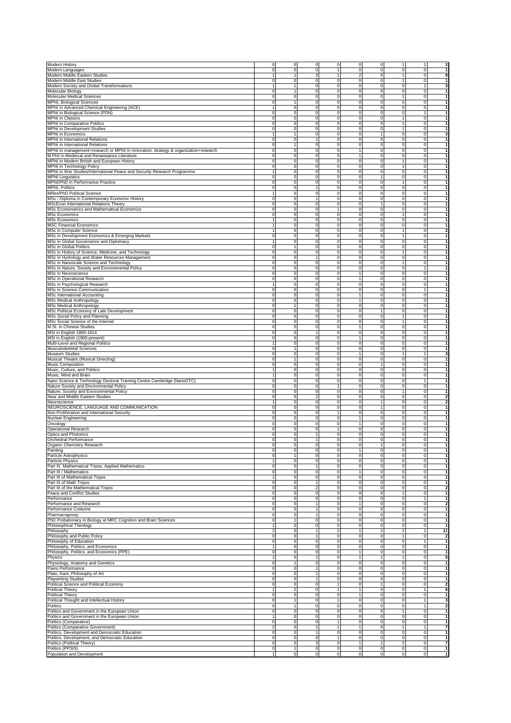| <b>Modern History</b>                                                                                                                                                                                                                                                                                                                                                                                                                                                                                                                                 | $\pmb{0}$               | $\pmb{0}$                                 | 0                   | 0                       | $\mathbf 0$                    | $\pmb{0}$                     | 1                          | 1                          | $\overline{2}$          |
|-------------------------------------------------------------------------------------------------------------------------------------------------------------------------------------------------------------------------------------------------------------------------------------------------------------------------------------------------------------------------------------------------------------------------------------------------------------------------------------------------------------------------------------------------------|-------------------------|-------------------------------------------|---------------------|-------------------------|--------------------------------|-------------------------------|----------------------------|----------------------------|-------------------------|
| Modern Languages                                                                                                                                                                                                                                                                                                                                                                                                                                                                                                                                      | 0                       | $\mathbf 0$                               | $\overline{0}$      | 1                       | $\mathbf 0$                    | $\mathbf 0$                   | $\mathbf 0$                | $\mathbf 0$                | $\overline{1}$          |
| Modern Middle Eastern Studies                                                                                                                                                                                                                                                                                                                                                                                                                                                                                                                         | 1                       | $\mathbf{1}$                              | 3                   | $\overline{1}$          | $\overline{2}$                 | $\overline{0}$                | 1                          | $\mathbf 0$                | 9                       |
| Modern Middle East Studies                                                                                                                                                                                                                                                                                                                                                                                                                                                                                                                            | $\mathsf 0$             | o                                         | $\mathsf 0$         | 0                       | o                              | $\pmb{0}$                     | 1                          | $\overline{0}$             | $\overline{1}$          |
| Modern Society and Global Transformations                                                                                                                                                                                                                                                                                                                                                                                                                                                                                                             | 1                       | $\mathbf{1}$                              | $\mathsf 0$         | $\mathsf 0$             | $\mathbf 0$                    | 0                             | $\overline{0}$             | $\mathbf{1}$               | 3                       |
| Molecular Biology                                                                                                                                                                                                                                                                                                                                                                                                                                                                                                                                     | 0                       | $\mathbf{1}$                              | $\mathsf 0$         | 0                       | $\mathbf 0$                    | $\pmb{0}$                     | $\mathbf 0$                | $\mathbf 0$                | $\mathbf{1}$            |
| Molecular Medical Sciences                                                                                                                                                                                                                                                                                                                                                                                                                                                                                                                            | 0                       | $\mathbf 0$                               | $\mathbf 0$         | 0                       | $\mathbf 0$                    | $\pmb{0}$                     | 1                          | $\mathbf 0$                | $\mathbf{1}$            |
| MPhil, Biological Sciences                                                                                                                                                                                                                                                                                                                                                                                                                                                                                                                            | 0                       | 1                                         | $\overline{0}$      | 0                       | o                              | $\mathbf 0$                   | $\mathbf 0$                | $\mathbf 0$                | $\mathbf{1}$            |
| MPhil in Advanced Chemical Engineering (ACE)                                                                                                                                                                                                                                                                                                                                                                                                                                                                                                          | 1                       | o                                         | o                   | $\overline{0}$          | ō                              | $\overline{0}$                | o                          | $\overline{0}$             | $\overline{1}$          |
| MPhil in Biological Science (PDN)                                                                                                                                                                                                                                                                                                                                                                                                                                                                                                                     | $\mathsf 0$             | o                                         | $\overline{0}$      | 0                       | $\overline{0}$                 | $\overline{0}$                | o                          | $\mathbf{1}$               | $\mathbf{1}$            |
| <b>MPhil in Classics</b>                                                                                                                                                                                                                                                                                                                                                                                                                                                                                                                              | 0                       | o                                         | 0                   | 0                       | $\mathbf 0$                    | 0                             | 1                          | $\mathbf 0$                | 1                       |
|                                                                                                                                                                                                                                                                                                                                                                                                                                                                                                                                                       |                         |                                           |                     |                         |                                |                               |                            |                            | 1                       |
| MPhil in Comparative Politics                                                                                                                                                                                                                                                                                                                                                                                                                                                                                                                         | 0                       | $\mathbf 0$                               | $\mathsf 0$         | 0                       | $\mathbf 0$                    | $\mathbf 0$                   | $\mathbf{1}$               | $\mathbf 0$                |                         |
| MPhil in Development Studies                                                                                                                                                                                                                                                                                                                                                                                                                                                                                                                          | 0                       | 0                                         | $\mathsf 0$         | 0                       | $\mathsf 0$                    | 0<br>$\overline{1}$           | 1                          | 0                          | 1                       |
| MPhil in Economics                                                                                                                                                                                                                                                                                                                                                                                                                                                                                                                                    | 1                       | 1                                         | $\mathsf 0$         | 0                       | $\mathbf 0$                    |                               | $\mathbf 0$                | $\mathbf 0$                | 3                       |
| MPhil in International Relations                                                                                                                                                                                                                                                                                                                                                                                                                                                                                                                      | $\mathsf{O}\xspace$     | $\mathbf 0$                               | 1                   | $\mathsf 0$             | $\mathbf 0$                    | $\mathbf 0$                   | $\mathbf 0$                | $\mathbf 0$                | $\mathbf{1}$            |
| MPhil in International Relations                                                                                                                                                                                                                                                                                                                                                                                                                                                                                                                      | $\pmb{0}$               | $\mathbf{1}$                              | $\mathsf 0$         | 0                       | o                              | $\mathbf 0$                   | $\mathbf 0$                | $\mathbf 0$                | $\mathbf{1}$            |
| MPhil in management+research or MPhil in innovation, strategy & organization+research                                                                                                                                                                                                                                                                                                                                                                                                                                                                 | 0                       | 0                                         | 0                   | $\mathsf 0$             | 1                              | 0                             | $\overline{0}$             | $\circ$                    | $\mathbf{1}$            |
| M.Phil in Medieval and Renaissance Literature                                                                                                                                                                                                                                                                                                                                                                                                                                                                                                         | 0                       | 0                                         | 0                   | $\mathsf 0$             | 1                              | 0                             | $\mathbf 0$                | $\mathbf 0$                | $\mathbf{1}$            |
| MPhil in Modern British and European History                                                                                                                                                                                                                                                                                                                                                                                                                                                                                                          | 0                       | $\mathbf 0$                               | $\mathsf 0$         | $\mathsf 0$             | $\mathbf 0$                    | $\mathbf 0$                   | $\mathbf{1}$               | $\mathbf 0$                | $\mathbf{1}$            |
| MPhil in Technology Policy                                                                                                                                                                                                                                                                                                                                                                                                                                                                                                                            | $\mathbf 0$             | $\mathbf 0$                               | $\overline{0}$      | $\overline{0}$          | o                              | $\mathbf 0$                   | 1                          | $\mathbf 0$                | $\mathbf{1}$            |
| MPhil in War Studies/International Peace and Security Research Programme                                                                                                                                                                                                                                                                                                                                                                                                                                                                              | 1                       | $\mathbf 0$                               | $\mathsf 0$         | $\mathsf 0$             | $\mathbf 0$                    | $\mathbf 0$                   | $\mathbf 0$                | $\mathbf 0$                | 1                       |
| <b>MPhil Linguistics</b>                                                                                                                                                                                                                                                                                                                                                                                                                                                                                                                              | 0                       | $\overline{0}$                            | $\overline{0}$      | 0                       | $\overline{0}$                 | $\overline{1}$                | o                          | $\mathbf 0$                | 1                       |
| MPhil/PhD in Performance Practice                                                                                                                                                                                                                                                                                                                                                                                                                                                                                                                     | 0                       | $\mathbf 0$                               | $\mathsf 0$         | 0                       | $\mathbf 0$                    | 0                             | 1                          | $\mathbf 0$                | $\mathbf{1}$            |
| MPhil, Politics                                                                                                                                                                                                                                                                                                                                                                                                                                                                                                                                       | 0                       | 0                                         | 1                   | $\pmb{0}$               | $\mathsf 0$                    | 0                             | 0                          | $\Omega$                   | 1                       |
| <b>MRes/PhD Political Science</b>                                                                                                                                                                                                                                                                                                                                                                                                                                                                                                                     | 1                       | $\mathbf 0$                               | $\mathbf 0$         | $\mathsf 0$             | $\mathsf 0$                    | 0                             | $\pmb{0}$                  | $\Omega$                   | 1                       |
| MSc / Diploma in Contemporary Economic History                                                                                                                                                                                                                                                                                                                                                                                                                                                                                                        | 0                       | 0                                         | 1                   | 0                       | $\mathbf 0$                    | $\mathbf 0$                   | $\mathbf 0$                | $\mathbf 0$                | 1                       |
| MScEcon International Relations Theory                                                                                                                                                                                                                                                                                                                                                                                                                                                                                                                | $\mathbf 0$             | $\mathbf 0$                               | $\overline{0}$      | $\overline{0}$          | $\overline{0}$                 | 1                             | $\mathbf 0$                | $\mathbf 0$                | $\mathbf{1}$            |
| MSc Econometrics and Mathematical Economics                                                                                                                                                                                                                                                                                                                                                                                                                                                                                                           | 0                       | $\mathbf 0$                               | $\overline{0}$      | 1                       | ō                              | $\mathbf 0$                   | o                          | $\mathbf 0$                | $\mathbf{1}$            |
| MSc Economics                                                                                                                                                                                                                                                                                                                                                                                                                                                                                                                                         | 0                       | $\mathbf 0$                               | $\mathsf 0$         | $\mathbf 0$             | $\mathbf 0$                    | 0                             | $\mathbf{1}$               | $\overline{0}$             | $\mathbf{1}$            |
| MSc Economics                                                                                                                                                                                                                                                                                                                                                                                                                                                                                                                                         | 1                       | 0                                         | $\mathsf 0$         | $\mathsf 0$             | $\mathbf 0$                    | 0                             | $\mathbf 0$                | $\mathbf 0$                | $\mathbf{1}$            |
| <b>MSC Financial Economics</b>                                                                                                                                                                                                                                                                                                                                                                                                                                                                                                                        | 1                       | $\mathbf 0$                               | $\mathbf 0$         | $\mathsf 0$             | $\mathbf 0$                    | $\mathbf 0$                   | $\mathbf 0$                | $\mathbf 0$                | $\mathbf{1}$            |
| MSc in Computer Science                                                                                                                                                                                                                                                                                                                                                                                                                                                                                                                               | 1                       | $\mathbf 0$                               | $\mathbf 0$         | 0                       | $\mathbf 0$                    | $\pmb{0}$                     | $\mathbf{1}$               | $\mathbf 0$                | $\overline{\mathbf{2}}$ |
|                                                                                                                                                                                                                                                                                                                                                                                                                                                                                                                                                       |                         |                                           |                     |                         | o                              | $\mathbf 0$                   | $\mathbf{1}$               | $\mathbf 0$                | $\mathbf{1}$            |
| MSc in Development Economics & Emerging Markets                                                                                                                                                                                                                                                                                                                                                                                                                                                                                                       | 0                       | $\mathbf 0$                               | $\overline{0}$      | 0                       |                                |                               |                            |                            | $\overline{1}$          |
| MSc in Global Governance and Diplomacy                                                                                                                                                                                                                                                                                                                                                                                                                                                                                                                | 1                       | o                                         | O                   | $\overline{0}$          | ō<br>o                         | $\mathbf 0$<br>$\overline{0}$ | o                          | $\mathbf 0$                | $\mathbf{1}$            |
| MSc in Global Politics                                                                                                                                                                                                                                                                                                                                                                                                                                                                                                                                | $\mathsf 0$             | $\overline{1}$                            | $\overline{0}$      | 0                       |                                |                               | $\mathbf 0$                | $\mathbf 0$                |                         |
| MSc in History of Science, Medicine, and Technology                                                                                                                                                                                                                                                                                                                                                                                                                                                                                                   | 0                       | o                                         | $\mathsf 0$         | 0                       | $\mathbf 0$                    | 0                             | 1                          | 0                          | $\mathbf{1}$            |
| MSc in Hydrology and Water Resources Management                                                                                                                                                                                                                                                                                                                                                                                                                                                                                                       | $\mathsf{O}\xspace$     | $\mathbf 0$                               | 1                   | $\mathbf 0$             | $\mathbf 0$                    | 0                             | $\pmb{0}$                  | $\Omega$                   | 1                       |
| MSc in Nanoscale Science and Technology                                                                                                                                                                                                                                                                                                                                                                                                                                                                                                               | 0                       | $\mathbf 0$                               | $\mathsf 0$         | 0                       | $\mathsf 0$                    | $\mathbf 0$                   | 1                          | 0                          | 1                       |
| MSc in Nature, Society and Environmental Policy                                                                                                                                                                                                                                                                                                                                                                                                                                                                                                       | 0                       | $\mathbf 0$                               | $\overline{0}$      | 0                       | $\mathbf 0$                    | $\mathbf 0$                   | $\mathbf 0$                | $\mathbf{1}$               | 1                       |
| MSc in Neuroscience                                                                                                                                                                                                                                                                                                                                                                                                                                                                                                                                   | $\mathsf{O}\xspace$     | $\overline{\mathbf{0}}$                   | $\mathbf 0$         | O                       | $\overline{1}$                 | $\pmb{0}$                     | $\mathbf 0$                | $\mathbf 0$                | $\mathbf{1}$            |
| <b>MSc in Operational Research</b>                                                                                                                                                                                                                                                                                                                                                                                                                                                                                                                    | $\pmb{0}$               | $\mathbf 0$                               | 0                   | 0                       | $\overline{1}$                 | $\pmb{0}$                     | $\mathbf{0}$               | $\overline{0}$             | $\mathbf{1}$            |
| MSc in Psychological Research                                                                                                                                                                                                                                                                                                                                                                                                                                                                                                                         | 1                       | $\mathbf 0$                               | $\mathsf 0$         | $\mathsf 0$             | $\circ$                        | 0                             | $\overline{0}$             | $\circ$                    | $\mathbf{1}$            |
| MSc in Science Communication                                                                                                                                                                                                                                                                                                                                                                                                                                                                                                                          | $\mathsf 0$             | $\mathbf 0$                               | $\mathsf 0$         | $\mathsf 0$             | $\mathbf 0$                    | $\pmb{0}$                     | $\mathbf{0}$               | $\mathbf{1}$               | $\mathbf{1}$            |
| <b>MSc International Accounting</b>                                                                                                                                                                                                                                                                                                                                                                                                                                                                                                                   | $\mathsf 0$             | $\mathbf 0$                               | $\mathbf 0$         | $\mathsf 0$             | $\mathbf{1}$                   | $\mathbf 0$                   | $\mathbf 0$                | $\mathbf 0$                | 1                       |
| <b>MSc Medical Anthropology</b>                                                                                                                                                                                                                                                                                                                                                                                                                                                                                                                       | $\mathbf 0$             | $\mathbf 0$                               | $\mathsf 0$         | 0                       | $\mathbf{1}$                   | $\mathbf 0$                   | $\mathbf 0$                | $\mathbf 0$                | $\mathbf{1}$            |
| <b>MSc Medical Anthropology</b>                                                                                                                                                                                                                                                                                                                                                                                                                                                                                                                       | $\mathbf 0$             | $\mathbf{1}$                              | $\mathbf 0$         | $\mathbf 0$             | $\mathsf{O}\xspace$            | $\pmb{0}$                     | $\mathbf 0$                | $\mathbf 0$                | $\overline{1}$          |
| MSc Political Economy of Late Development                                                                                                                                                                                                                                                                                                                                                                                                                                                                                                             | $\mathsf 0$             | o                                         | $\mathsf 0$         | 0                       | o                              | $\overline{1}$                | $\mathbf 0$                | $\mathbf 0$                | $\overline{1}$          |
| MSc Social Policy and Planning                                                                                                                                                                                                                                                                                                                                                                                                                                                                                                                        | 0                       | 0                                         | 0                   | 0                       | $\mathsf 0$                    | 0                             | 1                          | 0                          | 1                       |
| MSc Social Science of the Internet                                                                                                                                                                                                                                                                                                                                                                                                                                                                                                                    | 0                       | $\mathbf 0$                               | 0                   | $\mathsf 0$             | $\mathbf 0$                    | 0                             | 1                          | $\Omega$                   | $\mathbf{1}$            |
| M.St. in Chinese Studies                                                                                                                                                                                                                                                                                                                                                                                                                                                                                                                              | 0                       | 0                                         | $\mathsf 0$         | 0                       | $\overline{1}$                 | $\mathbf 0$                   | $\mathbf 0$                | $\mathbf 0$                | 1                       |
| MSt in English 1800-1914                                                                                                                                                                                                                                                                                                                                                                                                                                                                                                                              | $\mathbf 0$             | $\mathbf 0$                               | 1                   | 0                       | $\mathbf 0$                    | $\mathbf 0$                   | $\mathbf 0$                | $\mathbf 0$                |                         |
|                                                                                                                                                                                                                                                                                                                                                                                                                                                                                                                                                       | $\mathbf 0$             | $\mathbf 0$                               | $\mathbf 0$         | 0                       | $\mathbf{1}$                   | $\mathbf 0$                   | $\mathbf 0$                | $\mathbf 0$                | 1                       |
| MSt in English (1900-present)                                                                                                                                                                                                                                                                                                                                                                                                                                                                                                                         |                         |                                           |                     |                         |                                |                               |                            |                            |                         |
| Multi-Level and Regional Politics                                                                                                                                                                                                                                                                                                                                                                                                                                                                                                                     | 1                       | o                                         | $\mathsf 0$         | 0                       | o                              | $\mathbf 0$                   | $\mathbf 0$                | $\mathbf 0$                | $\mathbf{1}$            |
| Musculoskeletal Sciences                                                                                                                                                                                                                                                                                                                                                                                                                                                                                                                              | $\Omega$                | 1                                         | 0                   | $\mathsf 0$             | $\circ$                        | 0                             | $\overline{0}$             | $\circ$                    | $\mathbf{1}$            |
|                                                                                                                                                                                                                                                                                                                                                                                                                                                                                                                                                       |                         |                                           |                     | $\mathsf 0$             |                                |                               |                            |                            | 3                       |
| Museum Studies                                                                                                                                                                                                                                                                                                                                                                                                                                                                                                                                        | 0                       | 0                                         | 0                   |                         | 1                              | 0                             | $\mathbf{1}$               | 1                          |                         |
| Musical Theatre (Musical Directing)                                                                                                                                                                                                                                                                                                                                                                                                                                                                                                                   | 0                       | 1                                         | $\mathsf{O}\xspace$ | 0                       | $\mathbf 0$                    | $\mathbf 0$                   | $\mathbf 0$                | $\mathbf 0$                | $\mathbf{1}$            |
| Music Composition                                                                                                                                                                                                                                                                                                                                                                                                                                                                                                                                     | $\mathbf 0$             | $\mathbf 0$                               | $\mathbf 0$         | 0                       | $\mathbf 0$                    | $\overline{1}$                | $\mathbf 0$                | $\mathbf 0$                | $\mathbf{1}$            |
|                                                                                                                                                                                                                                                                                                                                                                                                                                                                                                                                                       | 1                       | $\mathbf 0$                               | $\overline{0}$      | $\mathsf 0$             | ō                              | $\overline{0}$                | $\mathbf 0$                | $\mathbf 0$                | $\mathbf{1}$            |
|                                                                                                                                                                                                                                                                                                                                                                                                                                                                                                                                                       | 1                       | o                                         | $\overline{0}$      | $\overline{0}$          | o                              | $\overline{0}$                | o                          | $\overline{0}$             | $\mathbf{1}$            |
|                                                                                                                                                                                                                                                                                                                                                                                                                                                                                                                                                       | 0                       | $\mathbf 0$                               | $\mathbf 0$         | $\mathbf 0$             | $\mathbf 0$                    | $\mathbf 0$                   | $\mathbf 0$                | $\mathbf{1}$               | $\mathbf{1}$            |
|                                                                                                                                                                                                                                                                                                                                                                                                                                                                                                                                                       | 0                       | $\pmb{0}$                                 | 0                   | 1                       | $\mathbf 0$                    | 0                             | $\mathbf 0$                | 0                          | $\mathbf{1}$            |
|                                                                                                                                                                                                                                                                                                                                                                                                                                                                                                                                                       | $\mathsf{O}\xspace$     | $\mathbf 0$                               | $\mathbf 0$         | 0                       | $\mathbf 0$                    | 0                             | $\mathbf{1}$               | $\Omega$                   | 1                       |
|                                                                                                                                                                                                                                                                                                                                                                                                                                                                                                                                                       | 0                       | $\mathbf 0$                               | 2                   | $\mathsf 0$             | $\mathbf 0$                    | 0                             | 0                          | 0                          | $\overline{\mathbf{2}}$ |
|                                                                                                                                                                                                                                                                                                                                                                                                                                                                                                                                                       | 1                       | o                                         | $\overline{0}$      | $\overline{0}$          | ō                              | $\overline{1}$                | $\mathbf 0$                | $\mathbf 0$                | $\overline{2}$          |
|                                                                                                                                                                                                                                                                                                                                                                                                                                                                                                                                                       | $\mathsf{O}\xspace$     | o                                         | ō                   | o                       | ō                              | $\overline{1}$                | o                          | ō                          | $\mathbf{1}$            |
|                                                                                                                                                                                                                                                                                                                                                                                                                                                                                                                                                       | 0                       | $\mathbf 0$                               | $\mathbf 0$         | 1                       | $\mathbf 0$                    | $\pmb{0}$                     | $\mathbf 0$                | $\overline{0}$             | $\mathbf{1}$            |
|                                                                                                                                                                                                                                                                                                                                                                                                                                                                                                                                                       | 0                       | $\mathbf 0$                               | $\mathsf 0$         | $\mathsf 0$             | 1                              | 0                             | $\mathbf 0$                | $\mathbf 0$                | $\mathbf{1}$            |
|                                                                                                                                                                                                                                                                                                                                                                                                                                                                                                                                                       |                         |                                           |                     |                         |                                |                               |                            | $\Omega$                   | $\mathbf{1}$            |
|                                                                                                                                                                                                                                                                                                                                                                                                                                                                                                                                                       | 0                       | $\mathbf 0$                               | $\mathbf 0$         | $\mathsf 0$             | $\mathbf{1}$                   | 0                             | $\mathbf 0$                |                            | $\mathbf{1}$            |
|                                                                                                                                                                                                                                                                                                                                                                                                                                                                                                                                                       | $\mathbf 0$<br>0        | $\mathbf 0$<br>o                          | $\mathbf 0$<br>1    | 1<br>$\overline{0}$     | $\mathbf 0$<br>o               | $\mathbf 0$<br>$\mathbf 0$    | $\mathbf 0$<br>$\mathbf 0$ | $\mathbf 0$<br>$\mathbf 0$ | 1                       |
|                                                                                                                                                                                                                                                                                                                                                                                                                                                                                                                                                       |                         |                                           |                     |                         |                                |                               |                            |                            |                         |
|                                                                                                                                                                                                                                                                                                                                                                                                                                                                                                                                                       | 0<br>0                  | $\overline{\mathbf{0}}$<br>$\overline{0}$ | $\overline{1}$<br>ō | $\mathbf 0$             | o<br>$\Omega$                  | $\mathbf 0$                   | $\mathbf 0$<br>$\Omega$    | $\mathsf 0$<br>$\Omega$    | $\mathbf{1}$            |
|                                                                                                                                                                                                                                                                                                                                                                                                                                                                                                                                                       |                         |                                           |                     | 0                       |                                |                               |                            |                            |                         |
|                                                                                                                                                                                                                                                                                                                                                                                                                                                                                                                                                       | 0                       | 0                                         | 0                   | 0                       | 1                              | 0                             | 0                          | 0                          |                         |
| Music, Culture, and Politics<br>Music, Mind and Brain<br>Nano Science & Technology Doctoral Training Centre Cambridge (NanoDTC)<br>Nature Society and Environmental Policy<br>Nature, Society and Environmental Policy<br>Near and Middle Eastern Studies<br>Neuroscience<br>NEUROSCIENCE, LANGUAGE AND COMMUNICATION<br>Non-Proliferation and International Security<br>Nuclear Engineering<br>Oncology<br>Operational Research<br>Optics and Photonics<br>Orchestral Performance<br>Organic Chemistry Research<br>Painting<br>Particle Astrophysics | 0                       | $\mathbf{1}$                              | $\mathsf 0$         | $\mathsf 0$             | $\mathsf 0$                    | 0                             | $\mathbf 0$                | $\Omega$                   | $\mathbf{1}$            |
| Particle Physics                                                                                                                                                                                                                                                                                                                                                                                                                                                                                                                                      | 1                       | 0                                         | $\mathsf 0$         | 0                       | $\mathsf 0$                    | 0                             | 0                          | 0                          | $\mathbf{1}$            |
| Part III, Mathematical Tripos, Applied Mathematics                                                                                                                                                                                                                                                                                                                                                                                                                                                                                                    | 0                       | $\mathbf 0$                               | $\overline{1}$      | 0                       | $\mathbf 0$                    | $\mathbf 0$                   | $\mathbf 0$                | $\mathbf 0$                | $\mathbf{1}$            |
| Part III / Mathematics                                                                                                                                                                                                                                                                                                                                                                                                                                                                                                                                | 0                       | $\mathbf 0$                               | $\mathsf 0$         | 0                       | $\mathbf{1}$                   | 0                             | $\mathbf 0$                | $\overline{0}$             | $\mathbf{1}$            |
| Part III of Mathematical Tripos                                                                                                                                                                                                                                                                                                                                                                                                                                                                                                                       | 1                       | $\mathbf 0$                               | 0                   | 0                       | $\mathsf{O}$                   | 0                             | $\mathbf 0$                | $\overline{0}$             | $\mathbf{1}$            |
| Part III of Math Tripos                                                                                                                                                                                                                                                                                                                                                                                                                                                                                                                               | 0                       | 0                                         | $\mathbf{1}$        | 0                       | $\mathbf 0$                    | 0                             | $\overline{0}$             | $\overline{0}$             | $\mathbf{1}$            |
| Part III of the Mathematical Tripos                                                                                                                                                                                                                                                                                                                                                                                                                                                                                                                   | 0                       | 0                                         | 2                   | 0                       | $\mathbf 0$                    | 0                             | $\overline{0}$             | $\circ$                    | $\overline{\mathbf{2}}$ |
| Peace and Conflict Studies                                                                                                                                                                                                                                                                                                                                                                                                                                                                                                                            | 0                       | $\mathbf 0$                               | $\mathsf 0$         | 0                       | $\mathbf 0$                    | $\mathbf 0$                   | $\mathbf{1}$               | $\mathbf 0$                | $\mathbf{1}$            |
| Performance                                                                                                                                                                                                                                                                                                                                                                                                                                                                                                                                           | 0                       | $\mathbf 0$                               | $\mathsf 0$         | 0                       | $\mathbf 0$                    | $\mathbf 0$                   | $\mathbf 0$                | $\mathbf{1}$               | $\mathbf{1}$            |
| Performance and Research                                                                                                                                                                                                                                                                                                                                                                                                                                                                                                                              | $\mathsf 0$             | $\mathbf 0$                               | $\mathbf{1}$        | 0                       | $\mathbf{1}$                   | $\mathbf 0$                   | $\mathbf 0$                | $\mathbf 0$                | $\overline{\mathbf{2}}$ |
| Performance Costume                                                                                                                                                                                                                                                                                                                                                                                                                                                                                                                                   | $\pmb{0}$               | $\overline{\mathbf{0}}$                   | $\mathbf{1}$        | 0                       | $\mathsf{O}$                   | $\mathbf 0$                   | $\mathbf 0$                | $\mathbf 0$                | $\overline{1}$          |
| Pharmacognosy                                                                                                                                                                                                                                                                                                                                                                                                                                                                                                                                         | 0                       | $\pmb{0}$                                 | 1                   | 0                       | $\pmb{0}$                      | 0                             | 0                          | 0                          | $\mathbf{1}$            |
| PhD Probationary in Biology at MRC Cognition and Brain Sciences                                                                                                                                                                                                                                                                                                                                                                                                                                                                                       | $\pmb{0}$               | 1                                         | 0                   | 0                       | $\mathsf{O}\xspace$            | 0                             | $\mathbf 0$                | 0                          | $\mathbf{1}$            |
| Philosophical Theology                                                                                                                                                                                                                                                                                                                                                                                                                                                                                                                                | 1                       | $\mathbf 0$                               | $\mathsf 0$         | $\mathsf 0$             | $\mathbf 0$                    | $\mathbf 0$                   | $\mathbf 0$                | $\mathbf 0$                | $\mathbf{1}$            |
| Philosophy                                                                                                                                                                                                                                                                                                                                                                                                                                                                                                                                            | 2                       | $\mathbf 0$                               | $\mathbf{1}$        | $\overline{\mathbf{c}}$ | $\mathbf{1}$                   | $\overline{2}$                | $\overline{\mathbf{c}}$    | $\mathbf{1}$               | 11                      |
| Philosophy and Public Policy                                                                                                                                                                                                                                                                                                                                                                                                                                                                                                                          | $\pmb{0}$               | $\mathbf 0$                               | 1                   | $\overline{0}$          | $\mathbf 0$                    | $\mathbf 0$                   | $\mathbf{1}$               | $\circ$                    | $\overline{2}$          |
| Philosophy of Education                                                                                                                                                                                                                                                                                                                                                                                                                                                                                                                               | $\mathsf 0$             | ō                                         | $\mathbf 0$         | $\overline{0}$          | ō                              | $\mathbf 0$                   | $\mathbf 0$                | -1                         | $\overline{1}$          |
| Philosophy, Politics, and Economics                                                                                                                                                                                                                                                                                                                                                                                                                                                                                                                   | 1                       | $\mathbf 0$                               | $\mathsf 0$         | 0                       | $\mathsf{O}$                   | 0                             | $\mathbf 0$                | $\mathbf 0$                | $\mathbf{1}$            |
| Philosophy, Politics, and Economics (PPE)                                                                                                                                                                                                                                                                                                                                                                                                                                                                                                             | 0                       | 0                                         | 0                   | $\mathbf 0$             | 1                              | 0                             | $\overline{0}$             | $\circ$                    | $\mathbf{1}$            |
|                                                                                                                                                                                                                                                                                                                                                                                                                                                                                                                                                       |                         |                                           | 1                   |                         |                                | $\overline{1}$                |                            | $\Omega$                   | 5                       |
|                                                                                                                                                                                                                                                                                                                                                                                                                                                                                                                                                       | 1                       | $\mathbf 0$                               |                     | 0                       | $\mathbf{1}$                   | $\Omega$                      | $\mathbf{1}$               |                            | $\mathbf{1}$            |
|                                                                                                                                                                                                                                                                                                                                                                                                                                                                                                                                                       | 0                       | $\mathbf{1}$                              | 0<br>1              | $\mathsf 0$             | $\mathbf 0$                    |                               | $\mathbf 0$                | $\mathbf 0$                |                         |
|                                                                                                                                                                                                                                                                                                                                                                                                                                                                                                                                                       | $\mathsf 0$             | $\mathbf 0$                               |                     | $\mathsf 0$             | $\mathbf 0$                    | $\mathbf 0$                   | $\mathbf 0$                | $\mathbf 0$                | $\mathbf{1}$            |
|                                                                                                                                                                                                                                                                                                                                                                                                                                                                                                                                                       | $\pmb{0}$               | $\mathbf 0$                               | $\mathbf{1}$        | 0                       | $\mathsf{O}$                   | $\mathbf 0$                   | $\mathbf 0$                | $\mathbf 0$                | $\overline{1}$          |
| Physics<br>Physiology, Anatomy and Genetics<br>Piano Performance<br>Plato, Kant, Philosophy of Art<br><b>Playwriting Studies</b>                                                                                                                                                                                                                                                                                                                                                                                                                      | 0                       | $\mathbf 0$                               | $\mathbf{1}$        | 0                       | $\mathsf{O}$                   | 0                             | $\mathbf 0$                | 0                          | $\mathbf{1}$            |
| Political Science and Political Economy                                                                                                                                                                                                                                                                                                                                                                                                                                                                                                               | 0                       | $\pmb{0}$                                 | 0                   | 1                       | $\mathbf 0$                    | $\overline{1}$                | $\mathbf 0$                | 0                          | $\overline{\mathbf{2}}$ |
| <b>Political Theory</b>                                                                                                                                                                                                                                                                                                                                                                                                                                                                                                                               | 1                       | $\overline{\mathbf{c}}$                   | $\mathsf 0$         | 1                       | $\mathbf{1}$                   | 0                             | 0                          | $\mathbf{1}$               | 6                       |
|                                                                                                                                                                                                                                                                                                                                                                                                                                                                                                                                                       | 0                       | 0                                         | 0                   | 0                       | 1                              | 0                             | 0                          | $\mathbf 0$                | 1                       |
|                                                                                                                                                                                                                                                                                                                                                                                                                                                                                                                                                       | 0                       | 1                                         | $\mathsf 0$         | 1                       | $\mathsf 0$                    | $\mathbf 0$                   | $\mathbf 0$                | $\mathbf{1}$               | 3                       |
| Political Theory<br>Political Thought and Intellectual History<br>Politics                                                                                                                                                                                                                                                                                                                                                                                                                                                                            | 0                       | 1                                         | $\mathsf 0$         | $\bf 0$                 | $\mathsf{O}\xspace$            | $\mathbf 0$                   | $\mathbf 0$                | $\mathbf{1}$               | $\overline{\mathbf{2}}$ |
| Politics and Government in the European Union                                                                                                                                                                                                                                                                                                                                                                                                                                                                                                         | 0                       | $\mathbf 0$                               | 0                   | 0                       | $\mathbf 0$                    | 0                             | $\mathbf{1}$               | $\mathbf 0$                | $\mathbf{1}$            |
| Politics and Government in the European Union                                                                                                                                                                                                                                                                                                                                                                                                                                                                                                         | 1                       | 0                                         | 0                   | 0                       | $\mathbf 0$                    | 0                             | $\overline{0}$             | $\circ$                    | $\mathbf{1}$            |
| Politics (Comparative)                                                                                                                                                                                                                                                                                                                                                                                                                                                                                                                                | $\mathbf 0$             | $\mathbf 0$                               | $\mathsf 0$         | 1                       | $\mathbf 0$                    | 0                             | $\mathbf 0$                | $\mathbf 0$                | $\mathbf{1}$            |
| Politics (Comparative Government)                                                                                                                                                                                                                                                                                                                                                                                                                                                                                                                     | $\overline{\mathbf{c}}$ | $\mathbf 0$                               | 1                   | $\mathbf{1}$            | $\mathbf{1}$                   | 0                             | $\mathbf{1}$               | $\mathbf{1}$               | $\overline{\mathbf{r}}$ |
| Politics, Development and Democratic Education                                                                                                                                                                                                                                                                                                                                                                                                                                                                                                        | $\mathsf 0$             | $\mathbf 0$                               | $\mathbf{1}$        | $\pmb{0}$               | o                              | $\mathbf 0$                   | $\mathbf 0$                | $\mathbf 0$                | $\mathbf{1}$            |
| Politics, Development, and Democratic Education                                                                                                                                                                                                                                                                                                                                                                                                                                                                                                       | 0                       | $\mathbf 0$                               | $\mathbf 0$         | $\mathbf{1}$            | $\mathsf{O}\xspace$            | $\mathbf 0$                   | $\pmb{0}$                  | $\mathsf 0$                | $\mathbf{1}$            |
| Politics (Political Theory)                                                                                                                                                                                                                                                                                                                                                                                                                                                                                                                           | $\mathsf{O}\xspace$     | $\overline{\mathbf{0}}$                   | 3                   | $\pmb{0}$               | $\mathbf{1}$                   | $\mathbf{1}$                  | $\overline{a}$             | $\mathbf 0$                | $\overline{7}$          |
| Politics (PPSIS)<br>Population and Development                                                                                                                                                                                                                                                                                                                                                                                                                                                                                                        | 0<br>1                  | $\mathbf{1}$<br>o                         | 0<br>$\mathbf 0$    | 0<br>$\overline{0}$     | $\mathsf{O}\xspace$<br>$\circ$ | 0<br>0                        | $\mathbf 0$<br>$\mathbf 0$ | 0<br>0                     | $\mathbf{1}$            |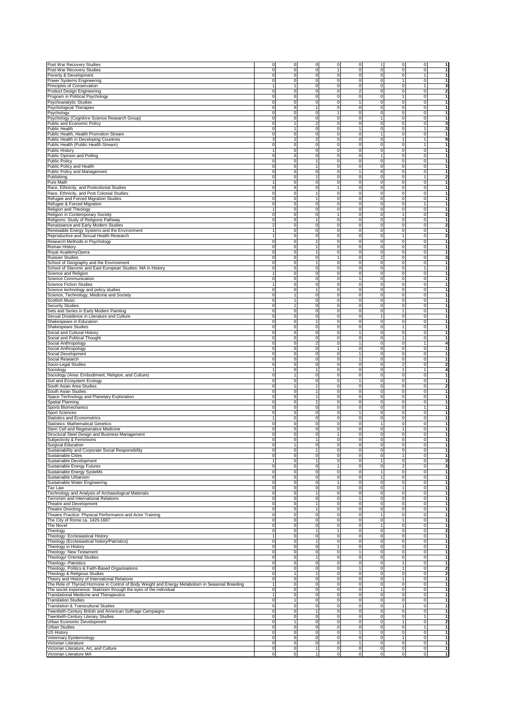|                                                                                                  | 0              | 0              | $\mathbf 0$                | $\mathbf 0$                 | $\mathsf 0$             | 1                          | $\mathbf 0$                    | $\mathbf 0$               | 1                            |
|--------------------------------------------------------------------------------------------------|----------------|----------------|----------------------------|-----------------------------|-------------------------|----------------------------|--------------------------------|---------------------------|------------------------------|
| Post War Recovery Studies                                                                        |                |                |                            |                             |                         |                            |                                |                           |                              |
| Post-War Recovery Studies                                                                        | $\mathbf 0$    | 0              | $\overline{0}$             | $\mathbf{1}$                | $\bf 0$                 | $\pmb{0}$                  | $\mathbf 0$                    | $\mathbf 0$               | 1                            |
| Poverty & Development                                                                            | 0              | 0              | $\overline{0}$             | ō                           | $\mathsf 0$             | $\mathbf 0$                | $\mathbf 0$                    | $\mathbf{1}$              | $\mathbf{1}$                 |
| Power Systems Engineering                                                                        | $\mathbf 0$    | 0              | 0                          | $\mathsf 0$                 | $\mathsf 0$             | $\mathbf 0$                | $\mathbf{1}$                   | $\mathbf 0$               | $\mathbf{1}$                 |
| Principles of Conservation                                                                       |                | 1              | $\mathsf 0$                | $\mathbf 0$                 | 0                       | $\mathbf 0$                | $\overline{0}$                 | 1                         | 3                            |
| Product Design Engineering                                                                       | 0              | 0              | $\mathsf 0$                | $\mathsf 0$                 | $\overline{\mathbf{c}}$ | $\mathbf 0$                | $\overline{0}$                 | $\mathbf 0$               | $\overline{\mathbf{2}}$      |
| Program in Political Psychology                                                                  | 0              | 0              | $\mathsf 0$                | $\mathbf 0$                 | $\mathsf 0$             | $\mathbf 0$                | $\mathbf{1}$                   | $\mathbf 0$               | $\mathbf{1}$                 |
| Psychoanalytic Studies                                                                           | $\Omega$       | 0              | $\pmb{0}$                  | $\mathsf 0$                 | $\mathbf{1}$            | $\pmb{0}$                  | $\mathbf 0$                    | $\mathbf 0$               | $\mathbf{1}$                 |
| Psychological Therapies                                                                          | 0              | $\overline{0}$ | $\overline{1}$             | $\overline{0}$              | $\mathsf 0$             | $\mathbf 0$                | ō                              | $\mathbf 0$               | $\overline{1}$               |
| Psychology                                                                                       | $\overline{0}$ | 0              | $\overline{0}$             | $\overline{1}$              | $\bf 0$                 | $\mathbf 0$                | $\mathbf 0$                    | $\mathbf 0$               | $\overline{1}$               |
|                                                                                                  | 0              | 0              |                            | $\mathsf 0$                 |                         |                            |                                |                           | $\mathbf{1}$                 |
| Psychology (Cognitive Science Research Group)                                                    |                |                | 0                          |                             | 0                       | 1                          | $\mathbf 0$                    | 0                         |                              |
| Public and Economic Policy                                                                       | 0              | $\mathbf{1}$   | $\overline{2}$             | $\mathsf 0$                 | $\bf 0$                 | $\mathbf 0$                | $\mathbf 0$                    | $\mathsf 0$               | 3                            |
| Public Health                                                                                    | 0              | 1              | $\mathsf 0$                | $\mathsf 0$                 | 1                       | $\mathbf 0$                | $\mathbf 0$                    | $\mathbf{1}$              | 3                            |
| Public Health, Health Promotion Stream                                                           | $\Omega$       | $\mathbf 0$    | 0                          | $\mathsf 0$                 | $\mathbf 0$             | $\mathbf{1}$               | $\mathbf 0$                    | $\mathbf 0$               | 1                            |
| Public Health in Developing Countries                                                            | 3              | $\overline{c}$ | $\overline{\mathbf{c}}$    | $\mathbf 0$                 | $\mathsf 0$             | $\mathbf 0$                | $\mathbf{1}$                   | $\mathbf{1}$              | 9                            |
| Public Health (Public Health Stream)                                                             | $\mathbf 0$    | 0              | $\overline{0}$             | $\mathbf 0$                 | $\mathsf 0$             | $\mathbf 0$                | $\mathbf 0$                    | $\mathbf{1}$              | $\overline{1}$               |
| <b>Public History</b>                                                                            |                | 0              | 0                          | $\mathbf 0$                 | 0                       | $\mathbf 0$                | $\overline{0}$                 | $\overline{0}$            | $\mathbf{1}$                 |
| Public Opinion and Polling                                                                       | 0              | 0              | 0                          | 0                           | 0                       | 1                          | $\overline{0}$                 | $\mathbf 0$               | $\mathbf{1}$                 |
|                                                                                                  | $\Omega$       | 0              | $\mathbf{1}$               | $\mathbf 0$                 | $\mathsf 0$             | $\mathbf 0$                | $\overline{0}$                 | $\mathbf 0$               | $\mathbf{1}$                 |
| <b>Public Policy</b>                                                                             |                |                |                            |                             |                         |                            |                                |                           |                              |
| Public Policy and Health                                                                         | $\Omega$       | 0              | $\mathbf{1}$               | $\overline{0}$              | $\mathbf 0$             | $\mathbf 0$                | $\mathbf 0$                    | $\mathbf 0$               | $\mathbf{1}$                 |
| Public Policy and Management                                                                     | $\Omega$       | 0              | $\mathsf 0$                | $\mathsf 0$                 | $\mathbf{1}$            | $\pmb{0}$                  | $\mathbf 0$                    | $\mathbf 0$               | $\mathbf{1}$                 |
| Publishing                                                                                       | $\mathbf 0$    | 0              | $\overline{1}$             | $\overline{0}$              | $\mathsf 0$             | $\pmb{0}$                  | $\mathbf 0$                    | $\mathbf{1}$              | $\overline{2}$               |
| Pure Math                                                                                        |                | 0              | 0                          | $\mathsf 0$                 | 0                       | 0                          | $\mathbf 0$                    | $\Omega$                  | $\mathbf{1}$                 |
| Race, Ethnicity, and Postcolonial Studies                                                        | 0              | 0              | 0                          | 1                           | 0                       | 0                          | $\mathbf 0$                    | 0                         | 1                            |
| Race, Ethnicity, and Post Colonial Studies                                                       | 0              | 0              | $\mathbf{1}$               | $\mathsf 0$                 | $\bf 0$                 | $\pmb{0}$                  | $\mathbf 0$                    | $\Omega$                  | 1                            |
| Refugee and Forced Migration Studies                                                             | $\Omega$       | $\mathbf 0$    | 1                          | $\pmb{0}$                   | $\mathbf 0$             | $\mathbf 0$                | $\mathbf 0$                    | $\mathbf 0$               | 1                            |
|                                                                                                  | $\Omega$       | 0              | $\mathsf 0$                | $\mathsf 0$                 | $\mathbf 0$             | $\mathbf 0$                | $\mathbf 0$                    | $\mathbf{1}$              | 1                            |
| Refugee & Forced Migration                                                                       |                |                |                            |                             |                         |                            |                                |                           |                              |
| Religion and Theology                                                                            | 1              | 0              | $\overline{0}$             | $\overline{0}$              | $\bf 0$                 | $\mathbf 0$                | $\mathbf 0$                    | $\mathbf 0$               | $\mathbf{1}$                 |
| Religion in Contemporary Society                                                                 | $\Omega$       | 0              | $\mathsf 0$                | $\mathbf{1}$                | $\mathsf 0$             | $\mathbf 0$                | $\mathbf{1}$                   | $\mathbf 0$               | $\overline{\mathbf{2}}$      |
| Religions: Study of Religions Pathway                                                            | 0              | 0              | 1                          | 0                           | 0                       | $\mathbf 0$                | $\overline{0}$                 | $\mathbf 0$               | 1                            |
| Renaissance and Early Modern Studies                                                             | $\mathfrak{p}$ | 0              | $\mathsf 0$                | $\mathsf 0$                 | $\bf 0$                 | $\mathbf 0$                | $\overline{0}$                 | $\mathbf 0$               | $\overline{\mathbf{2}}$      |
| Renewable Energy Systems and the Environment                                                     |                | 0              | $\mathsf 0$                | $\mathbf 0$                 | $\mathsf 0$             | $\mathbf 0$                | $\overline{0}$                 | $\mathbf 0$               | $\mathbf{1}$                 |
| Reproductive and Sexual Health Research                                                          |                | 0              | $\pmb{0}$                  | $\mathsf 0$                 | $\bf 0$                 | $\pmb{0}$                  | $\mathbf{1}$                   | $\mathbf 0$               | $\overline{\mathbf{2}}$      |
| Research Methods in Psychology                                                                   | 0              | $\overline{0}$ | $\overline{1}$             | $\overline{0}$              | $\bf 0$                 | $\pmb{0}$                  | ō                              | $\mathbf 0$               | $\mathbf{1}$                 |
|                                                                                                  | $\overline{0}$ | 0              | $\overline{1}$             | $\overline{0}$              | $\bf 0$                 | $\mathbf 0$                | $\mathbf 0$                    | $\mathbf 0$               | $\mathbf{1}$                 |
| Roman History                                                                                    |                |                |                            |                             |                         |                            |                                |                           |                              |
| Royal AcademyOpera                                                                               | 0              | 0              | $\mathbf{1}$               | 0                           | 0                       | 0                          | $\mathbf 0$                    | 0                         | 1                            |
| Russian Studies                                                                                  | 0              | 0              | $\mathsf 0$                | $\mathbf{1}$                | 0                       | $\overline{2}$             | $\mathbf 0$                    | 0                         | 3                            |
| School of Geography and the Environment                                                          | $\mathbf 0$    | $\mathbf 0$    | $\mathbf{1}$               | $\mathsf 0$                 | 0                       | $\pmb{0}$                  | $\mathbf 0$                    | 0                         | 1                            |
| School of Slavonic and East European Studies: MA in History                                      | $\mathbf 0$    | 0              | $\overline{0}$             | $\mathsf 0$                 | $\mathbf 0$             | $\mathbf 0$                | $\mathbf 0$                    | $\mathbf{1}$              | 1                            |
| Science and Religion                                                                             | 1              | 0              | $\mathbf 0$                | $\mathsf 0$                 | $\mathbf 0$             | $\mathbf 0$                | $\mathbf 0$                    | $\mathbf 0$               | $\mathbf{1}$                 |
| <b>Science Communication</b>                                                                     | $\mathbf 0$    | 0              | $\mathbf 0$                | $\mathbf 0$                 | $\mathbf{1}$            | $\mathbf 0$                | $\overline{0}$                 | $\mathbf 0$               | $\mathbf{1}$                 |
| <b>Science Fiction Studies</b>                                                                   |                |                | $\mathsf 0$                | $\mathbf 0$                 |                         |                            |                                |                           | $\mathbf{1}$                 |
|                                                                                                  |                | 0              |                            |                             | 0                       | $\mathbf 0$                | $\overline{0}$                 | $\mathbf 0$               |                              |
| Science technology and policy studies                                                            | 0              | 0              | $\mathbf{1}$               | $\mathbf 0$                 | $\mathsf 0$             | $\mathbf 0$                | $\overline{0}$                 | $\mathbf 0$               | $\mathbf{1}$                 |
| Science, Technology, Medicine and Society                                                        | $\Omega$       | 1              | $\mathbf 0$                | $\mathbf 0$                 | $\mathsf 0$             | $\mathbf 0$                | $\overline{0}$                 | $\mathbf 0$               | $\mathbf{1}$                 |
| Scottish Music                                                                                   | $\Omega$       | $\mathbf{1}$   | $\mathsf 0$                | $\overline{0}$              | $\mathbf 0$             | $\mathbf 0$                | $\mathbf 0$                    | $\mathbf 0$               | $\mathbf{1}$                 |
| <b>Security Studies</b>                                                                          | $\mathbf 0$    | $\mathbf{1}$   | $\mathbf 0$                | $\mathbf 0$                 | $\bf 0$                 | $\pmb{0}$                  | $\mathbf 0$                    | $\mathbf 0$               | $\overline{1}$               |
| Sets and Series in Early Modern Painting                                                         | $\mathbf 0$    | 0              | $\mathsf 0$                | $\mathsf 0$                 | $\bf 0$                 | $\mathbf 0$                | $\overline{1}$                 | $\mathbf 0$               | 1                            |
| Sexual Dissidence in Literature and Culture                                                      | $\Omega$       | $\mathbf 0$    | 0                          | $\mathsf 0$                 | 0                       | 1                          | $\mathbf 0$                    | $\Omega$                  | $\mathbf{1}$                 |
|                                                                                                  | 0              | 0              | 1                          | 0                           | 0                       | 0                          | $\mathbf 0$                    | 0                         | 1                            |
| Shakespeare in Education                                                                         |                |                |                            |                             |                         |                            |                                |                           |                              |
| <b>Shakespeare Studies</b>                                                                       | $\Omega$       | $\mathbf 0$    | $\mathsf 0$                | $\mathsf 0$                 | $\bf 0$                 | $\mathbf 0$                | 1                              | $\Omega$                  | 1                            |
| Social and Cultural History                                                                      | $\Omega$       | $\mathbf 0$    | $\pmb{0}$                  | $\mathsf 0$                 | $\overline{1}$          | $\mathbf 0$                | $\mathbf 0$                    | $\mathbf 0$               | 1                            |
| Social and Political Thought                                                                     | $\Omega$       | 0              | $\mathsf 0$                | $\mathsf 0$                 | $\bf 0$                 | $\mathbf 0$                | $\mathbf{1}$                   | $\mathbf 0$               | 1                            |
| Social Anthropology                                                                              | $\mathbf 0$    | 0              | $\overline{2}$             | $\mathsf 0$                 | $\mathbf{1}$            | $\mathbf 0$                | $\mathbf 0$                    | $\mathbf{1}$              | 4                            |
| Social Anthropology                                                                              | $\Omega$       | 0              | 0                          | 1                           | 0                       | $\mathbf 0$                | $\overline{0}$                 | $\circ$                   | $\mathbf{1}$                 |
| Social Development                                                                               | 0              | 0              | $\mathsf 0$                | $\mathbf 0$                 | $\overline{1}$          | $\mathbf 0$                | $\overline{0}$                 | $\mathbf 0$               | $\mathbf{1}$                 |
|                                                                                                  |                |                |                            |                             |                         |                            |                                |                           |                              |
|                                                                                                  |                |                |                            |                             |                         |                            |                                |                           |                              |
| Social Research                                                                                  | 0              | 0              | $\mathsf 0$                | $\mathsf 0$                 | $\overline{1}$          | $\mathbf 0$                | $\overline{0}$                 | $\mathbf 0$               | $\mathbf{1}$                 |
| Socio-Legal Studies                                                                              | $\Omega$       | 0              | $\mathbf 0$                | $\mathbf 0$                 | $\mathbf 0$             | $\mathbf 0$                | $\overline{2}$                 | $\mathbf 0$               | $\overline{\mathbf{2}}$      |
| Sociology                                                                                        |                | 0              | $\mathbf{1}$               | $\mathsf 0$                 | $\bf 0$                 | $\pmb{0}$                  | $\mathbf{1}$                   | $\mathbf{1}$              | 4                            |
| Sociology (Area: Embodiment, Religion, and Culture)                                              | 0              | $\mathbf{1}$   | ō                          | $\overline{0}$              | $\bf 0$                 | o                          | ō                              | $\mathbf 0$               | $\overline{1}$               |
| Soil and Ecosystem Ecology                                                                       | 0              | $\pmb{0}$      | 0                          | $\pmb{0}$                   | $\mathbf{1}$            | $\pmb{0}$                  | $\mathbf 0$                    | $\mathsf 0$               | $\mathbf{1}$                 |
| South Asian Area Studies                                                                         | 0              | 1              | 1                          | 0                           | 0                       | 0                          | $\mathbf 0$                    | 0                         | $\overline{\mathbf{2}}$      |
|                                                                                                  |                |                |                            |                             |                         |                            |                                |                           |                              |
| South Asian Studies                                                                              | 0              | 0              | $\mathbf{1}$               | $\mathsf 0$                 | 0                       | 0                          | $\mathbf 0$                    | 0                         | $\mathbf{1}$                 |
| Space Technology and Planetary Exploration                                                       | $\mathbf 0$    | $\mathbf 0$    | $\mathbf{1}$               | $\mathsf 0$                 | 0                       | $\pmb{0}$                  | $\mathbf 0$                    | 0                         | 1                            |
| Spatial Planning                                                                                 | $\mathbf 0$    | 0              | $\mathbf{1}$               | $\mathsf 0$                 | $\mathbf 0$             | $\mathbf 0$                | $\mathbf 0$                    | $\mathbf 0$               | 1                            |
| Sports Biomechanics                                                                              | 0              | 0              | $\mathbf 0$                | $\mathsf 0$                 | $\mathbf 0$             | $\mathbf 0$                | $\mathbf 0$                    | $\overline{1}$            | $\mathbf{1}$                 |
| Sport Sciences                                                                                   | $\mathbf 0$    | 0              | $\mathbf 0$                | $\mathbf 0$                 | $\mathbf{1}$            | $\mathbf 0$                | $\overline{0}$                 | $\mathbf 0$               | $\mathbf{1}$                 |
| <b>Statistics and Econometrics</b>                                                               |                | 0              | 0                          | $\mathsf 0$                 | 0                       | $\mathbf 0$                | $\mathbf 0$                    | $\mathbf 0$               | $\mathbf{1}$                 |
| <b>Statistics: Mathematical Genetics</b>                                                         | $\Omega$       | 0              | $\mathsf 0$                | $\mathsf 0$                 | 0                       | $\mathbf{1}$               | $\mathbf 0$                    | $\Omega$                  | $\mathbf{1}$                 |
|                                                                                                  | 0              | 0              | $\mathbf 0$                | $\mathbf 0$                 | $\mathsf 0$             | $\mathbf 0$                | 1                              | $\mathbf 0$               | 1                            |
| Stem Cell and Regenerative Medicine                                                              |                |                |                            |                             |                         |                            |                                |                           |                              |
| Structural Steel Design and Business Management                                                  | $\mathbf 0$    | 0              | $\pmb{0}$                  | $\mathbf{1}$                | $\bf 0$                 | $\mathbf 0$                | $\mathbf 0$                    | $\mathbf 0$               | 1                            |
| Subjectivity & Feminisms                                                                         | 0              | $\overline{0}$ | $\overline{1}$             | $\mathbf 0$                 | $\bf 0$                 | $\mathbf 0$                | $\mathbf 0$                    | $\mathsf 0$<br>$\Omega$   | $\mathbf{1}$                 |
| <b>Surgical Education</b>                                                                        |                |                | $\overline{0}$             | $\mathbf 0$                 |                         |                            | $\mathbf 0$                    |                           |                              |
| Sustainability and Corporate Social Responsibility                                               | 0              | 0              | 1                          | $\mathsf 0$                 | 0                       | 0                          | $\mathbf 0$                    | $\Omega$                  |                              |
| Sustainable Cities                                                                               | 0              | 0              | $\mathsf 0$                | $\mathsf 0$                 | $\bf 0$                 | $\mathbf 0$                | $\mathbf{1}$                   | $\mathbf 0$               | $\mathbf{1}$                 |
| Sustainable Development                                                                          |                | $\mathbf 0$    | $\mathbf{1}$               | $\mathsf 0$                 | $\bf 0$                 | $\overline{1}$             | $\mathbf 0$                    | 0                         | 3                            |
| Sustainable Energy Futures                                                                       | $\Omega$       | 0              | $\overline{0}$             | $\mathbf{1}$                | $\mathbf 0$             | $\mathbf 0$                | $\overline{2}$                 | $\mathbf 0$               | 3                            |
| Sustainable Energy SysteMs                                                                       | 0              | 0              | $\mathbf 0$                | $\mathbf 0$                 | $\mathsf 0$             | $\mathbf{1}$               | $\mathbf 0$                    | $\mathbf 0$               | $\mathbf{1}$                 |
| Sustainable Urbanism                                                                             | 0              | 0              | $\mathbf 0$                | $\mathbf 0$                 | 0                       | $\mathbf{1}$               | $\mathbf 0$                    | $\mathbf 0$               | $\mathbf{1}$                 |
|                                                                                                  |                |                |                            |                             |                         |                            |                                |                           | $\mathbf{1}$                 |
| Sustainable Water Engineering                                                                    | 0<br>0         | 0<br>0         | $\mathbf 0$<br>$\mathbf 0$ | $\mathbf{1}$<br>$\mathbf 0$ | 0<br>0                  | $\mathbf 0$<br>$\mathbf 0$ | $\overline{0}$<br>$\mathbf{1}$ | $\overline{0}$<br>$\circ$ | $\mathbf{1}$                 |
| Tax Law                                                                                          |                |                |                            |                             |                         |                            |                                |                           |                              |
| <b>Fechnology and Analysis of Archaeological Materials</b>                                       | $\mathbf 0$    | 0              | $\mathbf{1}$               | $\mathbf 0$                 | $\mathsf 0$             | $\mathbf 0$                | $\overline{0}$                 | $\mathbf 0$               | $\mathbf{1}$                 |
| Ferrorism and International Relations                                                            | $\mathbf 0$    | $\overline{0}$ | $\overline{0}$             | $\overline{0}$              | $\mathbf{1}$            | o                          | ō                              | $\mathbf 0$               | -1                           |
| Theatre and Development                                                                          | 0              | 0              | $\mathbf{1}$               | $\mathsf 0$                 | $\bf 0$                 | $\mathbf 0$                | $\mathbf 0$                    | $\mathbf 0$               | $\mathbf{1}$                 |
| <b>Theatre Directing</b>                                                                         | 0              | 0              | $\overline{1}$             | $\overline{0}$              | $\mathsf 0$             | $\mathbf 0$                | $\mathbf 0$                    | $\mathbf 0$               | $\mathbf{1}$                 |
| Theatre Practice: Physical Performance and Actor Training                                        | 0              | 0              | $\mathbf 0$                | $\mathsf 0$                 | $\bf 0$                 | 1                          | $\mathbf 0$                    | 0                         | $\mathbf{1}$                 |
|                                                                                                  |                |                |                            |                             | 0                       | 0                          | $\mathbf{1}$                   | 0                         | $\mathbf{1}$                 |
| The City of Rome ca. 1420-1667                                                                   | 0              | 0              | 0                          | 0                           |                         |                            |                                |                           |                              |
| The Novel                                                                                        | 0              | 0              | $\mathsf 0$                | $\mathsf 0$                 | $\bf 0$                 | 1                          | $\mathbf 0$                    | $\mathbf 0$               | $\mathbf{1}$                 |
| Theology                                                                                         | $\mathbf 0$    | $\pmb{0}$      | $\mathbf{1}$               | $\mathbf{1}$                | $\mathbf 0$             | $\mathbf 0$                | $\mathbf 0$                    | $\mathbf 0$               | $\overline{2}$               |
| Theology: Ecclesiastical History                                                                 | 1              | 0              | o                          | $\mathbf 0$                 | $\mathbf 0$             | $\mathbf 0$                | $\mathbf 0$                    | $\mathbf 0$               | $\overline{1}$               |
| Theology (Ecclesiastical history/Patristics)                                                     | 0              | $\pmb{0}$      | $\mathbf{1}$               | $\mathbf 0$                 | $\mathbf 0$             | $\mathbf 0$                | $\mathbf 0$                    | $\mathbf 0$               | $\overline{1}$               |
| Theology in History                                                                              | 0              | 0              | $\mathbf 0$                | $\mathbf{1}$                | $\mathsf 0$             | $\mathbf 0$                | $\circ$                        | $\overline{0}$            | $\mathbf{1}$                 |
| Theology: New Testament                                                                          | 0              | 0              | 0                          | $\mathbf 0$                 | 1                       | $\mathbf 0$                | $\overline{0}$                 | $\mathbf 0$               | $\mathbf{1}$                 |
| Theology/ Oriental Studies                                                                       | 0              | 0              | $\mathbf{1}$               | $\mathsf 0$                 | 0                       | $\mathbf 0$                | $\overline{0}$                 | $\mathbf 0$               | $\mathbf{1}$                 |
| Theology--Patristics                                                                             | 0              | 0              | $\mathbf 0$                | $\mathbf 0$                 | $\mathsf 0$             | $\mathbf 0$                | 1                              | $\mathbf 0$               | $\mathbf{1}$                 |
|                                                                                                  |                |                |                            |                             | $\overline{1}$          |                            |                                |                           |                              |
| Theology, Politics & Faith-Based Organisations                                                   | $\mathbf 0$    | 0              | $\mathsf 0$                | $\mathsf 0$                 |                         | $\pmb{0}$                  | $\mathbf{1}$                   | $\mathbf 0$               | $\overline{2}$               |
| Theology & Religious Studies                                                                     | 0              | $\mathbf{1}$   | $\overline{1}$             | $\mathsf 0$                 | $\mathsf 0$             | $\mathbf 0$                | $\mathbf 0$                    | $\mathbf 0$               | $\overline{\mathbf{2}}$      |
| Theory and History of International Relations                                                    | $\overline{0}$ | 0              | $\overline{0}$             | $\overline{0}$              | $\mathsf 0$             | $\mathbf 0$                | $\overline{1}$                 | $\mathbf 0$               | $\overline{1}$               |
| The Role of Thyroid Hormone in Control of Body Weight and Energy Metabolism in Seasonal Breeding |                | 0              | 0                          | $\mathsf 0$                 | 0                       | 0                          | $\mathbf 0$                    | 0                         | $\mathbf{1}$                 |
| The soviet experience: Stalinism through the eyes of the individual                              | 0              | $\mathbf 0$    | $\mathsf 0$                | $\mathsf 0$                 | 0                       | $\overline{1}$             | $\mathbf 0$                    | 0                         | $\mathbf{1}$                 |
| <b>Franslational Medicine and Therapeutics</b>                                                   |                | $\mathbf 0$    | $\mathsf 0$                | $\mathsf 0$                 | 0                       | 0                          | $\mathbf 0$                    | 0                         | 1                            |
|                                                                                                  | $\Omega$       | 1              |                            | $\mathsf 0$                 | $\mathbf 0$             | $\mathbf 0$                | $\mathbf 0$                    | $\mathbf 0$               | $\mathbf{1}$                 |
| <b>Translation Studies</b>                                                                       |                |                | $\overline{0}$             |                             |                         |                            |                                |                           |                              |
| <b>Translation &amp; Transcultural Studies</b>                                                   | 0              | 0              | $\mathsf 0$                | $\mathbf 0$                 | $\mathsf 0$             | $\mathbf 0$                | $\mathbf{1}$                   | $\mathbf 0$               | $\mathbf{1}$                 |
| Twentieth-Century British and American Suffrage Campaigns                                        | 0              | 0              | $\mathbf{1}$               | $\mathsf 0$                 | 0                       | $\mathbf 0$                | $\mathbf 0$                    | $\mathbf 0$               | $\mathbf{1}$                 |
| Twentieth-Century Literary Studies                                                               | 0              | 0              | $\mathbf 0$                | $\mathbf 0$                 | 0                       | $\mathbf 0$                | $\overline{0}$                 | $\mathbf{1}$              | $\mathbf{1}$                 |
| Urban Economic Development                                                                       | 0              | 1              | $\mathbf 0$                | $\mathbf 0$                 | $\mathsf 0$             | $\mathbf 0$                | 1                              | $\mathbf 0$               | $\overline{2}$               |
| Urban Studies                                                                                    | 0              | 0              | $\mathbf 0$                | $\mathbf 0$                 | $\mathsf 0$             | $\mathbf 0$                | $\overline{0}$                 | $\mathbf{1}$              | $\mathbf{1}$                 |
| US History                                                                                       | 0              | $\overline{0}$ | $\overline{0}$             | $\overline{0}$              | $\mathbf{1}$            | o                          | $\overline{0}$                 | $\mathbf 0$               | -1                           |
|                                                                                                  | 0              | $\mathbf 0$    | $\mathbf 0$                | $\mathbf 0$                 | $\mathbf 0$             | $\pmb{0}$                  | $\mathbf{1}$                   | $\mathbf 0$               | $\mathbf{1}$                 |
| Veterinary Epidemiology<br>Victorian Literature                                                  | 0              | $\overline{0}$ | $\mathbf 0$                | $\circ$                     | $\overline{1}$          | $\mathbf 0$                | $\circ$                        | $\mathbf 0$               |                              |
| Victorian Literature, Art, and Culture                                                           | 0              | $\overline{0}$ | $\mathbf{1}$               | $\mathbf 0$                 | $\pmb{0}$               | $\mathbf 0$                | $\mathbf 0$                    | $\mathsf 0$               | $\mathbf{1}$<br>$\mathbf{1}$ |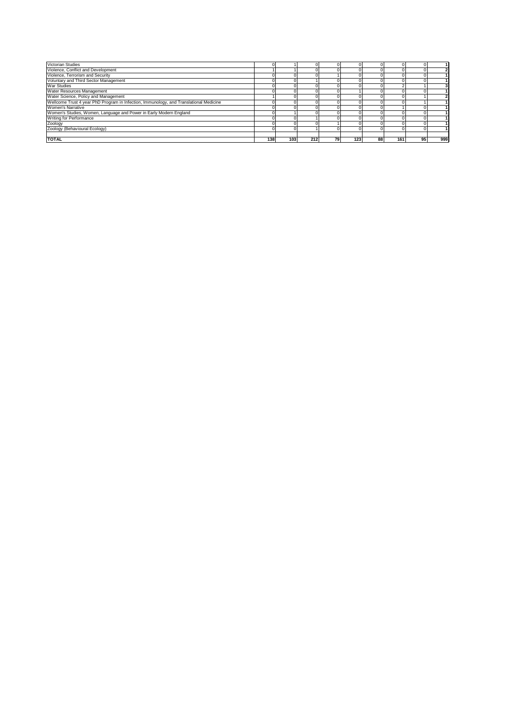| <b>Victorian Studies</b>                                                               |     |     |     |    |          |    |     |    |     |
|----------------------------------------------------------------------------------------|-----|-----|-----|----|----------|----|-----|----|-----|
| Violence, Conflict and Development                                                     |     |     |     |    |          |    |     |    |     |
| Violence, Terrorism and Security                                                       |     |     |     |    |          |    |     |    |     |
| Voluntary and Third Sector Management                                                  |     |     |     |    | $\Omega$ |    |     |    |     |
| <b>War Studies</b>                                                                     |     |     |     |    |          |    |     |    |     |
| Water Resources Management                                                             |     |     |     |    |          |    |     |    |     |
| Water Science, Policy and Management                                                   |     |     |     |    |          |    |     |    |     |
| Wellcome Trust 4 year PhD Program in Infection, Immunology, and Translational Medicine |     |     |     |    |          |    |     |    |     |
| Women's Narrative                                                                      |     |     |     |    |          |    |     |    |     |
| Women's Studies, Women, Language and Power in Early Modern England                     |     |     |     |    |          |    |     |    |     |
| Writing for Performance                                                                |     |     |     |    |          |    |     |    |     |
| Zoology<br>Zoology (Behavioural Ecology)                                               |     |     |     |    |          |    |     |    |     |
|                                                                                        |     |     |     |    |          |    |     |    |     |
|                                                                                        |     |     |     |    |          |    |     |    |     |
| <b>TOTAL</b>                                                                           | 138 | 103 | 212 | 79 | 123      | 88 | 161 | 95 | 999 |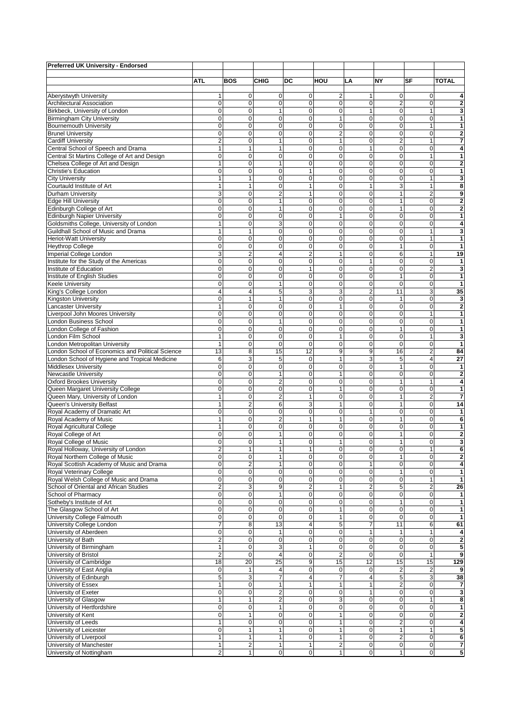| Preferred UK University - Endorsed                                      |                                    |                                         |                                |                              |                                |                             |                            |                               |                         |
|-------------------------------------------------------------------------|------------------------------------|-----------------------------------------|--------------------------------|------------------------------|--------------------------------|-----------------------------|----------------------------|-------------------------------|-------------------------|
|                                                                         |                                    |                                         |                                |                              |                                |                             |                            |                               |                         |
|                                                                         | ATL                                | <b>BOS</b>                              | <b>CHIG</b>                    | DC                           | HOU                            | LA                          | NΥ                         | SF                            | <b>TOTAL</b>            |
| Aberystwyth University                                                  | 1                                  | $\mathbf 0$                             | 0                              | 0                            | $\overline{2}$                 | 1                           | 0                          | 0                             | 4                       |
| Architectural Association                                               | $\mathbf 0$                        | $\mathbf 0$                             | 0                              | 0                            | $\mathbf 0$                    | 0                           | 2                          | 0                             | $\overline{\mathbf{c}}$ |
| Birkbeck, University of London                                          | 0                                  | $\mathbf 0$                             | $\mathbf{1}$                   | 0                            | $\mathbf 0$                    | $\mathbf{1}$                | 0                          | 1                             | 3                       |
| <b>Birmingham City University</b>                                       | $\mathbf 0$                        | $\mathbf 0$                             | $\overline{0}$                 | $\mathbf 0$                  | $\mathbf{1}$                   | $\mathbf 0$                 | 0                          | $\mathbf 0$                   | 1                       |
| <b>Bournemouth University</b><br><b>Brunel University</b>               | 0<br>$\overline{0}$                | $\mathbf 0$<br>$\mathbf 0$              | 0<br>$\mathbf 0$               | 0<br>0                       | $\mathbf 0$<br>$\overline{2}$  | $\mathbf 0$<br>0            | 0<br>$\mathbf 0$           | 1<br>0                        | 1<br>$\overline{2}$     |
| <b>Cardiff University</b>                                               | $\overline{2}$                     | $\mathbf 0$                             | 1                              | 0                            | 1                              | $\mathbf 0$                 | $\overline{2}$             | 1                             | 7                       |
| Central School of Speech and Drama                                      | 1                                  | $\mathbf{1}$                            | 1                              | 0                            | $\mathbf 0$                    | $\mathbf{1}$                | $\mathbf 0$                | $\mathbf 0$                   | 4                       |
| Central St Martins College of Art and Design                            | $\overline{0}$                     | $\mathbf 0$                             | 0                              | 0                            | $\Omega$                       | $\mathbf 0$                 | $\mathbf 0$                | 1                             | 1                       |
| Chelsea College of Art and Design                                       | $\mathbf{1}$                       | $\mathbf 0$                             | 1                              | 0                            | $\mathbf 0$                    | $\mathbf 0$                 | $\mathbf 0$                | $\overline{0}$                | $\overline{2}$          |
| Christie's Education                                                    | $\mathbf 0$                        | $\mathbf 0$                             | $\overline{0}$                 | $\mathbf{1}$                 | $\mathbf 0$                    | 0                           | 0                          | $\mathbf 0$                   | 1                       |
| <b>City University</b>                                                  | 1                                  | $\mathbf{1}$                            | $\overline{0}$                 | 0                            | $\mathbf 0$                    | 0                           | $\mathbf 0$                | $\mathbf{1}$                  | 3                       |
| Courtauld Institute of Art<br>Durham University                         | 1<br>3                             | $\mathbf{1}$<br>$\mathbf 0$             | $\mathbf 0$<br>$\overline{2}$  | $\mathbf{1}$<br>$\mathbf{1}$ | $\mathbf 0$<br>$\mathbf 0$     | $\mathbf{1}$<br>$\mathbf 0$ | 3<br>1                     | 1<br>$\overline{c}$           | 8<br>9                  |
| <b>Edge Hill University</b>                                             | $\mathbf 0$                        | $\mathbf 0$                             | 1                              | 0                            | $\mathbf 0$                    | $\mathbf 0$                 | 1                          | $\mathbf 0$                   | $\overline{\mathbf{c}}$ |
| Edinburgh College of Art                                                | $\overline{0}$                     | $\mathbf 0$                             | $\mathbf{1}$                   | 0                            | $\mathbf 0$                    | $\mathbf 0$                 | 1                          | $\overline{0}$                | $\overline{2}$          |
| <b>Edinburgh Napier University</b>                                      | $\mathbf 0$                        | $\mathbf 0$                             | 0                              | 0                            | $\mathbf{1}$                   | 0                           | 0                          | 0                             | 1                       |
| Goldsmiths College, University of London                                | 1                                  | $\mathbf 0$                             | 3                              | 0                            | $\mathbf 0$                    | 0                           | 0                          | $\overline{0}$                | 4                       |
| Guildhall School of Music and Drama                                     | 1                                  | $\mathbf{1}$                            | $\mathbf 0$                    | 0                            | $\mathbf 0$                    | 0                           | $\mathbf 0$                | 1                             | 3                       |
| Heriot-Watt University                                                  | 0                                  | $\mathbf 0$                             | 0                              | 0                            | $\mathbf 0$                    | $\mathbf 0$                 | $\overline{0}$             | 1                             | 1                       |
| <b>Heythrop College</b><br>Imperial College London                      | 0<br>3                             | $\mathbf 0$<br>$\overline{2}$           | 0<br>$\overline{4}$            | 0<br>$\overline{2}$          | $\mathbf 0$<br>1               | 0<br>$\mathbf 0$            | 1<br>6                     | $\mathbf 0$<br>1              | 1<br>19                 |
| Institute for the Study of the Americas                                 | $\overline{0}$                     | 0                                       | 0                              | 0                            | 0                              | $\mathbf{1}$                | $\mathbf 0$                | 0                             | 1                       |
| Institute of Education                                                  | $\overline{0}$                     | $\mathbf 0$                             | $\mathbf 0$                    | $\mathbf{1}$                 | $\mathbf 0$                    | 0                           | $\mathbf 0$                | $\overline{c}$                | 3                       |
| Institute of English Studies                                            | 0                                  | $\mathbf 0$                             | $\mathbf 0$                    | 0                            | $\mathbf 0$                    | 0                           | 1                          | $\mathbf 0$                   | 1                       |
| <b>Keele University</b>                                                 | $\mathbf 0$                        | $\mathbf 0$                             | $\mathbf{1}$                   | 0                            | $\mathbf 0$                    | 0                           | $\mathbf 0$                | $\mathbf 0$                   | 1                       |
| King's College London                                                   | 4                                  | $\overline{4}$                          | 5                              | 3                            | 3                              | $\overline{2}$              | 11                         | 3                             | 35                      |
| <b>Kingston University</b>                                              | $\mathbf 0$                        | $\mathbf{1}$                            | 1                              | 0                            | $\mathbf 0$                    | $\mathbf 0$                 | 1                          | 0                             | 3                       |
| Lancaster University                                                    | 1                                  | $\mathbf 0$                             | 0                              | 0                            | $\mathbf{1}$                   | $\mathbf 0$                 | $\mathbf 0$                | $\mathbf 0$                   | $\overline{\mathbf{2}}$ |
| Liverpool John Moores University                                        | $\mathbf 0$<br>$\overline{0}$      | $\mathbf 0$                             | 0<br>$\mathbf{1}$              | $\mathbf 0$                  | $\mathbf 0$                    | 0                           | 0                          | 1<br>$\overline{0}$           | 1                       |
| London Business School<br>London College of Fashion                     | $\overline{0}$                     | $\mathbf 0$<br>$\mathbf 0$              | 0                              | 0<br>0                       | $\mathbf 0$<br>0               | 0<br>0                      | $\mathbf 0$<br>1           | 0                             | 1<br>1                  |
| London Film School                                                      | 1                                  | $\mathbf 0$                             | $\mathbf 0$                    | 0                            | 1                              | $\mathbf 0$                 | $\overline{0}$             | 1                             | 3                       |
| London Metropolitan University                                          | 1                                  | $\mathbf 0$                             | 0                              | $\Omega$                     | $\mathbf 0$                    | 0                           | $\overline{0}$             | $\mathbf 0$                   | 1                       |
| London School of Economics and Political Science                        | 13                                 | 8                                       | 15                             | 12                           | 9                              | 9                           | 16                         | $\overline{2}$                | 84                      |
| London School of Hygiene and Tropical Medicine                          | 6                                  | 3                                       | 5                              | 0                            | $\overline{1}$                 | 3                           | 5                          | $\overline{4}$                | 27                      |
| <b>Middlesex University</b>                                             | $\mathbf 0$                        | $\mathbf 0$                             | $\mathbf 0$                    | $\mathbf 0$                  | $\mathbf 0$                    | 0                           | 1                          | $\mathbf 0$                   | 1                       |
| Newcastle University                                                    | $\mathbf 0$                        | $\mathbf 0$                             | $\mathbf{1}$                   | 0                            | 1                              | 0                           | $\mathbf 0$                | $\mathbf 0$                   | $\overline{\mathbf{c}}$ |
| <b>Oxford Brookes University</b>                                        | $\mathbf 0$                        | $\pmb{0}$                               | $\overline{c}$                 | 0<br>0                       | $\mathbf 0$<br>$\mathbf{1}$    | 0                           | 1                          | 1                             | 4                       |
| Queen Margaret University College<br>Queen Mary, University of London   | $\mathbf 0$<br>1                   | $\mathbf 0$<br>0                        | $\mathbf 0$<br>$\overline{2}$  | $\mathbf{1}$                 | $\mathbf 0$                    | $\mathbf 0$<br>$\mathbf 0$  | 0<br>1                     | $\mathbf 0$<br>$\overline{c}$ | 1<br>7                  |
| Queen's University Belfast                                              | 1                                  | $\overline{\mathbf{c}}$                 | 6                              | 3                            | $\mathbf{1}$                   | 0                           | 1                          | 0                             | 14                      |
| Royal Academy of Dramatic Art                                           | $\mathbf 0$                        | $\mathbf 0$                             | 0                              | 0                            | $\mathbf 0$                    | $\mathbf{1}$                | 0                          | 0                             | 1                       |
| Royal Academy of Music                                                  | 1                                  | 0                                       | $\overline{2}$                 | $\mathbf{1}$                 | $\mathbf{1}$                   | 0                           | 1                          | $\overline{0}$                | 6                       |
| Royal Agricultural College                                              | 1                                  | $\mathbf 0$                             | 0                              | 0                            | 0                              | 0                           | 0                          | $\overline{0}$                | 1                       |
| Royal College of Art                                                    | 0                                  | 0                                       | 1                              | 0                            | $\Omega$                       | $\mathbf 0$                 | 1                          | 0                             | $\overline{\mathbf{c}}$ |
| Royal College of Music                                                  | 0                                  | 0                                       | $\mathbf{1}$                   | 0                            | 1                              | $\mathbf 0$                 | 1                          | 0                             | 3                       |
| Royal Holloway, University of London<br>Royal Northern College of Music | $\mathbf{2}$<br>$\mathbf 0$        | $\mathbf{1}$<br>$\mathbf 0$             | 1<br>$\mathbf{1}$              | 1<br>0                       | $\mathbf 0$<br>$\mathbf 0$     | $\mathbf 0$<br>$\mathbf 0$  | $\pmb{0}$<br>1             | 1<br>0                        | 6<br>$\overline{2}$     |
| Royal Scottish Academy of Music and Drama                               | $\mathbf 0$                        | $\overline{\mathbf{c}}$                 | 1                              | 0                            | $\mathbf 0$                    |                             | 0                          | 0                             | 4                       |
| Royal Veterinary College                                                | $\mathbf 0$                        | $\mathbf 0$                             | 0                              | 0                            | $\Omega$                       | 0                           | 1                          | 0                             | 1                       |
| Royal Welsh College of Music and Drama                                  | $\mathsf{O}\xspace$                | $\pmb{0}$                               | 0                              | 0                            | $\mathbf 0$                    | 0                           | 0                          | 1                             | 1                       |
| School of Oriental and African Studies                                  | 2                                  | 3                                       | 9                              | $\overline{2}$               | 1                              | $\overline{2}$              | 5                          | $\overline{\mathbf{c}}$       | 26                      |
| School of Pharmacy                                                      | $\mathsf{O}\xspace$                | $\pmb{0}$                               | 1                              | $\pmb{0}$                    | $\mathbf 0$                    | $\pmb{0}$                   | 0                          | $\mathbf 0$                   | 1                       |
| Sotheby's Institute of Art                                              | $\mathbf 0$                        | 0                                       | 0                              | 0                            | 0                              | 0                           | 1                          | 0                             | 1                       |
| The Glasgow School of Art<br>University College Falmouth                | $\mathsf{O}\xspace$<br>$\mathbf 0$ | $\mathbf 0$<br>$\pmb{0}$                | 0<br>$\overline{0}$            | 0<br>0                       | $\mathbf{1}$<br>$\mathbf{1}$   | 0<br>0                      | $\mathbf 0$<br>$\mathbf 0$ | $\mathbf 0$<br>$\mathbf 0$    | 1<br>1                  |
| University College London                                               | 7                                  | 8                                       | 13                             | 4                            | 5                              | $\overline{7}$              | 11                         | 6                             | 61                      |
| University of Aberdeen                                                  | $\overline{0}$                     | 0                                       |                                | 0                            | $\Omega$                       | $\mathbf{1}$                |                            |                               | 4                       |
| University of Bath                                                      | $\overline{a}$                     | 0                                       | 0                              | $\mathbf 0$                  | $\mathbf 0$                    | 0                           | $\mathbf 0$                | 0                             | $\overline{\mathbf{c}}$ |
| University of Birmingham                                                | 1                                  | $\mathbf 0$                             | 3                              | 1                            | $\mathbf 0$                    | 0                           | 0                          | 0                             | 5                       |
| University of Bristol                                                   | $\overline{2}$                     | $\mathbf 0$                             | $\overline{4}$                 | $\mathbf 0$                  | $\overline{2}$                 | $\mathbf 0$                 | $\mathbf 0$                | $\mathbf{1}$                  | 9                       |
| University of Cambridge                                                 | 18                                 | $\overline{20}$                         | 25                             | 9                            | 15                             | 12                          | 15                         | 15                            | 129                     |
| University of East Anglia                                               | $\mathbf 0$                        | 1                                       | 4                              | 0                            | $\mathbf 0$                    | 0                           | $\overline{2}$             | $\overline{2}$                | 9                       |
| University of Edinburgh<br>University of Essex                          | 5                                  | 3<br>$\mathbf 0$                        | 7                              | 4<br>$\mathbf{1}$            | 7<br>$\mathbf{1}$              | 4<br>$\mathbf{1}$           | 5<br>$\overline{2}$        | 3<br>0                        | 38                      |
| University of Exeter                                                    | 1<br>$\mathsf{O}\xspace$           | $\pmb{0}$                               | $\mathbf{1}$<br>$\overline{2}$ | $\pmb{0}$                    | $\mathbf 0$                    | $\mathbf{1}$                | $\mathbf 0$                | $\mathbf 0$                   | 7<br>3                  |
| University of Glasgow                                                   | 1                                  | 1                                       | $\overline{c}$                 | 0                            | 3                              | 0                           | 0                          | 1                             | 8                       |
| University of Hertfordshire                                             | $\mathbf 0$                        | $\pmb{0}$                               | 1                              | 0                            | $\mathbf 0$                    | 0                           | $\mathbf 0$                | $\mathbf 0$                   | 1                       |
| University of Kent                                                      | $\mathbf 0$                        | $\mathbf{1}$                            | $\mathbf 0$                    | 0                            | $\overline{1}$                 | $\pmb{0}$                   | $\mathbf 0$                | $\mathbf 0$                   | $\overline{\mathbf{2}}$ |
| University of Leeds                                                     | 1                                  | $\pmb{0}$                               | $\mathbf 0$                    | 0                            | $\mathbf{1}$                   | $\mathbf 0$                 | $\overline{c}$             | $\mathbf 0$                   | 4                       |
| University of Leicester                                                 | 0                                  | $\mathbf{1}$                            |                                | 0                            | $\mathbf{1}$                   | $\mathbf 0$                 | 1                          | 1                             | 5                       |
| University of Liverpool                                                 | 1<br>$\mathbf{1}$                  | $\mathbf{1}$                            | $\mathbf{1}$                   | $\mathbf 0$                  | 1                              | 0                           | $\overline{c}$             | $\mathbf 0$                   | 6                       |
| University of Manchester<br>University of Nottingham                    | $\overline{2}$                     | $\overline{\mathbf{c}}$<br>$\mathbf{1}$ | $\mathbf{1}$<br>$\pmb{0}$      | $\mathbf{1}$<br>$\pmb{0}$    | $\overline{2}$<br>$\mathbf{1}$ | 0<br>$\pmb{0}$              | 0<br>$\mathbf{1}$          | 0<br>$\pmb{0}$                | 7<br>5                  |
|                                                                         |                                    |                                         |                                |                              |                                |                             |                            |                               |                         |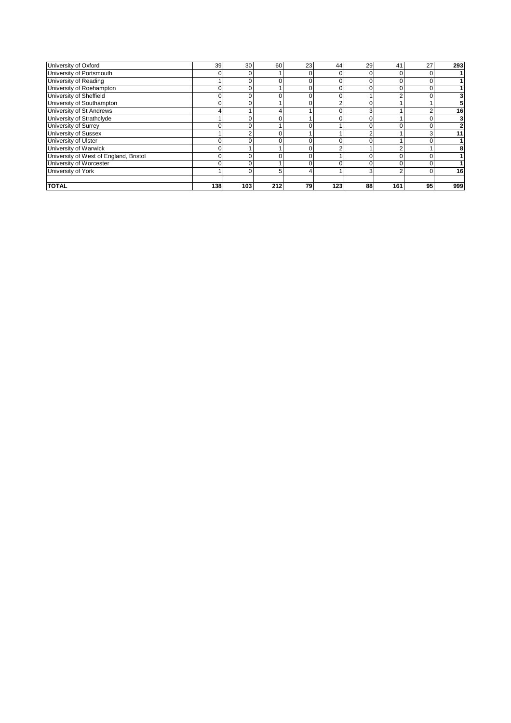| University of Oxford                   | 39  | 30             | 60  | 23 | 44  | 29 | 41  | 27 | 293 |
|----------------------------------------|-----|----------------|-----|----|-----|----|-----|----|-----|
| University of Portsmouth               |     | 0              |     |    |     |    |     |    |     |
| University of Reading                  |     | 0              |     |    |     |    |     |    |     |
| University of Roehampton               |     | 0              |     |    |     |    |     |    |     |
| University of Sheffield                |     | $\overline{0}$ |     |    |     |    | C   |    |     |
| University of Southampton              |     | $\overline{0}$ |     |    |     |    |     |    |     |
| University of St Andrews               |     |                |     |    |     |    |     |    | 16  |
| University of Strathclyde              |     | 0              |     |    |     |    |     |    |     |
| University of Surrey                   |     | 0              |     |    |     |    |     |    |     |
| University of Sussex                   |     | 2              |     |    |     | C  |     |    | 11  |
| University of Ulster                   |     | 0              |     |    |     |    |     |    |     |
| University of Warwick                  |     |                |     |    |     |    | n   |    |     |
| University of West of England, Bristol |     | 0              |     |    |     |    |     |    |     |
| University of Worcester                |     | 0              |     |    |     |    |     |    |     |
| University of York                     |     | 0              | 5   |    |     | 3  | c   |    | 16  |
|                                        |     |                |     |    |     |    |     |    |     |
| <b>TOTAL</b>                           | 138 | 103            | 212 | 79 | 123 | 88 | 161 | 95 | 999 |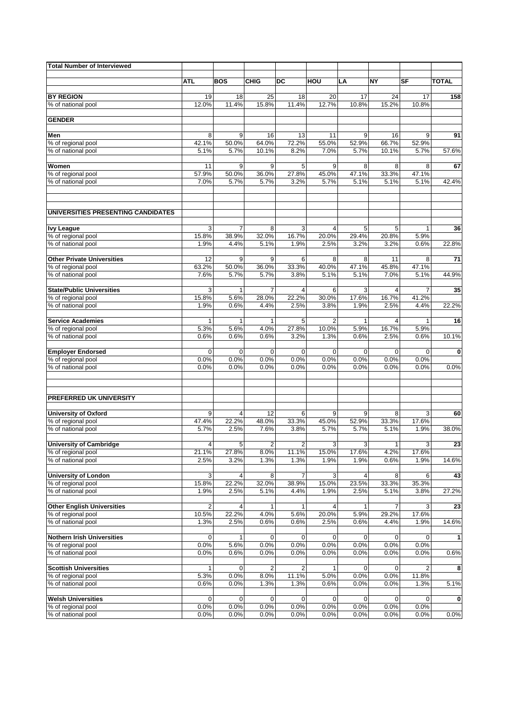| <b>Total Number of Interviewed</b>             |                                  |                     |                         |                         |                  |                     |               |                     |              |
|------------------------------------------------|----------------------------------|---------------------|-------------------------|-------------------------|------------------|---------------------|---------------|---------------------|--------------|
|                                                |                                  |                     |                         |                         |                  |                     |               |                     |              |
|                                                | <b>ATL</b>                       | <b>BOS</b>          | CHIG                    | DC                      | HOU              | LA                  | <b>NY</b>     | SF                  | <b>TOTAL</b> |
| <b>BY REGION</b>                               | 19                               | 18                  | 25                      | 18                      | 20               | 17                  | 24            | 17                  | 158          |
| % of national pool                             | 12.0%                            | 11.4%               | 15.8%                   | 11.4%                   | 12.7%            | 10.8%               | 15.2%         | 10.8%               |              |
|                                                |                                  |                     |                         |                         |                  |                     |               |                     |              |
| <b>GENDER</b>                                  |                                  |                     |                         |                         |                  |                     |               |                     |              |
| Men                                            | 8                                | 9                   | 16                      | 13                      | 11               | 9                   | 16            | 9                   | 91           |
| % of regional pool                             | 42.1%                            | 50.0%               | 64.0%                   | 72.2%                   | 55.0%            | 52.9%               | 66.7%         | 52.9%               |              |
| % of national pool                             | 5.1%                             | 5.7%                | 10.1%                   | 8.2%                    | 7.0%             | 5.7%                | 10.1%         | 5.7%                | 57.6%        |
| Women                                          | 11                               | 9                   | 9                       | 5                       | 9                | 8                   | 8             | 8                   | 67           |
| % of regional pool                             | 57.9%                            | 50.0%               | 36.0%                   | 27.8%                   | 45.0%            | 47.1%               | 33.3%         | 47.1%               |              |
| % of national pool                             | 7.0%                             | 5.7%                | 5.7%                    | 3.2%                    | 5.7%             | 5.1%                | 5.1%          | 5.1%                | 42.4%        |
|                                                |                                  |                     |                         |                         |                  |                     |               |                     |              |
| UNIVERSITIES PRESENTING CANDIDATES             |                                  |                     |                         |                         |                  |                     |               |                     |              |
| <b>Ivy League</b>                              | 3                                | $\overline{7}$      | 8                       | 3                       | $\overline{4}$   | 5                   | 5             | $\mathbf{1}$        | 36           |
| % of regional pool                             | 15.8%                            | 38.9%               | 32.0%                   | 16.7%                   | 20.0%            | 29.4%               | 20.8%         | 5.9%                |              |
| % of national pool                             | 1.9%                             | 4.4%                | 5.1%                    | 1.9%                    | 2.5%             | 3.2%                | 3.2%          | 0.6%                | 22.8%        |
|                                                |                                  |                     |                         |                         |                  |                     |               |                     |              |
| <b>Other Private Universities</b>              | 12                               | 9                   | 9                       | 6                       | 8                | 8                   | 11            | 8                   | 71           |
| % of regional pool<br>% of national pool       | 63.2%<br>7.6%                    | 50.0%<br>5.7%       | 36.0%<br>5.7%           | 33.3%<br>3.8%           | 40.0%<br>5.1%    | 47.1%<br>5.1%       | 45.8%<br>7.0% | 47.1%<br>5.1%       | 44.9%        |
|                                                |                                  |                     |                         |                         |                  |                     |               |                     |              |
| <b>State/Public Universities</b>               | 3                                | 1                   | 7                       | $\overline{4}$          | 6                | 3                   | 4             | 7                   | 35           |
| % of regional pool                             | 15.8%                            | 5.6%                | 28.0%                   | 22.2%                   | 30.0%            | 17.6%               | 16.7%         | 41.2%               |              |
| % of national pool                             | 1.9%                             | 0.6%                | 4.4%                    | 2.5%                    | 3.8%             | 1.9%                | 2.5%          | 4.4%                | 22.2%        |
| <b>Service Academies</b>                       | 1                                | 1                   | $\mathbf{1}$            | 5                       | $\overline{2}$   | 1                   | 4             | 1                   | 16           |
| % of regional pool                             | 5.3%                             | 5.6%                | 4.0%                    | 27.8%                   | 10.0%            | 5.9%                | 16.7%         | 5.9%                |              |
| % of national pool                             | 0.6%                             | 0.6%                | 0.6%                    | 3.2%                    | 1.3%             | 0.6%                | 2.5%          | 0.6%                | 10.1%        |
|                                                |                                  |                     |                         |                         |                  |                     |               |                     |              |
| <b>Employer Endorsed</b><br>% of regional pool | 0<br>0.0%                        | $\mathbf 0$<br>0.0% | $\mathbf 0$<br>0.0%     | 0<br>0.0%               | $\Omega$<br>0.0% | $\mathbf 0$<br>0.0% | 0<br>0.0%     | $\mathbf 0$<br>0.0% | 0            |
| % of national pool                             | 0.0%                             | 0.0%                | 0.0%                    | 0.0%                    | 0.0%             | 0.0%                | 0.0%          | 0.0%                | 0.0%         |
|                                                |                                  |                     |                         |                         |                  |                     |               |                     |              |
| PREFERRED UK UNIVERSITY                        |                                  |                     |                         |                         |                  |                     |               |                     |              |
|                                                |                                  |                     |                         |                         |                  |                     |               |                     |              |
| <b>University of Oxford</b>                    | 9                                | 4                   | 12                      | 6                       | 9                | 9                   | 8             | 3                   | 60           |
| % of regional pool<br>% of national pool       | 47.4%<br>5.7%                    | 22.2%<br>2.5%       | 48.0%<br>7.6%           | 33.3%<br>3.8%           | 45.0%<br>5.7%    | 52.9%<br>5.7%       | 33.3%<br>5.1% | 17.6%<br>1.9%       | 38.0%        |
|                                                |                                  |                     |                         |                         |                  |                     |               |                     |              |
| <b>University of Cambridge</b>                 | 4                                | 5                   | $\overline{2}$          | $\overline{\mathbf{c}}$ | 3                | 3                   | 1             | 3                   | 23           |
| % of regional pool                             | 21.1%                            | 27.8%               | 8.0%                    | 11.1%                   | 15.0%            | 17.6%               | 4.2%          | 17.6%               |              |
| % of national pool                             | 2.5%                             | 3.2%                | 1.3%                    | 1.3%                    | 1.9%             | 1.9%                | 0.6%          | 1.9%                | 14.6%        |
| <b>University of London</b>                    | 3                                | 4                   | 8                       | 7                       | 3                | 4                   | 8             | 6                   | 43           |
| % of regional pool                             | 15.8%                            | 22.2%               | 32.0%                   | 38.9%                   | 15.0%            | 23.5%               | 33.3%         | 35.3%               |              |
| % of national pool                             | 1.9%                             | 2.5%                | 5.1%                    | 4.4%                    | 1.9%             | 2.5%                | 5.1%          | 3.8%                | 27.2%        |
| <b>Other English Universities</b>              |                                  |                     |                         |                         |                  |                     |               |                     |              |
| % of regional pool                             | $\overline{\mathbf{c}}$<br>10.5% | 4<br>22.2%          | 1<br>4.0%               | 1<br>5.6%               | 4<br>20.0%       | 1<br>5.9%           | 29.2%         | 3<br>17.6%          | 23           |
| % of national pool                             | 1.3%                             | 2.5%                | 0.6%                    | 0.6%                    | 2.5%             | 0.6%                | 4.4%          | 1.9%                | 14.6%        |
|                                                |                                  |                     |                         |                         |                  |                     |               |                     |              |
| <b>Nothern Irish Universities</b>              | 0                                | 1                   | 0                       | 0                       | $\mathbf 0$      | 0                   | 0             | 0                   | $\mathbf{1}$ |
| % of regional pool                             | 0.0%                             | 5.6%                | 0.0%                    | 0.0%                    | 0.0%             | 0.0%                | 0.0%          | 0.0%                |              |
| % of national pool                             | 0.0%                             | 0.6%                | 0.0%                    | 0.0%                    | 0.0%             | 0.0%                | 0.0%          | 0.0%                | 0.6%         |
| <b>Scottish Universities</b>                   | 1                                | 0                   | $\overline{\mathbf{c}}$ | 2                       | $\mathbf{1}$     | 0                   | 0             | 2                   | 8            |
| % of regional pool                             | 5.3%                             | 0.0%                | 8.0%                    | 11.1%                   | 5.0%             | 0.0%                | 0.0%          | 11.8%               |              |
| % of national pool                             | 0.6%                             | 0.0%                | 1.3%                    | 1.3%                    | 0.6%             | 0.0%                | 0.0%          | 1.3%                | 5.1%         |
| <b>Welsh Universities</b>                      | 0                                | 0                   | 0                       | 0                       | $\mathbf 0$      | 0                   | 0             | 0                   | 0            |
| % of regional pool                             | 0.0%                             | 0.0%                | 0.0%                    | 0.0%                    | 0.0%             | 0.0%                | 0.0%          | 0.0%                |              |
| % of national pool                             | 0.0%                             | 0.0%                | 0.0%                    | 0.0%                    | 0.0%             | 0.0%                | 0.0%          | 0.0%                | 0.0%         |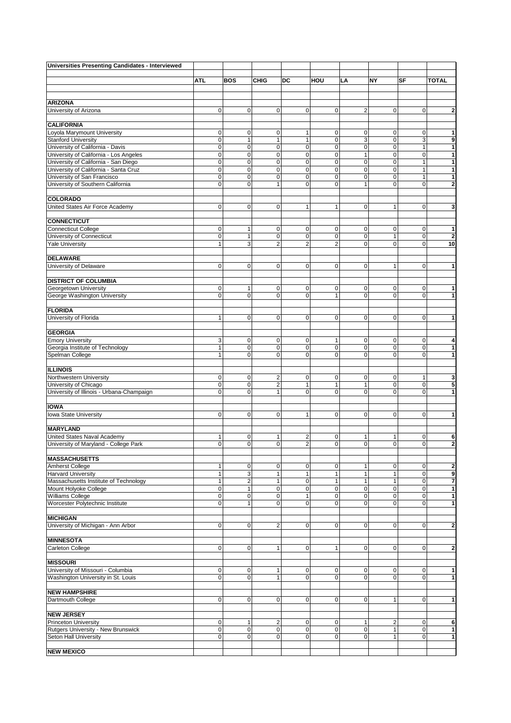| <b>Universities Presenting Candidates - Interviewed</b>                        |                            |                             |                            |                             |                  |                             |                            |                           |                         |
|--------------------------------------------------------------------------------|----------------------------|-----------------------------|----------------------------|-----------------------------|------------------|-----------------------------|----------------------------|---------------------------|-------------------------|
|                                                                                |                            |                             |                            |                             |                  |                             |                            |                           |                         |
|                                                                                | ATL                        | <b>BOS</b>                  | <b>CHIG</b>                | DC                          | HOU              | LA                          | <b>NY</b>                  | SF                        | <b>TOTAL</b>            |
|                                                                                |                            |                             |                            |                             |                  |                             |                            |                           |                         |
| <b>ARIZONA</b>                                                                 |                            |                             |                            |                             |                  |                             |                            |                           |                         |
| University of Arizona                                                          | $\mathbf 0$                | 0                           | 0                          | $\mathbf 0$                 | 0                | $\overline{2}$              | $\overline{0}$             | 0                         | $\overline{\mathbf{c}}$ |
|                                                                                |                            |                             |                            |                             |                  |                             |                            |                           |                         |
| <b>CALIFORNIA</b>                                                              |                            |                             |                            |                             |                  |                             |                            |                           |                         |
| Loyola Marymount University                                                    | $\mathbf 0$                | 0                           | 0                          | $\mathbf{1}$                | 0                | 0                           | $\mathbf 0$                | 0                         | 1                       |
| <b>Stanford University</b>                                                     | $\mathbf 0$                | $\mathbf{1}$                | $\mathbf{1}$               | 1                           | $\mathbf 0$      | 3                           | $\mathbf 0$                | 3                         | 9                       |
| University of California - Davis                                               | $\mathbf 0$                | $\mathbf 0$                 | $\mathbf 0$                | $\mathbf 0$                 | $\mathbf 0$      | $\pmb{0}$                   | $\mathbf 0$                | $\mathbf{1}$              | 1                       |
| University of California - Los Angeles<br>University of California - San Diego | $\mathbf 0$<br>$\mathbf 0$ | $\mathbf 0$<br>$\mathbf 0$  | $\mathbf 0$<br>$\mathbf 0$ | $\mathbf 0$<br>$\mathbf 0$  | $\mathbf 0$<br>0 | $\mathbf{1}$<br>$\mathbf 0$ | $\mathbf 0$<br>$\mathbf 0$ | $\pmb{0}$<br>$\mathbf{1}$ | 1<br>1                  |
| University of California - Santa Cruz                                          | $\mathbf 0$                | $\mathbf 0$                 | $\pmb{0}$                  | $\mathbf 0$                 | 0                | $\mathbf 0$                 | $\mathbf 0$                | 1                         | 1                       |
| University of San Francisco                                                    | $\mathbf 0$                | $\mathbf 0$                 | $\pmb{0}$                  | $\mathbf 0$                 | 0                | $\mathbf 0$                 | $\overline{0}$             | $\mathbf{1}$              | 1                       |
| University of Southern California                                              | $\mathbf 0$                | $\mathbf 0$                 | 1                          | $\Omega$                    | 0                | $\mathbf{1}$                | $\Omega$                   | 0                         | $\overline{a}$          |
|                                                                                |                            |                             |                            |                             |                  |                             |                            |                           |                         |
| <b>COLORADO</b>                                                                |                            |                             |                            |                             |                  |                             |                            |                           |                         |
| United States Air Force Academy                                                | $\mathbf 0$                | $\mathbf 0$                 | $\mathbf 0$                | $\mathbf{1}$                | $\mathbf{1}$     | 0                           | 1                          | $\mathbf 0$               | 3                       |
|                                                                                |                            |                             |                            |                             |                  |                             |                            |                           |                         |
| <b>CONNECTICUT</b>                                                             |                            |                             |                            |                             |                  |                             |                            |                           |                         |
| <b>Connecticut College</b>                                                     | $\mathbf 0$                | $\mathbf{1}$                | $\mathbf 0$                | $\mathbf 0$                 | 0                | 0                           | $\overline{0}$             | 0                         | 1                       |
| University of Connecticut                                                      | $\mathbf 0$                | $\mathbf{1}$                | $\mathbf 0$                | $\mathbf 0$                 | 0                | $\mathbf 0$                 | $\mathbf{1}$               | $\pmb{0}$                 | $\overline{a}$          |
| <b>Yale University</b>                                                         | $\mathbf{1}$               | 3                           | $\overline{2}$             | $\overline{2}$              | $\overline{2}$   | $\mathbf 0$                 | $\overline{0}$             | 0                         | 10                      |
| <b>DELAWARE</b>                                                                |                            |                             |                            |                             |                  |                             |                            |                           |                         |
| University of Delaware                                                         | $\mathbf 0$                | 0                           | $\mathbf 0$                | $\mathbf 0$                 | 0                | 0                           | 1                          | 0                         | 1                       |
|                                                                                |                            |                             |                            |                             |                  |                             |                            |                           |                         |
| <b>DISTRICT OF COLUMBIA</b>                                                    |                            |                             |                            |                             |                  |                             |                            |                           |                         |
| Georgetown University                                                          | $\mathbf 0$                | 1                           | $\mathbf 0$                | $\mathbf 0$                 | 0                | 0                           | $\overline{0}$             | 0                         | 1                       |
| George Washington University                                                   | $\mathbf 0$                | 0                           | $\pmb{0}$                  | $\mathbf 0$                 | 1                | $\mathbf 0$                 | $\overline{0}$             | $\mathbf 0$               | 1                       |
|                                                                                |                            |                             |                            |                             |                  |                             |                            |                           |                         |
| <b>FLORIDA</b>                                                                 |                            |                             |                            |                             |                  |                             |                            |                           |                         |
| University of Florida                                                          | $\mathbf{1}$               | 0                           | $\mathbf 0$                | $\mathbf 0$                 | 0                | $\mathbf 0$                 | $\overline{0}$             | 0                         | 1                       |
| <b>GEORGIA</b>                                                                 |                            |                             |                            |                             |                  |                             |                            |                           |                         |
| <b>Emory University</b>                                                        | 3                          | 0                           | 0                          | 0                           | 1                | 0                           | $\overline{0}$             | 0                         | 4                       |
| Georgia Institute of Technology                                                | $\mathbf{1}$               | 0                           | $\mathbf 0$                | $\mathbf 0$                 | 0                | $\mathbf 0$                 | $\mathbf 0$                | 0                         | 1                       |
| Spelman College                                                                | $\mathbf{1}$               | $\mathbf 0$                 | $\mathbf 0$                | $\mathbf 0$                 | $\mathbf 0$      | $\mathbf 0$                 | $\mathbf 0$                | 0                         | 1                       |
|                                                                                |                            |                             |                            |                             |                  |                             |                            |                           |                         |
| <b>ILLINOIS</b>                                                                |                            |                             |                            |                             |                  |                             |                            |                           |                         |
| Northwestern University                                                        | $\mathbf 0$                | 0                           | $\overline{\mathbf{c}}$    | $\mathbf 0$                 | 0                | 0                           | $\mathbf 0$                | 1                         | 3                       |
| University of Chicago                                                          | $\mathbf 0$                | $\mathbf 0$                 | $\overline{c}$             | $\mathbf{1}$                | $\mathbf{1}$     | $\mathbf{1}$                | $\mathbf 0$                | $\pmb{0}$                 | 5                       |
| University of Illinois - Urbana-Champaign                                      | $\mathbf 0$                | $\mathbf 0$                 | $\mathbf{1}$               | $\mathbf 0$                 | $\mathbf 0$      | $\mathbf 0$                 | $\overline{0}$             | $\mathbf 0$               | 1                       |
|                                                                                |                            |                             |                            |                             |                  |                             |                            |                           |                         |
| <b>IOWA</b><br><b>Iowa State University</b>                                    | $\mathbf 0$                | 0                           | $\mathbf 0$                | 1                           | 0                | $\mathbf 0$                 | $\overline{0}$             | $\mathbf 0$               | 1                       |
|                                                                                |                            |                             |                            |                             |                  |                             |                            |                           |                         |
| <b>MARYLAND</b>                                                                |                            |                             |                            |                             |                  |                             |                            |                           |                         |
| United States Naval Academy                                                    | $\overline{1}$             | 0                           | 1                          | $\overline{\mathbf{c}}$     | 0                | 1                           | 1                          | 0                         | 6                       |
| University of Maryland - College Park                                          | $\mathbf 0$                | $\mathbf 0$                 | $\mathbf 0$                | $\overline{2}$              | 0                | $\mathbf 0$                 | $\mathbf 0$                | 0                         | $\overline{\mathbf{c}}$ |
|                                                                                |                            |                             |                            |                             |                  |                             |                            |                           |                         |
| <b>MASSACHUSETTS</b>                                                           |                            |                             |                            |                             |                  |                             |                            |                           |                         |
| <b>Amherst College</b>                                                         | $\mathbf{1}$               | 0                           | 0                          | $\mathbf 0$                 | 0                | 1                           | $\mathbf 0$                | 0                         | $\overline{\mathbf{c}}$ |
| <b>Harvard University</b>                                                      | $\mathbf{1}$               | 3                           | $\mathbf{1}$               | 1                           | 1                | 1                           | 1                          | 0                         | 9                       |
| Massachusetts Institute of Technology                                          | $\mathbf{1}$               | $\overline{c}$              | $\mathbf{1}$               | $\mathbf 0$                 | 1                | $\mathbf{1}$                | 1                          | 0                         | 7                       |
| Mount Holyoke College<br>Williams College                                      | $\mathbf 0$                | $\mathbf{1}$                | $\pmb{0}$                  | $\mathbf 0$<br>$\mathbf{1}$ | 0<br>0           | $\mathbf 0$                 | $\overline{0}$<br>$\Omega$ | $\pmb{0}$                 | 1                       |
| Worcester Polytechnic Institute                                                | $\mathbf 0$<br>$\mathbf 0$ | $\mathbf 0$<br>$\mathbf{1}$ | $\pmb{0}$<br>$\mathbf 0$   | $\mathbf 0$                 | 0                | $\mathbf 0$<br>$\mathbf 0$  | $\overline{0}$             | 0<br>0                    | 1<br>1                  |
|                                                                                |                            |                             |                            |                             |                  |                             |                            |                           |                         |
| <b>MICHIGAN</b>                                                                |                            |                             |                            |                             |                  |                             |                            |                           |                         |
| University of Michigan - Ann Arbor                                             | $\Omega$                   | 0                           | $\overline{2}$             | $\mathbf 0$                 | 0                | $\mathbf 0$                 | $\Omega$                   | 0                         | $\overline{\mathbf{c}}$ |
|                                                                                |                            |                             |                            |                             |                  |                             |                            |                           |                         |
| <b>MINNESOTA</b>                                                               |                            |                             |                            |                             |                  |                             |                            |                           |                         |
| Carleton College                                                               | $\mathbf 0$                | $\overline{0}$              | 1                          | $\mathbf 0$                 | 1                | $\mathbf 0$                 | $\overline{0}$             | $\mathbf 0$               | $\overline{a}$          |
|                                                                                |                            |                             |                            |                             |                  |                             |                            |                           |                         |
| <b>MISSOURI</b>                                                                |                            |                             |                            |                             |                  |                             |                            |                           |                         |
| University of Missouri - Columbia                                              | $\mathbf 0$                | $\pmb{0}$                   | 1                          | $\mathbf 0$                 | 0                | 0                           | $\mathbf 0$                | 0                         | 1                       |
| Washington University in St. Louis                                             | $\Omega$                   | $\mathbf 0$                 | 1                          | $\mathbf 0$                 | $\mathbf 0$      | $\mathbf 0$                 | $\mathbf 0$                | $\mathbf 0$               | 1                       |
| <b>NEW HAMPSHIRE</b>                                                           |                            |                             |                            |                             |                  |                             |                            |                           |                         |
| Dartmouth College                                                              | $\mathbf 0$                | 0                           | 0                          | $\mathbf 0$                 | 0                | $\mathbf{0}$                | 1                          | $\mathbf 0$               | 1                       |
|                                                                                |                            |                             |                            |                             |                  |                             |                            |                           |                         |
| <b>NEW JERSEY</b>                                                              |                            |                             |                            |                             |                  |                             |                            |                           |                         |
| <b>Princeton University</b>                                                    | $\mathbf 0$                | 1                           | $\overline{c}$             | $\mathbf 0$                 | 0                | 1                           | $\overline{2}$             | 0                         | 6                       |
| Rutgers University - New Brunswick                                             | $\mathbf 0$                | $\mathbf 0$                 | $\mathbf 0$                | $\mathbf 0$                 | 0                | $\mathbf 0$                 | 1                          | 0                         | 1                       |
| Seton Hall University                                                          | $\mathbf 0$                | $\mathbf 0$                 | $\mathbf 0$                | $\mathbf 0$                 | $\mathbf 0$      | $\mathbf 0$                 | 1                          | 0                         | 1                       |
|                                                                                |                            |                             |                            |                             |                  |                             |                            |                           |                         |
| <b>NEW MEXICO</b>                                                              |                            |                             |                            |                             |                  |                             |                            |                           |                         |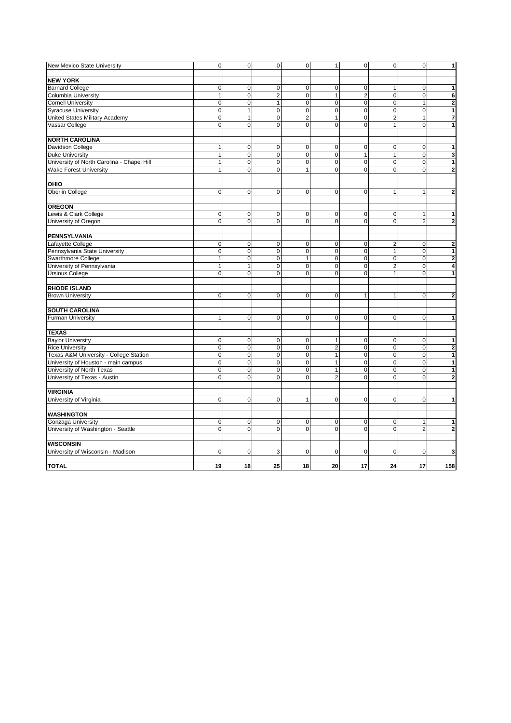| New Mexico State University                | $\overline{0}$ | $\overline{0}$ | $\mathbf 0$    | $\pmb{0}$      | $\overline{1}$ | $\pmb{0}$      | $\overline{0}$ | $\overline{0}$ | $\mathbf{1}$            |
|--------------------------------------------|----------------|----------------|----------------|----------------|----------------|----------------|----------------|----------------|-------------------------|
| <b>NEW YORK</b>                            |                |                |                |                |                |                |                |                |                         |
| <b>Barnard College</b>                     | $\mathbf 0$    | $\pmb{0}$      | $\mathbf 0$    | $\mathbf 0$    | $\mathbf 0$    | $\pmb{0}$      | $\mathbf{1}$   | $\mathbf 0$    | 1                       |
| Columbia University                        | $\overline{1}$ | $\overline{0}$ | $\overline{2}$ | $\Omega$       | $\overline{1}$ | $\overline{2}$ | $\Omega$       | $\overline{0}$ | 6                       |
| <b>Cornell University</b>                  | $\mathbf 0$    | 0              | $\mathbf{1}$   | $\mathbf 0$    | $\mathbf 0$    | $\mathbf 0$    | $\mathbf 0$    | $\mathbf{1}$   | $\overline{2}$          |
| <b>Syracuse University</b>                 | $\mathbf 0$    | $\mathbf{1}$   | $\mathbf 0$    | $\mathbf 0$    | $\mathbf 0$    | $\mathbf 0$    | $\mathbf 0$    | $\mathbf 0$    | 1                       |
| United States Military Academy             | $\mathbf 0$    | $\overline{1}$ | $\mathbf 0$    | $\overline{2}$ | $\overline{1}$ | $\mathbf 0$    | $\overline{2}$ | $\overline{1}$ | $\overline{7}$          |
| Vassar College                             | $\Omega$       | 0              | $\pmb{0}$      | $\Omega$       | 0              | $\mathbf 0$    | $\mathbf{1}$   | $\mathbf 0$    | 1                       |
| <b>NORTH CAROLINA</b>                      |                |                |                |                |                |                |                |                |                         |
| Davidson College                           | $\mathbf{1}$   | $\mathbf 0$    | $\Omega$       | $\mathbf 0$    | $\mathbf 0$    | $\mathbf 0$    | $\mathbf 0$    | $\mathbf 0$    | 1                       |
| <b>Duke University</b>                     | $\mathbf{1}$   | 0              | $\pmb{0}$      | $\mathbf 0$    | $\mathbf 0$    | $\mathbf{1}$   | $\mathbf{1}$   | $\mathbf 0$    | 3                       |
| University of North Carolina - Chapel Hill | $\mathbf{1}$   | $\overline{0}$ | $\mathbf 0$    | $\mathbf 0$    | $\overline{0}$ | $\mathbf 0$    | $\mathbf 0$    | $\overline{0}$ | 1                       |
| <b>Wake Forest University</b>              | $\mathbf{1}$   | $\overline{0}$ | $\mathbf 0$    | $\mathbf{1}$   | $\mathbf 0$    | $\overline{0}$ | $\overline{0}$ | $\overline{0}$ | $\overline{\mathbf{c}}$ |
| OHIO                                       |                |                |                |                |                |                |                |                |                         |
| Oberlin College                            | $\mathbf 0$    | $\overline{0}$ | $\mathbf 0$    | $\mathbf 0$    | 0              | $\mathbf 0$    | $\overline{1}$ | 1              | $\overline{a}$          |
|                                            |                |                |                |                |                |                |                |                |                         |
| <b>OREGON</b><br>Lewis & Clark College     | $\mathbf 0$    | 0              | $\mathbf 0$    | $\mathbf 0$    | 0              | $\mathbf 0$    | $\overline{0}$ | 1              | 1                       |
| University of Oregon                       | $\mathbf 0$    | $\overline{0}$ | $\mathbf 0$    | $\mathbf 0$    | $\mathbf 0$    | $\pmb{0}$      | $\overline{0}$ | $\overline{2}$ | $\overline{a}$          |
|                                            |                |                |                |                |                |                |                |                |                         |
| <b>PENNSYLVANIA</b>                        |                |                |                |                |                |                |                |                |                         |
| Lafayette College                          | $\mathbf 0$    | $\mathbf 0$    | $\pmb{0}$      | $\mathbf 0$    | $\mathbf 0$    | $\pmb{0}$      | $\mathbf 2$    | $\mathbf 0$    | $\overline{a}$          |
| Pennsylvania State University              | $\mathbf 0$    | $\overline{0}$ | $\overline{0}$ | $\mathbf 0$    | $\overline{0}$ | $\overline{0}$ | $\mathbf{1}$   | $\overline{0}$ | 1                       |
| Swarthmore College                         | $\overline{1}$ | 0              | $\pmb{0}$      | $\overline{1}$ | 0              | $\mathbf 0$    | $\mathbf 0$    | 0              | $\overline{a}$          |
| University of Pennsylvania                 | $\mathbf{1}$   | $\mathbf{1}$   | $\mathbf 0$    | $\mathbf 0$    | $\mathbf 0$    | $\mathbf 0$    | $\overline{2}$ | $\mathbf 0$    | 4                       |
| <b>Ursinus College</b>                     | $\mathbf 0$    | $\mathbf 0$    | 0              | $\mathbf 0$    | $\mathbf 0$    | $\mathbf 0$    | $\mathbf{1}$   | $\mathbf 0$    | 1                       |
| <b>RHODE ISLAND</b>                        |                |                |                |                |                |                |                |                |                         |
| <b>Brown University</b>                    | $\mathbf 0$    | $\mathbf 0$    | $\mathbf 0$    | $\mathbf 0$    | 0              | $\mathbf{1}$   | $\mathbf{1}$   | $\mathbf 0$    | $\overline{a}$          |
| <b>SOUTH CAROLINA</b>                      |                |                |                |                |                |                |                |                |                         |
| <b>Furman University</b>                   | 1              | 0              | $\mathbf 0$    | $\mathbf 0$    | $\mathbf 0$    | $\mathbf 0$    | $\overline{0}$ | $\mathbf 0$    | 1                       |
| <b>TEXAS</b>                               |                |                |                |                |                |                |                |                |                         |
| <b>Baylor University</b>                   | $\mathbf 0$    | 0              | $\pmb{0}$      | $\pmb{0}$      | 1              | $\pmb{0}$      | $\mathbf 0$    | $\pmb{0}$      | 1                       |
| <b>Rice University</b>                     | $\mathbf 0$    | 0              | $\mathbf 0$    | $\mathbf 0$    | $\overline{2}$ | $\mathbf 0$    | $\mathbf 0$    | $\mathbf 0$    | $\overline{a}$          |
| Texas A&M University - College Station     | $\Omega$       | 0              | $\mathbf 0$    | $\Omega$       | 1              | $\mathbf 0$    | $\Omega$       | $\mathbf 0$    | 1                       |
| University of Houston - main campus        | $\mathbf 0$    | 0              | $\pmb{0}$      | $\mathbf 0$    | 1              | $\pmb{0}$      | $\mathbf 0$    | $\mathbf 0$    | 1                       |
| University of North Texas                  | $\mathbf 0$    | $\mathbf 0$    | $\mathbf 0$    | $\mathbf 0$    | $\overline{1}$ | $\mathbf 0$    | $\mathbf 0$    | $\mathbf 0$    | 1                       |
| University of Texas - Austin               | $\Omega$       | $\Omega$       | $\pmb{0}$      | $\Omega$       | $\overline{2}$ | $\pmb{0}$      | $\Omega$       | $\Omega$       | $\overline{a}$          |
| <b>VIRGINIA</b>                            |                |                |                |                |                |                |                |                |                         |
| University of Virginia                     | $\mathbf 0$    | $\mathbf 0$    | $\mathbf 0$    | $\mathbf{1}$   | $\mathbf 0$    | $\mathbf 0$    | $\overline{0}$ | $\mathbf 0$    | 1                       |
| <b>WASHINGTON</b>                          |                |                |                |                |                |                |                |                |                         |
| Gonzaga University                         | $\mathbf 0$    | 0              | $\mathbf 0$    | $\mathbf 0$    | $\mathbf 0$    | $\mathbf 0$    | $\overline{0}$ | 1              | 1                       |
| University of Washington - Seattle         | $\mathbf 0$    | $\overline{0}$ | $\pmb{0}$      | $\mathbf 0$    | $\overline{0}$ | $\pmb{0}$      | $\mathbf 0$    | $\overline{2}$ | $\overline{2}$          |
| <b>WISCONSIN</b>                           |                |                |                |                |                |                |                |                |                         |
| University of Wisconsin - Madison          | 0              | 0              | 3              | $\mathbf 0$    | $\mathbf 0$    | 0              | $\mathbf 0$    | $\mathbf 0$    | 3                       |
| <b>TOTAL</b>                               | 19             | 18             | 25             | 18             | 20             | 17             | 24             | 17             | 158                     |
|                                            |                |                |                |                |                |                |                |                |                         |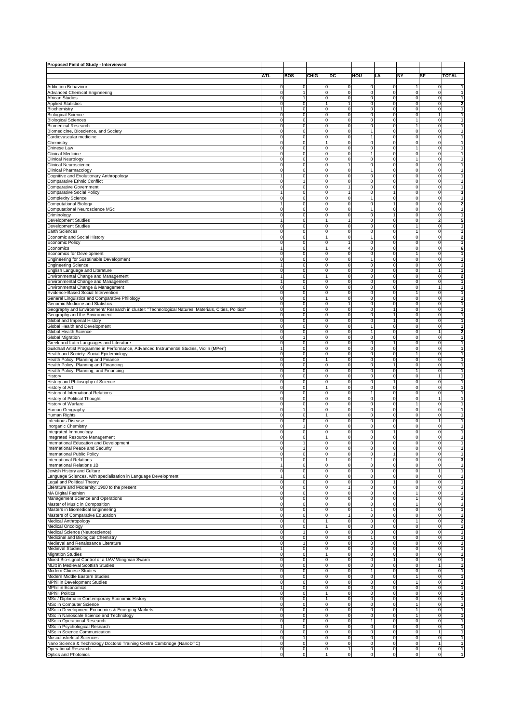| Proposed Field of Study - Interviewed                                                                                               |                              |                                                                      |                                  |                                  |                                  |                                  |                                  |                                  |                   |
|-------------------------------------------------------------------------------------------------------------------------------------|------------------------------|----------------------------------------------------------------------|----------------------------------|----------------------------------|----------------------------------|----------------------------------|----------------------------------|----------------------------------|-------------------|
|                                                                                                                                     | <b>ATL</b>                   | <b>BOS</b>                                                           | CHIG                             | DC                               | HOU                              | LA                               | <b>NY</b>                        | <b>SF</b>                        | <b>TOTAL</b>      |
|                                                                                                                                     |                              |                                                                      |                                  |                                  |                                  |                                  |                                  |                                  |                   |
| <b>Addiction Behaviour</b>                                                                                                          |                              | $\mathbf 0$                                                          | $\mathbf 0$                      | $\mathbf 0$                      | $\mathbf 0$                      | $\circ$                          | 1                                | $\mathbf 0$                      |                   |
| <b>Advanced Chemical Engineering</b><br>African Studies                                                                             | 0<br>$\mathbf 0$             | 1<br>1                                                               | $\overline{0}$<br>$\mathbf 0$    | $\overline{0}$<br>$\mathbf 0$    | $\overline{0}$<br>$\mathbf 0$    | $\overline{0}$<br>$\mathbf{0}$   | $\overline{0}$<br>$\mathbf{0}$   | $\overline{0}$<br>$\mathbf{0}$   |                   |
| <b>Applied Statistics</b>                                                                                                           | $\Omega$                     | $\overline{0}$                                                       | $\mathbf{1}$                     | $\mathbf{1}$                     | $\overline{0}$                   | $\mathbf{0}$                     | $\mathbf{0}$                     | $\mathbf{0}$                     |                   |
| Biochemistry                                                                                                                        | 1                            | $\overline{0}$                                                       | $\overline{0}$                   | $\overline{0}$                   | $\overline{0}$                   | $\overline{0}$                   | $\overline{0}$                   | $\overline{0}$                   |                   |
| <b>Biological Science</b><br><b>Biological Sciences</b>                                                                             | $\Omega$<br>$\mathbf 0$      | $\overline{0}$<br>$\circ$                                            | $\overline{0}$<br>$\circ$        | $\overline{0}$<br>$\circ$        | $\overline{0}$<br>$\circ$        | $\overline{0}$<br>$\circ$        | $\overline{0}$<br>$\mathbf{1}$   | 1<br>$\overline{0}$              |                   |
| <b>Biomedical Research</b>                                                                                                          | 0                            | $\mathbf 0$                                                          | $\mathbf 0$                      | $\mathbf 0$                      | $\mathbf 0$                      | $\circ$                          | 1                                | $\circ$                          |                   |
| Biomedicine, Bioscience, and Society                                                                                                | $\Omega$                     | $\mathbf 0$                                                          | $\mathbf 0$                      | $\mathbf 0$                      | 1                                | $\mathbf 0$                      | $\mathbf 0$                      | $\mathbf 0$                      |                   |
| Cardiovascular medicine                                                                                                             | $\mathbf 0$<br>0             | $\mathbf 0$<br>$\mathbf 0$                                           | $\mathbf 0$<br>$\mathbf{1}$      | $\mathbf 0$<br>$\mathbf 0$       | $\mathbf{1}$<br>$\mathbf 0$      | $\mathbf{0}$<br>$\overline{0}$   | $\mathbf{0}$<br>$\overline{0}$   | $\overline{0}$<br>$\circ$        |                   |
| Chemistry<br>Chinese Law                                                                                                            | $\Omega$                     | $\overline{0}$                                                       | $\overline{0}$                   | $\overline{0}$                   | $\overline{0}$                   | $\overline{0}$                   | 1                                | $\overline{0}$                   |                   |
| Clinical Medicine                                                                                                                   | $\mathbf 0$                  | $\overline{0}$                                                       | $\overline{0}$                   | $\overline{0}$                   | $\mathbf{1}$                     | $\overline{0}$                   | $\overline{0}$                   | $\overline{0}$                   |                   |
| <b>Clinical Neurology</b><br>Clinical Neuroscience                                                                                  | 0<br>$\Omega$                | $\mathbf 0$<br>$\mathbf 0$                                           | $\mathbf 0$<br>$\mathbf 0$       | $\circ$<br>$\mathbf{1}$          | $\mathbf 0$<br>$\mathbf 0$       | $\circ$<br>$\overline{0}$        | $\mathbf{1}$<br>$\overline{0}$   | $\circ$<br>$\overline{0}$        |                   |
| Clinical Pharmacology                                                                                                               | $\mathbf 0$                  | $\mathbf 0$                                                          | $\mathbf 0$                      | $\mathbf 0$                      | 1                                | $\mathbf{0}$                     | $\mathbf{0}$                     | $\mathbf{0}$                     |                   |
| Cognitive and Evolutionary Anthropology                                                                                             | $\mathbf{1}$                 | $\circ$                                                              | $\mathbf 0$                      | $\circ$                          | $\circ$                          | $\circ$                          | $\circ$                          | $\circ$                          | 1                 |
| Comparative Ethnic Conflict                                                                                                         | $\Omega$<br>$\mathbf 0$      | 1<br>$\mathbf 0$                                                     | $\overline{0}$                   | $\overline{0}$<br>$\mathbf{1}$   | $\overline{0}$                   | $\overline{0}$                   | $\overline{0}$<br>$\overline{0}$ | $\overline{0}$<br>$\overline{0}$ |                   |
| Comparative Government<br>Comparative Social Policy                                                                                 | $\mathbf{1}$                 | ō                                                                    | $\mathbf 0$<br>ō                 | $\overline{1}$                   | $\overline{0}$<br>$\overline{0}$ | $\overline{0}$<br>1              | $\overline{0}$                   | $\overline{0}$                   |                   |
| <b>Complexity Science</b>                                                                                                           | $\Omega$                     | $\mathbf 0$                                                          | $\mathbf 0$                      | $\overline{0}$                   | $\mathbf{1}$                     | $\overline{0}$                   | $\overline{0}$                   | $\overline{0}$                   |                   |
| <b>Computational Biology</b>                                                                                                        | $\mathbf{1}$                 | $\mathbf 0$                                                          | $\mathbf 0$                      | $\mathbf 0$                      | $\mathbf 0$                      | 1<br>$\overline{0}$              | $\mathbf{0}$                     | $\overline{0}$<br>$\overline{0}$ |                   |
| Computational Neuroscience MSc<br>Criminology                                                                                       | $\Omega$<br>$\Omega$         | $\mathbf 0$<br>$\overline{0}$                                        | ō<br>$\overline{0}$              | ō<br>$\overline{0}$              | $\mathbf{1}$<br>$\overline{0}$   | 1                                | $\overline{0}$<br>$\overline{0}$ | $\overline{0}$                   |                   |
| Development Studies                                                                                                                 | 1                            | $\overline{0}$                                                       | $\mathbf{1}$                     | $\mathbf{1}$                     | $\circ$                          | $\overline{0}$                   | $\circ$                          | $2 \vert$                        | 5                 |
| Development Studies                                                                                                                 | $\mathbf 0$                  | $\overline{0}$                                                       | $\overline{0}$                   | $\overline{0}$                   | $\overline{0}$                   | $\overline{0}$                   | $\overline{1}$                   | $\overline{0}$                   |                   |
| Earth Sciences<br>Economic and Social History                                                                                       | 0<br>$\mathbf 0$             | $\overline{0}$<br>$\mathbf 0$                                        | $\overline{0}$<br>1              | $\overline{0}$<br>$\mathbf 0$    | $\overline{0}$<br>$\mathbf{1}$   | $\overline{0}$<br>$\mathbf{0}$   | 1<br>$\mathbf{0}$                | $\overline{0}$<br>$\mathbf{0}$   | 2                 |
| Economic Policy                                                                                                                     | $\Omega$                     | $\overline{0}$                                                       | $\overline{0}$                   | $\mathbf{1}$                     | $\overline{0}$                   | $\mathbf{0}$                     | $\mathbf{0}$                     | $\mathbf{0}$                     |                   |
| Economics                                                                                                                           |                              | $\overline{0}$                                                       | $\mathbf{1}$                     | $\overline{4}$                   | $\overline{0}$                   | $\overline{0}$                   | $\overline{0}$                   | $\Omega$                         | 6                 |
| Economics for Development<br>Engineering for Sustainable Development                                                                | $\mathbf 0$<br>$\Omega$      | $\overline{0}$<br>$\overline{0}$                                     | $\overline{0}$<br>$\overline{0}$ | $\overline{0}$<br>$\overline{0}$ | $\overline{0}$<br>$\mathbf{1}$   | $\overline{0}$<br>$\overline{0}$ | 1<br>$\overline{0}$              | $\overline{0}$<br>$\overline{0}$ |                   |
| <b>Engineering Science</b>                                                                                                          |                              | $\mathbf 0$                                                          | $\overline{0}$                   | $\overline{0}$                   | $\overline{0}$                   | $\overline{0}$                   | $\overline{0}$                   | $\overline{0}$                   |                   |
| English Language and Literature                                                                                                     | $\Omega$                     | $\mathbf 0$                                                          | $\mathbf 0$                      | $\mathbf 0$                      | $\mathbf 0$                      | $\mathbf 0$                      | $\mathbf 0$                      | 1                                |                   |
| Environmental Change and Management<br>Environmental Change and Management                                                          | 1                            | $\mathbf 0$<br>$\mathbf 0$                                           | $\mathbf{1}$<br>$\mathbf 0$      | $\mathbf 0$<br>$\mathbf 0$       | $\mathbf 0$<br>$\mathbf 0$       | $\mathbf{0}$<br>$\overline{0}$   | $\mathbf{0}$<br>$\overline{0}$   | $\overline{0}$<br>$\circ$        |                   |
| Environmental Change & Management                                                                                                   | $\Omega$                     | $\overline{0}$                                                       | $\overline{0}$                   | $\overline{0}$                   | $\overline{0}$                   | $\overline{0}$                   | $\overline{0}$                   | 1                                |                   |
| Evidence-Based Social Intervention                                                                                                  | $\mathbf 0$                  | $\circ$                                                              | $\circ$                          | $\circ$                          | $\circ$                          | $\circ$                          | $\mathbf{1}$                     | $\overline{0}$                   |                   |
| General Linguistics and Comparative Philology<br><b>Genomic Medicine and Statistics</b>                                             | 0                            | $\circ$<br>$\mathbf 0$<br>$\mathbf 0$                                | $\mathbf{1}$<br>$\mathbf 0$      | $\circ$<br>$\mathbf{1}$          | $\circ$<br>$\mathbf 0$           | $\circ$<br>$\mathbf 0$           | $\circ$<br>$\overline{0}$        | $\circ$<br>$\overline{0}$        |                   |
| Geography and Environment/ Research in cluster: "Technological Natures: Materials, Cities, Politics'                                | $\mathbf 0$                  | $\mathbf 0$                                                          | $\mathbf 0$                      | $\mathbf 0$                      | $\mathbf 0$                      | 1                                | $\mathbf{0}$                     | $\overline{0}$                   |                   |
| Geography and the Environment                                                                                                       | 0                            | $\mathbf 0$                                                          | $\mathbf 0$                      | $\mathbf 0$                      | $\circ$                          | $\mathbf{1}$                     | $\circ$                          | $\circ$                          |                   |
| Global and Imperial History                                                                                                         | $\Omega$<br>$\mathbf 0$      | $\overline{0}$<br>$\mathbf 0$                                        | $\overline{0}$                   | $\overline{0}$<br>$\overline{0}$ | $\overline{0}$<br>$\mathbf{1}$   | $\mathbf{1}$<br>$\overline{0}$   | $\overline{0}$<br>$\overline{0}$ | $\overline{0}$<br>$\overline{0}$ |                   |
| Global Health and Development<br>Global Health Science                                                                              | 0                            | $\mathbf 0$                                                          | $\mathbf 0$<br>$\mathbf 0$       | $\mathbf 0$                      | $\mathbf{1}$                     | $\circ$                          | $\circ$                          | $\mathbf{1}$                     |                   |
| Global Migration                                                                                                                    | $\Omega$                     | $\mathbf{1}$                                                         | $\mathbf 0$                      | $\mathbf 0$                      | $\mathbf 0$                      | $\overline{0}$                   | $\overline{0}$                   | $\overline{0}$                   |                   |
| Greek and Latin Languages and Literature                                                                                            | $\mathbf 0$                  | $\mathbf 0$                                                          | $\mathbf 0$                      | $\mathbf 0$                      | $\mathbf 0$                      |                                  | $\mathbf 0$                      | $\mathbf{0}$                     |                   |
| Guildhall Artist Programme in Performance, Advanced Instrumental Studies, Violin (MPerf)<br>Health and Society: Social Epidemiology | 1<br>$\mathbf 0$             | ō<br>$\overline{0}$                                                  | ō<br>$\overline{0}$              | ō<br>$\overline{0}$              | ō<br>$\overline{0}$              | $\overline{0}$<br>$\overline{0}$ | $\overline{0}$<br>1              | $\overline{0}$<br>$\overline{0}$ |                   |
| Health Policy, Planning and Finance                                                                                                 | $\mathbf 0$                  | $\circ$                                                              | $\mathbf{1}$                     | $\circ$                          | $\circ$                          | $\circ$                          | $\circ$                          | $\overline{0}$                   |                   |
| Health Policy, Planning and Financing                                                                                               |                              | $\overline{0}$<br>$\mathbf 0$                                        | $\overline{0}$                   | $\overline{0}$                   | $\overline{0}$                   | 1                                | $\overline{0}$                   | $\overline{0}$                   |                   |
| Health Policy, Planning, and Financing<br>History                                                                                   | $\Omega$                     | $\overline{0}$<br>$\overline{0}$<br>$\mathbf 0$                      | $\overline{0}$<br>$\mathbf 0$    | $\overline{0}$<br>$\overline{0}$ | $\overline{0}$<br>$\overline{0}$ | $\circ$<br>$\mathbf{0}$          | 1<br>$\mathbf{0}$                | $\circ$<br>1                     |                   |
| History and Philosophy of Science                                                                                                   | $\Omega$                     | $\mathbf 0$                                                          | $\mathbf 0$                      | ō                                | ō                                | $\mathbf{1}$                     | $\overline{0}$                   | $\overline{0}$                   |                   |
| History of Art                                                                                                                      | $\Omega$                     | $\overline{0}$                                                       | $\mathbf{1}$                     | $\overline{0}$                   | $\overline{0}$                   | $\overline{0}$                   | $\overline{0}$                   | $\overline{0}$                   |                   |
| History of International Relations<br>History of Political Thought                                                                  | $\mathbf 0$<br>$\Omega$      | $\overline{0}$<br>$\overline{0}$                                     | $\overline{0}$<br>$\overline{0}$ | $\overline{0}$<br>$\overline{0}$ | $\mathbf{1}$<br>$\overline{0}$   | $\overline{0}$<br>$\overline{0}$ | $\overline{0}$<br>$\overline{0}$ | $\overline{0}$<br>$\mathbf{1}$   |                   |
| History of Warfare                                                                                                                  | $\Omega$                     | $\mathbf 0$                                                          | $\mathbf 0$                      | $\overline{0}$                   | $\overline{0}$                   | $\overline{0}$                   | 1                                | $\overline{0}$                   |                   |
| Human Geography                                                                                                                     | $\Omega$                     | $\mathbf{1}$                                                         | $\mathbf 0$                      | $\mathbf 0$                      | $\mathbf 0$                      | 0                                | $\mathbf 0$                      | $\mathbf 0$                      |                   |
| Human Rights<br><b>Infectious Disease</b>                                                                                           | $\Omega$<br>$\Omega$         | $\mathbf 0$<br>$\overline{0}$                                        | $\mathbf{1}$<br>$\overline{0}$   | $\mathbf 0$<br>$\overline{0}$    | $\circ$<br>$\overline{0}$        | $\circ$<br>$\overline{0}$        | $\circ$<br>$\overline{0}$        | $\overline{0}$<br>1              |                   |
| Inorganic Chemistry                                                                                                                 | $\Omega$                     | 1                                                                    | $\overline{0}$                   | $\overline{0}$                   | $\overline{0}$                   | $\overline{0}$                   | $\overline{0}$                   | $\overline{0}$                   |                   |
| Integrated Immunology                                                                                                               | $\mathbf 0$                  | $\circ$                                                              | $\circ$                          | $\circ$                          | $\circ$                          | 1                                | $\circ$                          | $\circ$                          |                   |
| Integrated Resource Management                                                                                                      |                              | $\circ$<br>$\mathbf 0$<br>$\mathbf{1}$                               | $\mathbf{1}$<br>$\overline{0}$   | $\circ$<br>$\overline{0}$        | $\circ$<br>$\overline{0}$        | $\circ$<br>$\mathbf 0$           | $\circ$<br>$\mathbf 0$           | $\circ$<br>$\mathbf 0$           |                   |
| International Education and Development<br>International Peace and Security                                                         |                              | $\overline{0}$<br>$\overline{0}$<br>1                                | $\overline{0}$                   | $\overline{0}$                   | $\overline{0}$                   | $\overline{0}$                   | $\overline{0}$                   | $\overline{0}$                   |                   |
| International Public Policy                                                                                                         |                              | $\overline{0}$<br>$\overline{0}$                                     | $\overline{0}$                   | $\overline{0}$                   | $\overline{0}$                   | 1                                | $\overline{0}$                   | $\circ$                          | 1                 |
| <b>International Relations</b>                                                                                                      | $\mathbf{1}$<br>$\mathbf{1}$ | $\overline{0}$<br>$\overline{0}$                                     | 1<br>$\overline{0}$              | $\overline{0}$<br>$\overline{0}$ | 1<br>$\overline{0}$              | $\overline{0}$<br>$\overline{0}$ | $\overline{0}$<br>$\overline{0}$ | $\overline{0}$<br>$\overline{0}$ | 3<br>1            |
| International Relations 1B<br>Jewish History and Culture                                                                            | $\mathbf 0$                  | $\mathbf 0$                                                          | $\mathbf 0$                      | $\mathbf 0$                      | $\mathbf 0$                      | $\circ$                          | $\circ$                          | $\mathbf{1}$                     | $\mathbf{1}$      |
| anguage Sciences, with specialisation in Language Development                                                                       |                              | $\mathbf 0$                                                          | $\mathbf 0$                      | $\overline{0}$                   | $\overline{0}$                   | $\overline{0}$                   | $\overline{0}$                   | $\overline{0}$                   |                   |
| Legal and Political Theory<br>literature and Modernity: 1900 to the present                                                         | $\mathbf 0$                  | $\mathbf 0$<br>ō                                                     | $\mathbf 0$<br>ō                 | $\mathbf 0$<br>$\overline{1}$    | $\mathbf 0$<br>$\overline{0}$    | 1<br>$\overline{0}$              | $\mathbf{0}$<br>$\overline{0}$   | $\overline{0}$<br>$\overline{0}$ | 1<br>$\mathbf{1}$ |
| <b>MA Digital Fashion</b>                                                                                                           | 0<br>$\mathbf 0$             | $\overline{0}$                                                       | $\overline{0}$                   | $\overline{0}$                   | $\overline{0}$                   | $\overline{0}$                   | $\mathbf{1}$                     | $\overline{0}$                   | 1                 |
| Management Science and Operations                                                                                                   | 0                            | $\overline{0}$                                                       | $\overline{0}$                   | $\overline{0}$                   | $\overline{0}$                   | $\overline{0}$                   | $\mathbf{1}$                     | $\overline{0}$                   |                   |
| Master of Music in Composition<br>Masters in Biomedical Engineering                                                                 |                              | $\overline{0}$<br>$\overline{0}$                                     | $\overline{0}$                   | $\overline{0}$                   | $\overline{0}$<br>$\mathbf{1}$   | $\overline{0}$<br>$\circ$        | 1<br>$\circ$                     | $\overline{0}$                   | 1                 |
| Masters of Comparative Education                                                                                                    |                              | $\mathbf 0$<br>$\overline{0}$<br>$\overline{0}$<br>$\overline{0}$    | $\overline{0}$<br>$\overline{0}$ | $\overline{0}$<br>$\mathbf{1}$   | $\overline{0}$                   | $\overline{0}$                   | $\overline{0}$                   | $\overline{0}$<br>$\overline{0}$ | 1                 |
| Medical Anthropology                                                                                                                | $\Omega$                     | $\overline{0}$                                                       | $\mathbf{1}$                     | $\overline{0}$                   | $\overline{0}$                   | $\overline{0}$                   | 1                                | $\overline{0}$                   | $\overline{2}$    |
| <b>Medical Oncology</b>                                                                                                             | 0                            | $\overline{0}$                                                       | $\mathbf{1}$                     | $\overline{0}$                   | $\overline{0}$                   | $\overline{0}$                   | $\overline{0}$                   | $\overline{0}$                   | 1                 |
| Medical Science (Neuroscience)<br>Medicinal and Biological Chemistry                                                                | 0                            | $\mathbf{1}$<br>$\overline{0}$<br>$\overline{0}$                     | $\circ$<br>$\overline{0}$        | $\circ$<br>$\overline{0}$        | $\circ$<br>1                     | $\circ$<br>$\overline{0}$        | $\circ$<br>$\overline{0}$        | $\circ$<br>$\overline{0}$        | 1<br>1            |
| Medieval and Renaissance Literature                                                                                                 | 0                            | $\mathbf{1}$                                                         | $\overline{0}$                   | $\overline{0}$                   | $\overline{0}$                   | $\overline{0}$                   | $\overline{0}$                   | $\overline{0}$                   |                   |
| <b>Medieval Studies</b>                                                                                                             |                              | $\mathbf 0$                                                          | $\mathbf 0$                      | $\mathbf 0$                      | $\mathbf 0$                      | $\mathbf{0}$                     | $\mathbf{0}$                     | $\mathbf{0}$                     |                   |
| <b>Migration Studies</b><br>Mixed Bio-signal Control of a UAV Wingman Swarm                                                         | $\Omega$<br>0                | $\circ$<br>$\overline{0}$                                            | $\mathbf{1}$<br>$\overline{0}$   | $\circ$<br>$\overline{0}$        | $\circ$<br>$\overline{0}$        | $\circ$<br>$\mathbf{1}$          | $\overline{0}$<br>$\overline{0}$ | $\overline{0}$<br>$\overline{0}$ | 1<br>1            |
| MLitt in Medieval Scottish Studies                                                                                                  |                              | $\overline{0}$<br>$\overline{0}$                                     | $\overline{0}$                   | $\overline{0}$                   | $\overline{0}$                   | $\overline{0}$                   | $\overline{0}$                   | 1                                | 1                 |
| Modern Chinese Studies                                                                                                              | $\Omega$                     | $\circ$                                                              | $\circ$                          | $\circ$                          | $\mathbf{1}$                     | $\circ$                          | $\circ$                          | $\circ$                          |                   |
| Modern Middle Eastern Studies<br>MPhil in Development Studies                                                                       | 0<br>0                       | $\overline{0}$<br>$\overline{0}$                                     | $\overline{0}$<br>$\overline{0}$ | $\overline{0}$<br>$\overline{0}$ | $\overline{0}$<br>$\overline{0}$ | $\overline{0}$<br>$\overline{0}$ | 1<br>1                           | $\overline{0}$<br>$\overline{0}$ | 1                 |
| MPhil in Economics                                                                                                                  |                              | $\circ$                                                              | $\circ$                          | $\circ$                          | $\circ$                          | $\circ$                          | $\circ$                          | $\overline{0}$                   | 1                 |
| MPhil, Politics                                                                                                                     |                              | $\overline{0}$<br>$\overline{0}$                                     | $\mathbf{1}$                     | $\overline{0}$                   | $\overline{0}$                   | $\overline{0}$                   | $\overline{0}$                   | $\overline{0}$                   | 1                 |
| MSc / Diploma in Contemporary Economic History<br>MSc in Computer Science                                                           |                              | $\overline{0}$<br>$\overline{0}$<br>$\overline{0}$<br>$\overline{0}$ | 1<br>$\overline{0}$              | $\overline{0}$<br>$\overline{0}$ | $\overline{0}$<br>$\overline{0}$ | $\overline{0}$<br>$\overline{0}$ | $\overline{0}$<br>1              | $\overline{0}$<br>$\overline{0}$ | 1<br>1            |
| MSc in Development Economics & Emerging Markets                                                                                     |                              | $\mathbf 0$<br>$\mathbf 0$                                           | $\circ$                          | $\circ$                          | $\circ$                          | $\overline{0}$                   | 1                                | $\circ$                          |                   |
| MSc in Nanoscale Science and Technology                                                                                             | 0                            | $\mathbf 0$                                                          | $\mathbf 0$                      | $\mathbf 0$                      | $\mathbf 0$                      | $\overline{0}$                   | 1                                | $\overline{0}$                   |                   |
| MSc in Operational Research                                                                                                         | $\mathbf 0$                  | $\mathbf 0$                                                          | $\mathbf 0$                      | $\mathbf 0$                      | 1                                | $\mathbf 0$                      | $\mathbf 0$                      | $\overline{0}$                   | 1                 |
| MSc in Psychological Research<br>MSc in Science Communication                                                                       | 1                            | $\mathbf 0$<br>$\overline{0}$<br>$\overline{0}$                      | $\mathbf 0$<br>$\overline{0}$    | $\circ$<br>$\overline{0}$        | $\circ$<br>$\overline{0}$        | $\circ$<br>$\overline{0}$        | $\circ$<br>$\overline{0}$        | $\circ$<br>$\mathbf{1}$          | 1                 |
| Musculoskeletal Sciences                                                                                                            | $\mathbf 0$                  | $\mathbf{1}$                                                         | $\overline{0}$                   | $\overline{0}$                   | $\overline{0}$                   | $\overline{0}$                   | $\overline{0}$                   | $\overline{0}$                   |                   |
| Nano Science & Technology Doctoral Training Centre Cambridge (NanoDTC)                                                              |                              | $\overline{0}$<br>$\overline{0}$                                     | $\overline{0}$                   | $\overline{0}$                   | $\overline{0}$                   | $\overline{0}$                   | $\overline{0}$                   | 1                                | 1                 |
| <b>Operational Research</b><br>Optics and Photonics                                                                                 | $\mathbf 0$                  | $\circ$<br>$\mathbf 0$<br>$\overline{0}$                             | $\circ$<br>1                     | $\mathbf{1}$<br>$\overline{0}$   | $\circ$<br>$\overline{0}$        | $\circ$<br>$\overline{0}$        | $\circ$<br>$\overline{0}$        | $\circ$<br>$\overline{0}$        | $\mathbf{1}$      |
|                                                                                                                                     |                              |                                                                      |                                  |                                  |                                  |                                  |                                  |                                  |                   |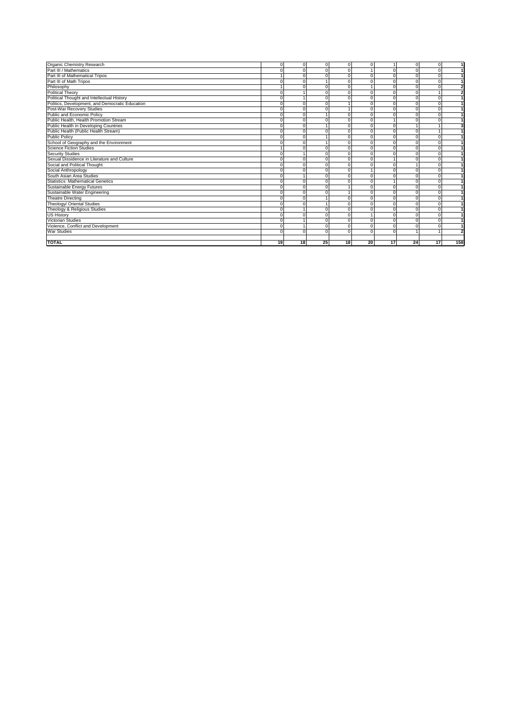| Organic Chemistry Research                      | 0  | 0        | $\mathbf 0$ | $\mathbf 0$ | $\Omega$       | $\overline{ }$ | $^{\circ}$  | $\Omega$       | 1              |
|-------------------------------------------------|----|----------|-------------|-------------|----------------|----------------|-------------|----------------|----------------|
| Part III / Mathematics                          | U  | $\Omega$ | $\Omega$    | $\Omega$    | $\overline{1}$ | $\Omega$       | $\Omega$    | $\Omega$       |                |
| Part III of Mathematical Tripos                 |    | $\Omega$ | $\Omega$    | $\Omega$    | $\Omega$       | $\Omega$       | $\Omega$    | $\Omega$       |                |
| Part III of Math Tripos                         |    | $\Omega$ |             | $\Omega$    | $\Omega$       | $\Omega$       | $\Omega$    | $\Omega$       |                |
| Philosophy                                      |    | $\Omega$ | $\Omega$    | $\Omega$    |                | $\Omega$       | $\Omega$    | $\Omega$       | $\overline{2}$ |
| <b>Political Theory</b>                         |    |          | $\Omega$    | $\Omega$    | $\Omega$       | $\Omega$       | $\mathbf 0$ | $\mathbf{1}$   | 2              |
| Political Thought and Intellectual History      | Ó  |          | $\Omega$    | $\Omega$    | $\Omega$       | $\Omega$       | $\mathbf 0$ | $\Omega$       | $\mathbf{1}$   |
| Politics, Development, and Democratic Education |    | $\Omega$ | $\Omega$    |             | $\Omega$       | $\Omega$       | $\Omega$    | $\Omega$       | $\mathbf{1}$   |
| Post-War Recovery Studies                       | n  | $\Omega$ | $\Omega$    |             | $\Omega$       | $\Omega$       | $\Omega$    | $\Omega$       |                |
| Public and Economic Policy                      |    | $\Omega$ |             | $\Omega$    | $\Omega$       | $\Omega$       | $\Omega$    | $\Omega$       |                |
| Public Health, Health Promotion Stream          |    | $\Omega$ | $\Omega$    | $\Omega$    | $\Omega$       |                | $^{\circ}$  | $\Omega$       |                |
| Public Health in Developing Countries           | U  | $\Omega$ |             | $\Omega$    | $\Omega$       | $\Omega$       |             |                | 3              |
| Public Health (Public Health Stream)            | Ó  | $\Omega$ | $\Omega$    | $\Omega$    | $\Omega$       | $\Omega$       | $\Omega$    | $\overline{1}$ |                |
| <b>Public Policy</b>                            | U  | $\Omega$ |             | $\mathbf 0$ | $\Omega$       | $\mathbf 0$    | $\mathbf 0$ | $\Omega$       |                |
| School of Geography and the Environment         |    | $\Omega$ |             | $\Omega$    | $\Omega$       | $\Omega$       | $\mathbf 0$ | $\Omega$       |                |
| <b>Science Fiction Studies</b>                  |    | $\Omega$ | $\Omega$    | $\Omega$    | $\Omega$       | $\Omega$       | $\Omega$    | $\Omega$       |                |
| <b>Security Studies</b>                         | n  |          | $\Omega$    | $\mathbf 0$ | $\Omega$       | $\Omega$       | $\mathbf 0$ | $\Omega$       |                |
| Sexual Dissidence in Literature and Culture     | n  | $\Omega$ | $\Omega$    | $\Omega$    | $\Omega$       |                | $\Omega$    | $\Omega$       |                |
| Social and Political Thought                    |    | $\Omega$ | $\Omega$    | $\Omega$    | $\Omega$       | $\Omega$       |             | $\Omega$       |                |
| Social Anthropology                             | O  | $\Omega$ | $\Omega$    | $\Omega$    |                | $\Omega$       | $^{\circ}$  | $\Omega$       |                |
| South Asian Area Studies                        | Ó  |          | $\Omega$    | $\Omega$    | $\Omega$       | $\Omega$       | $\mathbf 0$ | $\Omega$       |                |
| <b>Statistics: Mathematical Genetics</b>        | n  | $\Omega$ | $\Omega$    | $\Omega$    | $\Omega$       |                | $\mathbf 0$ | $\Omega$       |                |
| Sustainable Energy Futures                      |    | $\Omega$ | $\Omega$    |             | $\Omega$       | $\Omega$       | $\mathbf 0$ | $\Omega$       |                |
| Sustainable Water Engineering                   | U  | $\Omega$ | $\Omega$    |             | $\Omega$       | $\Omega$       | $\Omega$    | $\Omega$       |                |
| <b>Theatre Directing</b>                        |    | $\Omega$ |             | $\Omega$    | $\Omega$       | $\Omega$       | $\mathbf 0$ | $\Omega$       |                |
| Theology/ Oriental Studies                      |    |          |             |             | O              | $\Omega$       | $\mathbf 0$ | $\Omega$       |                |
| Theology & Religious Studies                    |    |          | $\Omega$    | $\Omega$    | $\Omega$       | $\Omega$       | $\mathbf 0$ | $\Omega$       |                |
| <b>US History</b>                               | Ó  | $\Omega$ | $\Omega$    | $\Omega$    |                | $\Omega$       | $\Omega$    | $\Omega$       |                |
| <b>Victorian Studies</b>                        | Ó  |          | 0           | $\mathbf 0$ | $\Omega$       | $\Omega$       | $\Omega$    | $\Omega$       |                |
| Violence, Conflict and Development              | 0  |          | 0           | $\mathbf 0$ | $\Omega$       | $\mathbf 0$    | $\mathbf 0$ | $\Omega$       | 1              |
| <b>War Studies</b>                              |    | $\Omega$ | $\Omega$    | $\Omega$    | $\Omega$       | $\Omega$       |             |                | $\mathbf{2}$   |
|                                                 |    |          |             |             |                |                |             |                |                |
| <b>TOTAL</b>                                    | 19 | 18       | 25          | 18          | 20             | 17             | 24          | 17             | 158            |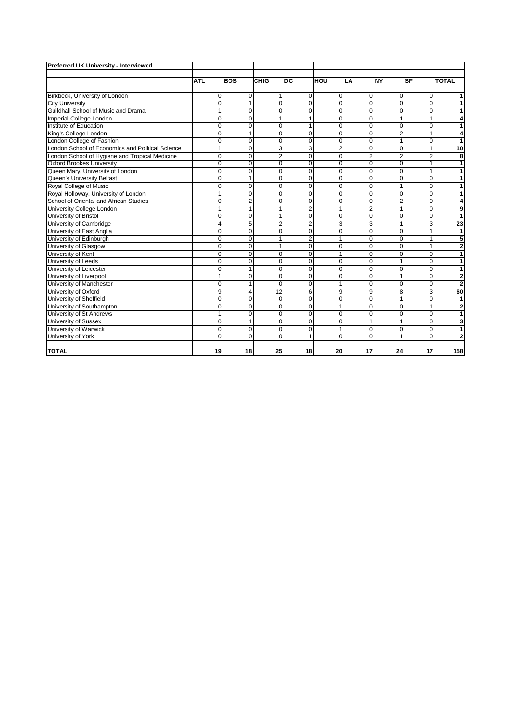| Preferred UK University - Interviewed            |                |                |                |                |                |                |                |                |                         |
|--------------------------------------------------|----------------|----------------|----------------|----------------|----------------|----------------|----------------|----------------|-------------------------|
|                                                  |                |                |                |                |                |                |                |                |                         |
|                                                  | <b>ATL</b>     | <b>BOS</b>     | <b>CHIG</b>    | <b>DC</b>      | HOU            | LA             | <b>NY</b>      | <b>SF</b>      | <b>TOTAL</b>            |
|                                                  |                |                |                |                |                |                |                |                |                         |
| Birkbeck, University of London                   | $\Omega$       | 0              |                | $\Omega$       | $\Omega$       | 0              | $\Omega$       | $\Omega$       | 1                       |
| <b>City University</b>                           | $\Omega$       | $\mathbf{1}$   | $\Omega$       | $\Omega$       | $\Omega$       | $\Omega$       | $\Omega$       | $\Omega$       | 1                       |
| Guildhall School of Music and Drama              | 1              | $\mathbf 0$    | $\Omega$       | $\Omega$       | $\Omega$       | $\Omega$       | $\Omega$       | $\Omega$       | 1                       |
| Imperial College London                          | $\Omega$       | $\mathbf 0$    |                | 1              | $\Omega$       | $\Omega$       | 1              | 1              | 4                       |
| Institute of Education                           | 0              | $\mathbf 0$    | 0              | 1              | $\Omega$       | 0              | 0              | 0              | 1                       |
| King's College London                            | $\Omega$       | $\mathbf{1}$   | 0              | 0              | $\mathbf 0$    | 0              | $\overline{2}$ |                | 4                       |
| London College of Fashion                        | $\Omega$       | $\mathbf 0$    | $\Omega$       | $\Omega$       | $\Omega$       | $\Omega$       | 1              | $\Omega$       | 1                       |
| London School of Economics and Political Science | 1              | $\mathbf 0$    | 3              | 3              | $\overline{2}$ | 0              | $\mathbf 0$    |                | 10                      |
| London School of Hygiene and Tropical Medicine   | 0              | $\Omega$       | $\overline{2}$ | $\Omega$       | $\Omega$       | $\overline{2}$ | $\overline{2}$ | $\overline{2}$ | $\overline{\mathbf{8}}$ |
| Oxford Brookes University                        | $\overline{0}$ | $\mathbf 0$    | 0              | 0              | $\mathbf 0$    | $\mathbf 0$    | $\overline{0}$ | 1              | 1                       |
| Queen Mary, University of London                 | $\Omega$       | $\overline{0}$ | 0              | $\Omega$       | $\mathbf 0$    | $\overline{0}$ | $\Omega$       | 1              | 1                       |
| Queen's University Belfast                       | $\Omega$       | $\mathbf{1}$   | 0              | 0              | $\mathbf 0$    | 0              | $\Omega$       | $\mathbf 0$    | 1                       |
| Royal College of Music                           | $\Omega$       | $\mathbf 0$    | 0              | $\Omega$       | $\Omega$       | $\mathbf 0$    | 1              | $\Omega$       | 1                       |
| Royal Holloway, University of London             | 1              | $\mathbf 0$    | $\Omega$       | $\Omega$       | $\Omega$       | $\Omega$       | $\Omega$       | $\Omega$       | 1                       |
| School of Oriental and African Studies           | $\Omega$       | $\overline{2}$ | 0              | 0              | $\Omega$       | $\Omega$       | $\overline{2}$ | $\Omega$       | 4                       |
| University College London                        | 1              | 1              |                | $\overline{2}$ | 1              | $\overline{2}$ | 1              | 0              | 9                       |
| University of Bristol                            | 0              | $\overline{0}$ |                | $\mathbf 0$    | $\mathbf 0$    | 0              | $\mathbf 0$    | $\mathbf 0$    | 1                       |
| University of Cambridge                          | 4              | 5              | 2              | $\overline{2}$ | 3              | 3              | 1              | 3              | 23                      |
| University of East Anglia                        | $\overline{0}$ | $\mathbf 0$    | 0              | $\Omega$       | $\Omega$       | $\mathbf 0$    | $\Omega$       |                | 1                       |
| University of Edinburgh                          | $\overline{0}$ | $\mathbf 0$    |                | $\overline{2}$ | 1              | $\Omega$       | $\Omega$       | 1              | 5                       |
| University of Glasgow                            | $\mathbf 0$    | $\mathbf 0$    |                | 0              | $\mathbf 0$    | $\overline{0}$ | 0              | 1              | $\overline{2}$          |
| University of Kent                               | $\Omega$       | $\mathbf 0$    | 0              | 0              | 1              | $\overline{0}$ | $\Omega$       | $\mathbf 0$    | 1                       |
| University of Leeds                              | $\Omega$       | $\mathbf 0$    | 0              | 0              | $\mathbf 0$    | $\overline{0}$ | 1              | $\mathbf 0$    | 1                       |
| University of Leicester                          | $\Omega$       | $\mathbf{1}$   | 0              | $\Omega$       | $\Omega$       | $\Omega$       | $\Omega$       | $\Omega$       | 1                       |
| University of Liverpool                          |                | $\mathbf 0$    | $\Omega$       | $\Omega$       | $\Omega$       | $\Omega$       | 1              | $\Omega$       | $\overline{\mathbf{2}}$ |
| University of Manchester                         | O              | $\mathbf{1}$   | $\Omega$       | 0              | 1              | $\Omega$       | $\Omega$       | $\Omega$       | $\overline{2}$          |
| University of Oxford                             | 9              | $\overline{4}$ | 12             | 6              | 9              | 9              | 8              | 3              | 60                      |
| University of Sheffield                          | $\overline{0}$ | $\mathbf 0$    | $\Omega$       | 0              | $\mathbf 0$    | 0              | 1              | $\mathbf 0$    | 1                       |
| University of Southampton                        | $\Omega$       | $\mathbf 0$    | 0              | $\Omega$       |                | 0              | $\Omega$       |                | $\overline{2}$          |
| University of St Andrews                         | 1              | $\mathbf 0$    | $\Omega$       | $\Omega$       | $\Omega$       | 0              | $\Omega$       | $\mathbf 0$    | 1                       |
| University of Sussex                             | $\Omega$       | 1              | 0              | $\Omega$       | $\Omega$       | 1              | 1              | $\Omega$       | $\overline{\mathbf{3}}$ |
| University of Warwick                            | $\overline{0}$ | $\mathbf 0$    | 0              | 0              | $\mathbf{1}$   | $\mathbf 0$    | $\mathbf 0$    | $\mathbf 0$    | 1                       |
| University of York                               | $\Omega$       | $\mathbf 0$    | $\Omega$       | 1              | $\Omega$       | $\Omega$       | 1              | $\Omega$       | $\overline{2}$          |
|                                                  |                |                |                |                |                |                |                |                |                         |
| <b>TOTAL</b>                                     | 19             | 18             | 25             | 18             | 20             | 17             | 24             | 17             | 158                     |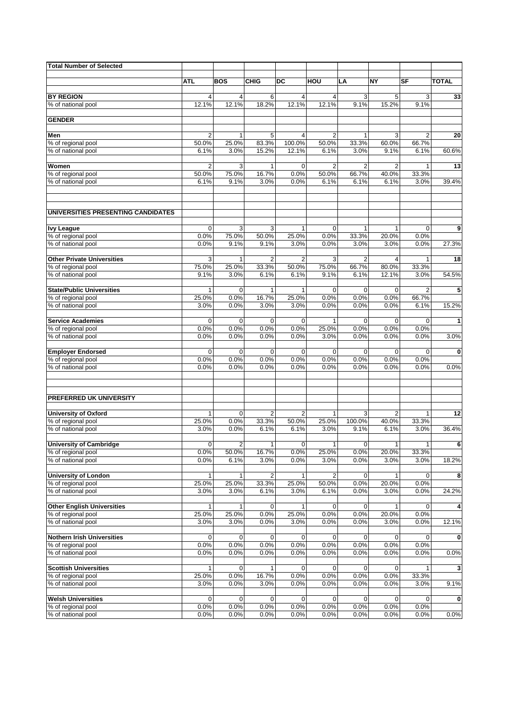| <b>Total Number of Selected</b>                 |                |                |                |                       |                     |                |                       |                     |              |
|-------------------------------------------------|----------------|----------------|----------------|-----------------------|---------------------|----------------|-----------------------|---------------------|--------------|
|                                                 |                |                |                |                       |                     |                |                       |                     |              |
|                                                 | ATL            | <b>BOS</b>     | <b>CHIG</b>    | DC                    | HOU                 | LA             | <b>NY</b>             | SF                  | <b>TOTAL</b> |
| <b>BY REGION</b>                                | 4              | $\overline{4}$ | 6              | 4                     | $\overline{4}$      | 3              | 5                     | 3                   | 33           |
| % of national pool                              | 12.1%          | 12.1%          | 18.2%          | 12.1%                 | 12.1%               | 9.1%           | 15.2%                 | 9.1%                |              |
|                                                 |                |                |                |                       |                     |                |                       |                     |              |
| <b>GENDER</b>                                   |                |                |                |                       |                     |                |                       |                     |              |
| Men                                             | 2              | $\mathbf{1}$   | 5              | 4                     | $\overline{2}$      | 1              | 3                     | $\overline{2}$      | 20           |
| % of regional pool                              | 50.0%          | 25.0%          | 83.3%          | 100.0%                | 50.0%               | 33.3%          | 60.0%                 | 66.7%               |              |
| % of national pool                              | 6.1%           | 3.0%           | 15.2%          | 12.1%                 | 6.1%                | 3.0%           | 9.1%                  | 6.1%                | 60.6%        |
| Women                                           | $\overline{2}$ | 3              | 1              | $\mathbf 0$           | 2                   | $\overline{2}$ | $\overline{2}$        | $\mathbf{1}$        | 13           |
| % of regional pool                              | 50.0%          | 75.0%          | 16.7%          | 0.0%                  | 50.0%               | 66.7%          | 40.0%                 | 33.3%               |              |
| % of national pool                              | 6.1%           | 9.1%           | 3.0%           | 0.0%                  | 6.1%                | 6.1%           | 6.1%                  | 3.0%                | 39.4%        |
|                                                 |                |                |                |                       |                     |                |                       |                     |              |
| UNIVERSITIES PRESENTING CANDIDATES              |                |                |                |                       |                     |                |                       |                     |              |
|                                                 | 0              |                |                |                       |                     |                |                       |                     |              |
| <b>Ivy League</b><br>% of regional pool         | 0.0%           | 3<br>75.0%     | 3<br>50.0%     | $\mathbf{1}$<br>25.0% | $\mathbf 0$<br>0.0% | 1<br>33.3%     | $\mathbf{1}$<br>20.0% | $\mathbf 0$<br>0.0% | 9            |
| % of national pool                              | 0.0%           | 9.1%           | 9.1%           | 3.0%                  | 0.0%                | 3.0%           | 3.0%                  | 0.0%                | 27.3%        |
|                                                 |                |                |                |                       |                     |                |                       |                     |              |
| <b>Other Private Universities</b>               | 3              | 1              | $\overline{2}$ | 2                     | 3                   | $\overline{2}$ | 4                     | $\mathbf{1}$        | 18           |
| % of regional pool<br>% of national pool        | 75.0%<br>9.1%  | 25.0%<br>3.0%  | 33.3%<br>6.1%  | 50.0%<br>6.1%         | 75.0%<br>9.1%       | 66.7%<br>6.1%  | 80.0%<br>12.1%        | 33.3%<br>3.0%       | 54.5%        |
|                                                 |                |                |                |                       |                     |                |                       |                     |              |
| <b>State/Public Universities</b>                | 1              | 0              | 1              | 1                     | $\Omega$            | $\mathbf 0$    | 0                     | $\overline{2}$      | 5            |
| % of regional pool                              | 25.0%          | 0.0%           | 16.7%          | 25.0%                 | 0.0%                | 0.0%           | 0.0%                  | 66.7%               |              |
| % of national pool                              | 3.0%           | 0.0%           | 3.0%           | 3.0%                  | 0.0%                | 0.0%           | 0.0%                  | 6.1%                | 15.2%        |
| <b>Service Academies</b>                        | 0              | 0              | $\mathbf 0$    | 0                     | $\mathbf{1}$        | $\mathbf 0$    | $\mathbf 0$           | $\mathbf 0$         | 1            |
| % of regional pool                              | 0.0%           | 0.0%           | 0.0%           | 0.0%                  | 25.0%               | 0.0%           | 0.0%                  | 0.0%                |              |
| % of national pool                              | 0.0%           | 0.0%           | 0.0%           | 0.0%                  | 3.0%                | 0.0%           | 0.0%                  | 0.0%                | 3.0%         |
|                                                 |                |                |                |                       |                     |                |                       |                     |              |
| <b>Employer Endorsed</b>                        | 0              | 0              | $\mathbf 0$    | $\mathbf 0$           | $\mathbf 0$         | $\mathbf 0$    | $\mathbf 0$           | $\mathbf 0$         | 0            |
| % of regional pool<br>% of national pool        | 0.0%<br>0.0%   | 0.0%<br>0.0%   | 0.0%<br>0.0%   | 0.0%<br>0.0%          | 0.0%<br>0.0%        | 0.0%<br>0.0%   | 0.0%<br>0.0%          | 0.0%<br>0.0%        | 0.0%         |
|                                                 |                |                |                |                       |                     |                |                       |                     |              |
| PREFERRED UK UNIVERSITY                         |                |                |                |                       |                     |                |                       |                     |              |
|                                                 |                |                |                |                       |                     |                |                       |                     |              |
| <b>University of Oxford</b>                     | $\mathbf{1}$   | 0              | $\overline{2}$ | 2                     | $\mathbf{1}$        | 3              | $\overline{2}$        | 1                   | 12           |
| % of regional pool                              | 25.0%          | 0.0%           | 33.3%          | 50.0%                 | 25.0%               | 100.0%         | 40.0%                 | 33.3%               |              |
| % of national pool                              | 3.0%           | 0.0%           | 6.1%           | 6.1%                  | 3.0%                | 9.1%           | 6.1%                  | 3.0%                | 36.4%        |
| <b>University of Cambridge</b>                  | 0              | $\overline{c}$ | $\mathbf{1}$   | $\overline{0}$        | $\mathbf{1}$        | $\mathbf 0$    | $\mathbf{1}$          | $\mathbf{1}$        | 6            |
| % of regional pool                              | 0.0%           | 50.0%          | 16.7%          | 0.0%                  | 25.0%               | 0.0%           | 20.0%                 | 33.3%               |              |
| % of national pool                              | 0.0%           | 6.1%           | 3.0%           | 0.0%                  | 3.0%                | 0.0%           | 3.0%                  | 3.0%                | 18.2%        |
| <b>University of London</b>                     | $\mathbf{1}$   | 1              | $\overline{2}$ | $\mathbf{1}$          | 2                   | 0              |                       | 0                   | 8            |
| % of regional pool                              | 25.0%          | 25.0%          | 33.3%          | 25.0%                 | 50.0%               | 0.0%           | 20.0%                 | 0.0%                |              |
| % of national pool                              | 3.0%           | 3.0%           | 6.1%           | 3.0%                  | 6.1%                | 0.0%           | 3.0%                  | 0.0%                | 24.2%        |
|                                                 |                |                |                |                       |                     |                |                       |                     |              |
| <b>Other English Universities</b>               | $\mathbf{1}$   | 1              | 0              | $\mathbf{1}$          | 0                   | 0              |                       | 0                   | 4            |
| % of regional pool<br>% of national pool        | 25.0%<br>3.0%  | 25.0%<br>3.0%  | 0.0%<br>0.0%   | 25.0%<br>3.0%         | 0.0%<br>0.0%        | 0.0%<br>0.0%   | 20.0%<br>3.0%         | 0.0%<br>0.0%        | 12.1%        |
|                                                 |                |                |                |                       |                     |                |                       |                     |              |
| <b>Nothern Irish Universities</b>               | 0              | 0              | 0              | 0                     | 0                   | 0              | 0                     | 0                   | 0            |
| % of regional pool                              | 0.0%           | 0.0%           | 0.0%           | 0.0%                  | 0.0%                | 0.0%           | 0.0%                  | 0.0%                |              |
| % of national pool                              | 0.0%           | 0.0%           | 0.0%           | 0.0%                  | 0.0%                | 0.0%           | 0.0%                  | 0.0%                | 0.0%         |
| <b>Scottish Universities</b>                    | $\mathbf{1}$   | 0              | 1              | 0                     | 0                   | 0              | 0                     | 1                   | 3            |
| % of regional pool                              | 25.0%          | 0.0%           | 16.7%          | 0.0%                  | 0.0%                | 0.0%           | 0.0%                  | 33.3%               |              |
| % of national pool                              | 3.0%           | 0.0%           | 3.0%           | 0.0%                  | 0.0%                | 0.0%           | 0.0%                  | 3.0%                | 9.1%         |
|                                                 |                |                |                |                       |                     |                |                       |                     |              |
| <b>Welsh Universities</b><br>% of regional pool | 0<br>0.0%      | 0<br>0.0%      | 0<br>0.0%      | 0<br>0.0%             | $\mathbf 0$<br>0.0% | 0<br>0.0%      | 0<br>0.0%             | 0<br>0.0%           | 0            |
| % of national pool                              | 0.0%           | 0.0%           | 0.0%           | 0.0%                  | 0.0%                | 0.0%           | 0.0%                  | 0.0%                | 0.0%         |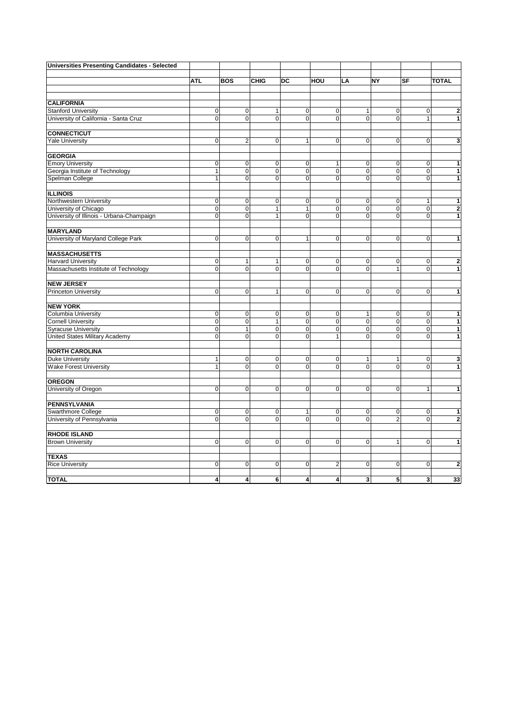| <b>Universities Presenting Candidates - Selected</b> |                |                         |                |                |                         |                |                |                |                |
|------------------------------------------------------|----------------|-------------------------|----------------|----------------|-------------------------|----------------|----------------|----------------|----------------|
|                                                      |                |                         |                |                |                         |                |                |                |                |
|                                                      | <b>ATL</b>     | <b>BOS</b>              | <b>CHIG</b>    | <b>DC</b>      | HOU                     | LA             | <b>NY</b>      | <b>SF</b>      | <b>TOTAL</b>   |
|                                                      |                |                         |                |                |                         |                |                |                |                |
| <b>CALIFORNIA</b>                                    |                |                         |                |                |                         |                |                |                |                |
| <b>Stanford University</b>                           | $\mathbf 0$    | $\pmb{0}$               | 1              | $\pmb{0}$      | $\pmb{0}$               | $\mathbf{1}$   | $\overline{0}$ | $\mathbf 0$    | $\mathbf{2}$   |
| University of California - Santa Cruz                | $\Omega$       | $\Omega$                | $\Omega$       | $\Omega$       | $\Omega$                | $\Omega$       | $\Omega$       | $\overline{1}$ | 1              |
|                                                      |                |                         |                |                |                         |                |                |                |                |
| <b>CONNECTICUT</b>                                   |                |                         |                |                |                         |                |                |                |                |
| <b>Yale University</b>                               | $\mathbf 0$    | $\overline{2}$          | 0              | 1              | $\mathbf 0$             | $\mathbf 0$    | $\mathbf 0$    | $\Omega$       | 3              |
| <b>GEORGIA</b>                                       |                |                         |                |                |                         |                |                |                |                |
| <b>Emory University</b>                              | $\mathbf 0$    | $\mathbf 0$             | $\mathbf 0$    | $\mathbf 0$    | $\mathbf{1}$            | $\mathbf 0$    | $\mathbf 0$    | $\mathbf 0$    | 1              |
| Georgia Institute of Technology                      | $\mathbf{1}$   | $\mathbf 0$             | 0              | $\mathbf 0$    | $\pmb{0}$               | $\mathbf 0$    | $\overline{0}$ | $\Omega$       | 1              |
| Spelman College                                      | $\mathbf{1}$   | 0                       | 0              | $\overline{0}$ | $\mathbf 0$             | 0              | $\Omega$       | $\mathbf 0$    | 1              |
|                                                      |                |                         |                |                |                         |                |                |                |                |
| <b>ILLINOIS</b>                                      |                |                         |                |                |                         |                |                |                |                |
| Northwestern University                              | $\mathbf 0$    | $\mathbf 0$             | 0              | $\mathbf 0$    | 0                       | $\mathbf 0$    | $\mathbf 0$    | 1              | 1              |
| University of Chicago                                | $\pmb{0}$      | $\mathbf 0$             | 1              | 1              | $\overline{0}$          | $\mathbf 0$    | $\mathbf 0$    | $\mathbf 0$    | $\mathbf{2}$   |
| University of Illinois - Urbana-Champaign            | $\mathbf 0$    | $\mathbf{O}$            | 1              | $\mathbf 0$    | $\mathbf 0$             | $\mathbf 0$    | $\overline{0}$ | $\Omega$       | 1              |
| <b>MARYLAND</b>                                      |                |                         |                |                |                         |                |                |                |                |
| University of Maryland College Park                  | $\mathbf 0$    | $\mathbf{O}$            | $\overline{0}$ | $\mathbf{1}$   | $\pmb{0}$               | $\mathbf 0$    | $\mathbf 0$    | $\mathbf 0$    | $\mathbf{1}$   |
|                                                      |                |                         |                |                |                         |                |                |                |                |
| <b>MASSACHUSETTS</b>                                 |                |                         |                |                |                         |                |                |                |                |
| <b>Harvard University</b>                            | 0              | 1                       | 1              | $\pmb{0}$      | 0                       | 0              | $\mathbf 0$    | 0              | $\mathbf{2}$   |
| Massachusetts Institute of Technology                | $\mathbf 0$    | $\mathbf 0$             | $\mathbf 0$    | $\mathbf 0$    | $\mathbf 0$             | 0              | $\mathbf{1}$   | $\mathbf 0$    | $\mathbf{1}$   |
| <b>NEW JERSEY</b>                                    |                |                         |                |                |                         |                |                |                |                |
| <b>Princeton University</b>                          | $\mathbf 0$    | $\mathbf 0$             | $\mathbf{1}$   | $\mathbf 0$    | $\mathbf 0$             | $\mathbf 0$    | $\mathbf 0$    | $\mathbf 0$    | $\mathbf{1}$   |
|                                                      |                |                         |                |                |                         |                |                |                |                |
| <b>NEW YORK</b>                                      |                |                         |                |                |                         |                |                |                |                |
| Columbia University                                  | $\pmb{0}$      | $\mathbf 0$             | $\mathbf 0$    | $\mathbf 0$    | $\pmb{0}$               | $\mathbf{1}$   | $\mathbf 0$    | $\mathbf 0$    | 1              |
| <b>Cornell University</b>                            | $\overline{0}$ | $\overline{\mathbf{0}}$ | 1              | $\overline{0}$ | $\pmb{0}$               | $\overline{0}$ | $\mathbf 0$    | $\pmb{0}$      | $\mathbf{1}$   |
| <b>Syracuse University</b>                           | $\mathbf 0$    | $\mathbf{1}$            | $\mathbf 0$    | $\mathbf 0$    | $\pmb{0}$               | $\mathbf 0$    | $\mathbf 0$    | $\mathbf 0$    | $\mathbf{1}$   |
| United States Military Academy                       | $\mathbf 0$    | $\mathbf 0$             | 0              | $\overline{0}$ | $\mathbf{1}$            | 0              | 0              | $\mathbf 0$    | $\overline{1}$ |
| <b>NORTH CAROLINA</b>                                |                |                         |                |                |                         |                |                |                |                |
| <b>Duke University</b>                               | $\mathbf{1}$   | $\mathbf 0$             | $\mathbf 0$    | $\mathbf 0$    | $\pmb{0}$               | $\mathbf{1}$   | $\mathbf{1}$   | $\mathbf 0$    | $\mathbf{3}$   |
| <b>Wake Forest University</b>                        | $\mathbf{1}$   | $\pmb{0}$               | $\mathbf 0$    | $\mathbf 0$    | $\mathbf 0$             | $\mathbf 0$    | $\mathbf 0$    | $\mathbf 0$    | $\mathbf{1}$   |
|                                                      |                |                         |                |                |                         |                |                |                |                |
| <b>OREGON</b>                                        |                |                         |                |                |                         |                |                |                |                |
| University of Oregon                                 | $\pmb{0}$      | $\mathsf{O}\xspace$     | $\mathbf 0$    | $\mathbf 0$    | $\pmb{0}$               | $\pmb{0}$      | $\mathbf 0$    | $\mathbf{1}$   | $\mathbf{1}$   |
| <b>PENNSYLVANIA</b>                                  |                |                         |                |                |                         |                |                |                |                |
| <b>Swarthmore College</b>                            | $\pmb{0}$      | $\pmb{0}$               | $\mathbf 0$    | $\mathbf{1}$   | $\pmb{0}$               | $\mathbf 0$    | $\mathbf 0$    | $\mathbf 0$    | 1              |
| University of Pennsylvania                           | $\mathbf 0$    | $\mathbf 0$             | $\mathbf 0$    | $\overline{0}$ | $\mathbf 0$             | $\mathbf 0$    | $\overline{2}$ | $\Omega$       | $\mathbf{2}$   |
|                                                      |                |                         |                |                |                         |                |                |                |                |
| <b>RHODE ISLAND</b>                                  |                |                         |                |                |                         |                |                |                |                |
| <b>Brown University</b>                              | $\mathbf 0$    | $\overline{0}$          | $\mathbf 0$    | $\mathbf 0$    | $\mathbf 0$             | $\mathbf 0$    | $\mathbf{1}$   | $\mathbf 0$    | $\mathbf{1}$   |
| <b>TEXAS</b>                                         |                |                         |                |                |                         |                |                |                |                |
| <b>Rice University</b>                               | $\mathbf 0$    | $\mathbf{O}$            | $\mathbf 0$    | $\mathbf 0$    | $\overline{2}$          | $\mathbf{O}$   | $\mathbf 0$    | $\mathbf 0$    | $\mathbf{2}$   |
|                                                      |                |                         |                |                |                         |                |                |                |                |
| <b>TOTAL</b>                                         | 4              | $\overline{4}$          | 6              | 4              | $\overline{\mathbf{4}}$ | 3              | 5              | $\mathbf{3}$   | 33             |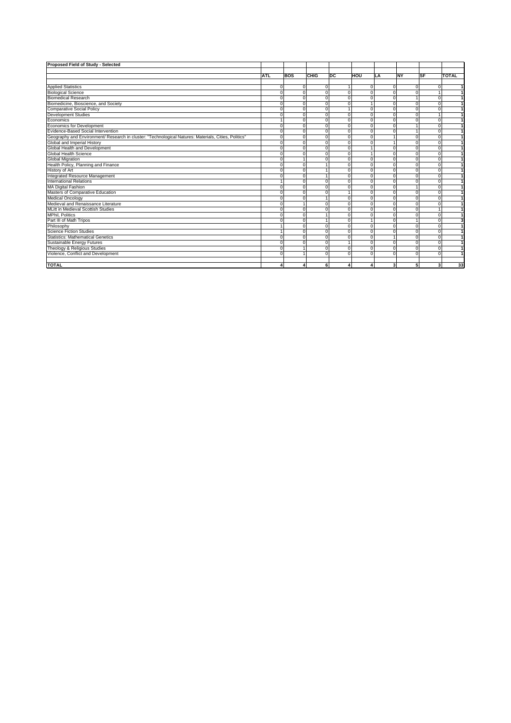| Proposed Field of Study - Selected                                                                   |                |             |                |                      |                         |             |                |                         |              |
|------------------------------------------------------------------------------------------------------|----------------|-------------|----------------|----------------------|-------------------------|-------------|----------------|-------------------------|--------------|
|                                                                                                      |                |             |                |                      |                         |             |                |                         |              |
|                                                                                                      | <b>ATL</b>     | <b>BOS</b>  | CHIG           | DC                   | HOU                     | ΙLΑ         | <b>NY</b>      | <b>SF</b>               | <b>TOTAL</b> |
|                                                                                                      |                |             |                |                      |                         |             |                |                         |              |
| <b>Applied Statistics</b>                                                                            | $\Omega$       | 0           | $\Omega$       |                      | $\Omega$                | $\mathbf 0$ | $\Omega$       | $\Omega$                | $\mathbf{1}$ |
| <b>Biological Science</b>                                                                            | $\Omega$       | $\mathbf 0$ | $\overline{0}$ | ō                    | $\overline{0}$          | $\mathbf 0$ | $\Omega$       | $\mathbf{1}$            | 1            |
| <b>Biomedical Research</b>                                                                           | $\Omega$       | $\Omega$    | $\mathbf 0$    | $\overline{0}$       | $\overline{0}$          | $\mathbf 0$ | 1              | $\Omega$                | $\mathbf{1}$ |
| Biomedicine, Bioscience, and Society                                                                 | $\Omega$       | 0           | $\Omega$       | $\Omega$             | $\overline{1}$          | $\Omega$    | $\Omega$       | $\Omega$                | $\mathbf{1}$ |
| <b>Comparative Social Policy</b>                                                                     | $\Omega$       | $\Omega$    | $\Omega$       | $\blacktriangleleft$ | $\overline{0}$          | $\Omega$    | $\Omega$       | $\Omega$                | 1            |
| <b>Development Studies</b>                                                                           | $\Omega$       | U           | $\Omega$       | $\Omega$             | $\overline{0}$          | $\Omega$    | $\Omega$       | $\mathbf{1}$            | $\mathbf{1}$ |
| Economics                                                                                            |                | $\Omega$    | $\Omega$       | $\Omega$             | $\Omega$                | $\Omega$    | $\Omega$       | $\Omega$                | $\mathbf{1}$ |
| <b>Economics for Development</b>                                                                     | $\Omega$       | U           | $\Omega$       | $\mathbf 0$          | $\Omega$                | $\Omega$    | 1              | $\Omega$                | $\mathbf{1}$ |
| Evidence-Based Social Intervention                                                                   | $\Omega$       | U           | $\Omega$       | $\overline{0}$       | $\overline{0}$          | $\Omega$    | 1              | $\Omega$                | $\mathbf{1}$ |
| Geography and Environment/ Research in cluster: "Technological Natures: Materials, Cities, Politics" | $\Omega$       | O           | 0              | $\Omega$             | $\Omega$                |             | $\Omega$       | $\Omega$                | $\mathbf{1}$ |
| Global and Imperial History                                                                          | $\Omega$       | O           | $\mathbf 0$    | $\mathbf 0$          | $\mathbf 0$             |             | $\Omega$       | $\Omega$                | $\mathbf{1}$ |
| Global Health and Development                                                                        | $\Omega$       | O           | $\overline{0}$ | $\overline{0}$       | $\overline{1}$          | $\mathbf 0$ | $\Omega$       | $\Omega$                | 1            |
| <b>Global Health Science</b>                                                                         | $\Omega$       | O           | $\overline{0}$ | $\overline{0}$       | $\overline{1}$          | $\Omega$    | $\Omega$       | $\Omega$                | 1            |
| <b>Global Migration</b>                                                                              | $\Omega$       |             | 0              | $\mathbf 0$          | $\Omega$                | $\Omega$    | $\Omega$       | $\Omega$                | $\mathbf{1}$ |
| Health Policy, Planning and Finance                                                                  | $\Omega$       | n           |                | $\Omega$             | $\Omega$                | $\Omega$    | $\Omega$       | $\Omega$                | $\mathbf{1}$ |
| History of Art                                                                                       | O              | n           |                | $\Omega$             | $\overline{0}$          | $\mathbf 0$ | $\Omega$       | $\Omega$                | $\mathbf{1}$ |
| Integrated Resource Management                                                                       |                | U           |                | $\Omega$             | $\Omega$                | $\Omega$    | $\Omega$       | $\Omega$                | $\mathbf{1}$ |
| <b>International Relations</b>                                                                       |                | n           | $\Omega$       | $\Omega$             | $\Omega$                | $\Omega$    | $\Omega$       | $\Omega$                | $\mathbf{1}$ |
| <b>MA Digital Fashion</b>                                                                            | U              | n           | $\overline{0}$ | $\overline{0}$       | $\overline{0}$          | $\mathbf 0$ |                | $\Omega$                | $\mathbf{1}$ |
| Masters of Comparative Education                                                                     | O              |             | $\overline{0}$ |                      | $\overline{0}$          | $\Omega$    | $\Omega$       | $\Omega$                | $\mathbf{1}$ |
| <b>Medical Oncology</b>                                                                              | $\Omega$       | O           |                | $\mathbf 0$          | $\Omega$                | $\mathbf 0$ | $\Omega$       | $\Omega$                | $\mathbf{1}$ |
| Medieval and Renaissance Literature                                                                  | $\Omega$       |             | $\Omega$       | $\overline{0}$       | $\overline{0}$          | $\mathbf 0$ | $\Omega$       | $\Omega$                | $\mathbf{1}$ |
| <b>MLitt in Medieval Scottish Studies</b>                                                            | $\Omega$       | O           | $\Omega$       | $\Omega$             | $\overline{0}$          | $\Omega$    | $\Omega$       | $\mathbf{1}$            | $\mathbf{1}$ |
| <b>MPhil. Politics</b>                                                                               | $\Omega$       | O           | 1              | $\mathbf 0$          | $\Omega$                | $\Omega$    | $\Omega$       | $\Omega$                | $\mathbf{1}$ |
| Part III of Math Tripos                                                                              | $\Omega$       | O           | 1              | $\Omega$             | $\overline{1}$          | $\Omega$    | 4              | $\Omega$                | 3            |
| Philosophy                                                                                           |                | O           | $\Omega$       | $\overline{0}$       | $\overline{0}$          | $\mathbf 0$ | $\Omega$       | $\Omega$                | $\mathbf{1}$ |
| <b>Science Fiction Studies</b>                                                                       |                | U           | $\Omega$       | $\overline{0}$       | $\overline{0}$          | $\mathbf 0$ | $\Omega$       | $\Omega$                | 1            |
| <b>Statistics: Mathematical Genetics</b>                                                             | $\Omega$       | U           | $\Omega$       | $\Omega$             | $\Omega$                |             | $\Omega$       | $\Omega$                | $\mathbf{1}$ |
| Sustainable Energy Futures                                                                           | $\Omega$       | U           | $\mathbf 0$    |                      | $\mathbf 0$             | $\Omega$    | $\Omega$       | $\Omega$                | $\mathbf{1}$ |
| Theology & Religious Studies                                                                         | $\Omega$       |             | 0              | $\Omega$             | $\overline{0}$          | $\Omega$    | $\Omega$       | $\Omega$                | $\mathbf{1}$ |
| Violence, Conflict and Development                                                                   | $\Omega$       |             | 0              | $\Omega$             | $\Omega$                | $\mathbf 0$ | $\Omega$       | $\Omega$                | $\mathbf{1}$ |
|                                                                                                      |                |             |                |                      |                         |             |                |                         |              |
| <b>TOTAL</b>                                                                                         | $\overline{4}$ | 4           | 6              | 4                    | $\overline{\mathbf{4}}$ | 3           | 5 <sup>1</sup> | $\overline{\mathbf{3}}$ | 33           |